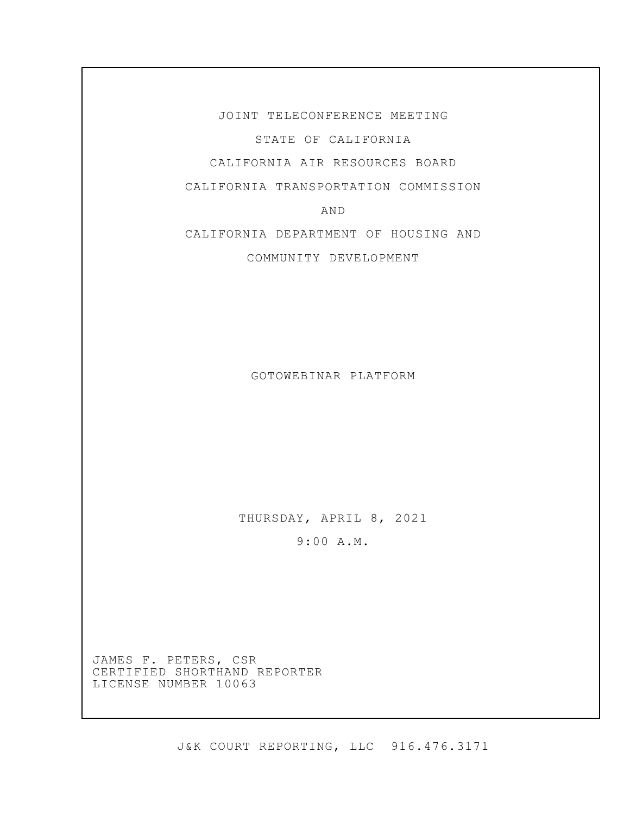JOINT TELECONFERENCE MEETING STATE OF CALIFORNIA CALIFORNIA AIR RESOURCES BOARD

CALIFORNIA TRANSPORTATION COMMISSION

AND

CALIFORNIA DEPARTMENT OF HOUSING AND

COMMUNITY DEVELOPMENT

GOTOWEBINAR PLATFORM

THURSDAY, APRIL 8, 2021

9:00 A.M.

JAMES F. PETERS, CSR CERTIFIED SHORTHAND REPORTER LICENSE NUMBER 10063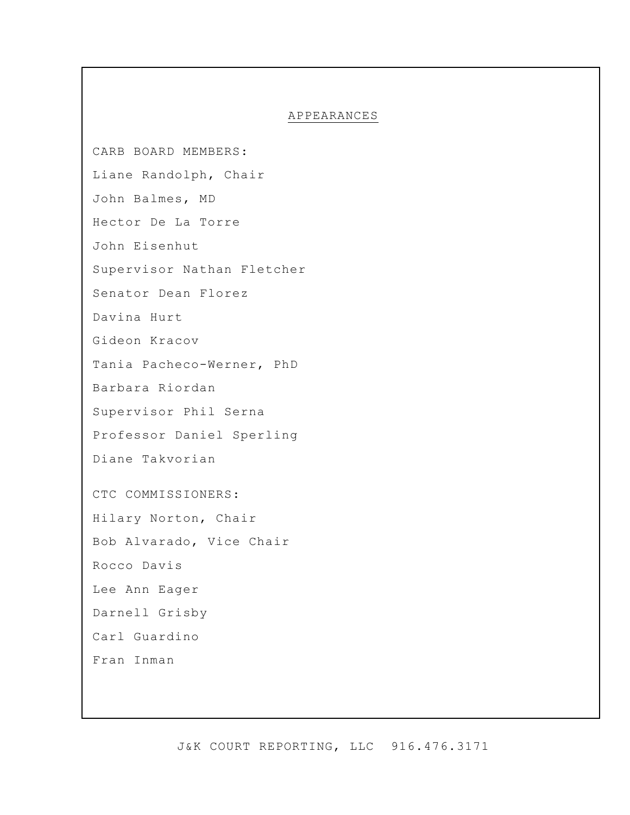### APPEARANCES

CARB BOARD MEMBERS: Liane Randolph, Chair John Balmes, MD Hector De La Torre John Eisenhut Supervisor Nathan Fletcher Senator Dean Florez Davina Hurt Gideon Kracov Tania Pacheco-Werner, PhD Barbara Riordan Supervisor Phil Serna Professor Daniel Sperling Diane Takvorian CTC COMMISSIONERS: Hilary Norton, Chair Bob Alvarado, Vice Chair Rocco Davis Lee Ann Eager Darnell Grisby Carl Guardino Fran Inman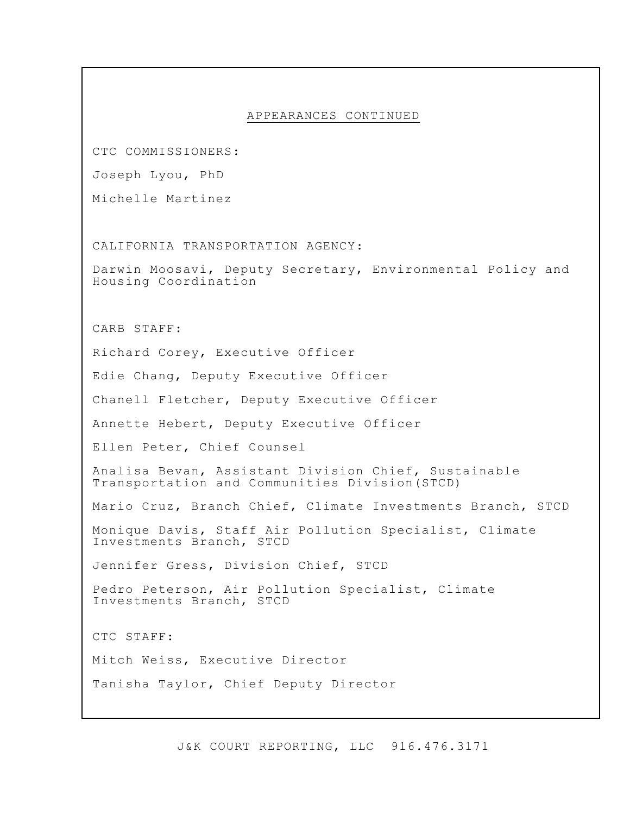CTC COMMISSIONERS:

Joseph Lyou, PhD

Michelle Martinez

CALIFORNIA TRANSPORTATION AGENCY:

Darwin Moosavi, Deputy Secretary, Environmental Policy and Housing Coordination

CARB STAFF:

Richard Corey, Executive Officer

Edie Chang, Deputy Executive Officer

Chanell Fletcher, Deputy Executive Officer

Annette Hebert, Deputy Executive Officer

Ellen Peter, Chief Counsel

Analisa Bevan, Assistant Division Chief, Sustainable Transportation and Communities Division(STCD)

Mario Cruz, Branch Chief, Climate Investments Branch, STCD

Monique Davis, Staff Air Pollution Specialist, Climate Investments Branch, STCD

Jennifer Gress, Division Chief, STCD

Pedro Peterson, Air Pollution Specialist, Climate Investments Branch, STCD

CTC STAFF:

Mitch Weiss, Executive Director

Tanisha Taylor, Chief Deputy Director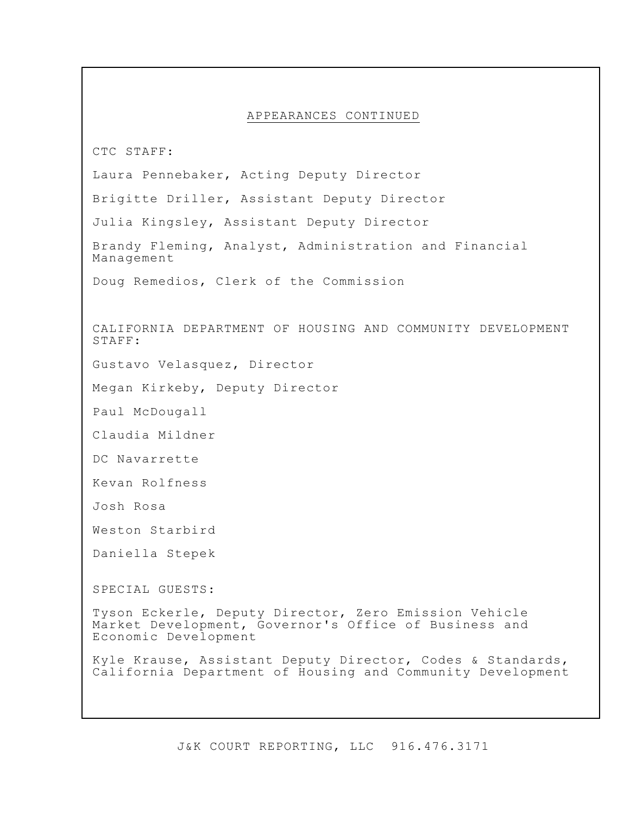CTC STAFF:

Laura Pennebaker, Acting Deputy Director

Brigitte Driller, Assistant Deputy Director

Julia Kingsley, Assistant Deputy Director

Brandy Fleming, Analyst, Administration and Financial Management

Doug Remedios, Clerk of the Commission

CALIFORNIA DEPARTMENT OF HOUSING AND COMMUNITY DEVELOPMENT STAFF:

Gustavo Velasquez, Director

Megan Kirkeby, Deputy Director

Paul McDougall

Claudia Mildner

DC Navarrette

Kevan Rolfness

Josh Rosa

Weston Starbird

Daniella Stepek

SPECIAL GUESTS:

Tyson Eckerle, Deputy Director, Zero Emission Vehicle Market Development, Governor's Office of Business and Economic Development

Kyle Krause, Assistant Deputy Director, Codes & Standards, California Department of Housing and Community Development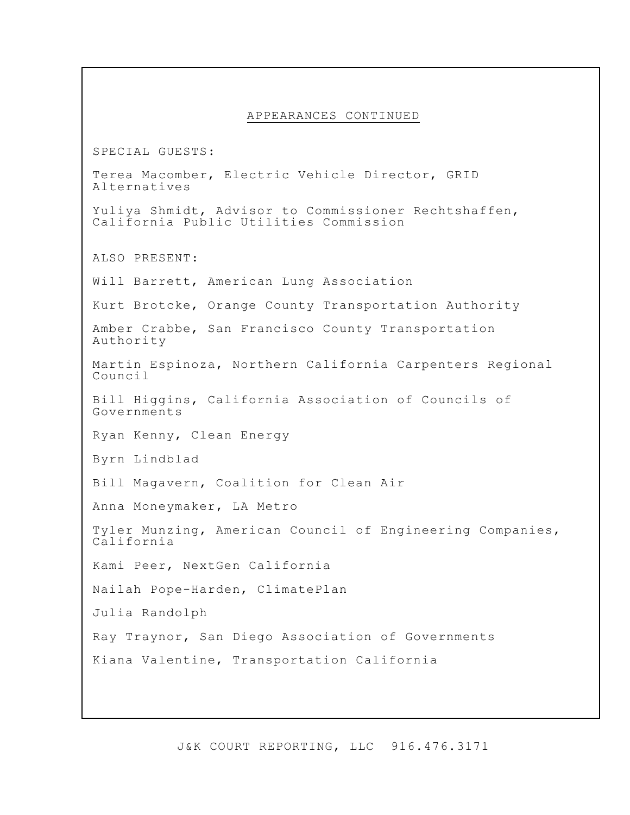SPECIAL GUESTS:

Terea Macomber, Electric Vehicle Director, GRID Alternatives

Yuliya Shmidt, Advisor to Commissioner Rechtshaffen, California Public Utilities Commission

ALSO PRESENT:

Will Barrett, American Lung Association

Kurt Brotcke, Orange County Transportation Authority

Amber Crabbe, San Francisco County Transportation Authority

Martin Espinoza, Northern California Carpenters Regional Council

Bill Higgins, California Association of Councils of Governments

Ryan Kenny, Clean Energy

Byrn Lindblad

Bill Magavern, Coalition for Clean Air

Anna Moneymaker, LA Metro

Tyler Munzing, American Council of Engineering Companies, California

Kami Peer, NextGen California

Nailah Pope-Harden, ClimatePlan

Julia Randolph

Ray Traynor, San Diego Association of Governments

Kiana Valentine, Transportation California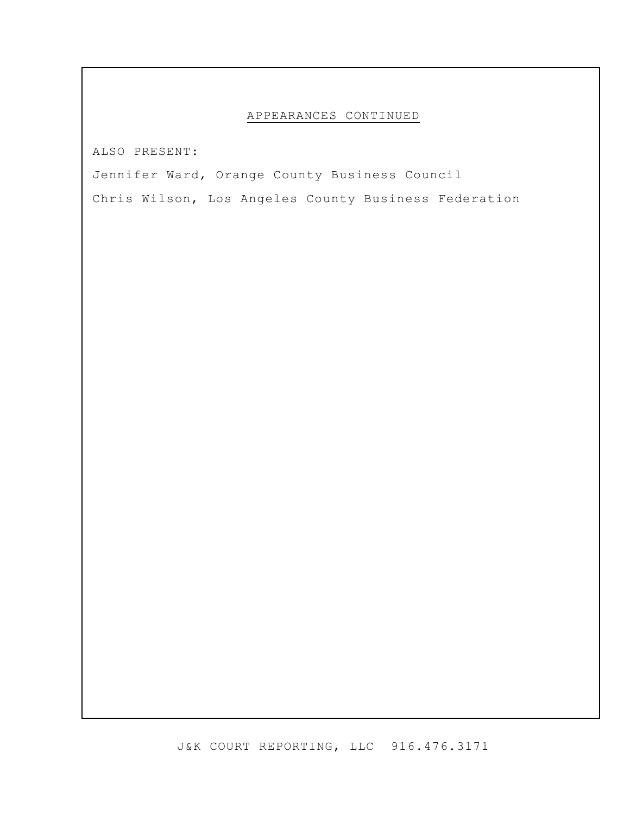ALSO PRESENT:

Jennifer Ward, Orange County Business Council

Chris Wilson, Los Angeles County Business Federation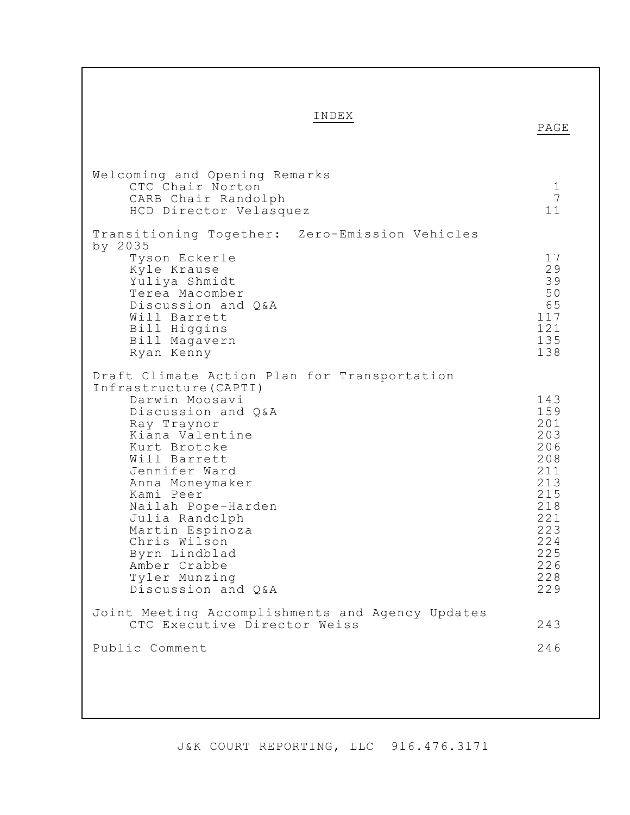INDEX

|                                                                                                                                                                                                                                                                                                                                                                                      | PAGE                                                                                                                |
|--------------------------------------------------------------------------------------------------------------------------------------------------------------------------------------------------------------------------------------------------------------------------------------------------------------------------------------------------------------------------------------|---------------------------------------------------------------------------------------------------------------------|
| Welcoming and Opening Remarks<br>CTC Chair Norton<br>CARB Chair Randolph<br>HCD Director Velasquez                                                                                                                                                                                                                                                                                   | $\mathbf 1$<br>$\overline{7}$<br>11                                                                                 |
| Transitioning Together: Zero-Emission Vehicles<br>by 2035<br>Tyson Eckerle<br>Kyle Krause<br>Yuliya Shmidt<br>Terea Macomber<br>Discussion and Q&A<br>Will Barrett<br>Bill Higgins<br>Bill Magavern<br>Ryan Kenny                                                                                                                                                                    | 17<br>29<br>39<br>50<br>65<br>117<br>121<br>135<br>138                                                              |
| Draft Climate Action Plan for Transportation<br>Infrastructure (CAPTI)<br>Darwin Moosavi<br>Discussion and Q&A<br>Ray Traynor<br>Kiana Valentine<br>Kurt Brotcke<br>Will Barrett<br>Jennifer Ward<br>Anna Moneymaker<br>Kami Peer<br>Nailah Pope-Harden<br>Julia Randolph<br>Martin Espinoza<br>Chris Wilson<br>Byrn Lindblad<br>Amber Crabbe<br>Tyler Munzing<br>Discussion and Q&A | 143<br>159<br>201<br>203<br>206<br>208<br>211<br>213<br>215<br>218<br>221<br>223<br>224<br>225<br>226<br>228<br>229 |
| Joint Meeting Accomplishments and Agency Updates<br>CTC Executive Director Weiss                                                                                                                                                                                                                                                                                                     | 243                                                                                                                 |
| Public Comment                                                                                                                                                                                                                                                                                                                                                                       | 246                                                                                                                 |
|                                                                                                                                                                                                                                                                                                                                                                                      |                                                                                                                     |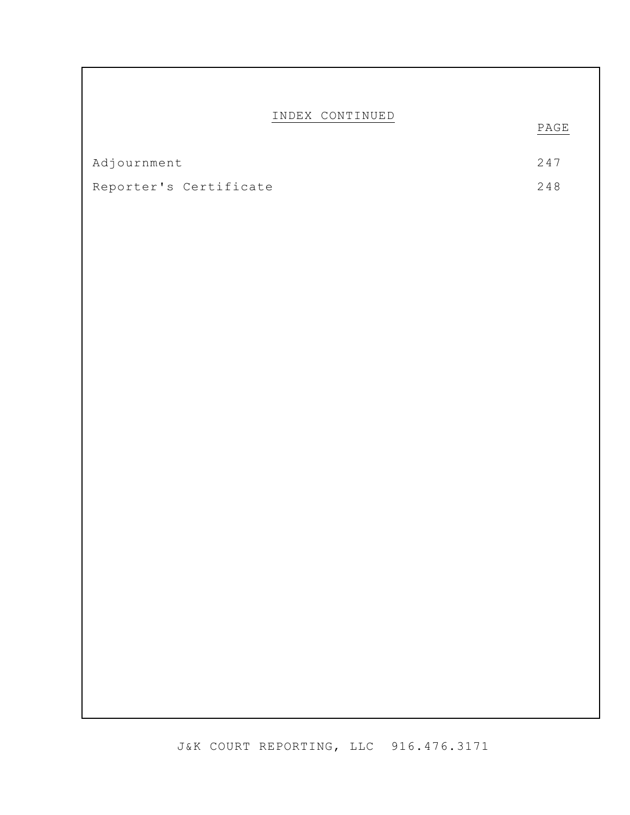## INDEX CONTINUED

PAGE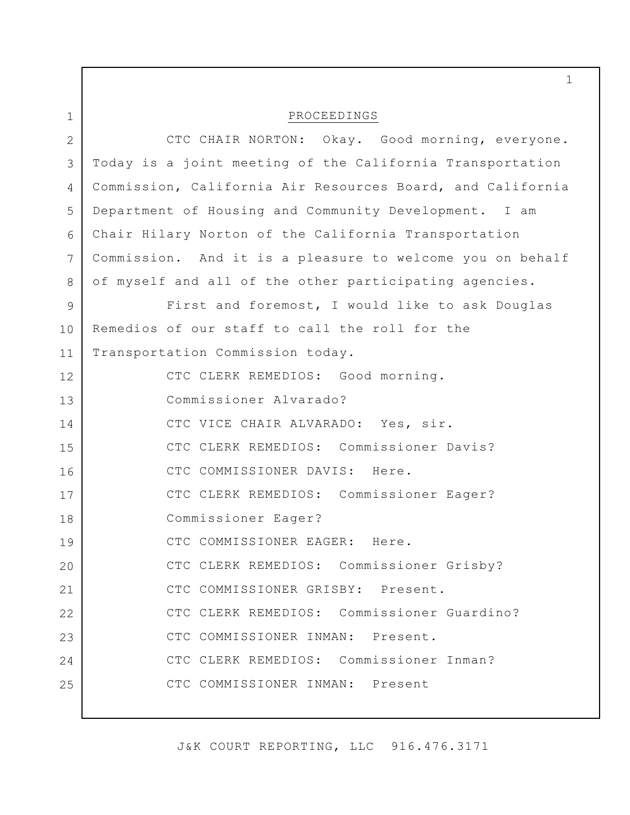1 2 3 4 5 6 7 8 9 10 11 12 13 14 15 16 17 18 19 20 21 22 23 24 25 PROCEEDINGS CTC CHAIR NORTON: Okay. Good morning, everyone. Today is a joint meeting of the California Transportation Commission, California Air Resources Board, and California Department of Housing and Community Development. I am Chair Hilary Norton of the California Transportation Commission. And it is a pleasure to welcome you on behalf of myself and all of the other participating agencies. First and foremost, I would like to ask Douglas Remedios of our staff to call the roll for the Transportation Commission today. CTC CLERK REMEDIOS: Good morning. Commissioner Alvarado? CTC VICE CHAIR ALVARADO: Yes, sir. CTC CLERK REMEDIOS: Commissioner Davis? CTC COMMISSIONER DAVIS: Here. CTC CLERK REMEDIOS: Commissioner Eager? Commissioner Eager? CTC COMMISSIONER EAGER: Here. CTC CLERK REMEDIOS: Commissioner Grisby? CTC COMMISSIONER GRISBY: Present. CTC CLERK REMEDIOS: Commissioner Guardino? CTC COMMISSIONER INMAN: Present. CTC CLERK REMEDIOS: Commissioner Inman? CTC COMMISSIONER INMAN: Present

1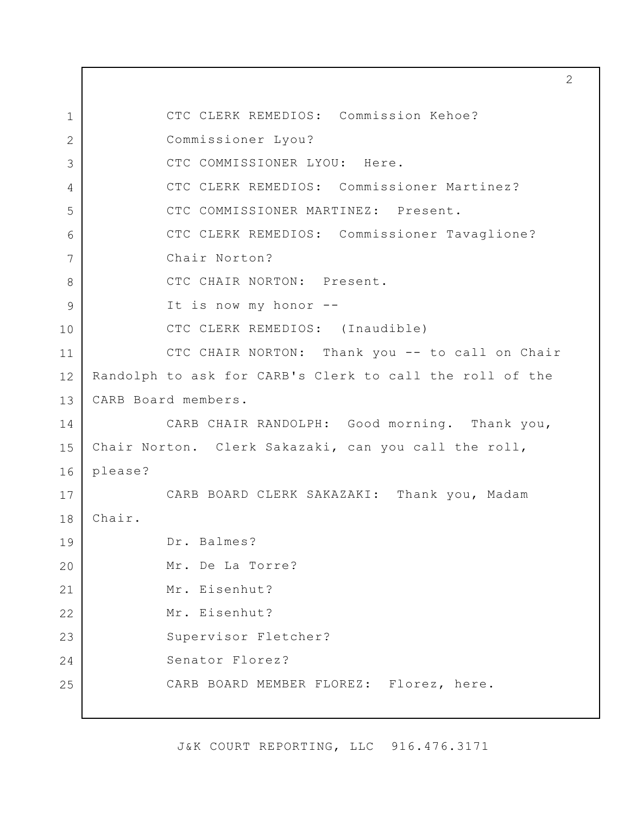1 2 3 4 5 6 7 8 9 10 11 12 13 14 15 16 17 18 19 20 21 22 23 24 25 2 CTC CLERK REMEDIOS: Commission Kehoe? Commissioner Lyou? CTC COMMISSIONER LYOU: Here. CTC CLERK REMEDIOS: Commissioner Martinez? CTC COMMISSIONER MARTINEZ: Present. CTC CLERK REMEDIOS: Commissioner Tavaglione? Chair Norton? CTC CHAIR NORTON: Present. It is now my honor -- CTC CLERK REMEDIOS: (Inaudible) CTC CHAIR NORTON: Thank you -- to call on Chair Randolph to ask for CARB's Clerk to call the roll of the CARB Board members. CARB CHAIR RANDOLPH: Good morning. Thank you, Chair Norton. Clerk Sakazaki, can you call the roll, please? CARB BOARD CLERK SAKAZAKI: Thank you, Madam Chair. Dr. Balmes? Mr. De La Torre? Mr. Eisenhut? Mr. Eisenhut? Supervisor Fletcher? Senator Florez? CARB BOARD MEMBER FLOREZ: Florez, here.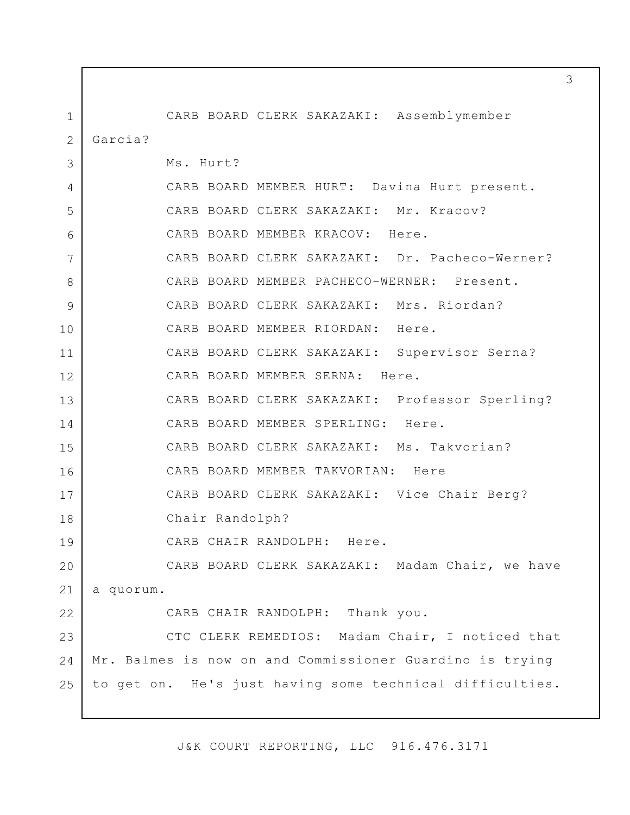1 2 3 4 5 6 7 8 9 10 11 12 13 14 15 16 17 18 19 20 21 22 23  $24$ 25 CARB BOARD CLERK SAKAZAKI: Assemblymember Garcia? Ms. Hurt? CARB BOARD MEMBER HURT: Davina Hurt present. CARB BOARD CLERK SAKAZAKI: Mr. Kracov? CARB BOARD MEMBER KRACOV: Here. CARB BOARD CLERK SAKAZAKI: Dr. Pacheco-Werner? CARB BOARD MEMBER PACHECO-WERNER: Present. CARB BOARD CLERK SAKAZAKI: Mrs. Riordan? CARB BOARD MEMBER RIORDAN: Here. CARB BOARD CLERK SAKAZAKI: Supervisor Serna? CARB BOARD MEMBER SERNA: Here. CARB BOARD CLERK SAKAZAKI: Professor Sperling? CARB BOARD MEMBER SPERLING: Here. CARB BOARD CLERK SAKAZAKI: Ms. Takvorian? CARB BOARD MEMBER TAKVORIAN: Here CARB BOARD CLERK SAKAZAKI: Vice Chair Berg? Chair Randolph? CARB CHAIR RANDOLPH: Here. CARB BOARD CLERK SAKAZAKI: Madam Chair, we have a quorum. CARB CHAIR RANDOLPH: Thank you. CTC CLERK REMEDIOS: Madam Chair, I noticed that Mr. Balmes is now on and Commissioner Guardino is trying to get on. He's just having some technical difficulties.

J&K COURT REPORTING, LLC 916.476.3171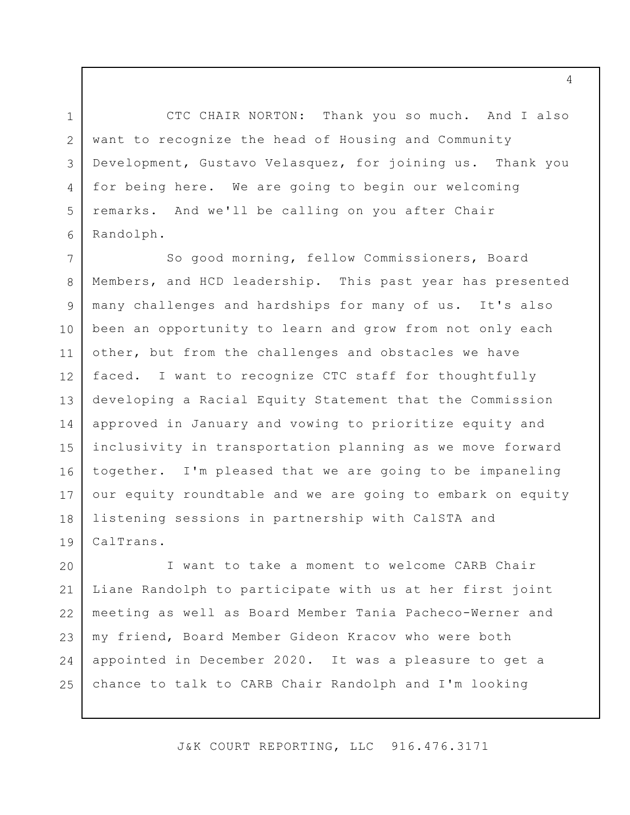3 6 CTC CHAIR NORTON: Thank you so much. And I also want to recognize the head of Housing and Community Development, Gustavo Velasquez, for joining us. Thank you for being here. We are going to begin our welcoming remarks. And we'll be calling on you after Chair Randolph.

1

2

4

5

7 8 9 10 11 12 13 14 15 16 17 18 19 So good morning, fellow Commissioners, Board Members, and HCD leadership. This past year has presented many challenges and hardships for many of us. It's also been an opportunity to learn and grow from not only each other, but from the challenges and obstacles we have faced. I want to recognize CTC staff for thoughtfully developing a Racial Equity Statement that the Commission approved in January and vowing to prioritize equity and inclusivity in transportation planning as we move forward together. I'm pleased that we are going to be impaneling our equity roundtable and we are going to embark on equity listening sessions in partnership with CalSTA and CalTrans.

20 21 22 23 24 25 I want to take a moment to welcome CARB Chair Liane Randolph to participate with us at her first joint meeting as well as Board Member Tania Pacheco-Werner and my friend, Board Member Gideon Kracov who were both appointed in December 2020. It was a pleasure to get a chance to talk to CARB Chair Randolph and I'm looking

J&K COURT REPORTING, LLC 916.476.3171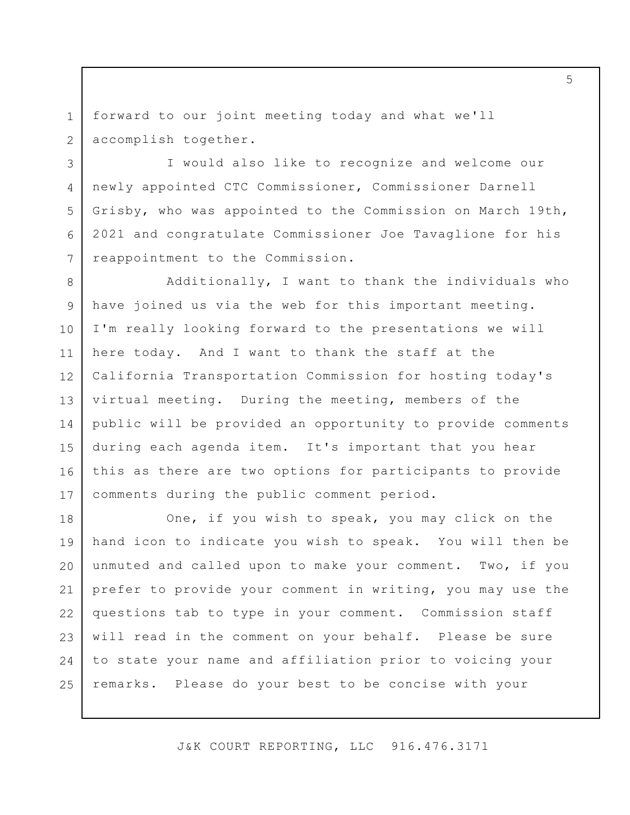1 2 forward to our joint meeting today and what we'll accomplish together.

3

4

5

6

7

I would also like to recognize and welcome our newly appointed CTC Commissioner, Commissioner Darnell Grisby, who was appointed to the Commission on March 19th, 2021 and congratulate Commissioner Joe Tavaglione for his reappointment to the Commission.

8 9 10 11 12 13 14 15 16 17 Additionally, I want to thank the individuals who have joined us via the web for this important meeting. I'm really looking forward to the presentations we will here today. And I want to thank the staff at the California Transportation Commission for hosting today's virtual meeting. During the meeting, members of the public will be provided an opportunity to provide comments during each agenda item. It's important that you hear this as there are two options for participants to provide comments during the public comment period.

18 19 20 21 22 23 24 25 One, if you wish to speak, you may click on the hand icon to indicate you wish to speak. You will then be unmuted and called upon to make your comment. Two, if you prefer to provide your comment in writing, you may use the questions tab to type in your comment. Commission staff will read in the comment on your behalf. Please be sure to state your name and affiliation prior to voicing your remarks. Please do your best to be concise with your

J&K COURT REPORTING, LLC 916.476.3171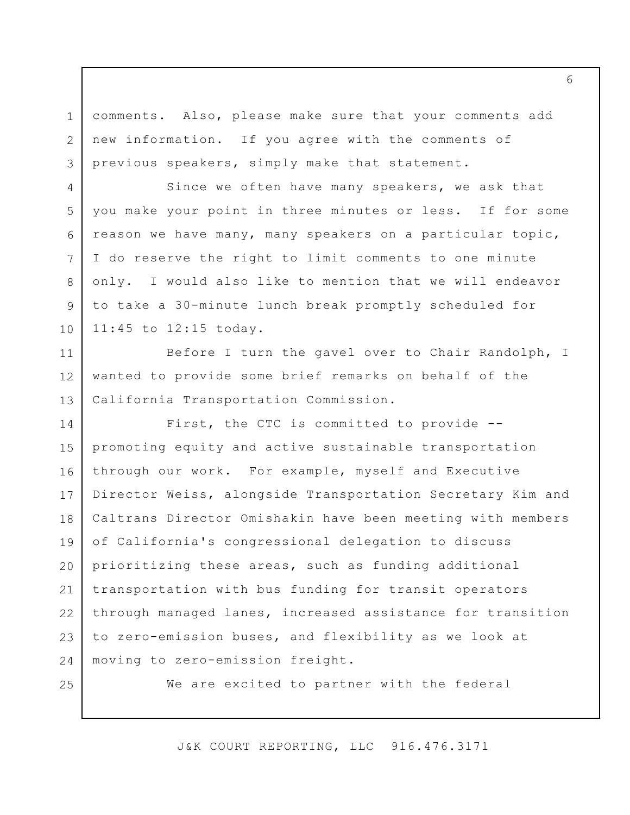comments. Also, please make sure that your comments add new information. If you agree with the comments of previous speakers, simply make that statement.

Since we often have many speakers, we ask that you make your point in three minutes or less. If for some reason we have many, many speakers on a particular topic, I do reserve the right to limit comments to one minute only. I would also like to mention that we will endeavor to take a 30-minute lunch break promptly scheduled for 11:45 to 12:15 today.

11 12 13 Before I turn the gavel over to Chair Randolph, I wanted to provide some brief remarks on behalf of the California Transportation Commission.

14 15 16 17 18 19 20 21 22 23 24 First, the CTC is committed to provide - promoting equity and active sustainable transportation through our work. For example, myself and Executive Director Weiss, alongside Transportation Secretary Kim and Caltrans Director Omishakin have been meeting with members of California's congressional delegation to discuss prioritizing these areas, such as funding additional transportation with bus funding for transit operators through managed lanes, increased assistance for transition to zero-emission buses, and flexibility as we look at moving to zero-emission freight.

25

1

2

3

4

5

6

7

8

9

10

We are excited to partner with the federal

J&K COURT REPORTING, LLC 916.476.3171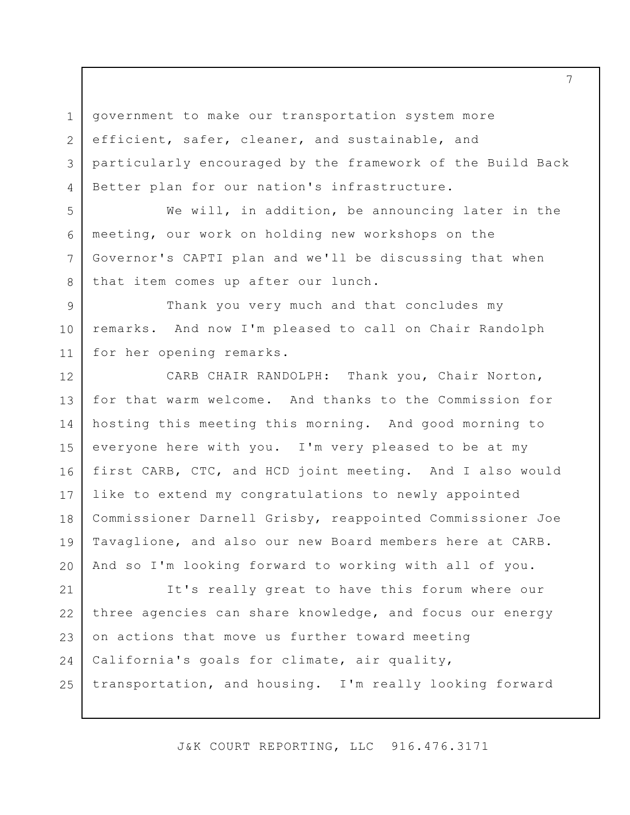1 2 3 4 government to make our transportation system more efficient, safer, cleaner, and sustainable, and particularly encouraged by the framework of the Build Back Better plan for our nation's infrastructure.

We will, in addition, be announcing later in the meeting, our work on holding new workshops on the Governor's CAPTI plan and we'll be discussing that when that item comes up after our lunch.

5

6

7

8

9 10 11 Thank you very much and that concludes my remarks. And now I'm pleased to call on Chair Randolph for her opening remarks.

12 13 14 15 16 17 18 19 20 CARB CHAIR RANDOLPH: Thank you, Chair Norton, for that warm welcome. And thanks to the Commission for hosting this meeting this morning. And good morning to everyone here with you. I'm very pleased to be at my first CARB, CTC, and HCD joint meeting. And I also would like to extend my congratulations to newly appointed Commissioner Darnell Grisby, reappointed Commissioner Joe Tavaglione, and also our new Board members here at CARB. And so I'm looking forward to working with all of you.

21 22 23 24 25 It's really great to have this forum where our three agencies can share knowledge, and focus our energy on actions that move us further toward meeting California's goals for climate, air quality, transportation, and housing. I'm really looking forward

J&K COURT REPORTING, LLC 916.476.3171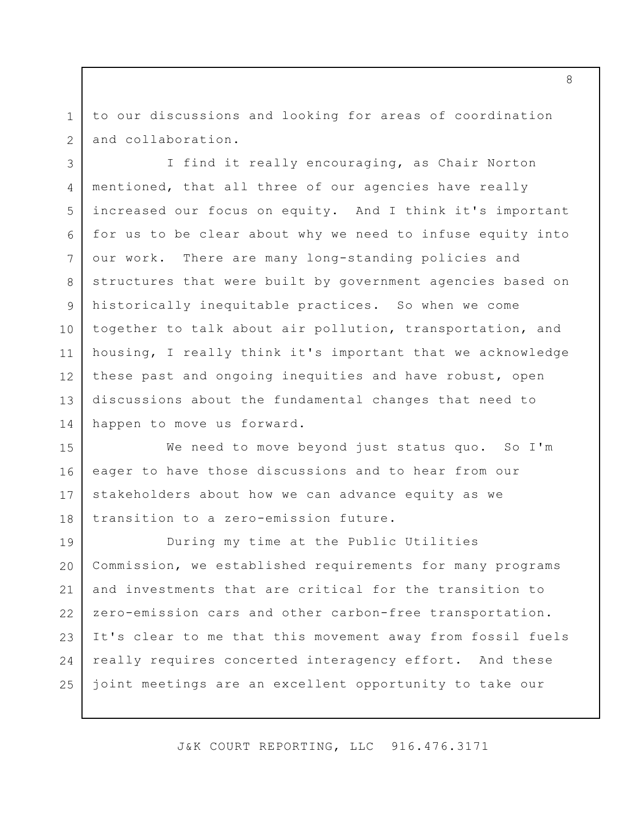1 2 to our discussions and looking for areas of coordination and collaboration.

3 4 5 6 7 8 9 10 11 12 13 14 I find it really encouraging, as Chair Norton mentioned, that all three of our agencies have really increased our focus on equity. And I think it's important for us to be clear about why we need to infuse equity into our work. There are many long-standing policies and structures that were built by government agencies based on historically inequitable practices. So when we come together to talk about air pollution, transportation, and housing, I really think it's important that we acknowledge these past and ongoing inequities and have robust, open discussions about the fundamental changes that need to happen to move us forward.

15 16 17 18 We need to move beyond just status quo. So I'm eager to have those discussions and to hear from our stakeholders about how we can advance equity as we transition to a zero-emission future.

19 20 21 22 23 24 25 During my time at the Public Utilities Commission, we established requirements for many programs and investments that are critical for the transition to zero-emission cars and other carbon-free transportation. It's clear to me that this movement away from fossil fuels really requires concerted interagency effort. And these joint meetings are an excellent opportunity to take our

J&K COURT REPORTING, LLC 916.476.3171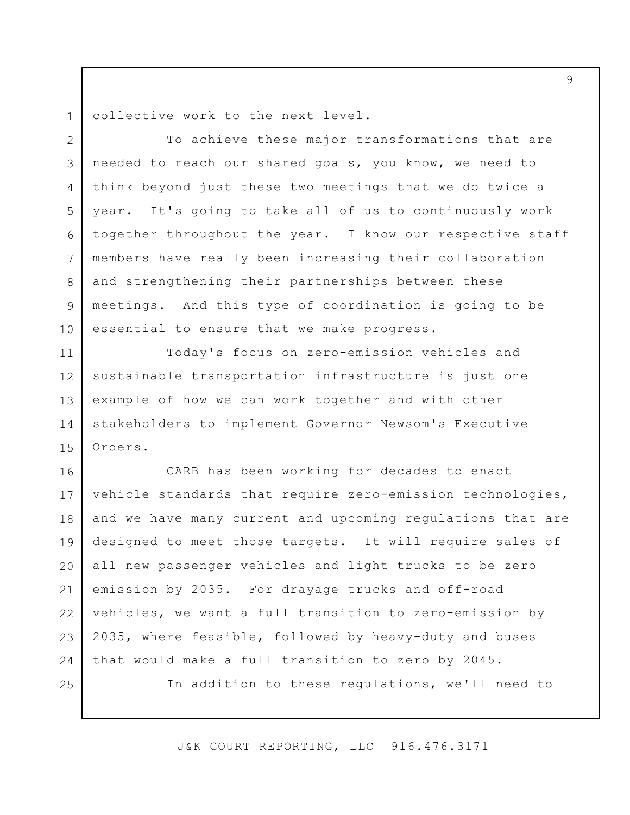1 collective work to the next level.

2 3 4 5 6 7 8 9 10 To achieve these major transformations that are needed to reach our shared goals, you know, we need to think beyond just these two meetings that we do twice a year. It's going to take all of us to continuously work together throughout the year. I know our respective staff members have really been increasing their collaboration and strengthening their partnerships between these meetings. And this type of coordination is going to be essential to ensure that we make progress.

11 12 13 14 15 Today's focus on zero-emission vehicles and sustainable transportation infrastructure is just one example of how we can work together and with other stakeholders to implement Governor Newsom's Executive Orders.

16 17 18 19 20 21 22 23 24 25 CARB has been working for decades to enact vehicle standards that require zero-emission technologies, and we have many current and upcoming regulations that are designed to meet those targets. It will require sales of all new passenger vehicles and light trucks to be zero emission by 2035. For drayage trucks and off-road vehicles, we want a full transition to zero-emission by 2035, where feasible, followed by heavy-duty and buses that would make a full transition to zero by 2045. In addition to these regulations, we'll need to

J&K COURT REPORTING, LLC 916.476.3171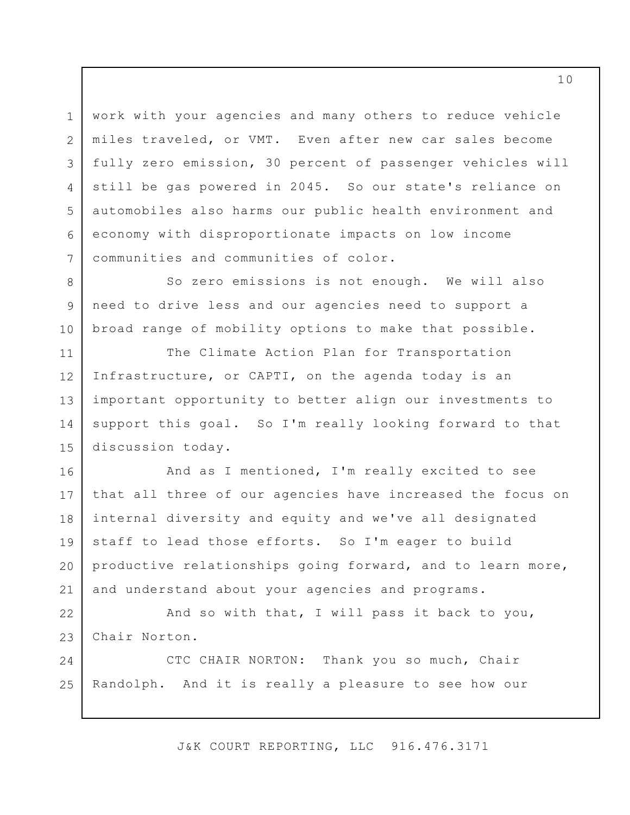3 work with your agencies and many others to reduce vehicle miles traveled, or VMT. Even after new car sales become fully zero emission, 30 percent of passenger vehicles will still be gas powered in 2045. So our state's reliance on automobiles also harms our public health environment and economy with disproportionate impacts on low income communities and communities of color.

1

2

4

5

6

7

8 9 10 So zero emissions is not enough. We will also need to drive less and our agencies need to support a broad range of mobility options to make that possible.

11 12 13 14 15 The Climate Action Plan for Transportation Infrastructure, or CAPTI, on the agenda today is an important opportunity to better align our investments to support this goal. So I'm really looking forward to that discussion today.

16 17 18 19 20 21 And as I mentioned, I'm really excited to see that all three of our agencies have increased the focus on internal diversity and equity and we've all designated staff to lead those efforts. So I'm eager to build productive relationships going forward, and to learn more, and understand about your agencies and programs.

22 23 And so with that, I will pass it back to you, Chair Norton.

24 25 CTC CHAIR NORTON: Thank you so much, Chair Randolph. And it is really a pleasure to see how our

J&K COURT REPORTING, LLC 916.476.3171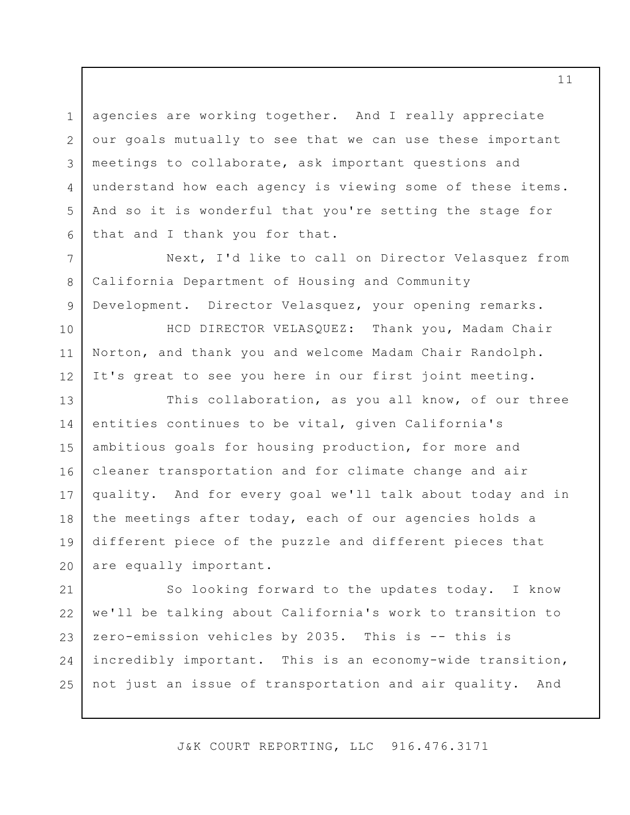agencies are working together. And I really appreciate our goals mutually to see that we can use these important meetings to collaborate, ask important questions and understand how each agency is viewing some of these items. And so it is wonderful that you're setting the stage for that and I thank you for that.

1

2

3

4

5

6

7

8

9

10

11

12

Next, I'd like to call on Director Velasquez from California Department of Housing and Community Development. Director Velasquez, your opening remarks.

HCD DIRECTOR VELASQUEZ: Thank you, Madam Chair Norton, and thank you and welcome Madam Chair Randolph. It's great to see you here in our first joint meeting.

13 14 15 16 17 18 19 20 This collaboration, as you all know, of our three entities continues to be vital, given California's ambitious goals for housing production, for more and cleaner transportation and for climate change and air quality. And for every goal we'll talk about today and in the meetings after today, each of our agencies holds a different piece of the puzzle and different pieces that are equally important.

21 22 23 24 25 So looking forward to the updates today. I know we'll be talking about California's work to transition to zero-emission vehicles by 2035. This is -- this is incredibly important. This is an economy-wide transition, not just an issue of transportation and air quality. And

J&K COURT REPORTING, LLC 916.476.3171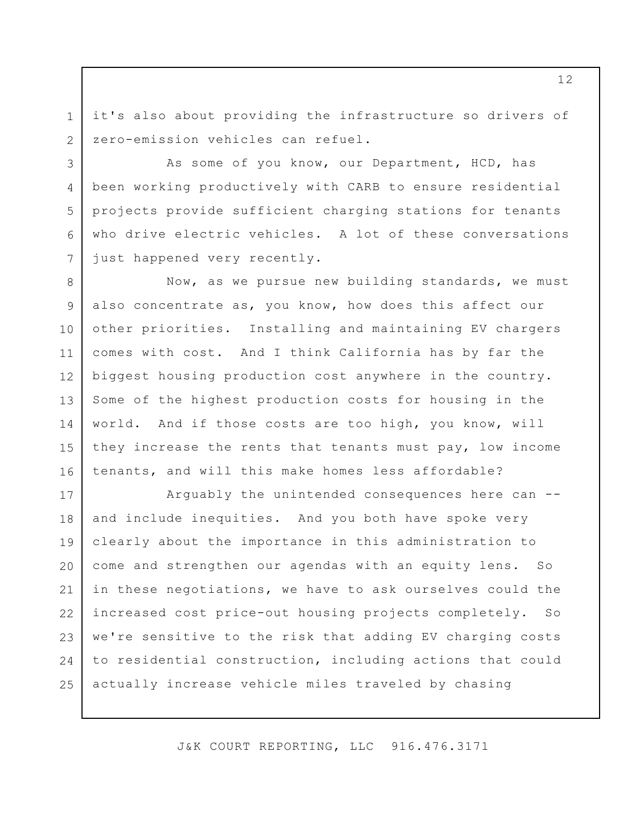it's also about providing the infrastructure so drivers of zero-emission vehicles can refuel.

1

2

3

4

5

6

7

As some of you know, our Department, HCD, has been working productively with CARB to ensure residential projects provide sufficient charging stations for tenants who drive electric vehicles. A lot of these conversations just happened very recently.

8 9 10 11 12 13 14 15 16 Now, as we pursue new building standards, we must also concentrate as, you know, how does this affect our other priorities. Installing and maintaining EV chargers comes with cost. And I think California has by far the biggest housing production cost anywhere in the country. Some of the highest production costs for housing in the world. And if those costs are too high, you know, will they increase the rents that tenants must pay, low income tenants, and will this make homes less affordable?

17 18 19 20 21 22 23 24 25 Arguably the unintended consequences here can - and include inequities. And you both have spoke very clearly about the importance in this administration to come and strengthen our agendas with an equity lens. So in these negotiations, we have to ask ourselves could the increased cost price-out housing projects completely. So we're sensitive to the risk that adding EV charging costs to residential construction, including actions that could actually increase vehicle miles traveled by chasing

J&K COURT REPORTING, LLC 916.476.3171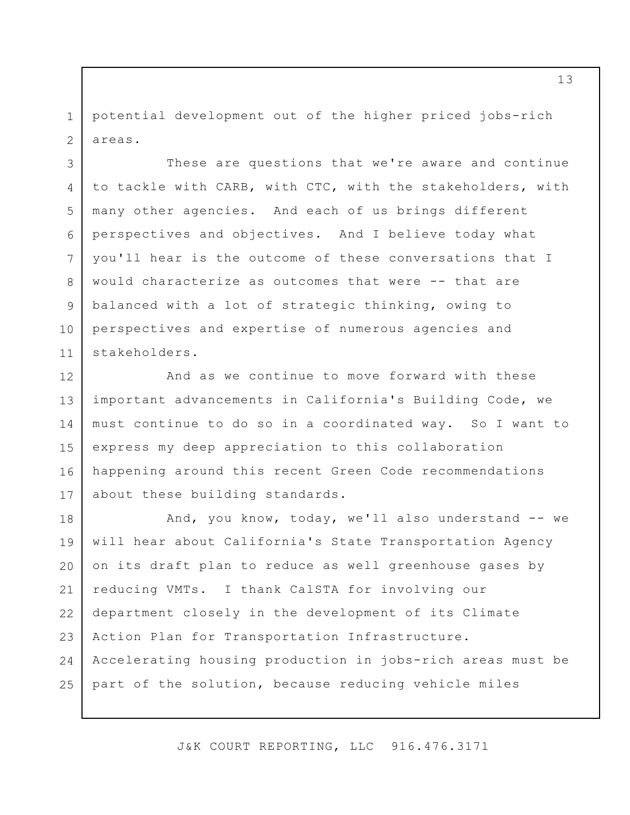1 2 potential development out of the higher priced jobs-rich areas.

3

4

5

6

7

8

9

10

11

These are questions that we're aware and continue to tackle with CARB, with CTC, with the stakeholders, with many other agencies. And each of us brings different perspectives and objectives. And I believe today what you'll hear is the outcome of these conversations that I would characterize as outcomes that were -- that are balanced with a lot of strategic thinking, owing to perspectives and expertise of numerous agencies and stakeholders.

12 13 14 15 16 17 And as we continue to move forward with these important advancements in California's Building Code, we must continue to do so in a coordinated way. So I want to express my deep appreciation to this collaboration happening around this recent Green Code recommendations about these building standards.

18 19 20 21 22 23 24 25 And, you know, today, we'll also understand -- we will hear about California's State Transportation Agency on its draft plan to reduce as well greenhouse gases by reducing VMTs. I thank CalSTA for involving our department closely in the development of its Climate Action Plan for Transportation Infrastructure. Accelerating housing production in jobs-rich areas must be part of the solution, because reducing vehicle miles

J&K COURT REPORTING, LLC 916.476.3171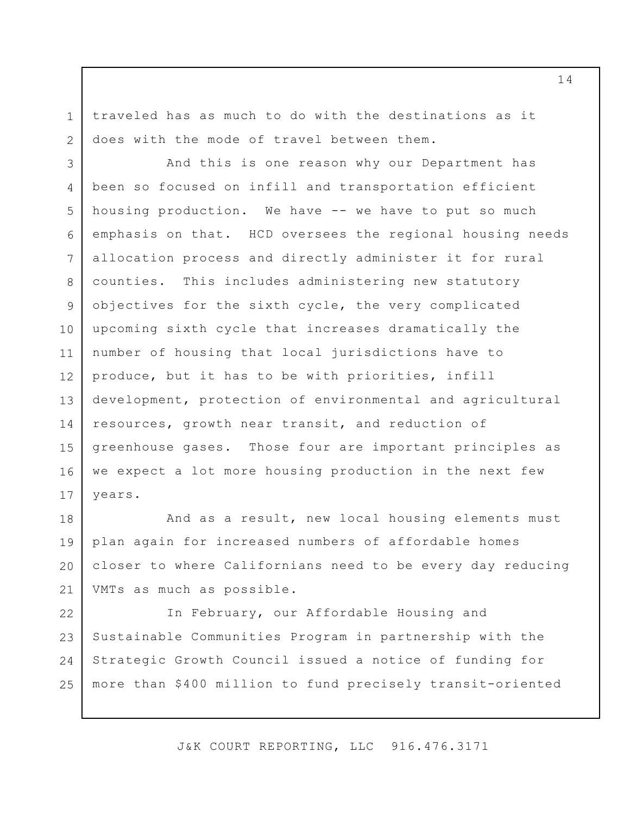traveled has as much to do with the destinations as it does with the mode of travel between them.

1

2

3 4 5 6 7 8 9 10 11 12 13 14 15 16 17 And this is one reason why our Department has been so focused on infill and transportation efficient housing production. We have -- we have to put so much emphasis on that. HCD oversees the regional housing needs allocation process and directly administer it for rural counties. This includes administering new statutory objectives for the sixth cycle, the very complicated upcoming sixth cycle that increases dramatically the number of housing that local jurisdictions have to produce, but it has to be with priorities, infill development, protection of environmental and agricultural resources, growth near transit, and reduction of greenhouse gases. Those four are important principles as we expect a lot more housing production in the next few years.

18 19 20 21 And as a result, new local housing elements must plan again for increased numbers of affordable homes closer to where Californians need to be every day reducing VMTs as much as possible.

22 23 24 25 In February, our Affordable Housing and Sustainable Communities Program in partnership with the Strategic Growth Council issued a notice of funding for more than \$400 million to fund precisely transit-oriented

J&K COURT REPORTING, LLC 916.476.3171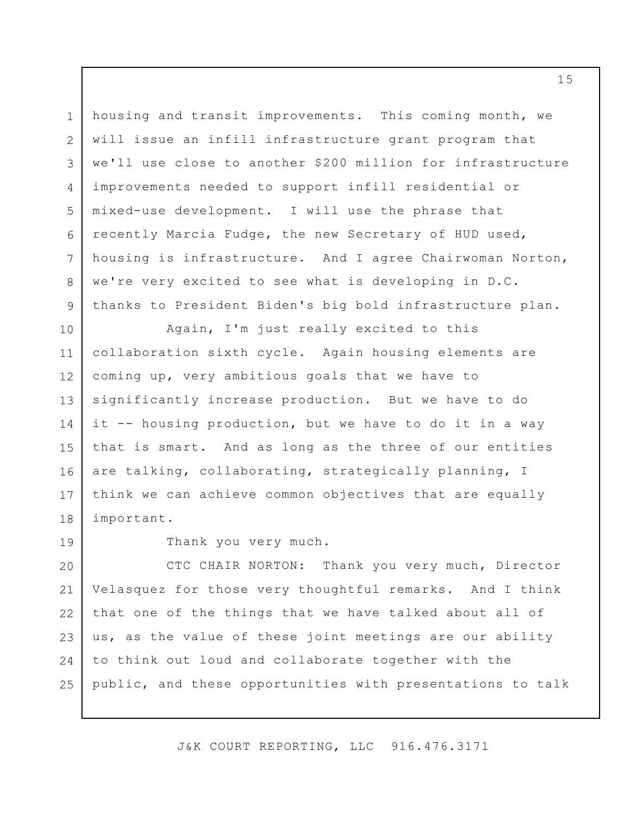housing and transit improvements. This coming month, we will issue an infill infrastructure grant program that we'll use close to another \$200 million for infrastructure improvements needed to support infill residential or mixed-use development. I will use the phrase that recently Marcia Fudge, the new Secretary of HUD used, housing is infrastructure. And I agree Chairwoman Norton, we're very excited to see what is developing in D.C. thanks to President Biden's big bold infrastructure plan.

10 11 12 13 14 15 16 17 18 Again, I'm just really excited to this collaboration sixth cycle. Again housing elements are coming up, very ambitious goals that we have to significantly increase production. But we have to do it -- housing production, but we have to do it in a way that is smart. And as long as the three of our entities are talking, collaborating, strategically planning, I think we can achieve common objectives that are equally important.

19

1

2

3

4

5

6

7

8

9

Thank you very much.

20 21 22 23 24 25 CTC CHAIR NORTON: Thank you very much, Director Velasquez for those very thoughtful remarks. And I think that one of the things that we have talked about all of us, as the value of these joint meetings are our ability to think out loud and collaborate together with the public, and these opportunities with presentations to talk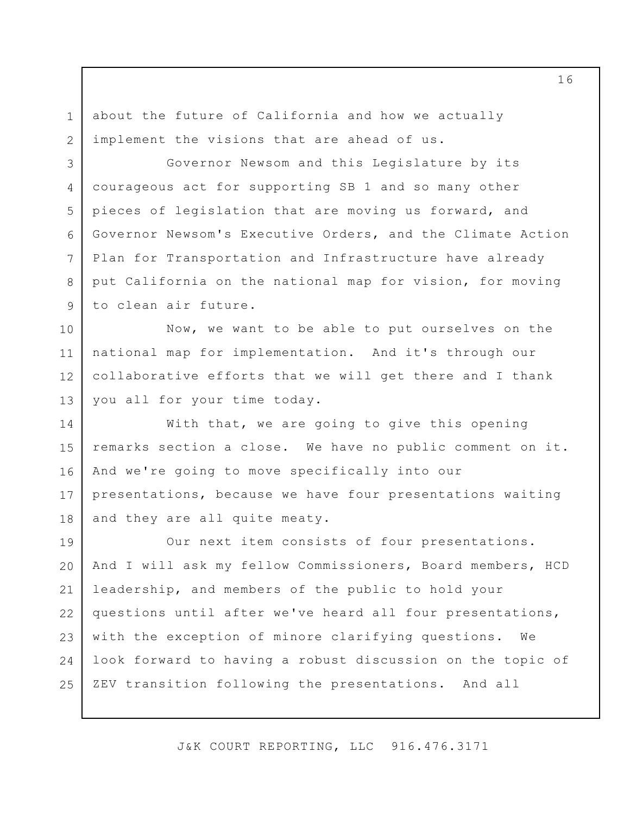about the future of California and how we actually implement the visions that are ahead of us.

1

2

3

4

5

6

7

8

9

Governor Newsom and this Legislature by its courageous act for supporting SB 1 and so many other pieces of legislation that are moving us forward, and Governor Newsom's Executive Orders, and the Climate Action Plan for Transportation and Infrastructure have already put California on the national map for vision, for moving to clean air future.

10 11 12 13 Now, we want to be able to put ourselves on the national map for implementation. And it's through our collaborative efforts that we will get there and I thank you all for your time today.

14 15 16 17 18 With that, we are going to give this opening remarks section a close. We have no public comment on it. And we're going to move specifically into our presentations, because we have four presentations waiting and they are all quite meaty.

19 20 21 22 23 24 25 Our next item consists of four presentations. And I will ask my fellow Commissioners, Board members, HCD leadership, and members of the public to hold your questions until after we've heard all four presentations, with the exception of minore clarifying questions. We look forward to having a robust discussion on the topic of ZEV transition following the presentations. And all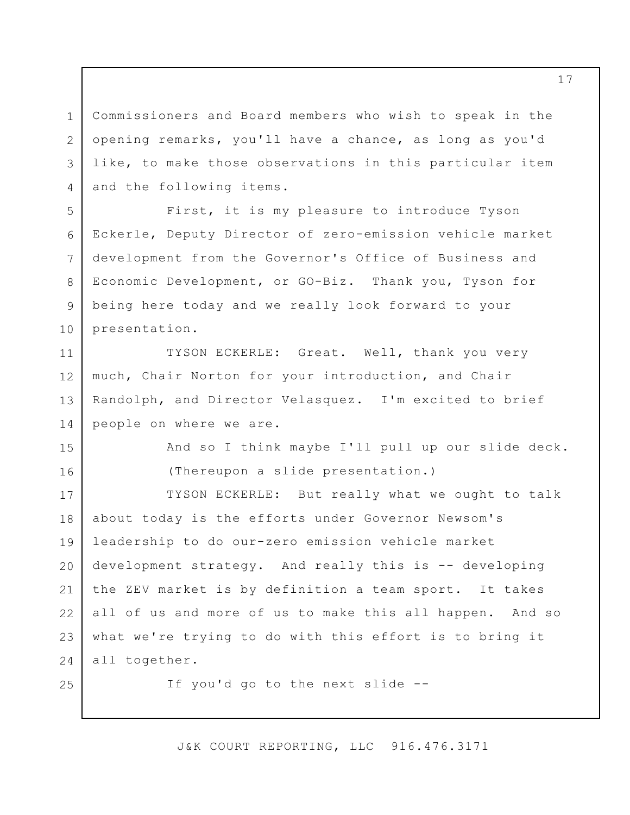Commissioners and Board members who wish to speak in the opening remarks, you'll have a chance, as long as you'd like, to make those observations in this particular item and the following items.

6 First, it is my pleasure to introduce Tyson Eckerle, Deputy Director of zero-emission vehicle market development from the Governor's Office of Business and Economic Development, or GO-Biz. Thank you, Tyson for being here today and we really look forward to your presentation.

11 12 13 14 TYSON ECKERLE: Great. Well, thank you very much, Chair Norton for your introduction, and Chair Randolph, and Director Velasquez. I'm excited to brief people on where we are.

> And so I think maybe I'll pull up our slide deck. (Thereupon a slide presentation.)

17 18 19 20 21 22 23 24 TYSON ECKERLE: But really what we ought to talk about today is the efforts under Governor Newsom's leadership to do our-zero emission vehicle market development strategy. And really this is -- developing the ZEV market is by definition a team sport. It takes all of us and more of us to make this all happen. And so what we're trying to do with this effort is to bring it all together.

25

1

2

3

4

5

7

8

9

10

15

16

If you'd go to the next slide --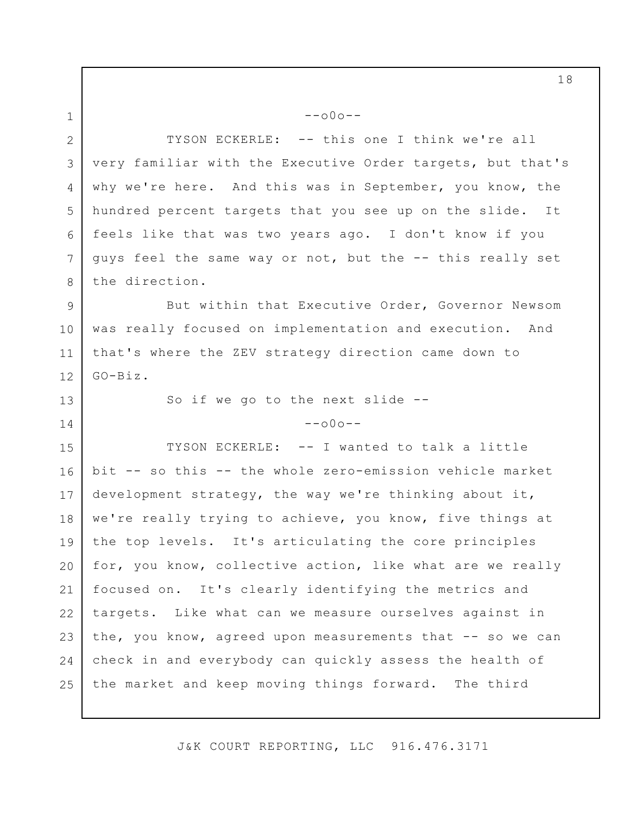1 2 3 4 5 6 7 8 9  $--000--$ TYSON ECKERLE: -- this one I think we're all very familiar with the Executive Order targets, but that's why we're here. And this was in September, you know, the hundred percent targets that you see up on the slide. It feels like that was two years ago. I don't know if you guys feel the same way or not, but the -- this really set the direction. But within that Executive Order, Governor Newsom

10 11 12 was really focused on implementation and execution. And that's where the ZEV strategy direction came down to GO-Biz.

So if we go to the next slide --

13

14

 $--000--$ 

15 16 17 18 19 20 21 22 23 24 25 TYSON ECKERLE: -- I wanted to talk a little bit -- so this -- the whole zero-emission vehicle market development strategy, the way we're thinking about it, we're really trying to achieve, you know, five things at the top levels. It's articulating the core principles for, you know, collective action, like what are we really focused on. It's clearly identifying the metrics and targets. Like what can we measure ourselves against in the, you know, agreed upon measurements that -- so we can check in and everybody can quickly assess the health of the market and keep moving things forward. The third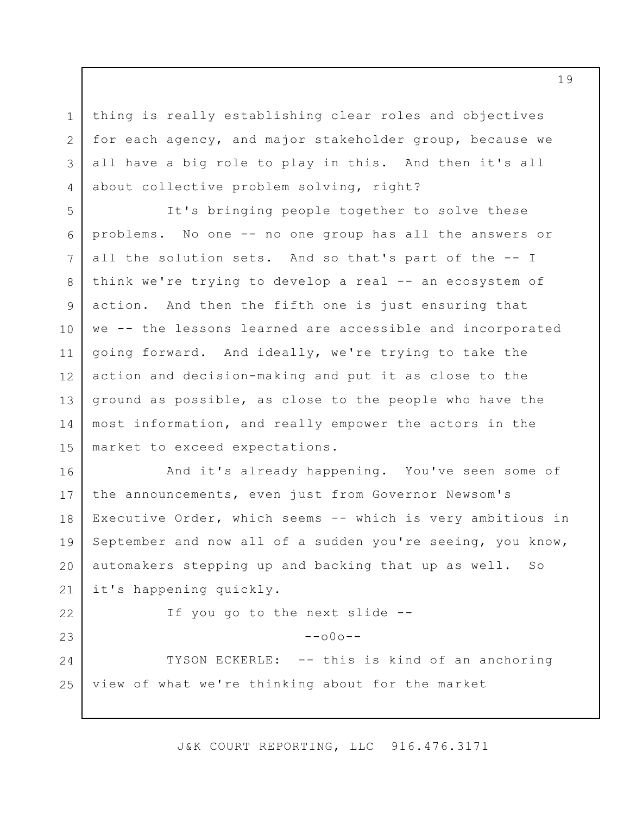thing is really establishing clear roles and objectives for each agency, and major stakeholder group, because we all have a big role to play in this. And then it's all about collective problem solving, right?

1

2

3

4

22

23

5 6 7 8 9 10 11 12 13 14 15 It's bringing people together to solve these problems. No one -- no one group has all the answers or all the solution sets. And so that's part of the -- I think we're trying to develop a real -- an ecosystem of action. And then the fifth one is just ensuring that we -- the lessons learned are accessible and incorporated going forward. And ideally, we're trying to take the action and decision-making and put it as close to the ground as possible, as close to the people who have the most information, and really empower the actors in the market to exceed expectations.

16 17 18 19 20 21 And it's already happening. You've seen some of the announcements, even just from Governor Newsom's Executive Order, which seems -- which is very ambitious in September and now all of a sudden you're seeing, you know, automakers stepping up and backing that up as well. So it's happening quickly.

If you go to the next slide --

 $--\cap 0 \cap --$ 

24 25 TYSON ECKERLE: -- this is kind of an anchoring view of what we're thinking about for the market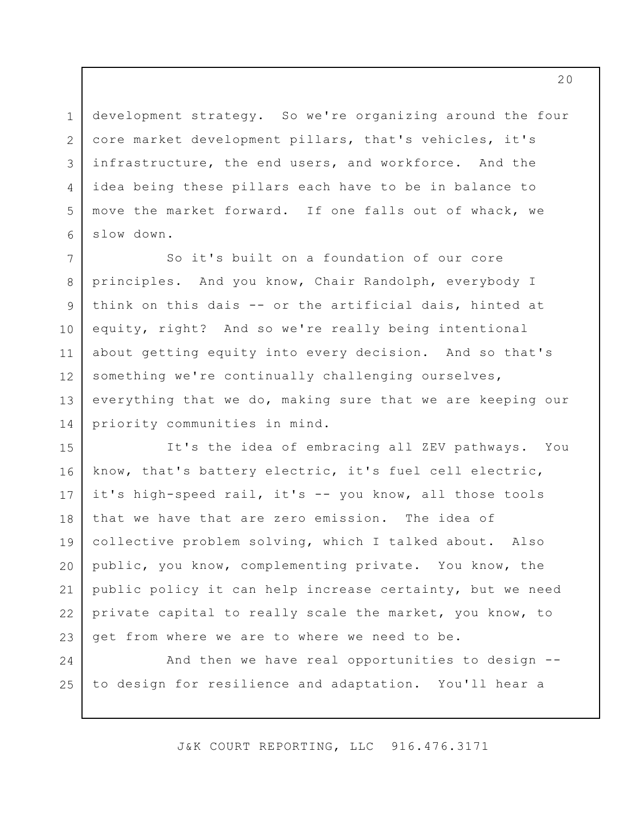development strategy. So we're organizing around the four core market development pillars, that's vehicles, it's infrastructure, the end users, and workforce. And the idea being these pillars each have to be in balance to move the market forward. If one falls out of whack, we slow down.

1

2

3

4

5

6

7 8 9 10 11 12 13 14 So it's built on a foundation of our core principles. And you know, Chair Randolph, everybody I think on this dais -- or the artificial dais, hinted at equity, right? And so we're really being intentional about getting equity into every decision. And so that's something we're continually challenging ourselves, everything that we do, making sure that we are keeping our priority communities in mind.

15 16 17 18 19 20 21 22 23 It's the idea of embracing all ZEV pathways. You know, that's battery electric, it's fuel cell electric, it's high-speed rail, it's -- you know, all those tools that we have that are zero emission. The idea of collective problem solving, which I talked about. Also public, you know, complementing private. You know, the public policy it can help increase certainty, but we need private capital to really scale the market, you know, to get from where we are to where we need to be.

24 25 And then we have real opportunities to design - to design for resilience and adaptation. You'll hear a

J&K COURT REPORTING, LLC 916.476.3171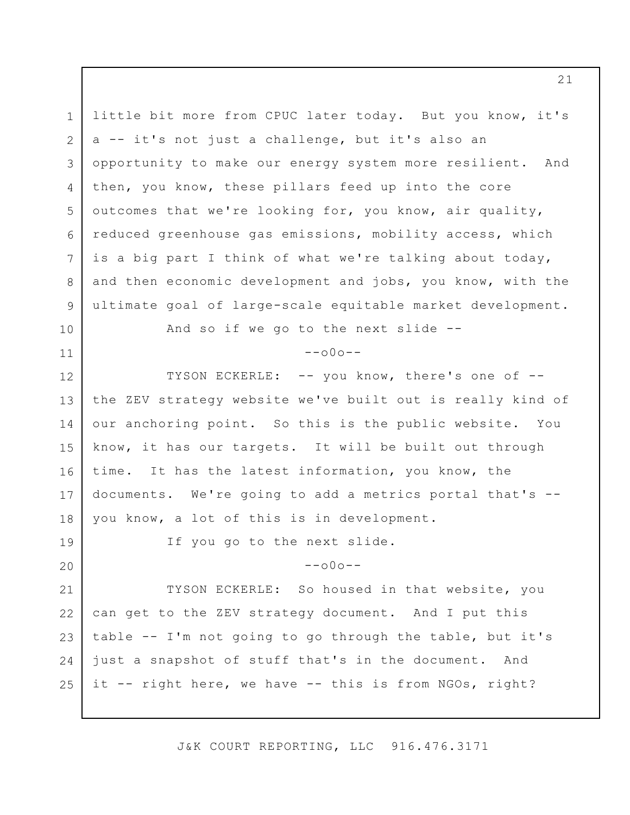1 2 3 4 5 6 7 8 9 10 11 12 13 14 15 16 17 18 19 20 21 22 23 24 25 little bit more from CPUC later today. But you know, it's a -- it's not just a challenge, but it's also an opportunity to make our energy system more resilient. And then, you know, these pillars feed up into the core outcomes that we're looking for, you know, air quality, reduced greenhouse gas emissions, mobility access, which is a big part I think of what we're talking about today, and then economic development and jobs, you know, with the ultimate goal of large-scale equitable market development. And so if we go to the next slide --  $--000--$ TYSON ECKERLE: -- you know, there's one of - the ZEV strategy website we've built out is really kind of our anchoring point. So this is the public website. You know, it has our targets. It will be built out through time. It has the latest information, you know, the documents. We're going to add a metrics portal that's - you know, a lot of this is in development. If you go to the next slide.  $--000--$ TYSON ECKERLE: So housed in that website, you can get to the ZEV strategy document. And I put this table -- I'm not going to go through the table, but it's just a snapshot of stuff that's in the document. And it -- right here, we have -- this is from NGOs, right?

J&K COURT REPORTING, LLC 916.476.3171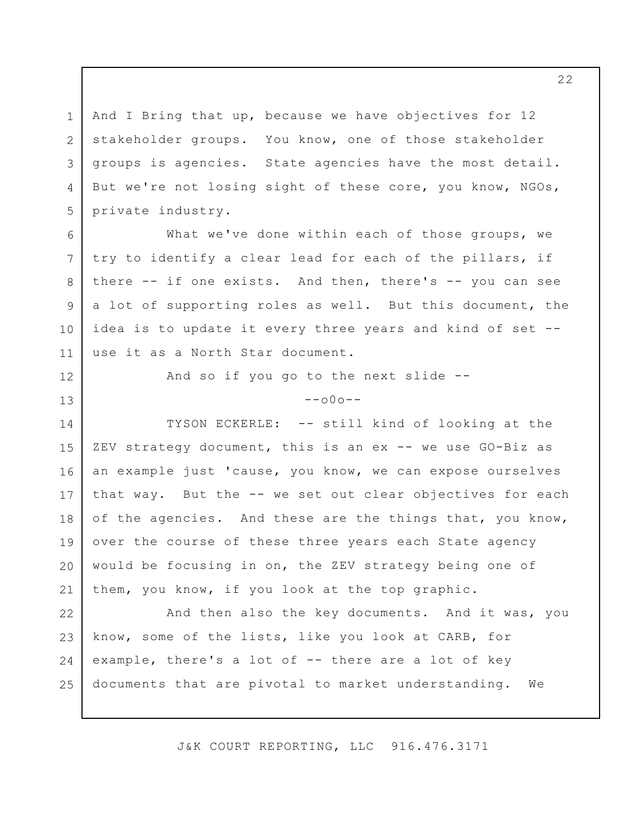1 2 3 4 5 And I Bring that up, because we have objectives for 12 stakeholder groups. You know, one of those stakeholder groups is agencies. State agencies have the most detail. But we're not losing sight of these core, you know, NGOs, private industry.

6

7

8

9

10

11

12

13

What we've done within each of those groups, we try to identify a clear lead for each of the pillars, if there -- if one exists. And then, there's -- you can see a lot of supporting roles as well. But this document, the idea is to update it every three years and kind of set - use it as a North Star document.

And so if you go to the next slide --

 $--000--$ 

14 15 16 17 18 19 20 21 TYSON ECKERLE: -- still kind of looking at the ZEV strategy document, this is an ex -- we use GO-Biz as an example just 'cause, you know, we can expose ourselves that way. But the -- we set out clear objectives for each of the agencies. And these are the things that, you know, over the course of these three years each State agency would be focusing in on, the ZEV strategy being one of them, you know, if you look at the top graphic.

22 23 24 25 And then also the key documents. And it was, you know, some of the lists, like you look at CARB, for example, there's a lot of -- there are a lot of key documents that are pivotal to market understanding. We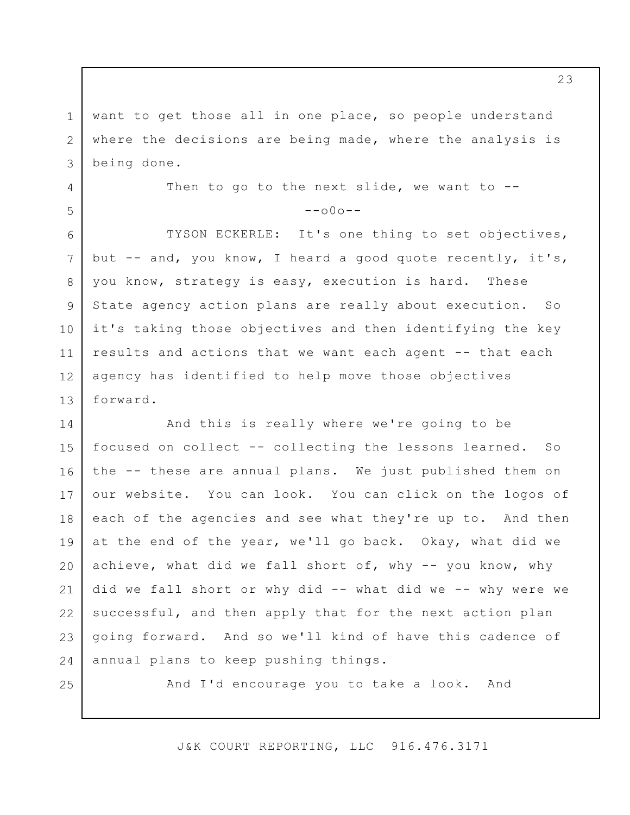1 2 3 want to get those all in one place, so people understand where the decisions are being made, where the analysis is being done.

> Then to go to the next slide, we want to  $-$ - $--000--$

13 TYSON ECKERLE: It's one thing to set objectives, but -- and, you know, I heard a good quote recently, it's, you know, strategy is easy, execution is hard. These State agency action plans are really about execution. So it's taking those objectives and then identifying the key results and actions that we want each agent -- that each agency has identified to help move those objectives forward.

14 15 16 17 18 19 20 21 22 23 24 And this is really where we're going to be focused on collect -- collecting the lessons learned. So the -- these are annual plans. We just published them on our website. You can look. You can click on the logos of each of the agencies and see what they're up to. And then at the end of the year, we'll go back. Okay, what did we achieve, what did we fall short of, why -- you know, why did we fall short or why did -- what did we -- why were we successful, and then apply that for the next action plan going forward. And so we'll kind of have this cadence of annual plans to keep pushing things.

25

4

5

6

7

8

9

10

11

12

And I'd encourage you to take a look. And

J&K COURT REPORTING, LLC 916.476.3171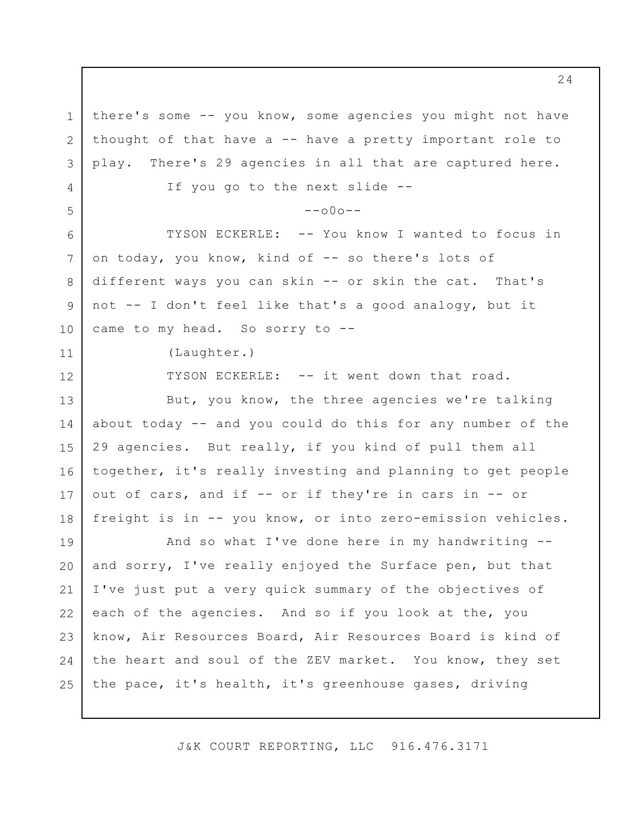1 2 3 4 5 6 7 8 9 10 11 12 13 14 15 16 17 18 19 20 21 22 23 24 25 there's some -- you know, some agencies you might not have thought of that have  $a$  -- have a pretty important role to play. There's 29 agencies in all that are captured here. If you go to the next slide --  $--000--$ TYSON ECKERLE: -- You know I wanted to focus in on today, you know, kind of -- so there's lots of different ways you can skin -- or skin the cat. That's not -- I don't feel like that's a good analogy, but it came to my head. So sorry to --(Laughter.) TYSON ECKERLE: -- it went down that road. But, you know, the three agencies we're talking about today -- and you could do this for any number of the 29 agencies. But really, if you kind of pull them all together, it's really investing and planning to get people out of cars, and if -- or if they're in cars in -- or freight is in -- you know, or into zero-emission vehicles. And so what I've done here in my handwriting - and sorry, I've really enjoyed the Surface pen, but that I've just put a very quick summary of the objectives of each of the agencies. And so if you look at the, you know, Air Resources Board, Air Resources Board is kind of the heart and soul of the ZEV market. You know, they set the pace, it's health, it's greenhouse gases, driving

J&K COURT REPORTING, LLC 916.476.3171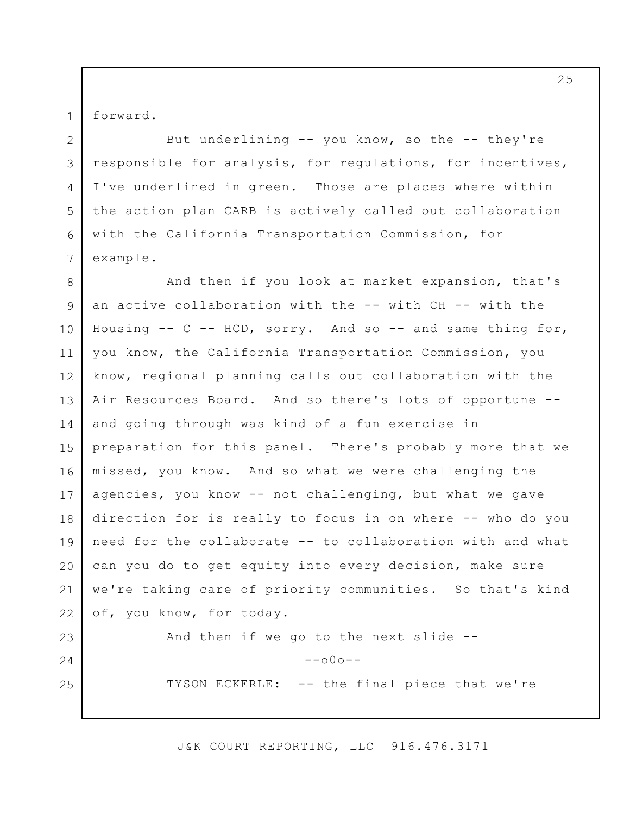forward.

1

2

3

4

5

6

7

24

25

But underlining -- you know, so the -- they're responsible for analysis, for regulations, for incentives, I've underlined in green. Those are places where within the action plan CARB is actively called out collaboration with the California Transportation Commission, for example.

8 9 10 11 12 13 14 15 16 17 18 19 20 21 22 23 And then if you look at market expansion, that's an active collaboration with the -- with CH -- with the Housing  $--$  C  $--$  HCD, sorry. And so  $--$  and same thing for, you know, the California Transportation Commission, you know, regional planning calls out collaboration with the Air Resources Board. And so there's lots of opportune - and going through was kind of a fun exercise in preparation for this panel. There's probably more that we missed, you know. And so what we were challenging the agencies, you know -- not challenging, but what we gave direction for is really to focus in on where -- who do you need for the collaborate -- to collaboration with and what can you do to get equity into every decision, make sure we're taking care of priority communities. So that's kind of, you know, for today. And then if we go to the next slide --

 $--000--$ 

TYSON ECKERLE: -- the final piece that we're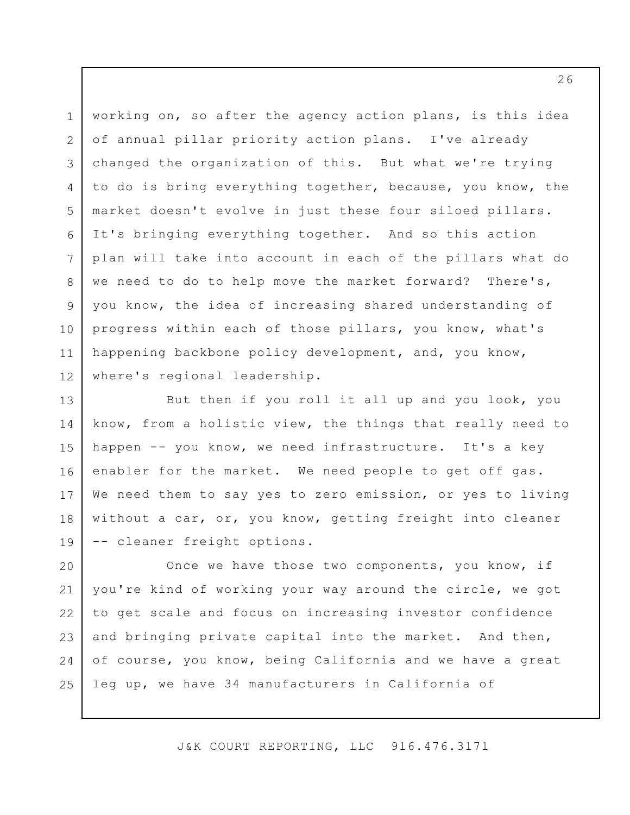3 5 6 12 working on, so after the agency action plans, is this idea of annual pillar priority action plans. I've already changed the organization of this. But what we're trying to do is bring everything together, because, you know, the market doesn't evolve in just these four siloed pillars. It's bringing everything together. And so this action plan will take into account in each of the pillars what do we need to do to help move the market forward? There's, you know, the idea of increasing shared understanding of progress within each of those pillars, you know, what's happening backbone policy development, and, you know, where's regional leadership.

1

2

4

7

8

9

10

11

13 14 15 16 17 18 19 But then if you roll it all up and you look, you know, from a holistic view, the things that really need to happen -- you know, we need infrastructure. It's a key enabler for the market. We need people to get off gas. We need them to say yes to zero emission, or yes to living without a car, or, you know, getting freight into cleaner -- cleaner freight options.

20 21 22 23 24 25 Once we have those two components, you know, if you're kind of working your way around the circle, we got to get scale and focus on increasing investor confidence and bringing private capital into the market. And then, of course, you know, being California and we have a great leg up, we have 34 manufacturers in California of

J&K COURT REPORTING, LLC 916.476.3171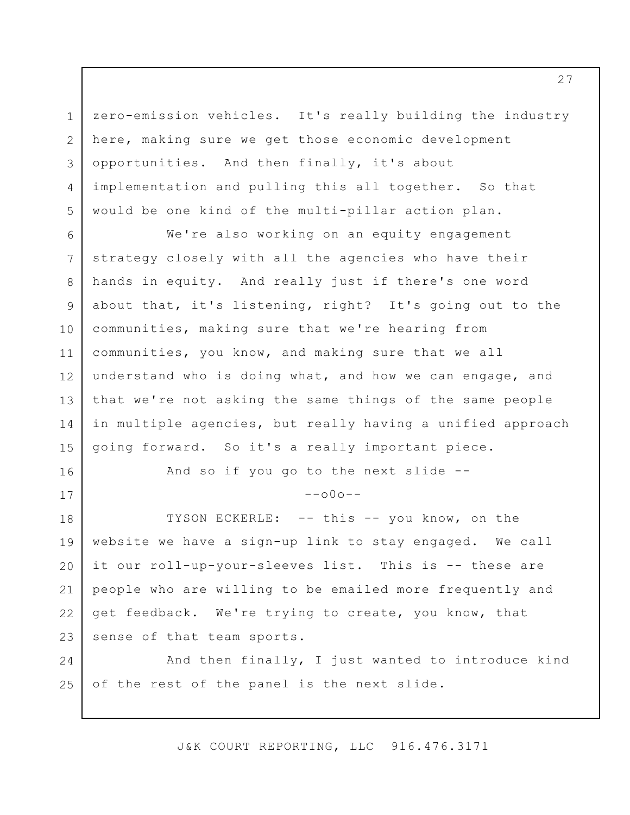1 2 3 4 5 zero-emission vehicles. It's really building the industry here, making sure we get those economic development opportunities. And then finally, it's about implementation and pulling this all together. So that would be one kind of the multi-pillar action plan.

6 7 8 9 10 11 12 13 14 15 We're also working on an equity engagement strategy closely with all the agencies who have their hands in equity. And really just if there's one word about that, it's listening, right? It's going out to the communities, making sure that we're hearing from communities, you know, and making sure that we all understand who is doing what, and how we can engage, and that we're not asking the same things of the same people in multiple agencies, but really having a unified approach going forward. So it's a really important piece.

And so if you go to the next slide --

16

17

 $--000--$ 

18 19 20 21 22 23 TYSON ECKERLE: -- this -- you know, on the website we have a sign-up link to stay engaged. We call it our roll-up-your-sleeves list. This is -- these are people who are willing to be emailed more frequently and get feedback. We're trying to create, you know, that sense of that team sports.

24 25 And then finally, I just wanted to introduce kind of the rest of the panel is the next slide.

J&K COURT REPORTING, LLC 916.476.3171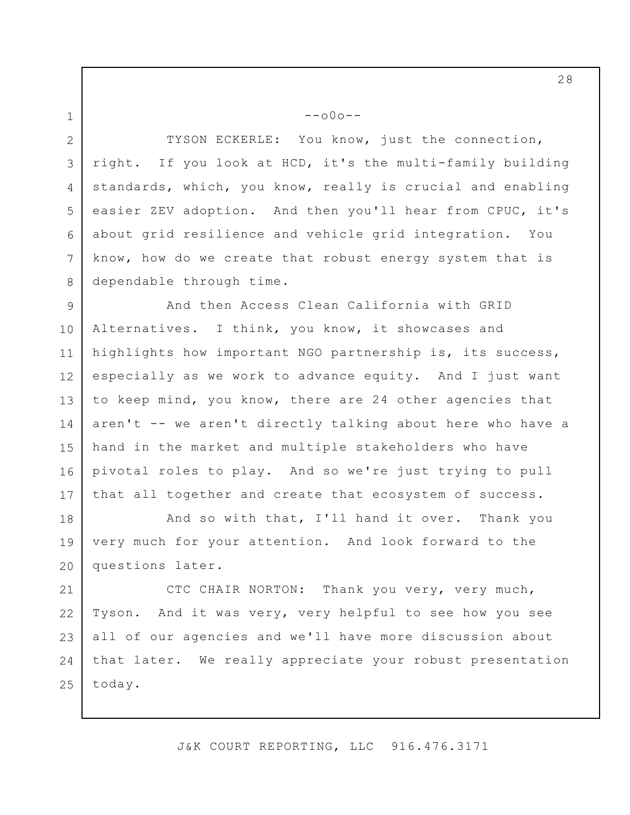$--000--$ 

1

2

3

4

5

6

7

8

TYSON ECKERLE: You know, just the connection, right. If you look at HCD, it's the multi-family building standards, which, you know, really is crucial and enabling easier ZEV adoption. And then you'll hear from CPUC, it's about grid resilience and vehicle grid integration. You know, how do we create that robust energy system that is dependable through time.

9 10 11 12 13 14 15 16 17 And then Access Clean California with GRID Alternatives. I think, you know, it showcases and highlights how important NGO partnership is, its success, especially as we work to advance equity. And I just want to keep mind, you know, there are 24 other agencies that aren't -- we aren't directly talking about here who have a hand in the market and multiple stakeholders who have pivotal roles to play. And so we're just trying to pull that all together and create that ecosystem of success.

18 19 20 And so with that, I'll hand it over. Thank you very much for your attention. And look forward to the questions later.

21 22 23 24 25 CTC CHAIR NORTON: Thank you very, very much, Tyson. And it was very, very helpful to see how you see all of our agencies and we'll have more discussion about that later. We really appreciate your robust presentation today.

J&K COURT REPORTING, LLC 916.476.3171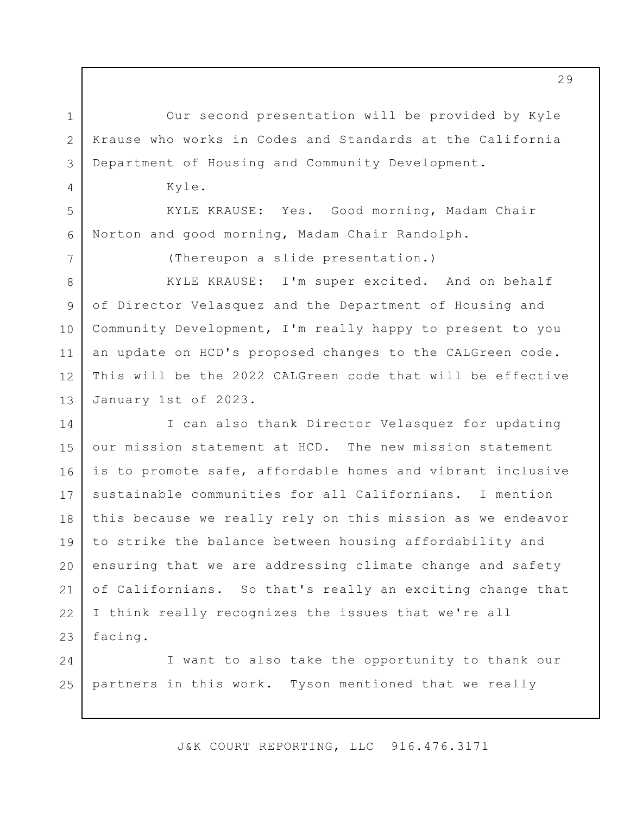Our second presentation will be provided by Kyle Krause who works in Codes and Standards at the California Department of Housing and Community Development.

Kyle.

1

2

3

4

5

6

7

KYLE KRAUSE: Yes. Good morning, Madam Chair Norton and good morning, Madam Chair Randolph.

(Thereupon a slide presentation.)

8 9 10 11 12 13 KYLE KRAUSE: I'm super excited. And on behalf of Director Velasquez and the Department of Housing and Community Development, I'm really happy to present to you an update on HCD's proposed changes to the CALGreen code. This will be the 2022 CALGreen code that will be effective January 1st of 2023.

14 15 16 17 18 19 20 21 22 23 I can also thank Director Velasquez for updating our mission statement at HCD. The new mission statement is to promote safe, affordable homes and vibrant inclusive sustainable communities for all Californians. I mention this because we really rely on this mission as we endeavor to strike the balance between housing affordability and ensuring that we are addressing climate change and safety of Californians. So that's really an exciting change that I think really recognizes the issues that we're all facing.

24 25 I want to also take the opportunity to thank our partners in this work. Tyson mentioned that we really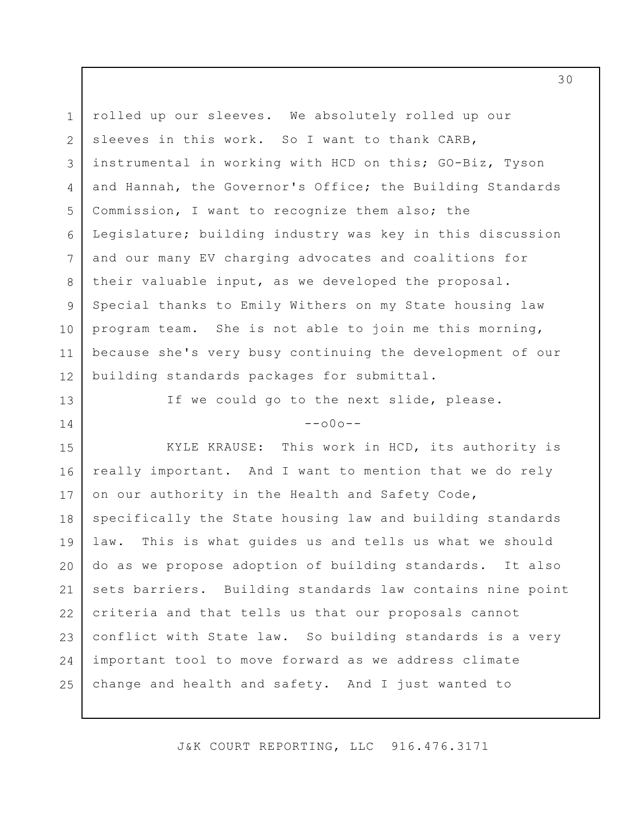1 2 3 4 5 6 7 8 9 10 11 12 rolled up our sleeves. We absolutely rolled up our sleeves in this work. So I want to thank CARB, instrumental in working with HCD on this; GO-Biz, Tyson and Hannah, the Governor's Office; the Building Standards Commission, I want to recognize them also; the Legislature; building industry was key in this discussion and our many EV charging advocates and coalitions for their valuable input, as we developed the proposal. Special thanks to Emily Withers on my State housing law program team. She is not able to join me this morning, because she's very busy continuing the development of our building standards packages for submittal.

If we could go to the next slide, please.

13

14

 $--000--$ 

15 16 17 18 19 20 21 22 23 24 25 KYLE KRAUSE: This work in HCD, its authority is really important. And I want to mention that we do rely on our authority in the Health and Safety Code, specifically the State housing law and building standards law. This is what guides us and tells us what we should do as we propose adoption of building standards. It also sets barriers. Building standards law contains nine point criteria and that tells us that our proposals cannot conflict with State law. So building standards is a very important tool to move forward as we address climate change and health and safety. And I just wanted to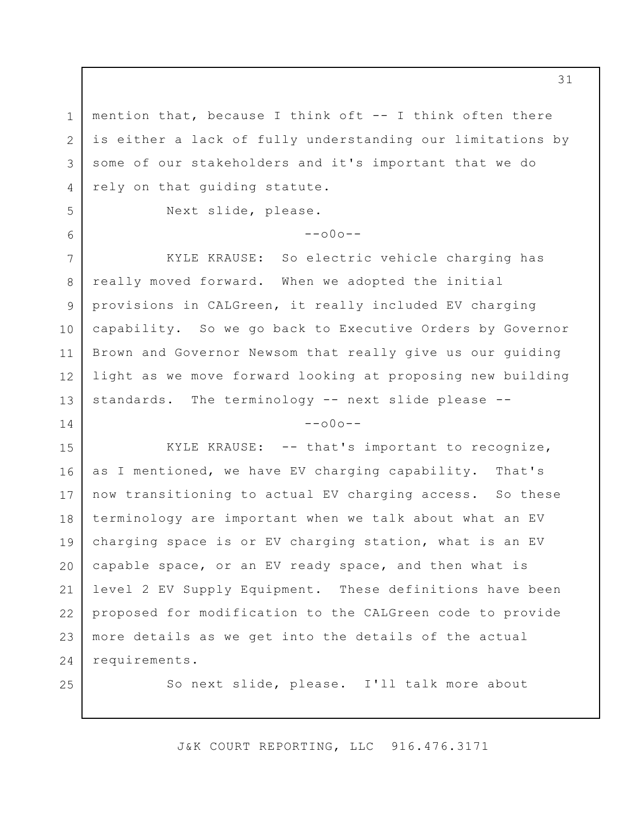3 mention that, because I think oft -- I think often there is either a lack of fully understanding our limitations by some of our stakeholders and it's important that we do rely on that guiding statute.

Next slide, please.

 $-000-$ 

7 8 9 10 11 12 13 KYLE KRAUSE: So electric vehicle charging has really moved forward. When we adopted the initial provisions in CALGreen, it really included EV charging capability. So we go back to Executive Orders by Governor Brown and Governor Newsom that really give us our guiding light as we move forward looking at proposing new building standards. The terminology -- next slide please --

 $--000--$ 

15 16 17 18 19 20 21 22 23 24 KYLE KRAUSE: -- that's important to recognize, as I mentioned, we have EV charging capability. That's now transitioning to actual EV charging access. So these terminology are important when we talk about what an EV charging space is or EV charging station, what is an EV capable space, or an EV ready space, and then what is level 2 EV Supply Equipment. These definitions have been proposed for modification to the CALGreen code to provide more details as we get into the details of the actual requirements.

25

1

2

4

5

6

14

So next slide, please. I'll talk more about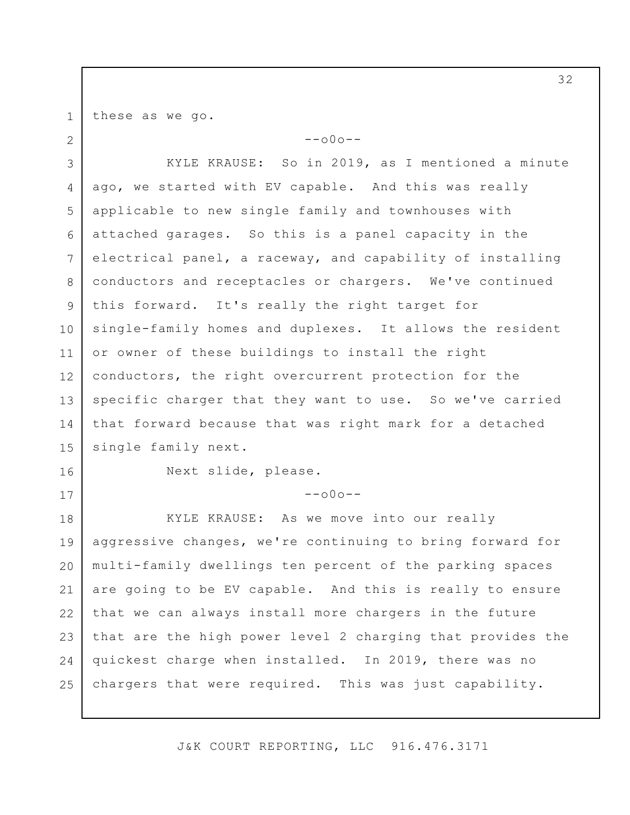these as we go.

1

2

 $--000--$ 

3 4 5 6 7 8 9 10 11 12 13 14 15 KYLE KRAUSE: So in 2019, as I mentioned a minute ago, we started with EV capable. And this was really applicable to new single family and townhouses with attached garages. So this is a panel capacity in the electrical panel, a raceway, and capability of installing conductors and receptacles or chargers. We've continued this forward. It's really the right target for single-family homes and duplexes. It allows the resident or owner of these buildings to install the right conductors, the right overcurrent protection for the specific charger that they want to use. So we've carried that forward because that was right mark for a detached single family next.

16

17

Next slide, please.

 $--000--$ 

18 19 20 21 22 23 24 25 KYLE KRAUSE: As we move into our really aggressive changes, we're continuing to bring forward for multi-family dwellings ten percent of the parking spaces are going to be EV capable. And this is really to ensure that we can always install more chargers in the future that are the high power level 2 charging that provides the quickest charge when installed. In 2019, there was no chargers that were required. This was just capability.

J&K COURT REPORTING, LLC 916.476.3171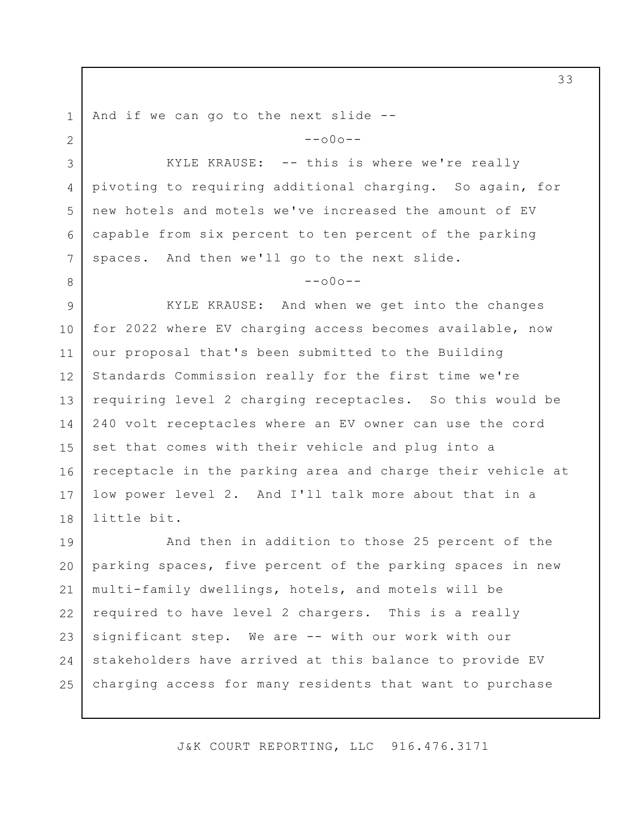1 2 3 4 5 6 7 8 9 10 11 12 13 14 15 16 17 18 19 20 21 22 23 24 And if we can go to the next slide --  $--000--$ KYLE KRAUSE: -- this is where we're really pivoting to requiring additional charging. So again, for new hotels and motels we've increased the amount of EV capable from six percent to ten percent of the parking spaces. And then we'll go to the next slide.  $--000--$ KYLE KRAUSE: And when we get into the changes for 2022 where EV charging access becomes available, now our proposal that's been submitted to the Building Standards Commission really for the first time we're requiring level 2 charging receptacles. So this would be 240 volt receptacles where an EV owner can use the cord set that comes with their vehicle and plug into a receptacle in the parking area and charge their vehicle at low power level 2. And I'll talk more about that in a little bit. And then in addition to those 25 percent of the parking spaces, five percent of the parking spaces in new multi-family dwellings, hotels, and motels will be required to have level 2 chargers. This is a really significant step. We are -- with our work with our stakeholders have arrived at this balance to provide EV

J&K COURT REPORTING, LLC 916.476.3171

charging access for many residents that want to purchase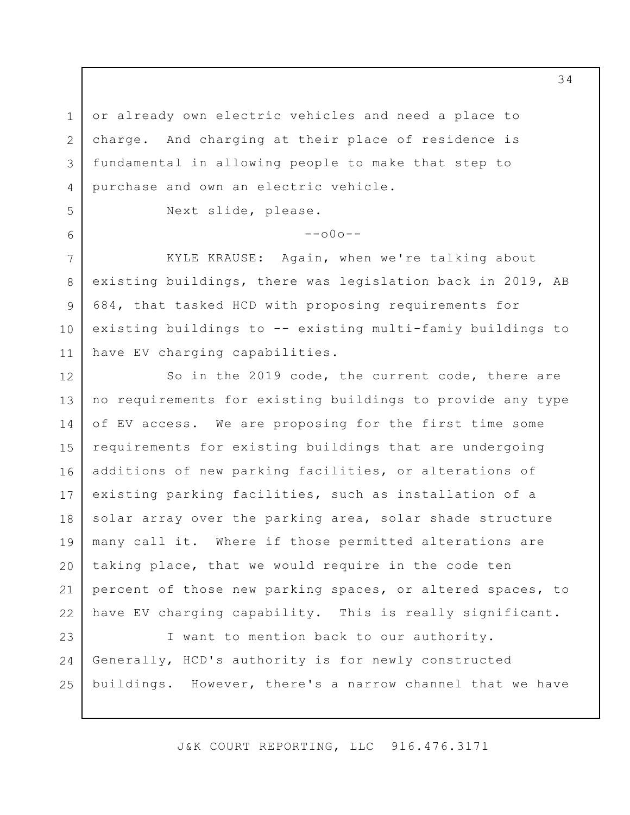or already own electric vehicles and need a place to charge. And charging at their place of residence is fundamental in allowing people to make that step to purchase and own an electric vehicle.

Next slide, please.

1

2

3

4

5

6

7

8

9

10

11

 $-000-$ 

KYLE KRAUSE: Again, when we're talking about existing buildings, there was legislation back in 2019, AB 684, that tasked HCD with proposing requirements for existing buildings to -- existing multi-famiy buildings to have EV charging capabilities.

12 13 14 15 16 17 18 19 20 21 22 So in the 2019 code, the current code, there are no requirements for existing buildings to provide any type of EV access. We are proposing for the first time some requirements for existing buildings that are undergoing additions of new parking facilities, or alterations of existing parking facilities, such as installation of a solar array over the parking area, solar shade structure many call it. Where if those permitted alterations are taking place, that we would require in the code ten percent of those new parking spaces, or altered spaces, to have EV charging capability. This is really significant.

23 24 25 I want to mention back to our authority. Generally, HCD's authority is for newly constructed buildings. However, there's a narrow channel that we have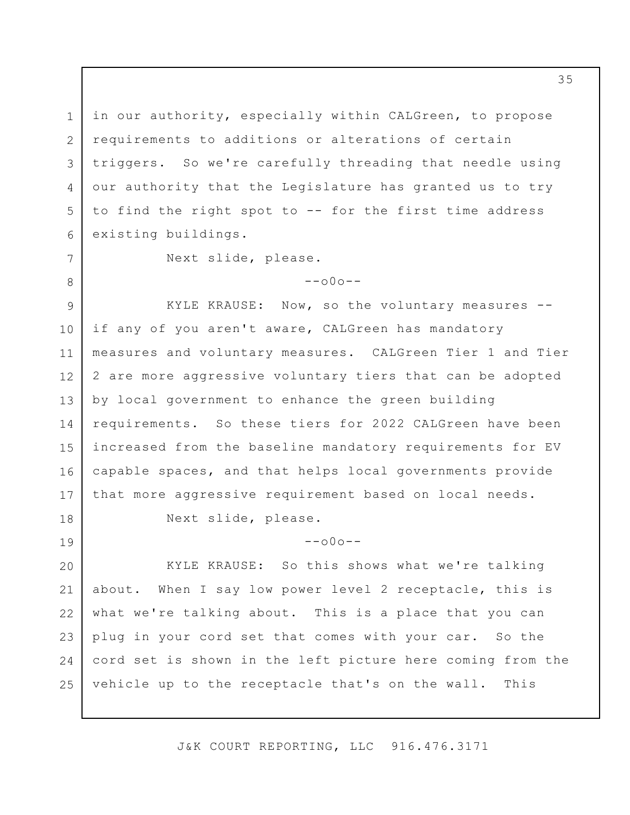in our authority, especially within CALGreen, to propose requirements to additions or alterations of certain triggers. So we're carefully threading that needle using our authority that the Legislature has granted us to try to find the right spot to -- for the first time address existing buildings.

Next slide, please.

 $--000--$ 

9 10 11 12 13 14 15 16 17 KYLE KRAUSE: Now, so the voluntary measures - if any of you aren't aware, CALGreen has mandatory measures and voluntary measures. CALGreen Tier 1 and Tier 2 are more aggressive voluntary tiers that can be adopted by local government to enhance the green building requirements. So these tiers for 2022 CALGreen have been increased from the baseline mandatory requirements for EV capable spaces, and that helps local governments provide that more aggressive requirement based on local needs.

18

19

1

2

3

4

5

6

7

8

Next slide, please.

 $--000--$ 

20 21 22 23 24 25 KYLE KRAUSE: So this shows what we're talking about. When I say low power level 2 receptacle, this is what we're talking about. This is a place that you can plug in your cord set that comes with your car. So the cord set is shown in the left picture here coming from the vehicle up to the receptacle that's on the wall. This

J&K COURT REPORTING, LLC 916.476.3171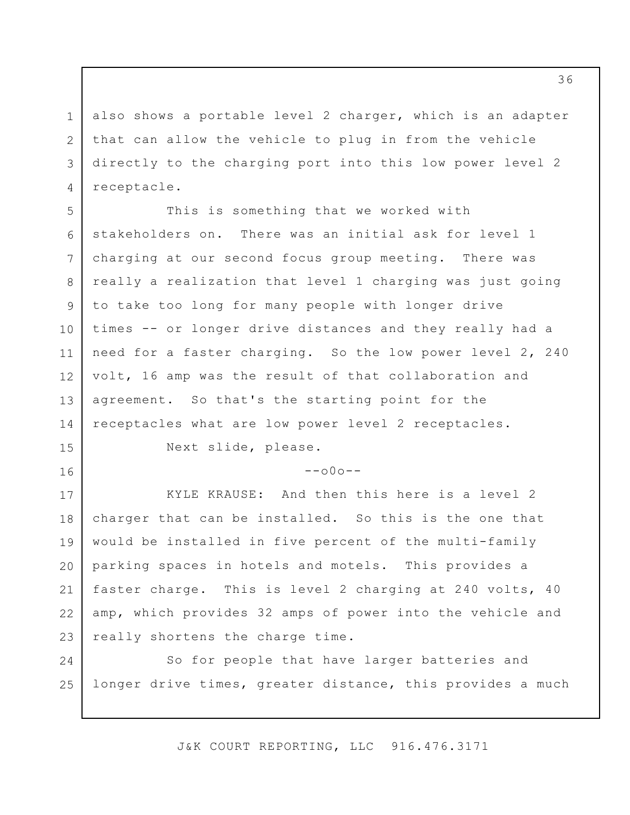1 2 3 4 also shows a portable level 2 charger, which is an adapter that can allow the vehicle to plug in from the vehicle directly to the charging port into this low power level 2 receptacle.

5 6 7 8 9 10 11 12 13 14 This is something that we worked with stakeholders on. There was an initial ask for level 1 charging at our second focus group meeting. There was really a realization that level 1 charging was just going to take too long for many people with longer drive times -- or longer drive distances and they really had a need for a faster charging. So the low power level 2, 240 volt, 16 amp was the result of that collaboration and agreement. So that's the starting point for the receptacles what are low power level 2 receptacles.

Next slide, please.

15

16

 $--000--$ 

17 18 19 20 21 22 23 KYLE KRAUSE: And then this here is a level 2 charger that can be installed. So this is the one that would be installed in five percent of the multi-family parking spaces in hotels and motels. This provides a faster charge. This is level 2 charging at 240 volts, 40 amp, which provides 32 amps of power into the vehicle and really shortens the charge time.

24 25 So for people that have larger batteries and longer drive times, greater distance, this provides a much

J&K COURT REPORTING, LLC 916.476.3171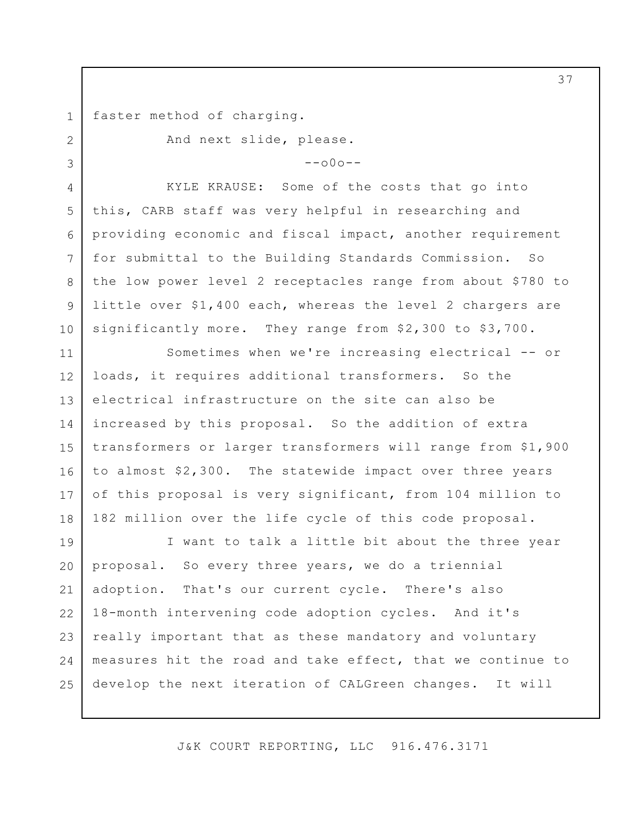1 faster method of charging.

2

3

And next slide, please.

 $--000--$ 

4 5 6 7 8 9 10 KYLE KRAUSE: Some of the costs that go into this, CARB staff was very helpful in researching and providing economic and fiscal impact, another requirement for submittal to the Building Standards Commission. So the low power level 2 receptacles range from about \$780 to little over \$1,400 each, whereas the level 2 chargers are significantly more. They range from \$2,300 to \$3,700.

11 12 13 14 15 16 17 18 Sometimes when we're increasing electrical -- or loads, it requires additional transformers. So the electrical infrastructure on the site can also be increased by this proposal. So the addition of extra transformers or larger transformers will range from \$1,900 to almost \$2,300. The statewide impact over three years of this proposal is very significant, from 104 million to 182 million over the life cycle of this code proposal.

19 20 21 22 23 24 25 I want to talk a little bit about the three year proposal. So every three years, we do a triennial adoption. That's our current cycle. There's also 18-month intervening code adoption cycles. And it's really important that as these mandatory and voluntary measures hit the road and take effect, that we continue to develop the next iteration of CALGreen changes. It will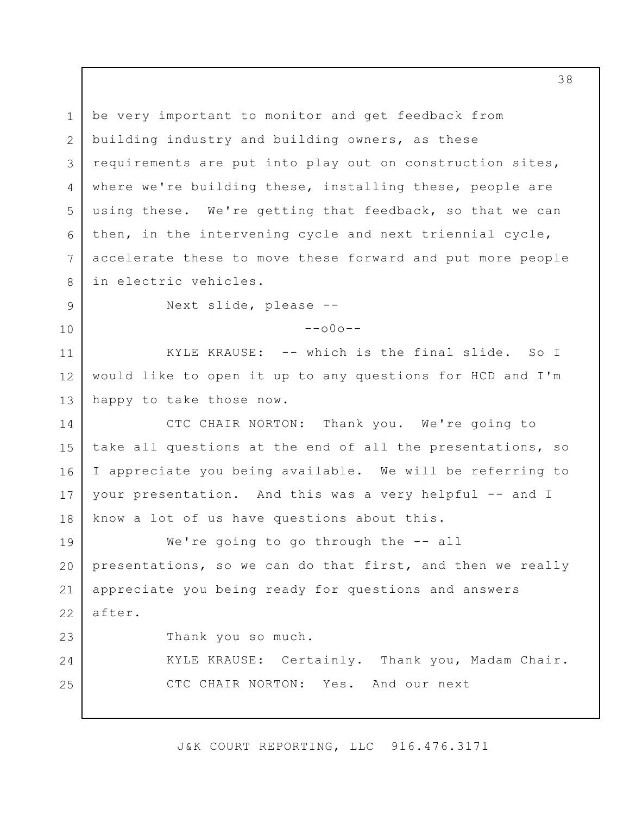1 2 3 4 5 6 7 8 9 10 11 12 13 14 15 16 17 18 19 20 21 22 23 24 25 be very important to monitor and get feedback from building industry and building owners, as these requirements are put into play out on construction sites, where we're building these, installing these, people are using these. We're getting that feedback, so that we can then, in the intervening cycle and next triennial cycle, accelerate these to move these forward and put more people in electric vehicles. Next slide, please --  $--000--$ KYLE KRAUSE: -- which is the final slide. So I would like to open it up to any questions for HCD and I'm happy to take those now. CTC CHAIR NORTON: Thank you. We're going to take all questions at the end of all the presentations, so I appreciate you being available. We will be referring to your presentation. And this was a very helpful -- and I know a lot of us have questions about this. We're going to go through the -- all presentations, so we can do that first, and then we really appreciate you being ready for questions and answers after. Thank you so much. KYLE KRAUSE: Certainly. Thank you, Madam Chair. CTC CHAIR NORTON: Yes. And our next

J&K COURT REPORTING, LLC 916.476.3171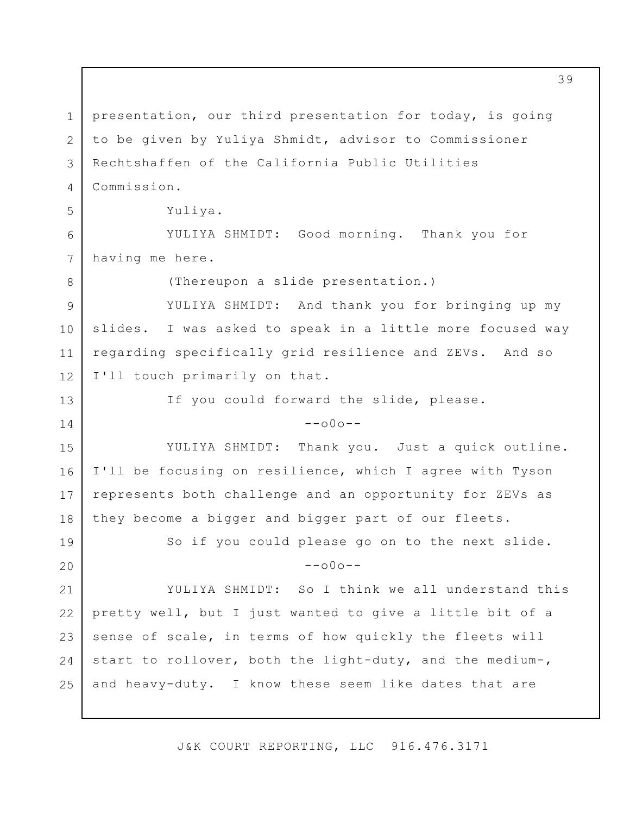1 2 3 4 5 6 7 8 9 10 11 12 13 14 15 16 17 18 19 20 21 22 23 24 25 presentation, our third presentation for today, is going to be given by Yuliya Shmidt, advisor to Commissioner Rechtshaffen of the California Public Utilities Commission. Yuliya. YULIYA SHMIDT: Good morning. Thank you for having me here. (Thereupon a slide presentation.) YULIYA SHMIDT: And thank you for bringing up my slides. I was asked to speak in a little more focused way regarding specifically grid resilience and ZEVs. And so I'll touch primarily on that. If you could forward the slide, please.  $--000--$ YULIYA SHMIDT: Thank you. Just a quick outline. I'll be focusing on resilience, which I agree with Tyson represents both challenge and an opportunity for ZEVs as they become a bigger and bigger part of our fleets. So if you could please go on to the next slide.  $--000--$ YULIYA SHMIDT: So I think we all understand this pretty well, but I just wanted to give a little bit of a sense of scale, in terms of how quickly the fleets will start to rollover, both the light-duty, and the medium-, and heavy-duty. I know these seem like dates that are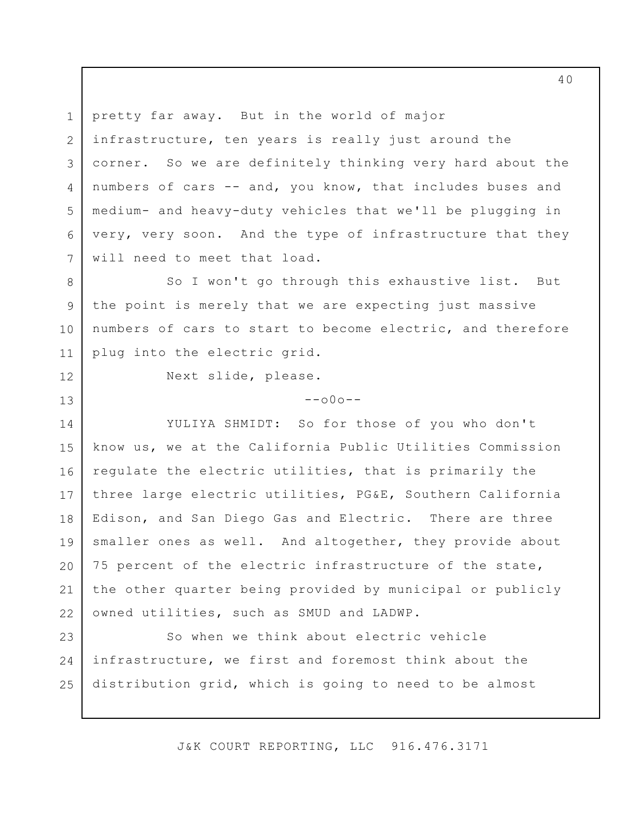1 2 3 4 5 6 7 pretty far away. But in the world of major infrastructure, ten years is really just around the corner. So we are definitely thinking very hard about the numbers of cars -- and, you know, that includes buses and medium- and heavy-duty vehicles that we'll be plugging in very, very soon. And the type of infrastructure that they will need to meet that load.

8 9 10 11 So I won't go through this exhaustive list. But the point is merely that we are expecting just massive numbers of cars to start to become electric, and therefore plug into the electric grid.

12

13

Next slide, please.

 $--000--$ 

14 15 16 17 18 19 20 21 22 YULIYA SHMIDT: So for those of you who don't know us, we at the California Public Utilities Commission regulate the electric utilities, that is primarily the three large electric utilities, PG&E, Southern California Edison, and San Diego Gas and Electric. There are three smaller ones as well. And altogether, they provide about 75 percent of the electric infrastructure of the state, the other quarter being provided by municipal or publicly owned utilities, such as SMUD and LADWP.

23 24 25 So when we think about electric vehicle infrastructure, we first and foremost think about the distribution grid, which is going to need to be almost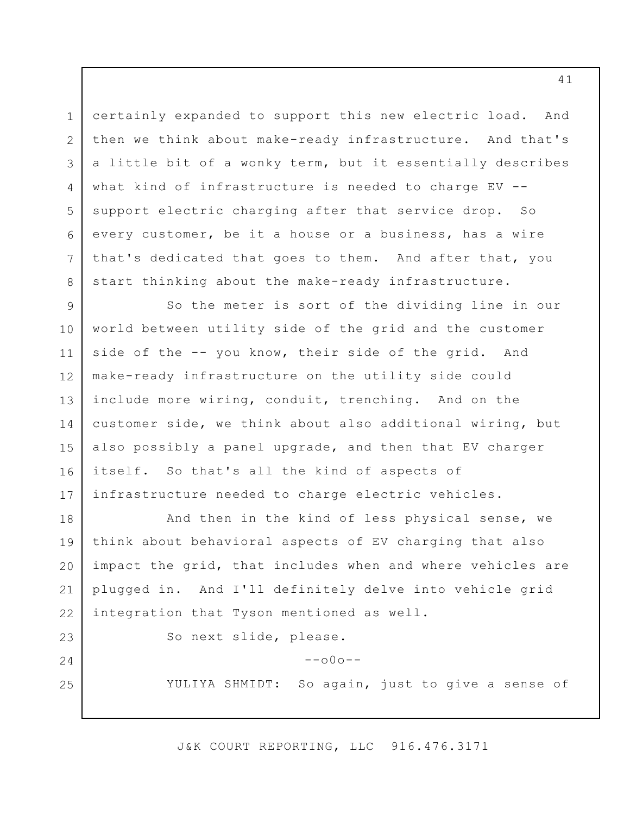certainly expanded to support this new electric load. And then we think about make-ready infrastructure. And that's a little bit of a wonky term, but it essentially describes what kind of infrastructure is needed to charge EV - support electric charging after that service drop. So every customer, be it a house or a business, has a wire that's dedicated that goes to them. And after that, you start thinking about the make-ready infrastructure.

9 10 11 12 13 14 15 16 17 So the meter is sort of the dividing line in our world between utility side of the grid and the customer side of the -- you know, their side of the grid. And make-ready infrastructure on the utility side could include more wiring, conduit, trenching. And on the customer side, we think about also additional wiring, but also possibly a panel upgrade, and then that EV charger itself. So that's all the kind of aspects of infrastructure needed to charge electric vehicles.

18 19 20 21 22 And then in the kind of less physical sense, we think about behavioral aspects of EV charging that also impact the grid, that includes when and where vehicles are plugged in. And I'll definitely delve into vehicle grid integration that Tyson mentioned as well.

23

24

25

1

2

3

4

5

6

7

8

So next slide, please.

 $--000--$ 

YULIYA SHMIDT: So again, just to give a sense of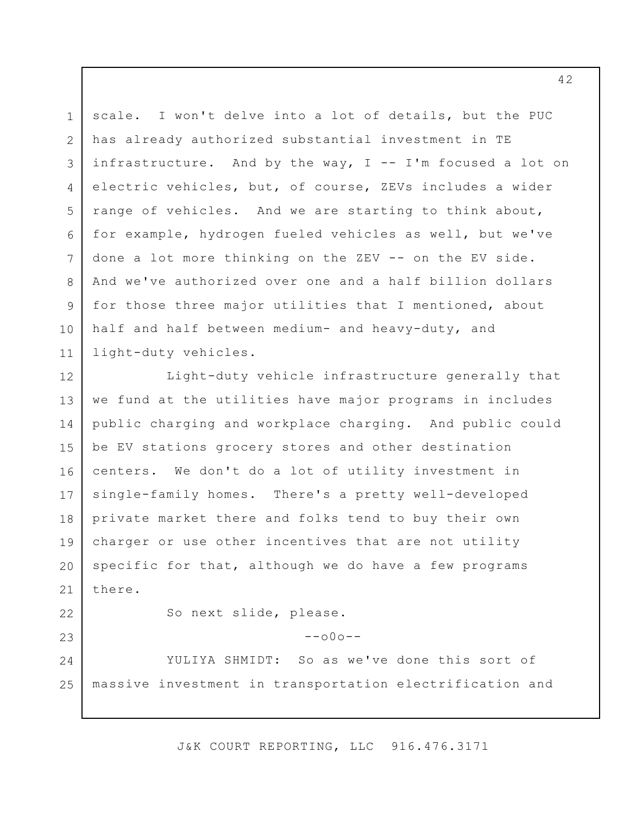1 2 3 4 5 6 7 8 9 10 11 scale. I won't delve into a lot of details, but the PUC has already authorized substantial investment in TE infrastructure. And by the way,  $I$  -- I'm focused a lot on electric vehicles, but, of course, ZEVs includes a wider range of vehicles. And we are starting to think about, for example, hydrogen fueled vehicles as well, but we've done a lot more thinking on the ZEV -- on the EV side. And we've authorized over one and a half billion dollars for those three major utilities that I mentioned, about half and half between medium- and heavy-duty, and light-duty vehicles.

12 13 14 15 16 17 18 19 20 21 22 23 24 Light-duty vehicle infrastructure generally that we fund at the utilities have major programs in includes public charging and workplace charging. And public could be EV stations grocery stores and other destination centers. We don't do a lot of utility investment in single-family homes. There's a pretty well-developed private market there and folks tend to buy their own charger or use other incentives that are not utility specific for that, although we do have a few programs there. So next slide, please.  $--000--$ YULIYA SHMIDT: So as we've done this sort of

25 massive investment in transportation electrification and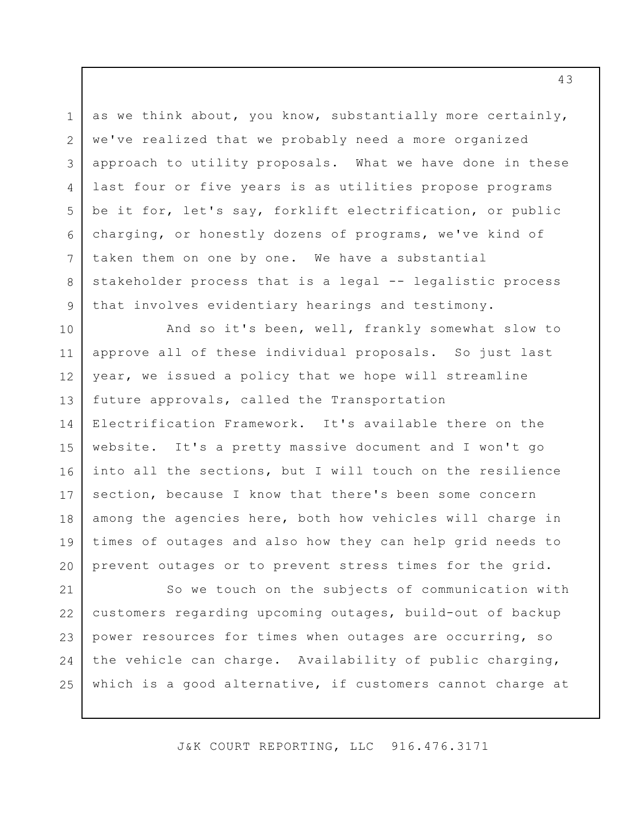as we think about, you know, substantially more certainly, we've realized that we probably need a more organized approach to utility proposals. What we have done in these last four or five years is as utilities propose programs be it for, let's say, forklift electrification, or public charging, or honestly dozens of programs, we've kind of taken them on one by one. We have a substantial stakeholder process that is a legal -- legalistic process that involves evidentiary hearings and testimony.

1

2

3

4

5

6

7

8

9

10 11 12 13 14 15 16 17 18 19 20 And so it's been, well, frankly somewhat slow to approve all of these individual proposals. So just last year, we issued a policy that we hope will streamline future approvals, called the Transportation Electrification Framework. It's available there on the website. It's a pretty massive document and I won't go into all the sections, but I will touch on the resilience section, because I know that there's been some concern among the agencies here, both how vehicles will charge in times of outages and also how they can help grid needs to prevent outages or to prevent stress times for the grid.

21 22 23 24 25 So we touch on the subjects of communication with customers regarding upcoming outages, build-out of backup power resources for times when outages are occurring, so the vehicle can charge. Availability of public charging, which is a good alternative, if customers cannot charge at

J&K COURT REPORTING, LLC 916.476.3171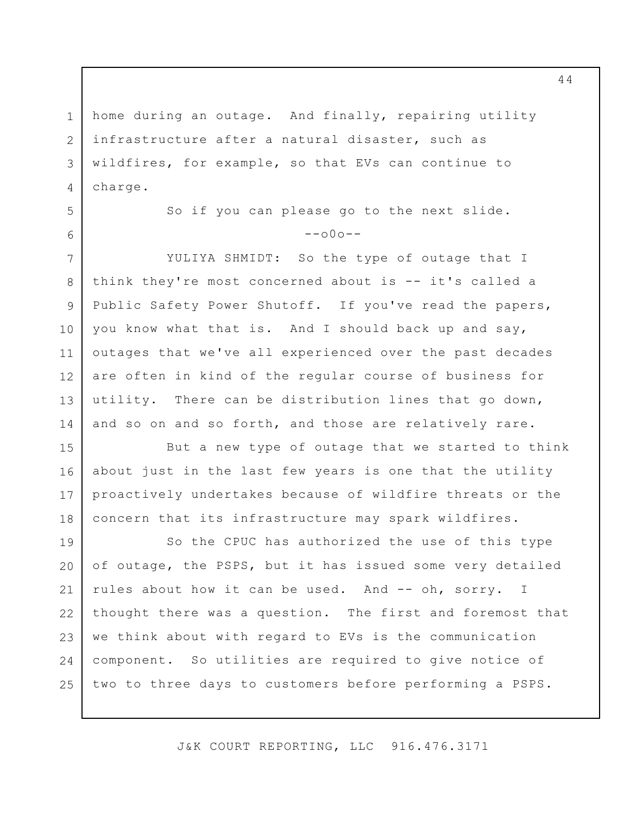1 2 3 4 home during an outage. And finally, repairing utility infrastructure after a natural disaster, such as wildfires, for example, so that EVs can continue to charge.

5

6

7

8

9

10

11

14

So if you can please go to the next slide.  $--000--$ 

12 13 YULIYA SHMIDT: So the type of outage that I think they're most concerned about is -- it's called a Public Safety Power Shutoff. If you've read the papers, you know what that is. And I should back up and say, outages that we've all experienced over the past decades are often in kind of the regular course of business for utility. There can be distribution lines that go down, and so on and so forth, and those are relatively rare.

15 16 17 18 But a new type of outage that we started to think about just in the last few years is one that the utility proactively undertakes because of wildfire threats or the concern that its infrastructure may spark wildfires.

19 20 21 22 23 24 25 So the CPUC has authorized the use of this type of outage, the PSPS, but it has issued some very detailed rules about how it can be used. And -- oh, sorry. I thought there was a question. The first and foremost that we think about with regard to EVs is the communication component. So utilities are required to give notice of two to three days to customers before performing a PSPS.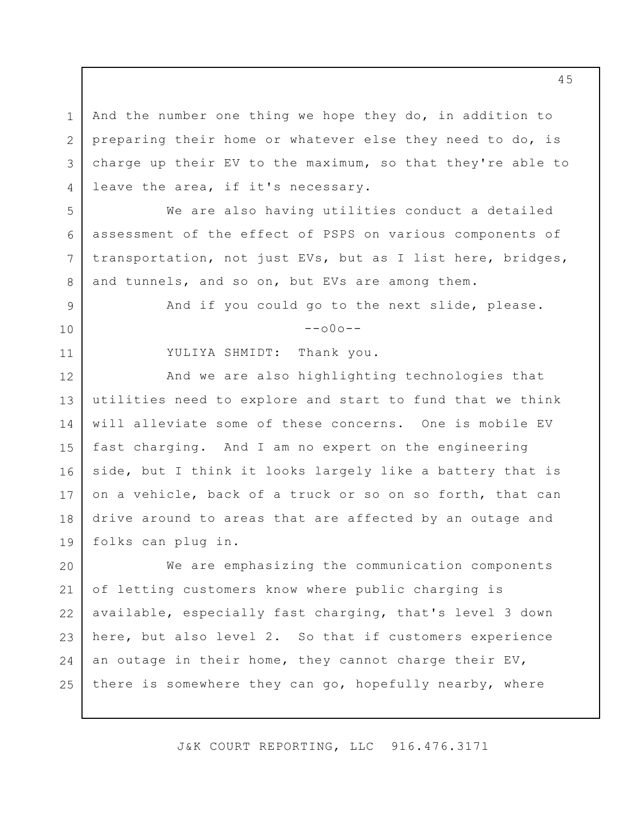3 4 And the number one thing we hope they do, in addition to preparing their home or whatever else they need to do, is charge up their EV to the maximum, so that they're able to leave the area, if it's necessary.

We are also having utilities conduct a detailed assessment of the effect of PSPS on various components of transportation, not just EVs, but as I list here, bridges, and tunnels, and so on, but EVs are among them.

And if you could go to the next slide, please.

 $--000--$ 

YULIYA SHMIDT: Thank you.

1

2

5

6

7

8

9

10

11

12 13 14 15 16 17 18 19 And we are also highlighting technologies that utilities need to explore and start to fund that we think will alleviate some of these concerns. One is mobile EV fast charging. And I am no expert on the engineering side, but I think it looks largely like a battery that is on a vehicle, back of a truck or so on so forth, that can drive around to areas that are affected by an outage and folks can plug in.

20 21 22 23 24 25 We are emphasizing the communication components of letting customers know where public charging is available, especially fast charging, that's level 3 down here, but also level 2. So that if customers experience an outage in their home, they cannot charge their EV, there is somewhere they can go, hopefully nearby, where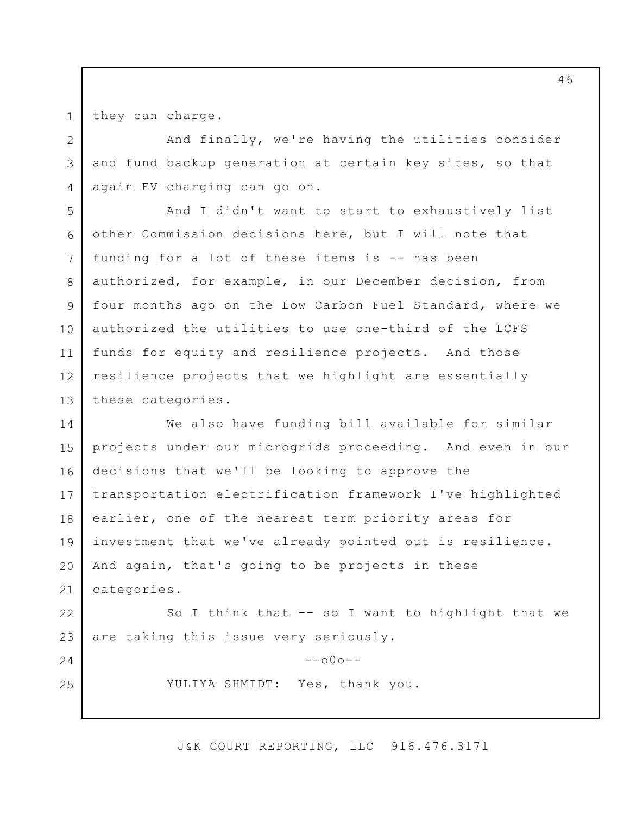they can charge.

1

2

3

4

24

25

And finally, we're having the utilities consider and fund backup generation at certain key sites, so that again EV charging can go on.

5 6 7 8 9 10 11 12 13 And I didn't want to start to exhaustively list other Commission decisions here, but I will note that funding for a lot of these items is -- has been authorized, for example, in our December decision, from four months ago on the Low Carbon Fuel Standard, where we authorized the utilities to use one-third of the LCFS funds for equity and resilience projects. And those resilience projects that we highlight are essentially these categories.

14 15 16 17 18 19 20 21 We also have funding bill available for similar projects under our microgrids proceeding. And even in our decisions that we'll be looking to approve the transportation electrification framework I've highlighted earlier, one of the nearest term priority areas for investment that we've already pointed out is resilience. And again, that's going to be projects in these categories.

22 23 So I think that -- so I want to highlight that we are taking this issue very seriously.

> $--000--$ YULIYA SHMIDT: Yes, thank you.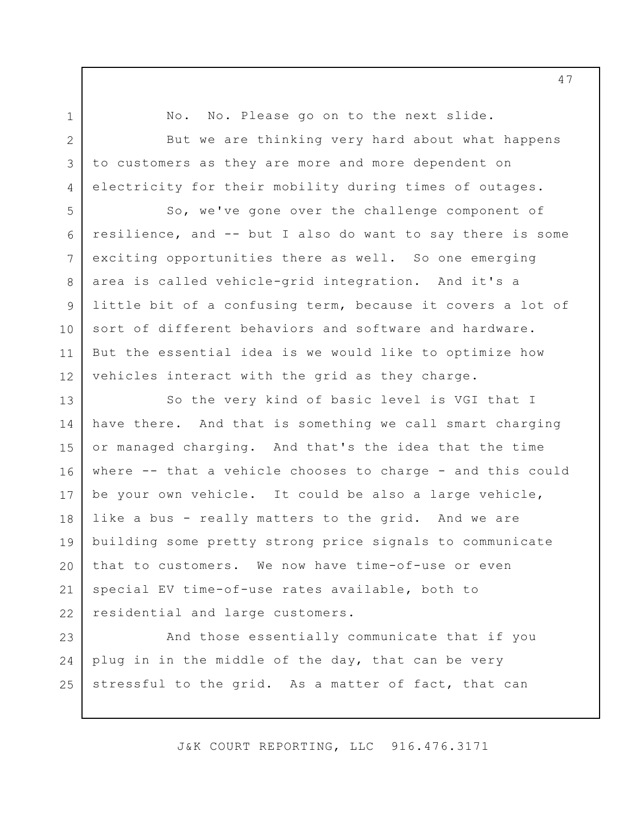1 2

3

4

5

8

9

10

11

No. No. Please go on to the next slide.

But we are thinking very hard about what happens to customers as they are more and more dependent on electricity for their mobility during times of outages.

6 7 12 So, we've gone over the challenge component of resilience, and -- but I also do want to say there is some exciting opportunities there as well. So one emerging area is called vehicle-grid integration. And it's a little bit of a confusing term, because it covers a lot of sort of different behaviors and software and hardware. But the essential idea is we would like to optimize how vehicles interact with the grid as they charge.

13 14 15 16 17 18 19 20 21 22 So the very kind of basic level is VGI that I have there. And that is something we call smart charging or managed charging. And that's the idea that the time where -- that a vehicle chooses to charge - and this could be your own vehicle. It could be also a large vehicle, like a bus - really matters to the grid. And we are building some pretty strong price signals to communicate that to customers. We now have time-of-use or even special EV time-of-use rates available, both to residential and large customers.

23 24 25 And those essentially communicate that if you plug in in the middle of the day, that can be very stressful to the grid. As a matter of fact, that can

J&K COURT REPORTING, LLC 916.476.3171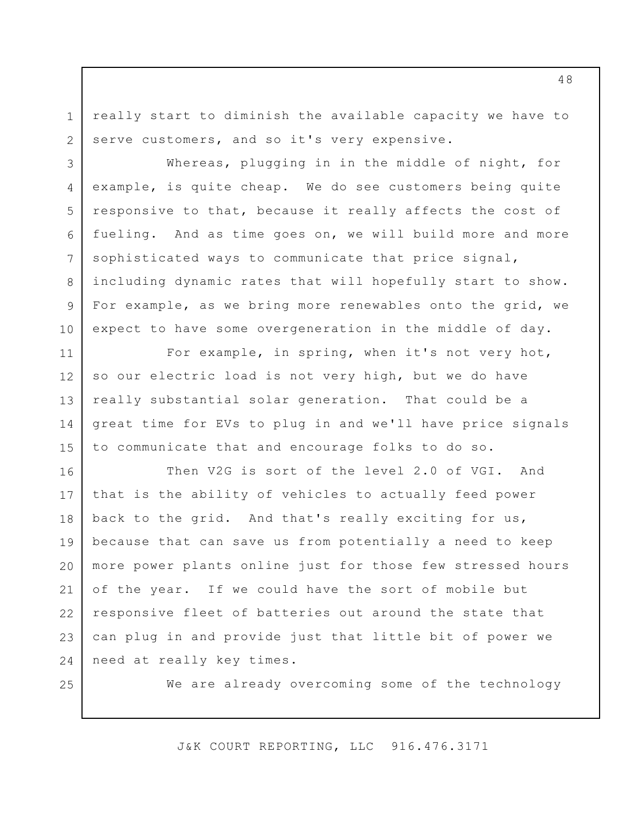really start to diminish the available capacity we have to serve customers, and so it's very expensive.

3 4 5 6 7 8 9 10 Whereas, plugging in in the middle of night, for example, is quite cheap. We do see customers being quite responsive to that, because it really affects the cost of fueling. And as time goes on, we will build more and more sophisticated ways to communicate that price signal, including dynamic rates that will hopefully start to show. For example, as we bring more renewables onto the grid, we expect to have some overgeneration in the middle of day.

11 12 13 14 15 For example, in spring, when it's not very hot, so our electric load is not very high, but we do have really substantial solar generation. That could be a great time for EVs to plug in and we'll have price signals to communicate that and encourage folks to do so.

16 17 18 19 20 21 22 23 24 Then V2G is sort of the level 2.0 of VGI. And that is the ability of vehicles to actually feed power back to the grid. And that's really exciting for us, because that can save us from potentially a need to keep more power plants online just for those few stressed hours of the year. If we could have the sort of mobile but responsive fleet of batteries out around the state that can plug in and provide just that little bit of power we need at really key times.

25

1

2

We are already overcoming some of the technology

J&K COURT REPORTING, LLC 916.476.3171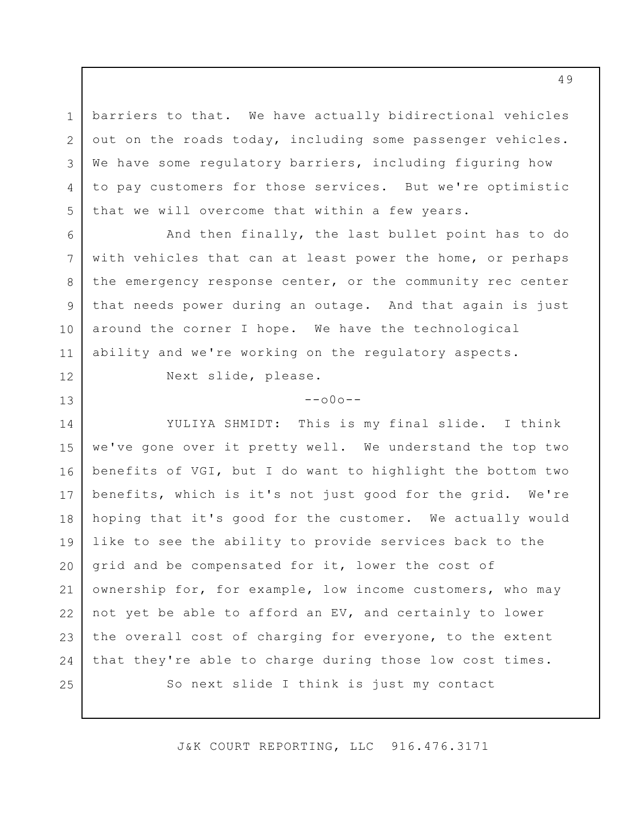barriers to that. We have actually bidirectional vehicles out on the roads today, including some passenger vehicles. We have some regulatory barriers, including figuring how to pay customers for those services. But we're optimistic that we will overcome that within a few years.

And then finally, the last bullet point has to do with vehicles that can at least power the home, or perhaps the emergency response center, or the community rec center that needs power during an outage. And that again is just around the corner I hope. We have the technological ability and we're working on the regulatory aspects.

Next slide, please.

1

2

3

4

5

6

7

8

9

10

11

12

13

## $--000--$

14 15 16 17 18 19 20 21 22 23 24 25 YULIYA SHMIDT: This is my final slide. I think we've gone over it pretty well. We understand the top two benefits of VGI, but I do want to highlight the bottom two benefits, which is it's not just good for the grid. We're hoping that it's good for the customer. We actually would like to see the ability to provide services back to the grid and be compensated for it, lower the cost of ownership for, for example, low income customers, who may not yet be able to afford an EV, and certainly to lower the overall cost of charging for everyone, to the extent that they're able to charge during those low cost times. So next slide I think is just my contact

J&K COURT REPORTING, LLC 916.476.3171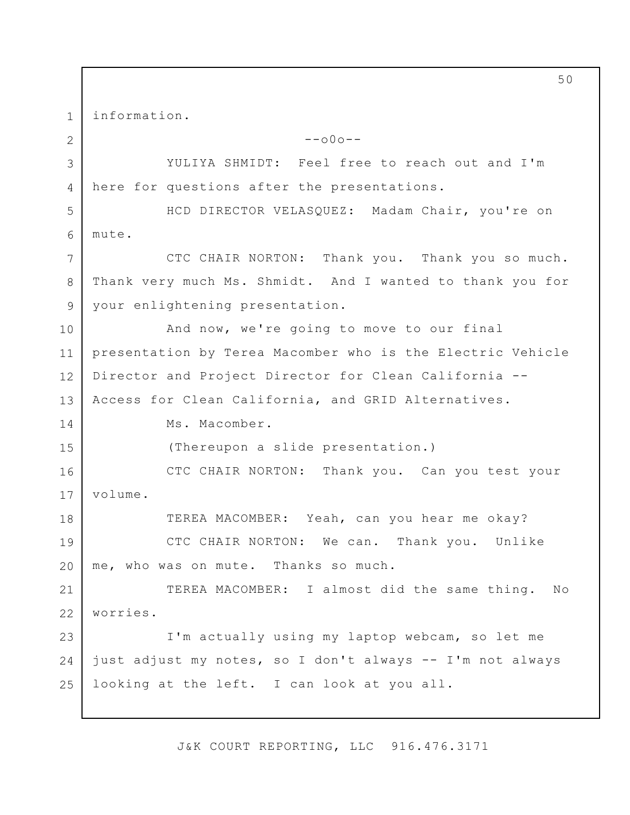1 2 3 4 5 6 7 8 9 10 11 12 13 14 15 16 17 18 19 20 21 22 23  $24$ 25 information.  $--000--$ YULIYA SHMIDT: Feel free to reach out and I'm here for questions after the presentations. HCD DIRECTOR VELASQUEZ: Madam Chair, you're on mute. CTC CHAIR NORTON: Thank you. Thank you so much. Thank very much Ms. Shmidt. And I wanted to thank you for your enlightening presentation. And now, we're going to move to our final presentation by Terea Macomber who is the Electric Vehicle Director and Project Director for Clean California -- Access for Clean California, and GRID Alternatives. Ms. Macomber. (Thereupon a slide presentation.) CTC CHAIR NORTON: Thank you. Can you test your volume. TEREA MACOMBER: Yeah, can you hear me okay? CTC CHAIR NORTON: We can. Thank you. Unlike me, who was on mute. Thanks so much. TEREA MACOMBER: I almost did the same thing. No worries. I'm actually using my laptop webcam, so let me just adjust my notes, so I don't always -- I'm not always looking at the left. I can look at you all.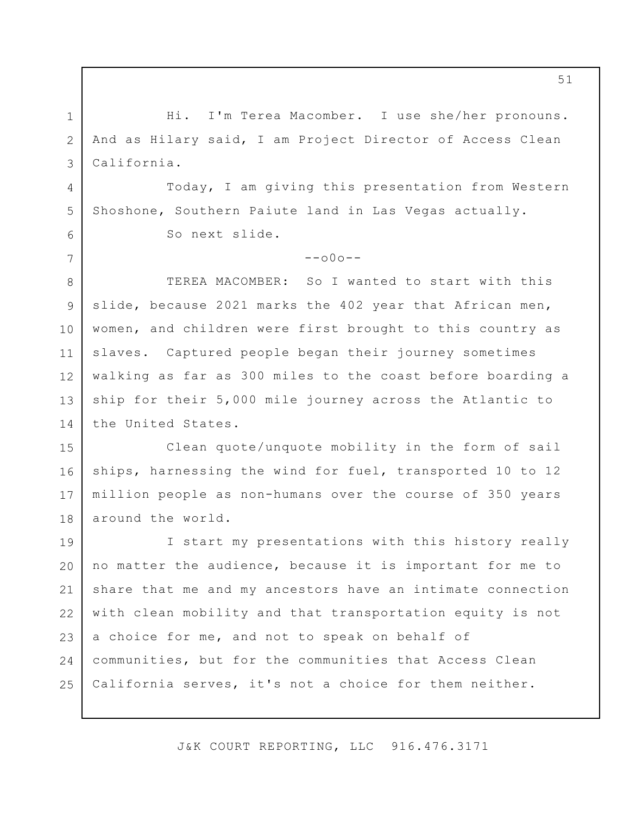Hi. I'm Terea Macomber. I use she/her pronouns. And as Hilary said, I am Project Director of Access Clean California.

Today, I am giving this presentation from Western Shoshone, Southern Paiute land in Las Vegas actually.

So next slide.

1

2

3

4

5

6

7

 $--000--$ 

8 9 10 11 12 13 14 TEREA MACOMBER: So I wanted to start with this slide, because 2021 marks the 402 year that African men, women, and children were first brought to this country as slaves. Captured people began their journey sometimes walking as far as 300 miles to the coast before boarding a ship for their 5,000 mile journey across the Atlantic to the United States.

15 16 17 18 Clean quote/unquote mobility in the form of sail ships, harnessing the wind for fuel, transported 10 to 12 million people as non-humans over the course of 350 years around the world.

19 20 21 22 23 24 25 I start my presentations with this history really no matter the audience, because it is important for me to share that me and my ancestors have an intimate connection with clean mobility and that transportation equity is not a choice for me, and not to speak on behalf of communities, but for the communities that Access Clean California serves, it's not a choice for them neither.

J&K COURT REPORTING, LLC 916.476.3171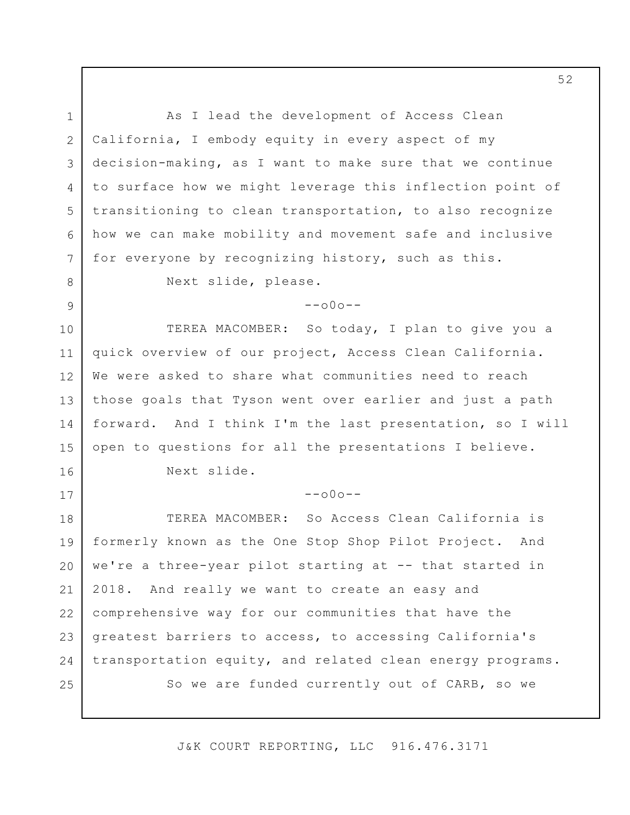1 2 3 4 5 6 7 8 9 10 11 12 13 14 15 16 17 18 19 20 21 22 23 24 25 As I lead the development of Access Clean California, I embody equity in every aspect of my decision-making, as I want to make sure that we continue to surface how we might leverage this inflection point of transitioning to clean transportation, to also recognize how we can make mobility and movement safe and inclusive for everyone by recognizing history, such as this. Next slide, please.  $--000--$ TEREA MACOMBER: So today, I plan to give you a quick overview of our project, Access Clean California. We were asked to share what communities need to reach those goals that Tyson went over earlier and just a path forward. And I think I'm the last presentation, so I will open to questions for all the presentations I believe. Next slide.  $--000--$ TEREA MACOMBER: So Access Clean California is formerly known as the One Stop Shop Pilot Project. And we're a three-year pilot starting at -- that started in 2018. And really we want to create an easy and comprehensive way for our communities that have the greatest barriers to access, to accessing California's transportation equity, and related clean energy programs. So we are funded currently out of CARB, so we

J&K COURT REPORTING, LLC 916.476.3171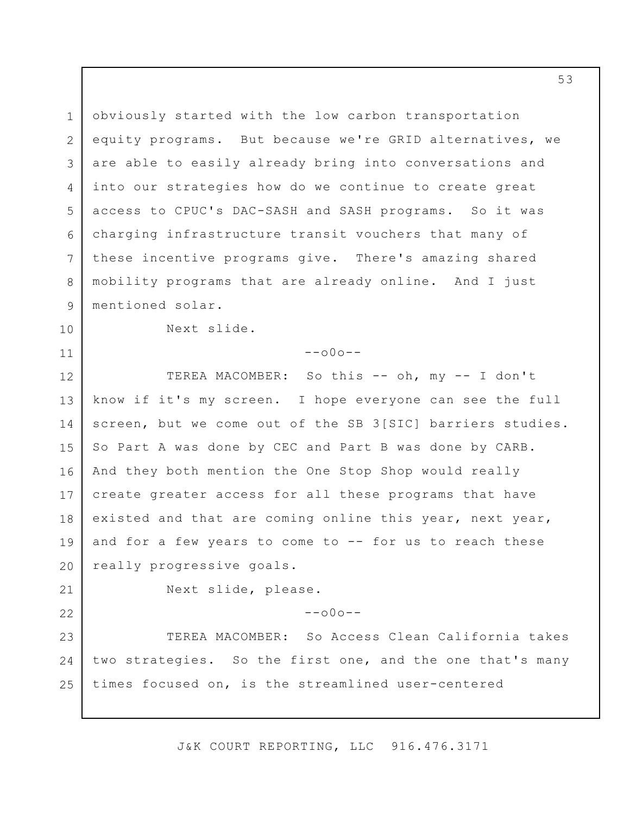1 2 3 4 5 6 7 8 9 10 11 12 13 14 15 16 17 18 19 20 21 22 23 24 25 obviously started with the low carbon transportation equity programs. But because we're GRID alternatives, we are able to easily already bring into conversations and into our strategies how do we continue to create great access to CPUC's DAC-SASH and SASH programs. So it was charging infrastructure transit vouchers that many of these incentive programs give. There's amazing shared mobility programs that are already online. And I just mentioned solar. Next slide.  $--000--$ TEREA MACOMBER: So this -- oh, my -- I don't know if it's my screen. I hope everyone can see the full screen, but we come out of the SB 3[SIC] barriers studies. So Part A was done by CEC and Part B was done by CARB. And they both mention the One Stop Shop would really create greater access for all these programs that have existed and that are coming online this year, next year, and for a few years to come to -- for us to reach these really progressive goals. Next slide, please.  $--000--$ TEREA MACOMBER: So Access Clean California takes two strategies. So the first one, and the one that's many times focused on, is the streamlined user-centered

J&K COURT REPORTING, LLC 916.476.3171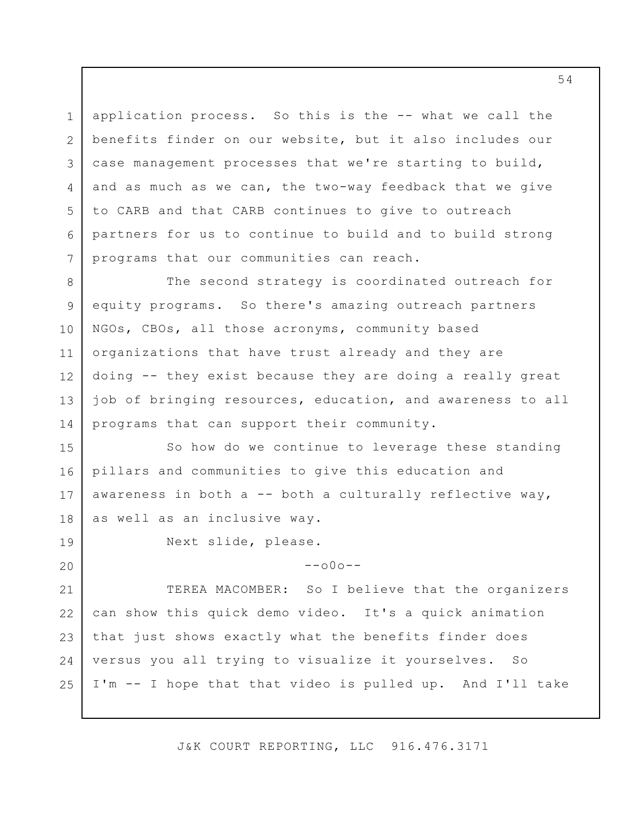application process. So this is the -- what we call the benefits finder on our website, but it also includes our case management processes that we're starting to build, and as much as we can, the two-way feedback that we give to CARB and that CARB continues to give to outreach partners for us to continue to build and to build strong programs that our communities can reach.

8 9 10 11 12 13 14 The second strategy is coordinated outreach for equity programs. So there's amazing outreach partners NGOs, CBOs, all those acronyms, community based organizations that have trust already and they are doing -- they exist because they are doing a really great job of bringing resources, education, and awareness to all programs that can support their community.

15 16 17 18 So how do we continue to leverage these standing pillars and communities to give this education and awareness in both  $a$  -- both a culturally reflective way, as well as an inclusive way.

19

20

1

2

3

4

5

6

7

Next slide, please.

 $--000--$ 

21 22 23 24 25 TEREA MACOMBER: So I believe that the organizers can show this quick demo video. It's a quick animation that just shows exactly what the benefits finder does versus you all trying to visualize it yourselves. So I'm -- I hope that that video is pulled up. And I'll take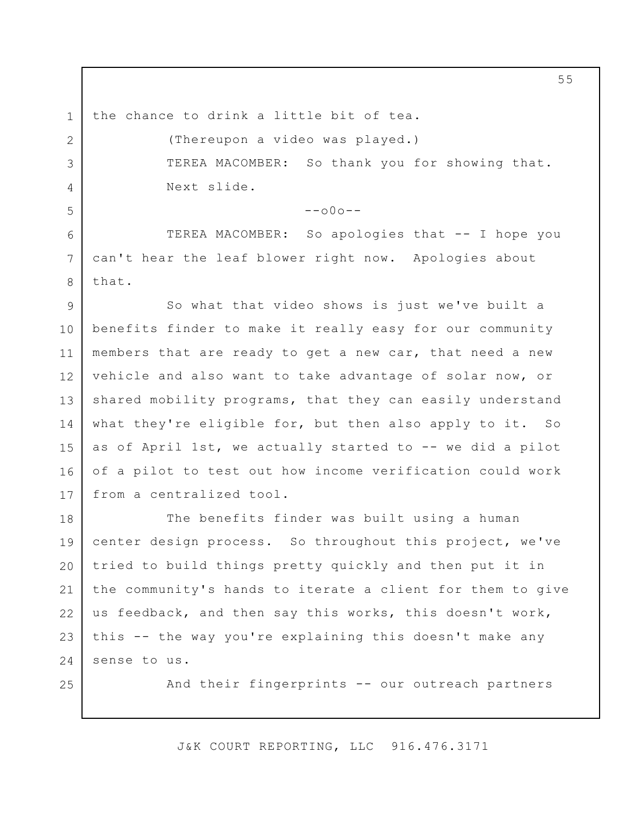the chance to drink a little bit of tea.

1

2

3

4

5

6

7

8

(Thereupon a video was played.) TEREA MACOMBER: So thank you for showing that. Next slide.

 $--000--$ 

TEREA MACOMBER: So apologies that -- I hope you can't hear the leaf blower right now. Apologies about that.

9 10 11 12 13 14 15 16 17 So what that video shows is just we've built a benefits finder to make it really easy for our community members that are ready to get a new car, that need a new vehicle and also want to take advantage of solar now, or shared mobility programs, that they can easily understand what they're eligible for, but then also apply to it. So as of April 1st, we actually started to -- we did a pilot of a pilot to test out how income verification could work from a centralized tool.

18 19 20 21 22 23 24 The benefits finder was built using a human center design process. So throughout this project, we've tried to build things pretty quickly and then put it in the community's hands to iterate a client for them to give us feedback, and then say this works, this doesn't work, this -- the way you're explaining this doesn't make any sense to us.

25

And their fingerprints -- our outreach partners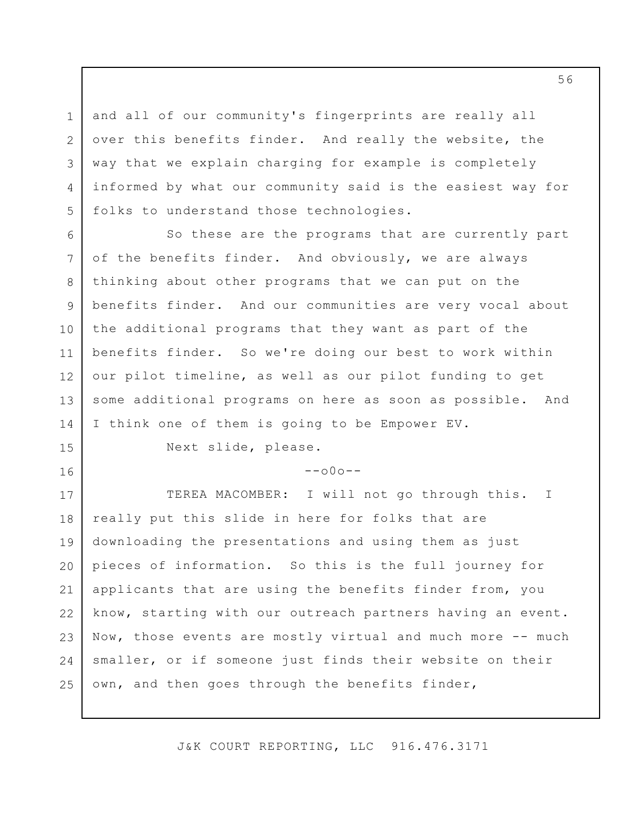and all of our community's fingerprints are really all over this benefits finder. And really the website, the way that we explain charging for example is completely informed by what our community said is the easiest way for folks to understand those technologies.

6 7 8 9 10 11 12 13 14 So these are the programs that are currently part of the benefits finder. And obviously, we are always thinking about other programs that we can put on the benefits finder. And our communities are very vocal about the additional programs that they want as part of the benefits finder. So we're doing our best to work within our pilot timeline, as well as our pilot funding to get some additional programs on here as soon as possible. And I think one of them is going to be Empower EV.

15

16

1

2

3

4

5

Next slide, please.

 $--000--$ 

17 18 19 20 21 22 23 24 25 TEREA MACOMBER: I will not go through this. really put this slide in here for folks that are downloading the presentations and using them as just pieces of information. So this is the full journey for applicants that are using the benefits finder from, you know, starting with our outreach partners having an event. Now, those events are mostly virtual and much more -- much smaller, or if someone just finds their website on their own, and then goes through the benefits finder, I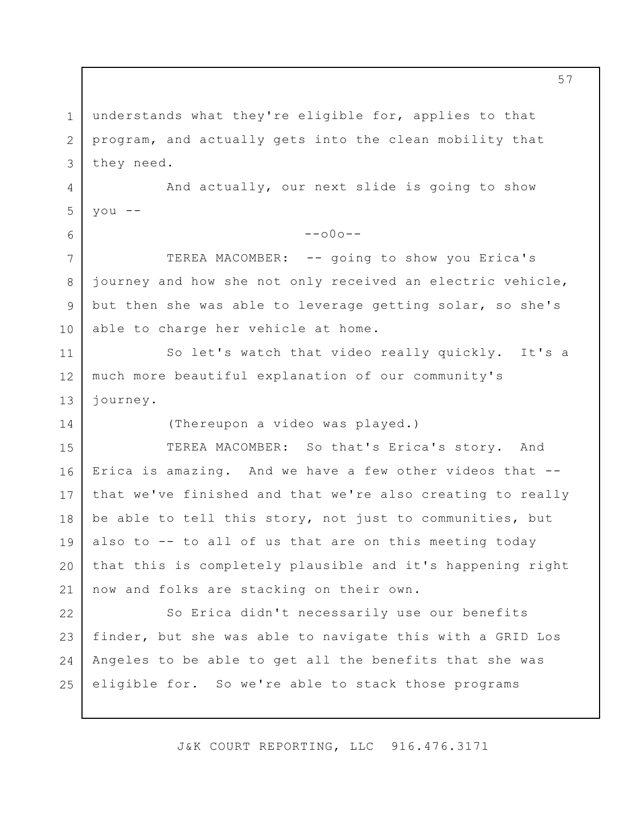1 2 3 4 5 6 7 8 9 10 11 12 13 14 15 16 17 18 19 20 21 22 23 24 25 understands what they're eligible for, applies to that program, and actually gets into the clean mobility that they need. And actually, our next slide is going to show you --  $--000--$ TEREA MACOMBER: -- going to show you Erica's journey and how she not only received an electric vehicle, but then she was able to leverage getting solar, so she's able to charge her vehicle at home. So let's watch that video really quickly. It's a much more beautiful explanation of our community's journey. (Thereupon a video was played.) TEREA MACOMBER: So that's Erica's story. And Erica is amazing. And we have a few other videos that - that we've finished and that we're also creating to really be able to tell this story, not just to communities, but also to -- to all of us that are on this meeting today that this is completely plausible and it's happening right now and folks are stacking on their own. So Erica didn't necessarily use our benefits finder, but she was able to navigate this with a GRID Los Angeles to be able to get all the benefits that she was eligible for. So we're able to stack those programs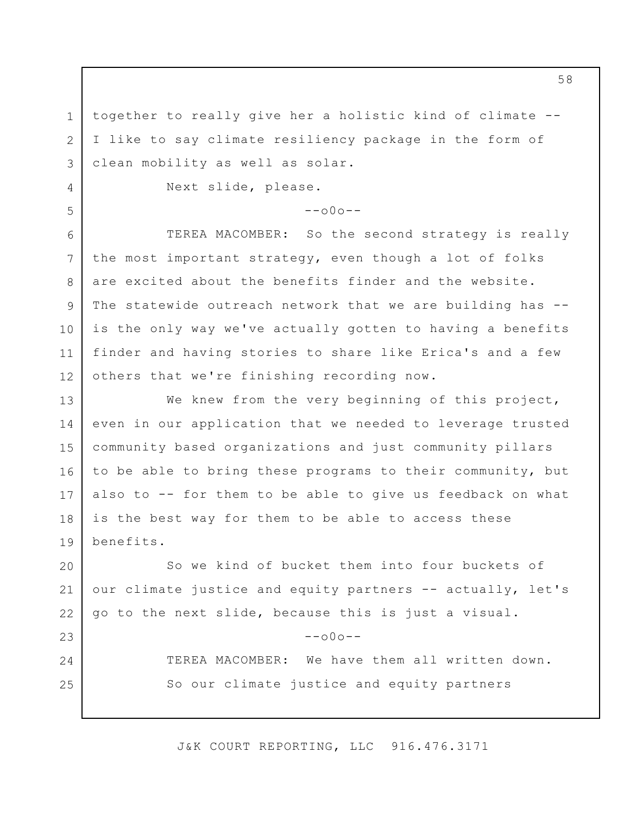together to really give her a holistic kind of climate -- I like to say climate resiliency package in the form of clean mobility as well as solar.

Next slide, please.

1

2

3

4

5

23

24

25

## $--000--$

6 7 8 9 10 11 12 TEREA MACOMBER: So the second strategy is really the most important strategy, even though a lot of folks are excited about the benefits finder and the website. The statewide outreach network that we are building has -is the only way we've actually gotten to having a benefits finder and having stories to share like Erica's and a few others that we're finishing recording now.

13 14 15 16 17 18 19 We knew from the very beginning of this project, even in our application that we needed to leverage trusted community based organizations and just community pillars to be able to bring these programs to their community, but also to -- for them to be able to give us feedback on what is the best way for them to be able to access these benefits.

20 21 22 So we kind of bucket them into four buckets of our climate justice and equity partners -- actually, let's go to the next slide, because this is just a visual.

 $--\cap 0 \cap --$ 

TEREA MACOMBER: We have them all written down. So our climate justice and equity partners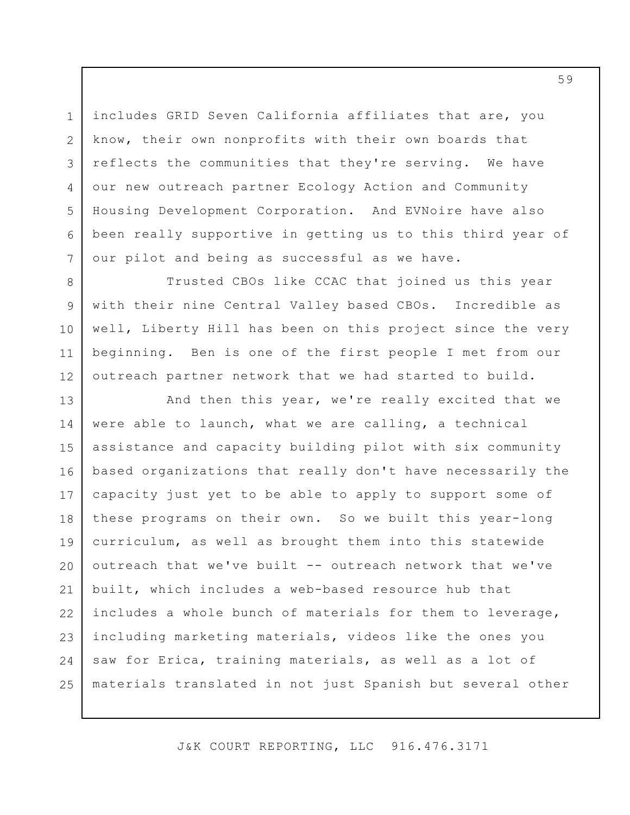includes GRID Seven California affiliates that are, you know, their own nonprofits with their own boards that reflects the communities that they're serving. We have our new outreach partner Ecology Action and Community Housing Development Corporation. And EVNoire have also been really supportive in getting us to this third year of our pilot and being as successful as we have.

1

2

3

4

5

6

7

8

9

10

11

12

Trusted CBOs like CCAC that joined us this year with their nine Central Valley based CBOs. Incredible as well, Liberty Hill has been on this project since the very beginning. Ben is one of the first people I met from our outreach partner network that we had started to build.

13 14 15 16 17 18 19 20 21 22 23 24 25 And then this year, we're really excited that we were able to launch, what we are calling, a technical assistance and capacity building pilot with six community based organizations that really don't have necessarily the capacity just yet to be able to apply to support some of these programs on their own. So we built this year-long curriculum, as well as brought them into this statewide outreach that we've built -- outreach network that we've built, which includes a web-based resource hub that includes a whole bunch of materials for them to leverage, including marketing materials, videos like the ones you saw for Erica, training materials, as well as a lot of materials translated in not just Spanish but several other

J&K COURT REPORTING, LLC 916.476.3171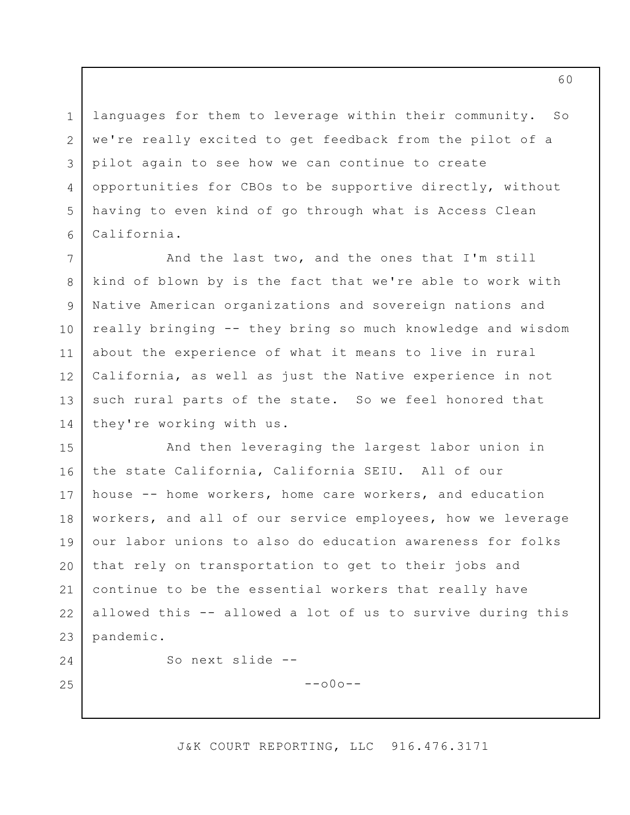languages for them to leverage within their community. So we're really excited to get feedback from the pilot of a pilot again to see how we can continue to create opportunities for CBOs to be supportive directly, without having to even kind of go through what is Access Clean California.

7 8 9 10 11 12 13 14 And the last two, and the ones that I'm still kind of blown by is the fact that we're able to work with Native American organizations and sovereign nations and really bringing -- they bring so much knowledge and wisdom about the experience of what it means to live in rural California, as well as just the Native experience in not such rural parts of the state. So we feel honored that they're working with us.

15 16 17 18 19 20 21 22 23 And then leveraging the largest labor union in the state California, California SEIU. All of our house -- home workers, home care workers, and education workers, and all of our service employees, how we leverage our labor unions to also do education awareness for folks that rely on transportation to get to their jobs and continue to be the essential workers that really have allowed this -- allowed a lot of us to survive during this pandemic.

24

25

1

2

3

4

5

6

So next slide --

 $--$ o $0$ o $--$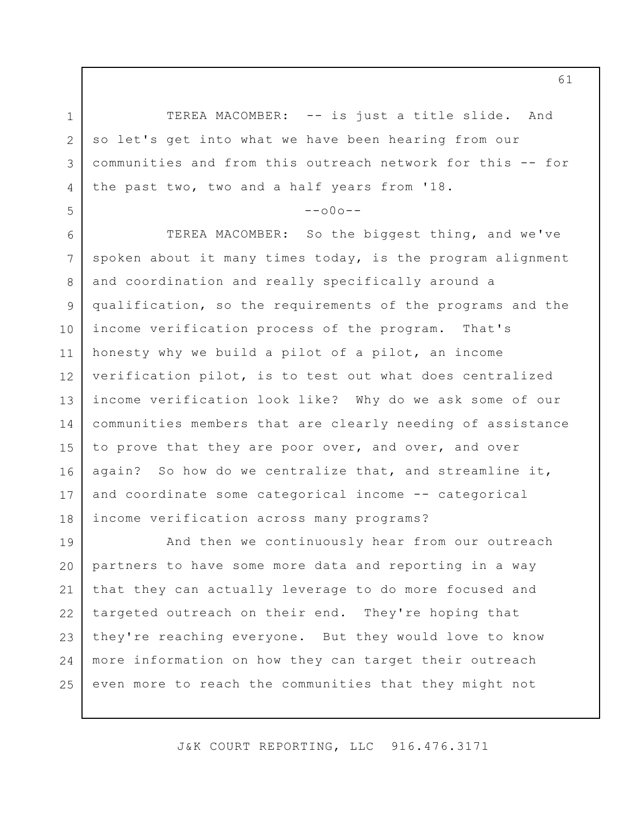1 2 3 4 TEREA MACOMBER: -- is just a title slide. And so let's get into what we have been hearing from our communities and from this outreach network for this -- for the past two, two and a half years from '18.

5

## $--000--$

6 7 8 9 10 11 12 13 14 15 16 17 18 TEREA MACOMBER: So the biggest thing, and we've spoken about it many times today, is the program alignment and coordination and really specifically around a qualification, so the requirements of the programs and the income verification process of the program. That's honesty why we build a pilot of a pilot, an income verification pilot, is to test out what does centralized income verification look like? Why do we ask some of our communities members that are clearly needing of assistance to prove that they are poor over, and over, and over again? So how do we centralize that, and streamline it, and coordinate some categorical income -- categorical income verification across many programs?

19 20 21 22 23 24 25 And then we continuously hear from our outreach partners to have some more data and reporting in a way that they can actually leverage to do more focused and targeted outreach on their end. They're hoping that they're reaching everyone. But they would love to know more information on how they can target their outreach even more to reach the communities that they might not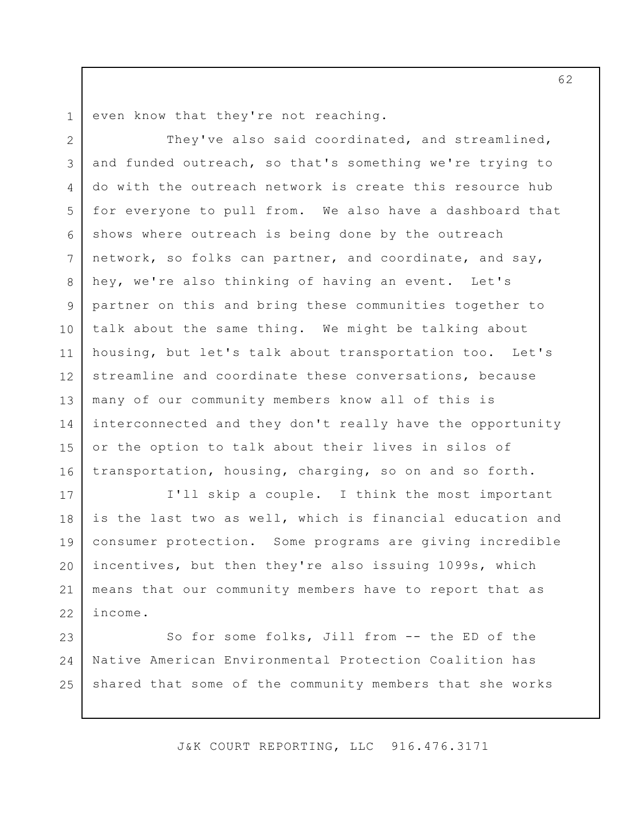1

even know that they're not reaching.

2 3 4 5 6 7 8 9 10 11 12 13 14 15 16 They've also said coordinated, and streamlined, and funded outreach, so that's something we're trying to do with the outreach network is create this resource hub for everyone to pull from. We also have a dashboard that shows where outreach is being done by the outreach network, so folks can partner, and coordinate, and say, hey, we're also thinking of having an event. Let's partner on this and bring these communities together to talk about the same thing. We might be talking about housing, but let's talk about transportation too. Let's streamline and coordinate these conversations, because many of our community members know all of this is interconnected and they don't really have the opportunity or the option to talk about their lives in silos of transportation, housing, charging, so on and so forth.

17 18 19 20 21 22 I'll skip a couple. I think the most important is the last two as well, which is financial education and consumer protection. Some programs are giving incredible incentives, but then they're also issuing 1099s, which means that our community members have to report that as income.

23 24 25 So for some folks, Jill from -- the ED of the Native American Environmental Protection Coalition has shared that some of the community members that she works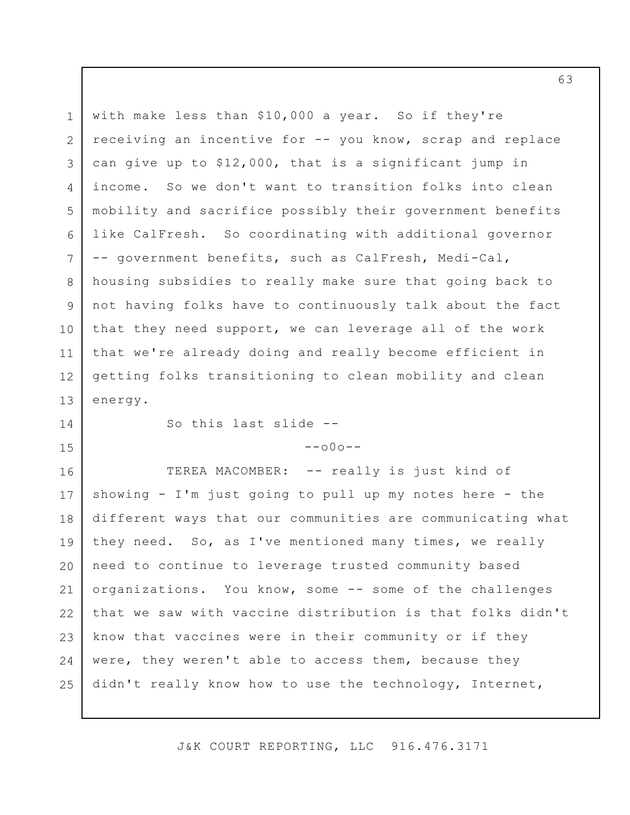1 2 3 4 5 6 7 8 9 10 11 12 13 with make less than \$10,000 a year. So if they're receiving an incentive for -- you know, scrap and replace can give up to \$12,000, that is a significant jump in income. So we don't want to transition folks into clean mobility and sacrifice possibly their government benefits like CalFresh. So coordinating with additional governor -- government benefits, such as CalFresh, Medi-Cal, housing subsidies to really make sure that going back to not having folks have to continuously talk about the fact that they need support, we can leverage all of the work that we're already doing and really become efficient in getting folks transitioning to clean mobility and clean energy.

14 15 So this last slide --

## $--$ o $0$ o $--$

16 17 18 19 20 21 22 23 24 25 TEREA MACOMBER: -- really is just kind of showing - I'm just going to pull up my notes here - the different ways that our communities are communicating what they need. So, as I've mentioned many times, we really need to continue to leverage trusted community based organizations. You know, some -- some of the challenges that we saw with vaccine distribution is that folks didn't know that vaccines were in their community or if they were, they weren't able to access them, because they didn't really know how to use the technology, Internet,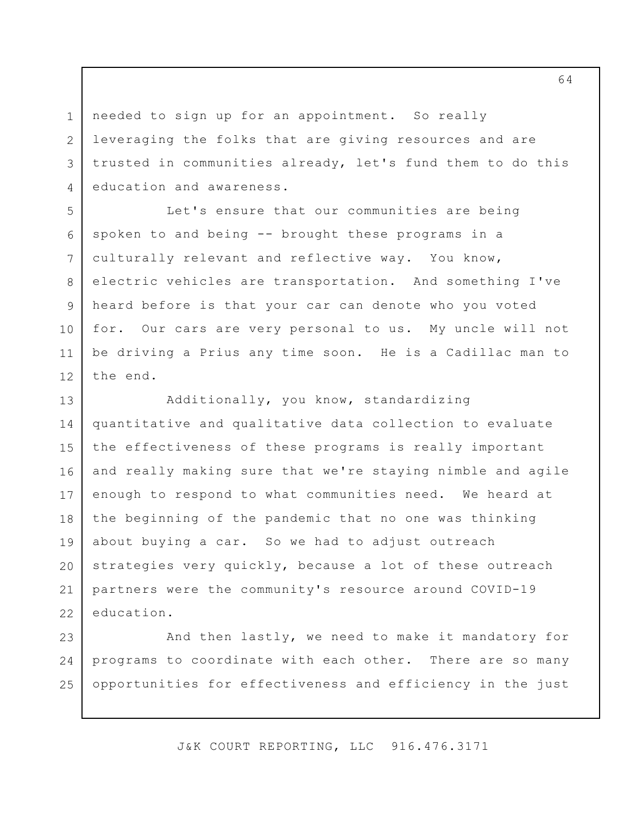needed to sign up for an appointment. So really leveraging the folks that are giving resources and are trusted in communities already, let's fund them to do this education and awareness.

1

2

3

4

5

6

7

8

9

10

11

12

Let's ensure that our communities are being spoken to and being -- brought these programs in a culturally relevant and reflective way. You know, electric vehicles are transportation. And something I've heard before is that your car can denote who you voted for. Our cars are very personal to us. My uncle will not be driving a Prius any time soon. He is a Cadillac man to the end.

13 14 15 16 17 18 19 20 21 22 Additionally, you know, standardizing quantitative and qualitative data collection to evaluate the effectiveness of these programs is really important and really making sure that we're staying nimble and agile enough to respond to what communities need. We heard at the beginning of the pandemic that no one was thinking about buying a car. So we had to adjust outreach strategies very quickly, because a lot of these outreach partners were the community's resource around COVID-19 education.

23 24 25 And then lastly, we need to make it mandatory for programs to coordinate with each other. There are so many opportunities for effectiveness and efficiency in the just

J&K COURT REPORTING, LLC 916.476.3171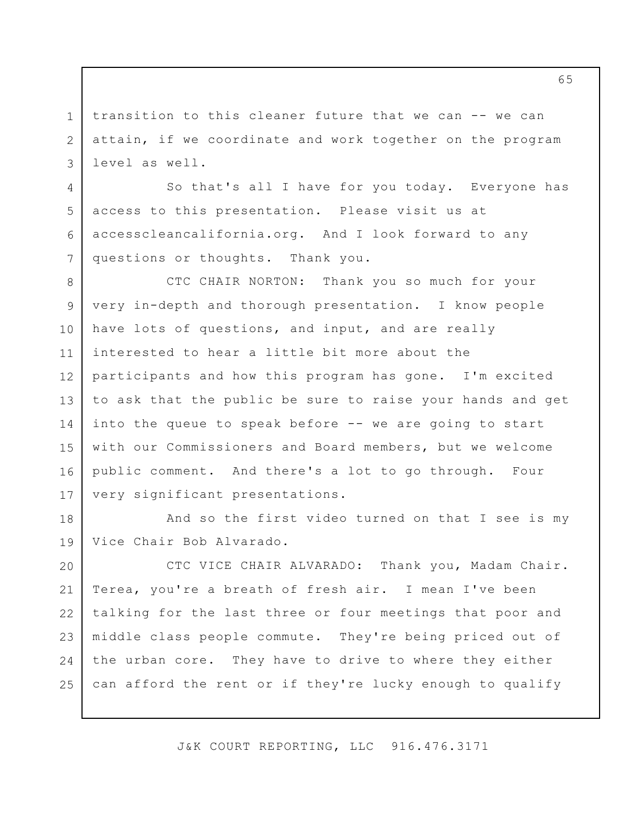transition to this cleaner future that we can -- we can attain, if we coordinate and work together on the program level as well.

1

2

3

4

5

6

7

So that's all I have for you today. Everyone has access to this presentation. Please visit us at [accesscleancalifornia.org](https://accesscleancalifornia.org). And I look forward to any questions or thoughts. Thank you.

8 9 10 11 12 13 14 15 16 17 CTC CHAIR NORTON: Thank you so much for your very in-depth and thorough presentation. I know people have lots of questions, and input, and are really interested to hear a little bit more about the participants and how this program has gone. I'm excited to ask that the public be sure to raise your hands and get into the queue to speak before -- we are going to start with our Commissioners and Board members, but we welcome public comment. And there's a lot to go through. Four very significant presentations.

18 19 And so the first video turned on that I see is my Vice Chair Bob Alvarado.

20 21 22 23 24 25 CTC VICE CHAIR ALVARADO: Thank you, Madam Chair. Terea, you're a breath of fresh air. I mean I've been talking for the last three or four meetings that poor and middle class people commute. They're being priced out of the urban core. They have to drive to where they either can afford the rent or if they're lucky enough to qualify

J&K COURT REPORTING, LLC 916.476.3171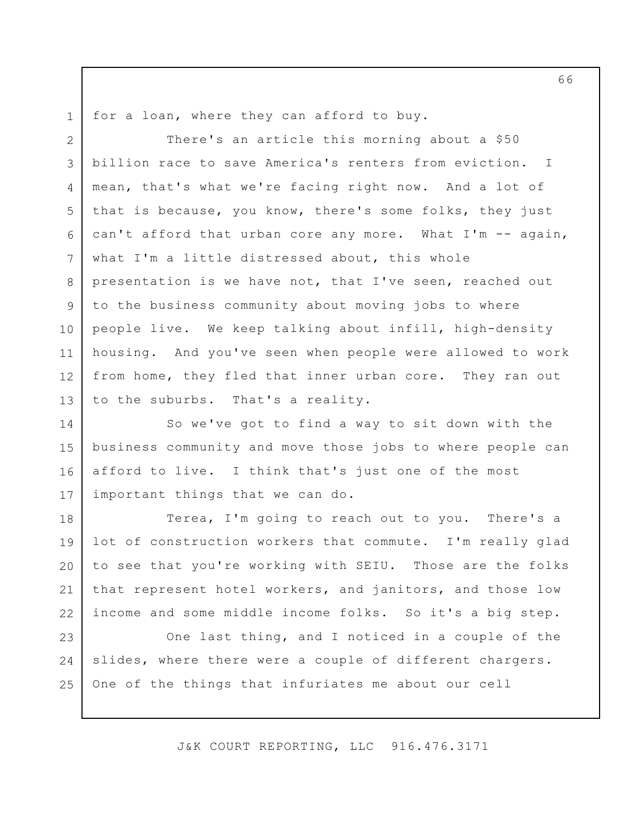1

for a loan, where they can afford to buy.

2 3 4 5 6 7 8 9 10 11 12 13 I There's an article this morning about a \$50 billion race to save America's renters from eviction. mean, that's what we're facing right now. And a lot of that is because, you know, there's some folks, they just can't afford that urban core any more. What I'm -- again, what I'm a little distressed about, this whole presentation is we have not, that I've seen, reached out to the business community about moving jobs to where people live. We keep talking about infill, high-density housing. And you've seen when people were allowed to work from home, they fled that inner urban core. They ran out to the suburbs. That's a reality.

14 15 16 17 So we've got to find a way to sit down with the business community and move those jobs to where people can afford to live. I think that's just one of the most important things that we can do.

18 19 20 21 22 Terea, I'm going to reach out to you. There's a lot of construction workers that commute. I'm really glad to see that you're working with SEIU. Those are the folks that represent hotel workers, and janitors, and those low income and some middle income folks. So it's a big step.

23 24 25 One last thing, and I noticed in a couple of the slides, where there were a couple of different chargers. One of the things that infuriates me about our cell

J&K COURT REPORTING, LLC 916.476.3171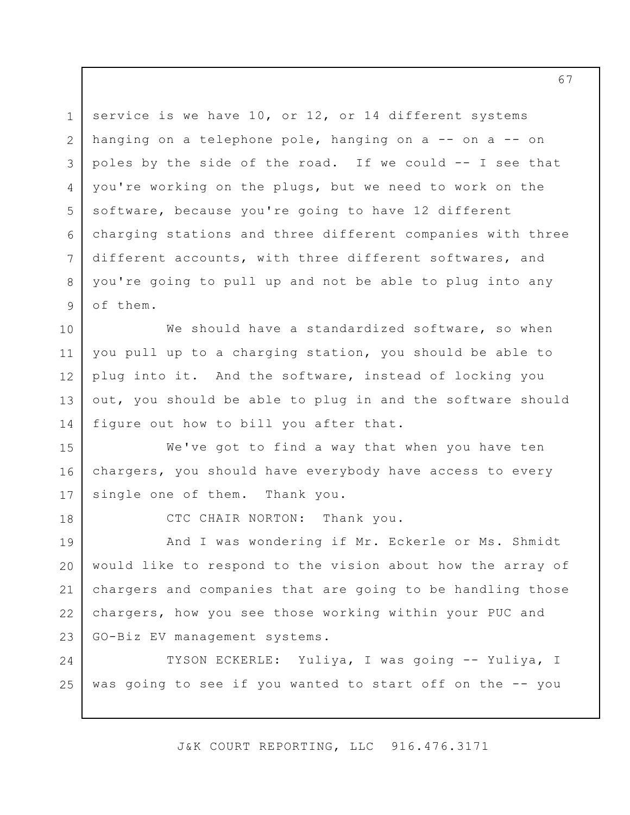1 2 3 4 5 6 7 8 9 service is we have 10, or 12, or 14 different systems hanging on a telephone pole, hanging on a -- on a -- on poles by the side of the road. If we could -- I see that you're working on the plugs, but we need to work on the software, because you're going to have 12 different charging stations and three different companies with three different accounts, with three different softwares, and you're going to pull up and not be able to plug into any of them.

10 11 12 13 14 We should have a standardized software, so when you pull up to a charging station, you should be able to plug into it. And the software, instead of locking you out, you should be able to plug in and the software should figure out how to bill you after that.

16 17 We've got to find a way that when you have ten chargers, you should have everybody have access to every single one of them. Thank you.

18

15

CTC CHAIR NORTON: Thank you.

19 20 21 22 23 And I was wondering if Mr. Eckerle or Ms. Shmidt would like to respond to the vision about how the array of chargers and companies that are going to be handling those chargers, how you see those working within your PUC and GO-Biz EV management systems.

24 25 TYSON ECKERLE: Yuliya, I was going -- Yuliya, I was going to see if you wanted to start off on the -- you

J&K COURT REPORTING, LLC 916.476.3171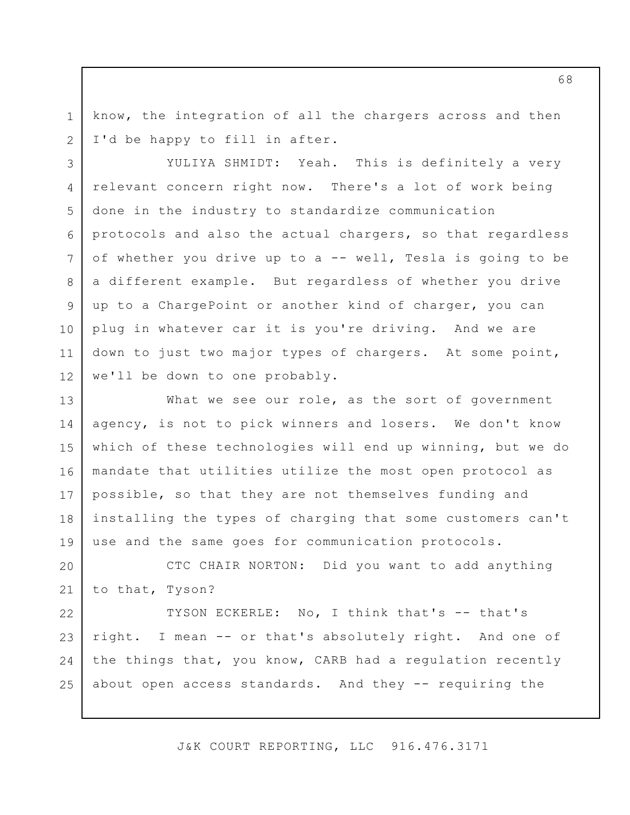know, the integration of all the chargers across and then I'd be happy to fill in after.

1

2

3

4

5

6

7

8

9

10

12

11 YULIYA SHMIDT: Yeah. This is definitely a very relevant concern right now. There's a lot of work being done in the industry to standardize communication protocols and also the actual chargers, so that regardless of whether you drive up to a -- well, Tesla is going to be a different example. But regardless of whether you drive up to a ChargePoint or another kind of charger, you can plug in whatever car it is you're driving. And we are down to just two major types of chargers. At some point, we'll be down to one probably.

13 14 15 16 17 18 19 What we see our role, as the sort of government agency, is not to pick winners and losers. We don't know which of these technologies will end up winning, but we do mandate that utilities utilize the most open protocol as possible, so that they are not themselves funding and installing the types of charging that some customers can't use and the same goes for communication protocols.

20 21 CTC CHAIR NORTON: Did you want to add anything to that, Tyson?

22 23 24 25 TYSON ECKERLE: No, I think that's -- that's right. I mean -- or that's absolutely right. And one of the things that, you know, CARB had a regulation recently about open access standards. And they -- requiring the

J&K COURT REPORTING, LLC 916.476.3171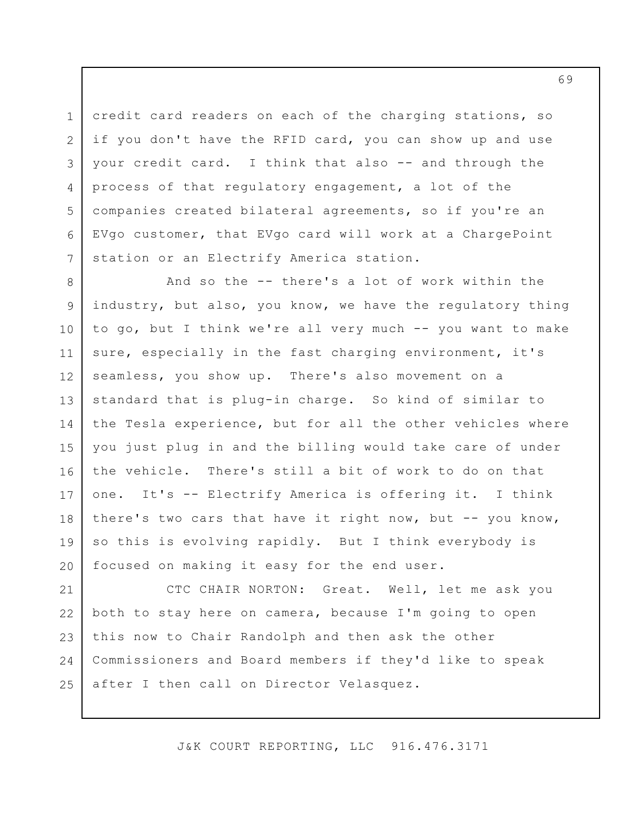credit card readers on each of the charging stations, so if you don't have the RFID card, you can show up and use your credit card. I think that also -- and through the process of that regulatory engagement, a lot of the companies created bilateral agreements, so if you're an EVgo customer, that EVgo card will work at a ChargePoint station or an Electrify America station.

1

2

3

4

5

6

7

8 9 10 11 12 13 14 15 16 17 18 19 20 And so the -- there's a lot of work within the industry, but also, you know, we have the regulatory thing to go, but I think we're all very much -- you want to make sure, especially in the fast charging environment, it's seamless, you show up. There's also movement on a standard that is plug-in charge. So kind of similar to the Tesla experience, but for all the other vehicles where you just plug in and the billing would take care of under the vehicle. There's still a bit of work to do on that one. It's -- Electrify America is offering it. I think there's two cars that have it right now, but -- you know, so this is evolving rapidly. But I think everybody is focused on making it easy for the end user.

21 22 23 24 25 CTC CHAIR NORTON: Great. Well, let me ask you both to stay here on camera, because I'm going to open this now to Chair Randolph and then ask the other Commissioners and Board members if they'd like to speak after I then call on Director Velasquez.

J&K COURT REPORTING, LLC 916.476.3171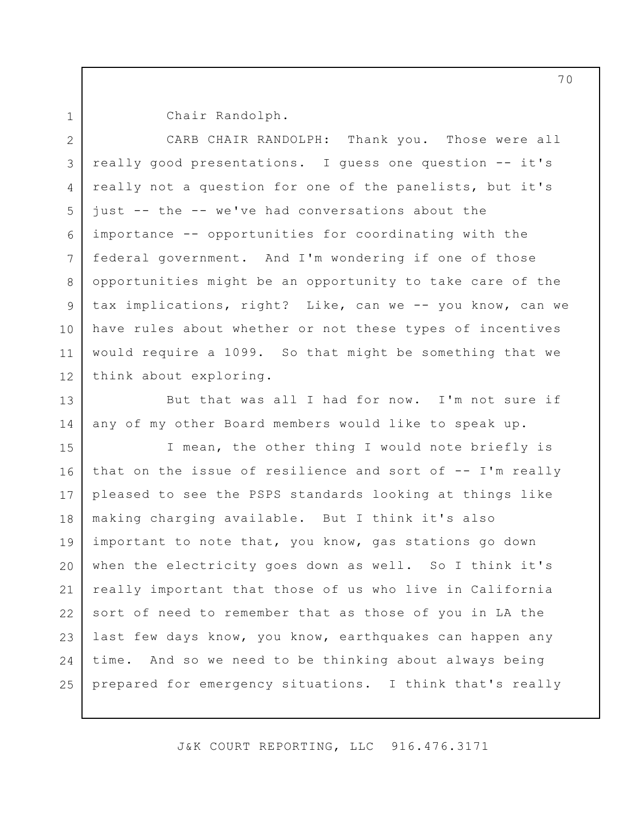1

Chair Randolph.

2 3 4 5 6 7 8 9 10 11 12 CARB CHAIR RANDOLPH: Thank you. Those were all really good presentations. I guess one question -- it's really not a question for one of the panelists, but it's just -- the -- we've had conversations about the importance -- opportunities for coordinating with the federal government. And I'm wondering if one of those opportunities might be an opportunity to take care of the tax implications, right? Like, can we -- you know, can we have rules about whether or not these types of incentives would require a 1099. So that might be something that we think about exploring.

13 14 But that was all I had for now. I'm not sure if any of my other Board members would like to speak up.

15 16 17 18 19 20 21 22 23 24 25 I mean, the other thing I would note briefly is that on the issue of resilience and sort of -- I'm really pleased to see the PSPS standards looking at things like making charging available. But I think it's also important to note that, you know, gas stations go down when the electricity goes down as well. So I think it's really important that those of us who live in California sort of need to remember that as those of you in LA the last few days know, you know, earthquakes can happen any time. And so we need to be thinking about always being prepared for emergency situations. I think that's really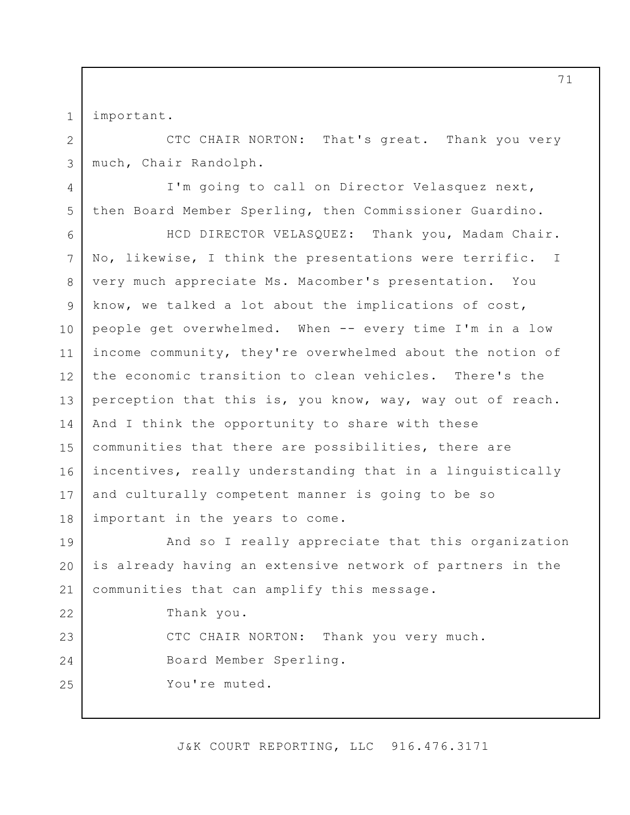important.

1

2

3

4

5

22

23

24

25

CTC CHAIR NORTON: That's great. Thank you very much, Chair Randolph.

I'm going to call on Director Velasquez next, then Board Member Sperling, then Commissioner Guardino.

6 7 8 9 10 11 12 13 14 15 16 17 18 HCD DIRECTOR VELASQUEZ: Thank you, Madam Chair. No, likewise, I think the presentations were terrific. I very much appreciate Ms. Macomber's presentation. You know, we talked a lot about the implications of cost, people get overwhelmed. When -- every time I'm in a low income community, they're overwhelmed about the notion of the economic transition to clean vehicles. There's the perception that this is, you know, way, way out of reach. And I think the opportunity to share with these communities that there are possibilities, there are incentives, really understanding that in a linguistically and culturally competent manner is going to be so important in the years to come.

19 20 21 And so I really appreciate that this organization is already having an extensive network of partners in the communities that can amplify this message.

Thank you.

CTC CHAIR NORTON: Thank you very much. Board Member Sperling. You're muted.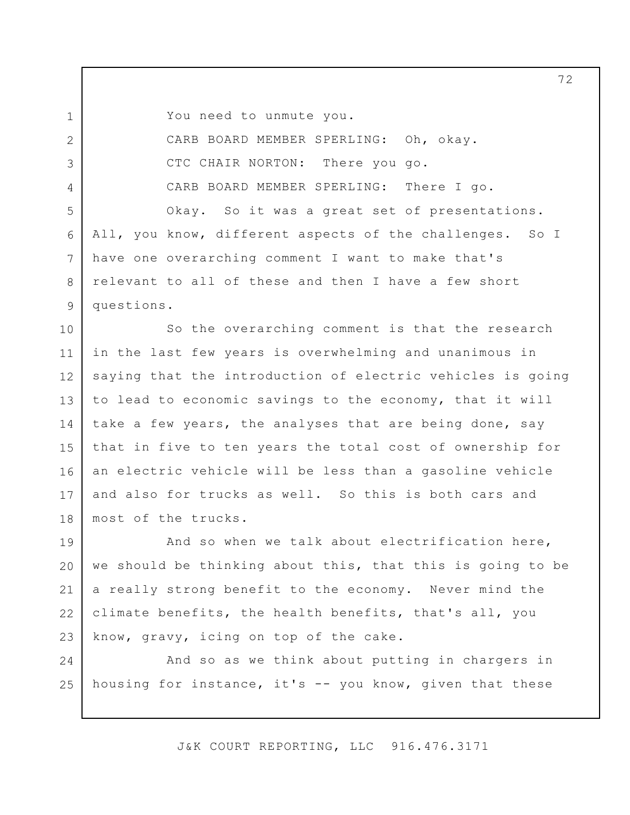1

2

3

4

5

6

7

8

9

You need to unmute you.

CARB BOARD MEMBER SPERLING: Oh, okay. CTC CHAIR NORTON: There you go. CARB BOARD MEMBER SPERLING: There I go. Okay. So it was a great set of presentations. All, you know, different aspects of the challenges. So I have one overarching comment I want to make that's relevant to all of these and then I have a few short questions.

10 11 12 13 14 15 16 17 18 So the overarching comment is that the research in the last few years is overwhelming and unanimous in saying that the introduction of electric vehicles is going to lead to economic savings to the economy, that it will take a few years, the analyses that are being done, say that in five to ten years the total cost of ownership for an electric vehicle will be less than a gasoline vehicle and also for trucks as well. So this is both cars and most of the trucks.

19 20 21 22 23 And so when we talk about electrification here, we should be thinking about this, that this is going to be a really strong benefit to the economy. Never mind the climate benefits, the health benefits, that's all, you know, gravy, icing on top of the cake.

24 25 And so as we think about putting in chargers in housing for instance, it's -- you know, given that these

J&K COURT REPORTING, LLC 916.476.3171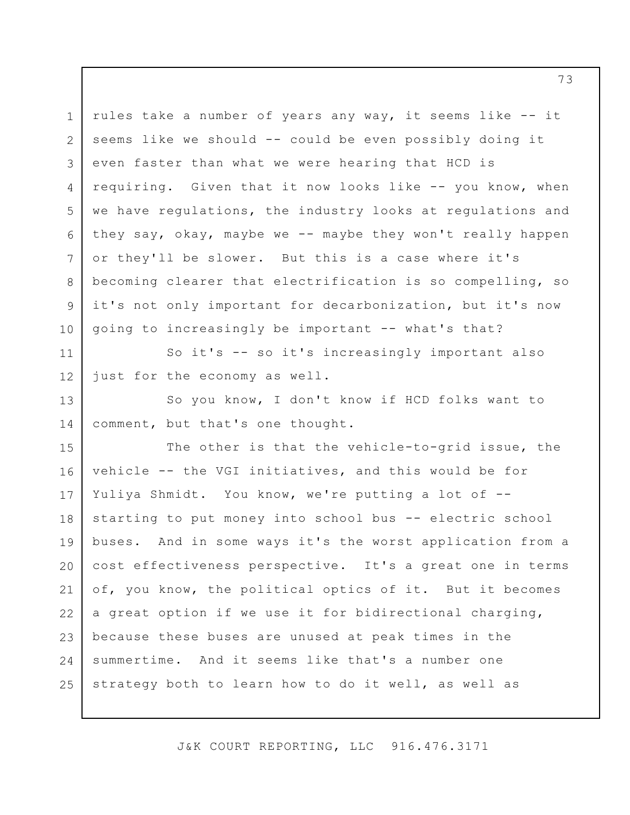1 2 3 4 5 6 7 8 9 10 rules take a number of years any way, it seems like -- it seems like we should -- could be even possibly doing it even faster than what we were hearing that HCD is requiring. Given that it now looks like -- you know, when we have regulations, the industry looks at regulations and they say, okay, maybe we -- maybe they won't really happen or they'll be slower. But this is a case where it's becoming clearer that electrification is so compelling, so it's not only important for decarbonization, but it's now going to increasingly be important -- what's that?

11 12 So it's -- so it's increasingly important also just for the economy as well.

13 14 So you know, I don't know if HCD folks want to comment, but that's one thought.

15 16 17 18 19 20 21 22 23 24 25 The other is that the vehicle-to-grid issue, the vehicle -- the VGI initiatives, and this would be for Yuliya Shmidt. You know, we're putting a lot of - starting to put money into school bus -- electric school buses. And in some ways it's the worst application from a cost effectiveness perspective. It's a great one in terms of, you know, the political optics of it. But it becomes a great option if we use it for bidirectional charging, because these buses are unused at peak times in the summertime. And it seems like that's a number one strategy both to learn how to do it well, as well as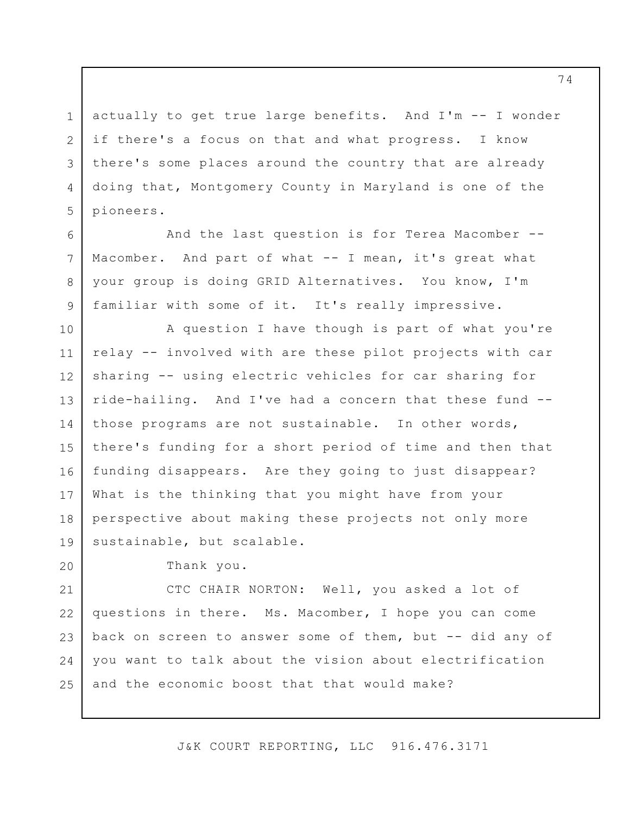actually to get true large benefits. And I'm -- I wonder if there's a focus on that and what progress. I know there's some places around the country that are already doing that, Montgomery County in Maryland is one of the pioneers.

And the last question is for Terea Macomber -- Macomber. And part of what -- I mean, it's great what your group is doing GRID Alternatives. You know, I'm familiar with some of it. It's really impressive.

10 11 12 13 14 15 16 17 18 19 A question I have though is part of what you're relay -- involved with are these pilot projects with car sharing -- using electric vehicles for car sharing for ride-hailing. And I've had a concern that these fund - those programs are not sustainable. In other words, there's funding for a short period of time and then that funding disappears. Are they going to just disappear? What is the thinking that you might have from your perspective about making these projects not only more sustainable, but scalable.

Thank you.

1

2

3

4

5

6

7

8

9

20

21 22 23 24 25 CTC CHAIR NORTON: Well, you asked a lot of questions in there. Ms. Macomber, I hope you can come back on screen to answer some of them, but -- did any of you want to talk about the vision about electrification and the economic boost that that would make?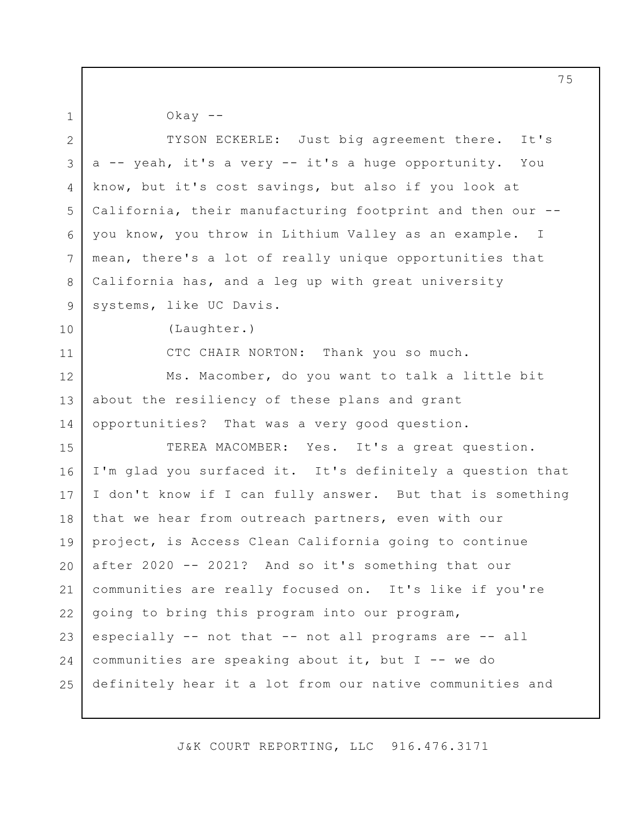1

 $0$ kay  $-$ 

2 3 4 5 6 7 8 9 10 11 12 13 14 15 16 17 18 19 20 21 22 23 24 25 TYSON ECKERLE: Just big agreement there. It's a -- yeah, it's a very -- it's a huge opportunity. You know, but it's cost savings, but also if you look at California, their manufacturing footprint and then our - you know, you throw in Lithium Valley as an example. I mean, there's a lot of really unique opportunities that California has, and a leg up with great university systems, like UC Davis. (Laughter.) CTC CHAIR NORTON: Thank you so much. Ms. Macomber, do you want to talk a little bit about the resiliency of these plans and grant opportunities? That was a very good question. TEREA MACOMBER: Yes. It's a great question. I'm glad you surfaced it. It's definitely a question that I don't know if I can fully answer. But that is something that we hear from outreach partners, even with our project, is Access Clean California going to continue after 2020 -- 2021? And so it's something that our communities are really focused on. It's like if you're going to bring this program into our program, especially -- not that -- not all programs are -- all communities are speaking about it, but I -- we do definitely hear it a lot from our native communities and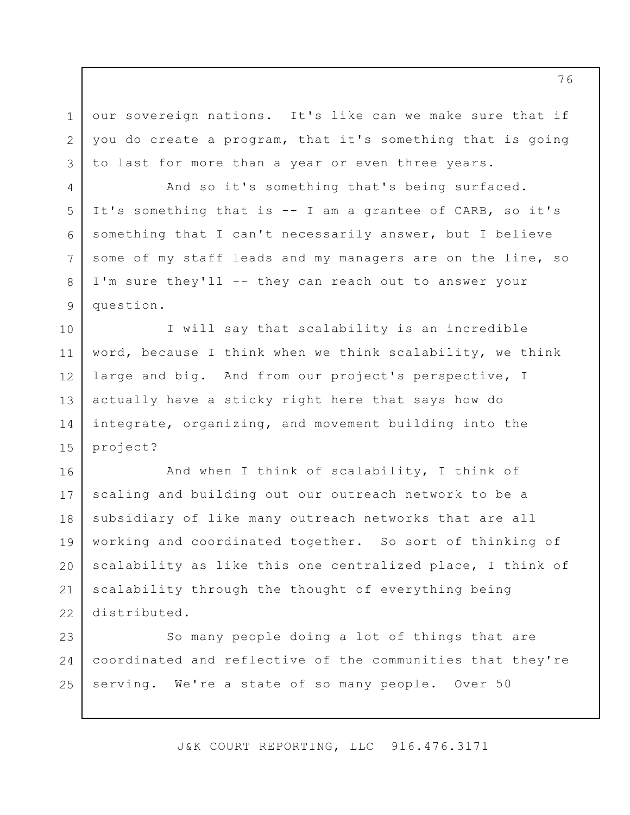our sovereign nations. It's like can we make sure that if you do create a program, that it's something that is going to last for more than a year or even three years.

1

2

3

4

5

6

7

8

9

And so it's something that's being surfaced. It's something that is -- I am a grantee of CARB, so it's something that I can't necessarily answer, but I believe some of my staff leads and my managers are on the line, so I'm sure they'll -- they can reach out to answer your question.

10 11 12 13 14 15 I will say that scalability is an incredible word, because I think when we think scalability, we think large and big. And from our project's perspective, I actually have a sticky right here that says how do integrate, organizing, and movement building into the project?

16 17 18 19 20 21 22 And when I think of scalability, I think of scaling and building out our outreach network to be a subsidiary of like many outreach networks that are all working and coordinated together. So sort of thinking of scalability as like this one centralized place, I think of scalability through the thought of everything being distributed.

23 24 25 So many people doing a lot of things that are coordinated and reflective of the communities that they're serving. We're a state of so many people. Over 50

J&K COURT REPORTING, LLC 916.476.3171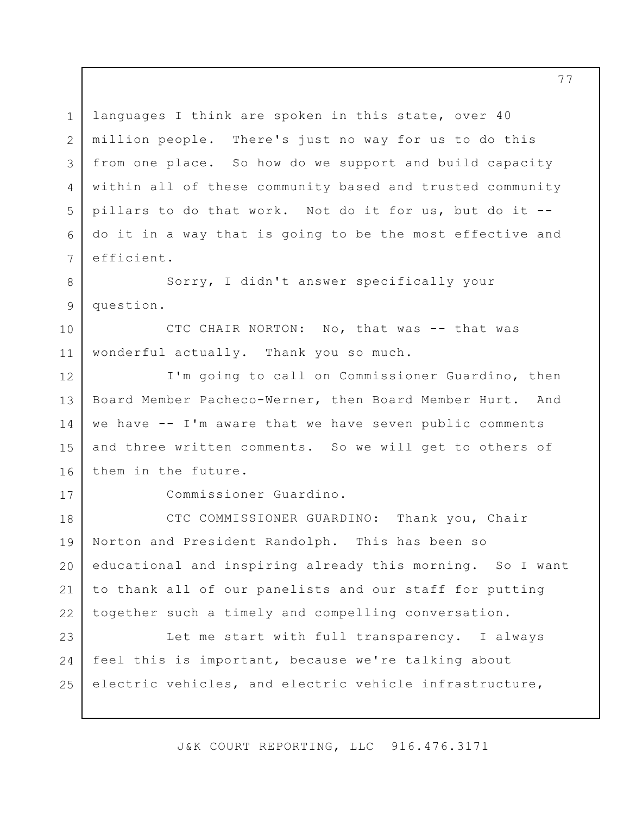1 2 3 4 5 6 7 8 9 10 11 12 13 14 15 16 17 18 19 20 21 22 23 24 25 languages I think are spoken in this state, over 40 million people. There's just no way for us to do this from one place. So how do we support and build capacity within all of these community based and trusted community pillars to do that work. Not do it for us, but do it - do it in a way that is going to be the most effective and efficient. Sorry, I didn't answer specifically your question. CTC CHAIR NORTON: No, that was -- that was wonderful actually. Thank you so much. I'm going to call on Commissioner Guardino, then Board Member Pacheco-Werner, then Board Member Hurt. And we have -- I'm aware that we have seven public comments and three written comments. So we will get to others of them in the future. Commissioner Guardino. CTC COMMISSIONER GUARDINO: Thank you, Chair Norton and President Randolph. This has been so educational and inspiring already this morning. So I want to thank all of our panelists and our staff for putting together such a timely and compelling conversation. Let me start with full transparency. I always feel this is important, because we're talking about electric vehicles, and electric vehicle infrastructure,

J&K COURT REPORTING, LLC 916.476.3171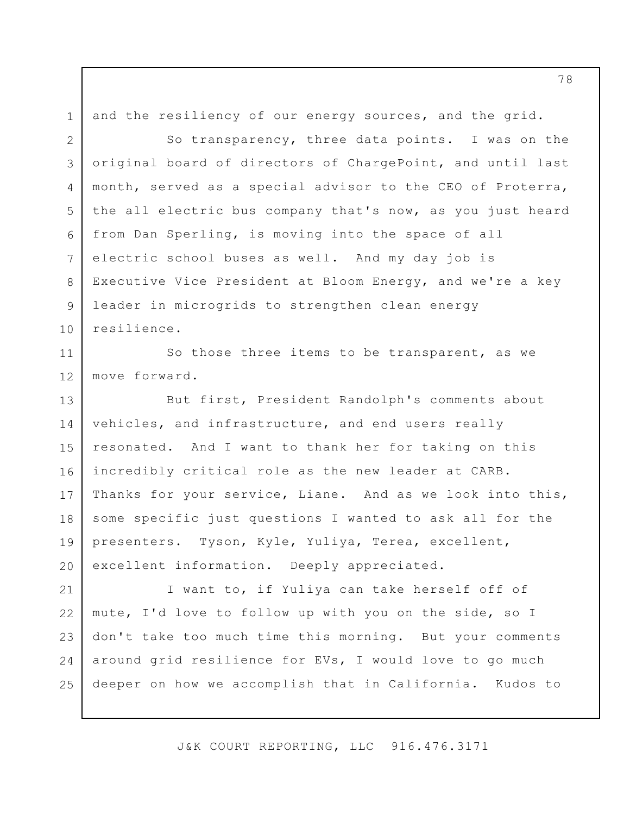and the resiliency of our energy sources, and the grid.

1

2 3 4 5 6 7 8 9 10 So transparency, three data points. I was on the original board of directors of ChargePoint, and until last month, served as a special advisor to the CEO of Proterra, the all electric bus company that's now, as you just heard from Dan Sperling, is moving into the space of all electric school buses as well. And my day job is Executive Vice President at Bloom Energy, and we're a key leader in microgrids to strengthen clean energy resilience.

11 12 So those three items to be transparent, as we move forward.

13 14 15 16 17 18 19 20 But first, President Randolph's comments about vehicles, and infrastructure, and end users really resonated. And I want to thank her for taking on this incredibly critical role as the new leader at CARB. Thanks for your service, Liane. And as we look into this, some specific just questions I wanted to ask all for the presenters. Tyson, Kyle, Yuliya, Terea, excellent, excellent information. Deeply appreciated.

21 22 23 24 25 I want to, if Yuliya can take herself off of mute, I'd love to follow up with you on the side, so I don't take too much time this morning. But your comments around grid resilience for EVs, I would love to go much deeper on how we accomplish that in California. Kudos to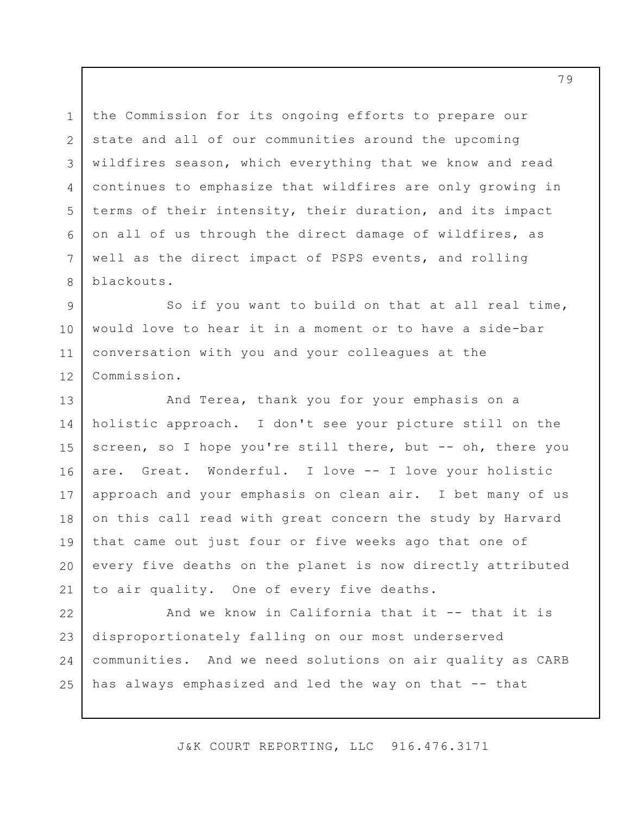3 6 the Commission for its ongoing efforts to prepare our state and all of our communities around the upcoming wildfires season, which everything that we know and read continues to emphasize that wildfires are only growing in terms of their intensity, their duration, and its impact on all of us through the direct damage of wildfires, as well as the direct impact of PSPS events, and rolling blackouts.

1

2

4

5

7

8

9 10 11 12 So if you want to build on that at all real time, would love to hear it in a moment or to have a side-bar conversation with you and your colleagues at the Commission.

13 14 15 16 17 18 19 20 21 And Terea, thank you for your emphasis on a holistic approach. I don't see your picture still on the screen, so I hope you're still there, but -- oh, there you are. Great. Wonderful. I love -- I love your holistic approach and your emphasis on clean air. I bet many of us on this call read with great concern the study by Harvard that came out just four or five weeks ago that one of every five deaths on the planet is now directly attributed to air quality. One of every five deaths.

22 23 24 25 And we know in California that it -- that it is disproportionately falling on our most underserved communities. And we need solutions on air quality as CARB has always emphasized and led the way on that -- that

J&K COURT REPORTING, LLC 916.476.3171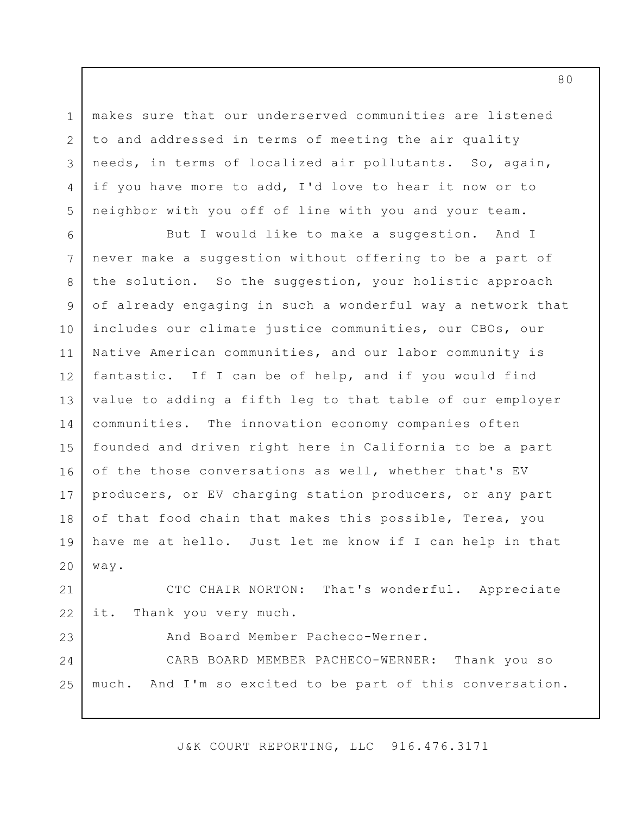3 makes sure that our underserved communities are listened to and addressed in terms of meeting the air quality needs, in terms of localized air pollutants. So, again, if you have more to add, I'd love to hear it now or to neighbor with you off of line with you and your team.

1

2

4

5

23

6 7 8 9 10 11 12 13 14 15 16 17 18 19 20 But I would like to make a suggestion. And I never make a suggestion without offering to be a part of the solution. So the suggestion, your holistic approach of already engaging in such a wonderful way a network that includes our climate justice communities, our CBOs, our Native American communities, and our labor community is fantastic. If I can be of help, and if you would find value to adding a fifth leg to that table of our employer communities. The innovation economy companies often founded and driven right here in California to be a part of the those conversations as well, whether that's EV producers, or EV charging station producers, or any part of that food chain that makes this possible, Terea, you have me at hello. Just let me know if I can help in that way.

21 22 CTC CHAIR NORTON: That's wonderful. Appreciate it. Thank you very much.

And Board Member Pacheco-Werner.

24 25 CARB BOARD MEMBER PACHECO-WERNER: Thank you so much. And I'm so excited to be part of this conversation.

J&K COURT REPORTING, LLC 916.476.3171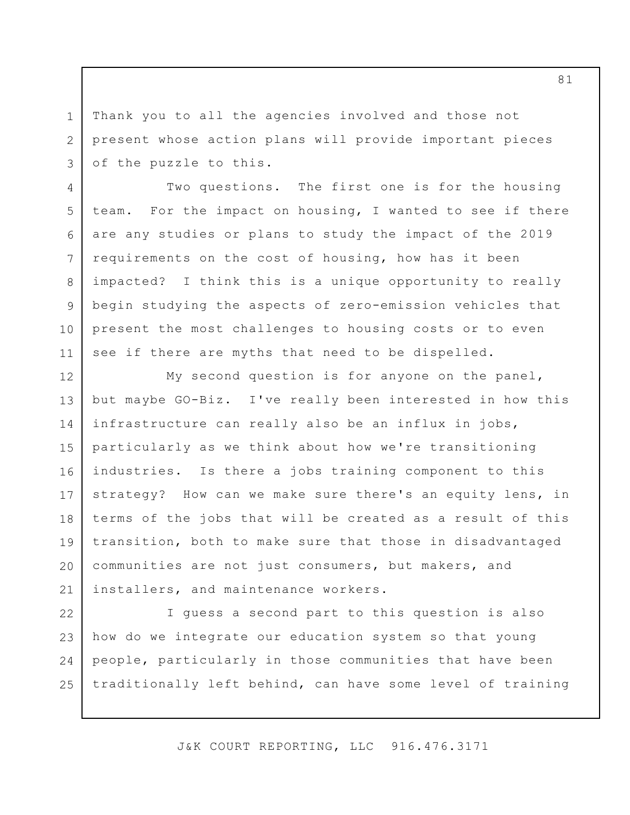Thank you to all the agencies involved and those not present whose action plans will provide important pieces of the puzzle to this.

1

2

3

4

7

8

9

10

11

5 6 Two questions. The first one is for the housing team. For the impact on housing, I wanted to see if there are any studies or plans to study the impact of the 2019 requirements on the cost of housing, how has it been impacted? I think this is a unique opportunity to really begin studying the aspects of zero-emission vehicles that present the most challenges to housing costs or to even see if there are myths that need to be dispelled.

12 13 14 15 16 17 18 19 20 21 My second question is for anyone on the panel, but maybe GO-Biz. I've really been interested in how this infrastructure can really also be an influx in jobs, particularly as we think about how we're transitioning industries. Is there a jobs training component to this strategy? How can we make sure there's an equity lens, in terms of the jobs that will be created as a result of this transition, both to make sure that those in disadvantaged communities are not just consumers, but makers, and installers, and maintenance workers.

22 23 24 25 I guess a second part to this question is also how do we integrate our education system so that young people, particularly in those communities that have been traditionally left behind, can have some level of training

J&K COURT REPORTING, LLC 916.476.3171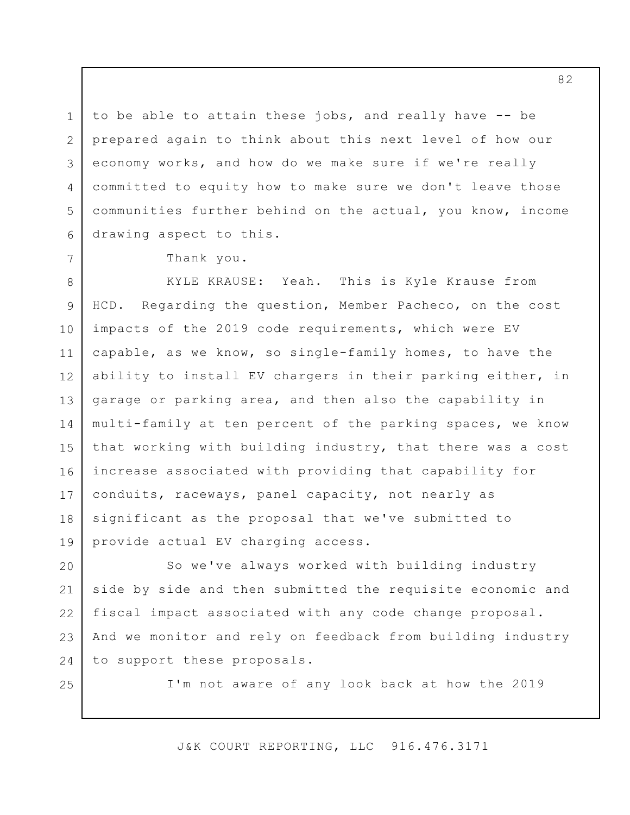3 to be able to attain these jobs, and really have -- be prepared again to think about this next level of how our economy works, and how do we make sure if we're really committed to equity how to make sure we don't leave those communities further behind on the actual, you know, income drawing aspect to this.

Thank you.

8 9 10 11 12 13 14 15 16 17 18 19 KYLE KRAUSE: Yeah. This is Kyle Krause from HCD. Regarding the question, Member Pacheco, on the cost impacts of the 2019 code requirements, which were EV capable, as we know, so single-family homes, to have the ability to install EV chargers in their parking either, in garage or parking area, and then also the capability in multi-family at ten percent of the parking spaces, we know that working with building industry, that there was a cost increase associated with providing that capability for conduits, raceways, panel capacity, not nearly as significant as the proposal that we've submitted to provide actual EV charging access.

20 21 22 23 24 So we've always worked with building industry side by side and then submitted the requisite economic and fiscal impact associated with any code change proposal. And we monitor and rely on feedback from building industry to support these proposals.

25

1

2

4

5

6

7

I'm not aware of any look back at how the 2019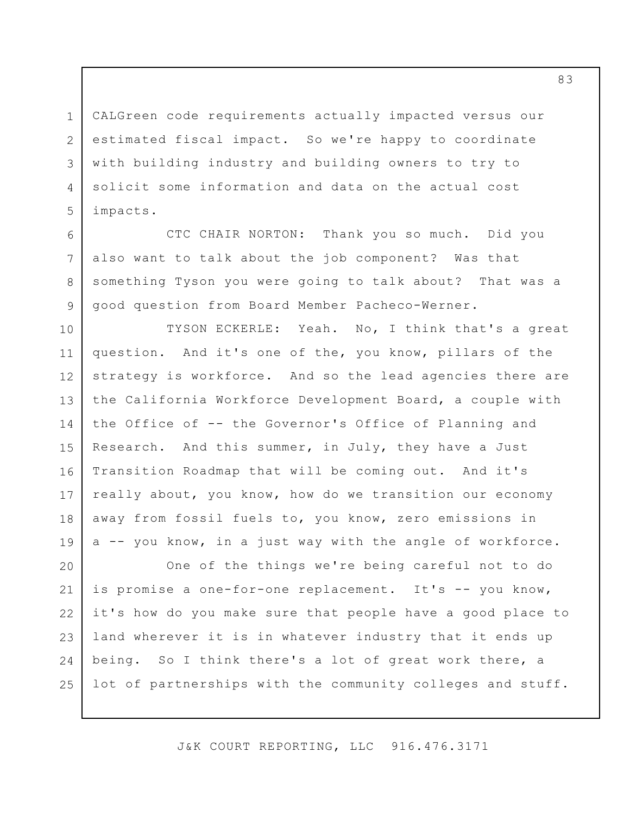CALGreen code requirements actually impacted versus our estimated fiscal impact. So we're happy to coordinate with building industry and building owners to try to solicit some information and data on the actual cost impacts.

1

2

3

4

5

6

7

8

9

CTC CHAIR NORTON: Thank you so much. Did you also want to talk about the job component? Was that something Tyson you were going to talk about? That was a good question from Board Member Pacheco-Werner.

10 11 12 13 14 15 16 17 18 19 TYSON ECKERLE: Yeah. No, I think that's a great question. And it's one of the, you know, pillars of the strategy is workforce. And so the lead agencies there are the California Workforce Development Board, a couple with the Office of -- the Governor's Office of Planning and Research. And this summer, in July, they have a Just Transition Roadmap that will be coming out. And it's really about, you know, how do we transition our economy away from fossil fuels to, you know, zero emissions in a -- you know, in a just way with the angle of workforce.

20 21 22 23 24 25 One of the things we're being careful not to do is promise a one-for-one replacement. It's -- you know, it's how do you make sure that people have a good place to land wherever it is in whatever industry that it ends up being. So I think there's a lot of great work there, a lot of partnerships with the community colleges and stuff.

J&K COURT REPORTING, LLC 916.476.3171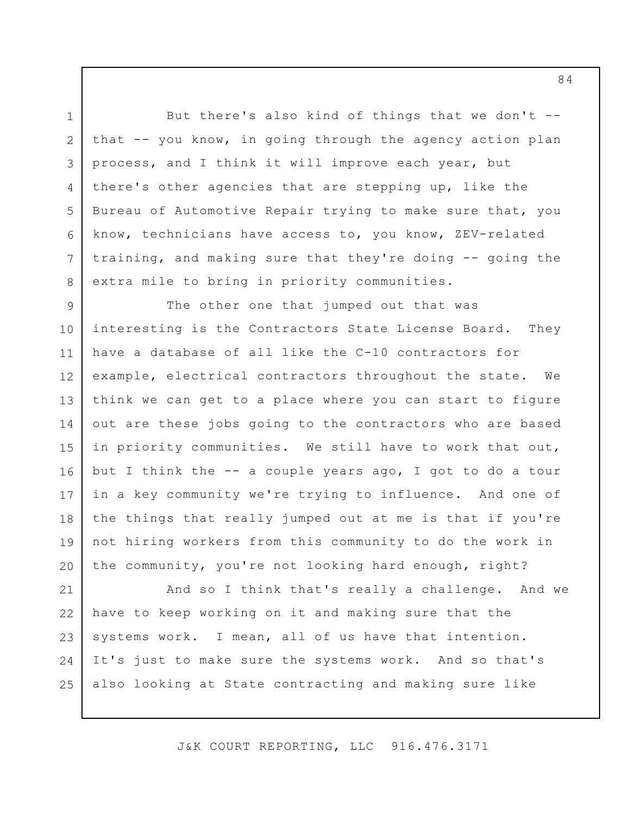But there's also kind of things that we don't - that -- you know, in going through the agency action plan process, and I think it will improve each year, but there's other agencies that are stepping up, like the Bureau of Automotive Repair trying to make sure that, you know, technicians have access to, you know, ZEV-related training, and making sure that they're doing -- going the extra mile to bring in priority communities.

1

2

3

4

5

6

7

8

9 10 11 12 13 14 15 16 17 18 19 20 The other one that jumped out that was interesting is the Contractors State License Board. They have a database of all like the C-10 contractors for example, electrical contractors throughout the state. We think we can get to a place where you can start to figure out are these jobs going to the contractors who are based in priority communities. We still have to work that out, but I think the -- a couple years ago, I got to do a tour in a key community we're trying to influence. And one of the things that really jumped out at me is that if you're not hiring workers from this community to do the work in the community, you're not looking hard enough, right?

21 22 23 24 25 And so I think that's really a challenge. And we have to keep working on it and making sure that the systems work. I mean, all of us have that intention. It's just to make sure the systems work. And so that's also looking at State contracting and making sure like

J&K COURT REPORTING, LLC 916.476.3171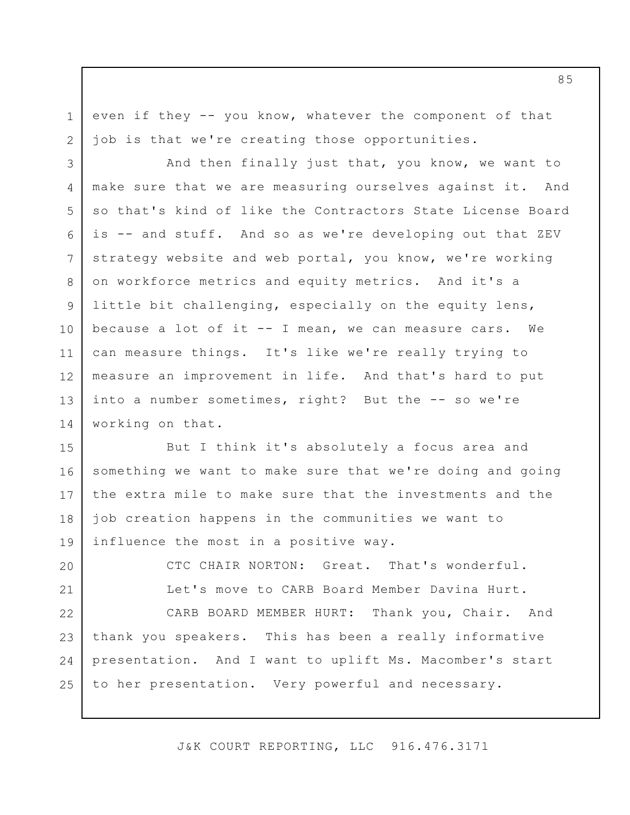even if they -- you know, whatever the component of that job is that we're creating those opportunities.

1

2

3 4 5 6 7 8 9 10 11 12 13 14 And then finally just that, you know, we want to make sure that we are measuring ourselves against it. And so that's kind of like the Contractors State License Board is -- and stuff. And so as we're developing out that ZEV strategy website and web portal, you know, we're working on workforce metrics and equity metrics. And it's a little bit challenging, especially on the equity lens, because a lot of it -- I mean, we can measure cars. We can measure things. It's like we're really trying to measure an improvement in life. And that's hard to put into a number sometimes, right? But the -- so we're working on that.

15 16 17 18 19 But I think it's absolutely a focus area and something we want to make sure that we're doing and going the extra mile to make sure that the investments and the job creation happens in the communities we want to influence the most in a positive way.

20 21 22 23 24 25 CTC CHAIR NORTON: Great. That's wonderful. Let's move to CARB Board Member Davina Hurt. CARB BOARD MEMBER HURT: Thank you, Chair. And thank you speakers. This has been a really informative presentation. And I want to uplift Ms. Macomber's start to her presentation. Very powerful and necessary.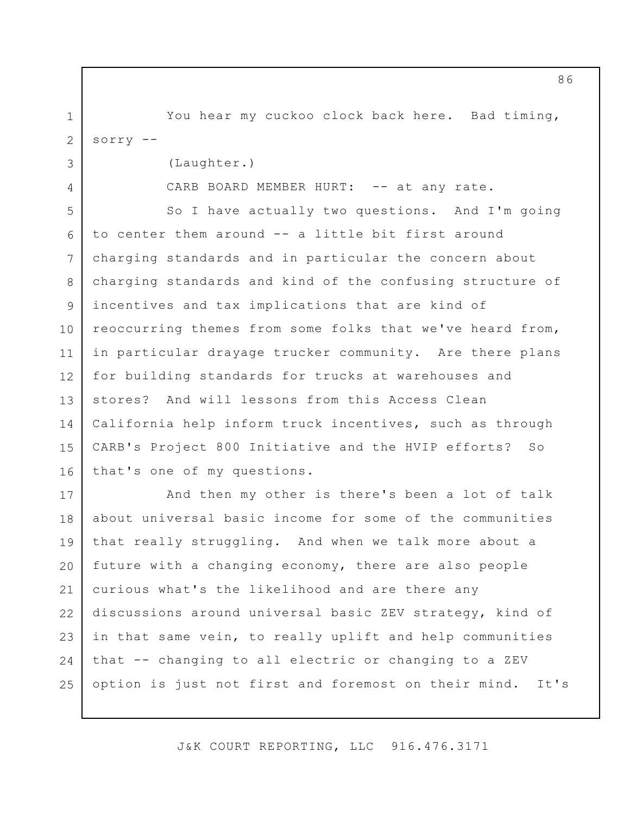1 2 You hear my cuckoo clock back here. Bad timing, sorry  $--$ 

(Laughter.)

3

4

CARB BOARD MEMBER HURT: -- at any rate.

5 6 7 8 9 10 11 12 13 14 15 16 So I have actually two questions. And I'm going to center them around -- a little bit first around charging standards and in particular the concern about charging standards and kind of the confusing structure of incentives and tax implications that are kind of reoccurring themes from some folks that we've heard from, in particular drayage trucker community. Are there plans for building standards for trucks at warehouses and stores? And will lessons from this Access Clean California help inform truck incentives, such as through CARB's Project 800 Initiative and the HVIP efforts? So that's one of my questions.

17 18 19 20 21 22 23 24 25 And then my other is there's been a lot of talk about universal basic income for some of the communities that really struggling. And when we talk more about a future with a changing economy, there are also people curious what's the likelihood and are there any discussions around universal basic ZEV strategy, kind of in that same vein, to really uplift and help communities that -- changing to all electric or changing to a ZEV option is just not first and foremost on their mind. It's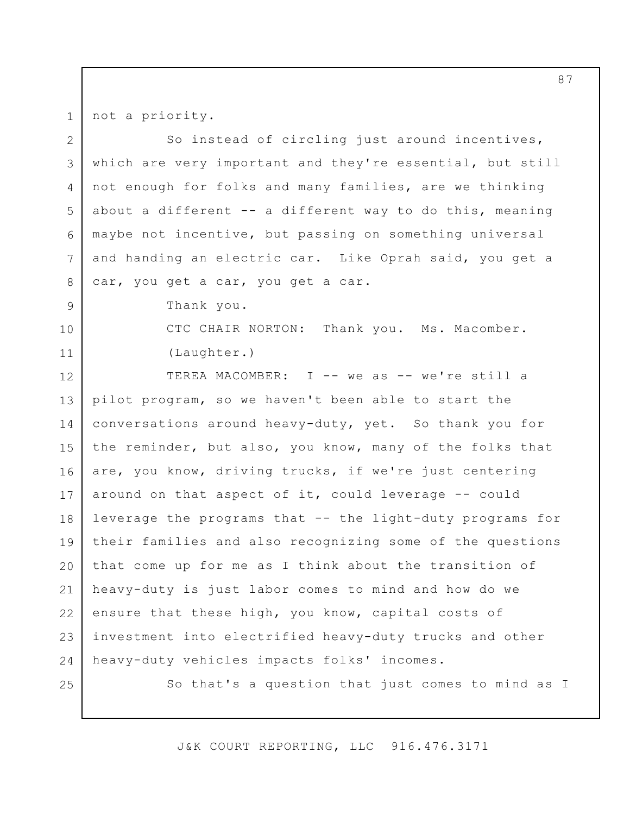not a priority.

1

2 3 4 5 6 7 8 9 10 11 12 13 14 15 16 17 18 19 20 21 22 23 24 25 So instead of circling just around incentives, which are very important and they're essential, but still not enough for folks and many families, are we thinking about a different  $--$  a different way to do this, meaning maybe not incentive, but passing on something universal and handing an electric car. Like Oprah said, you get a car, you get a car, you get a car. Thank you. CTC CHAIR NORTON: Thank you. Ms. Macomber. (Laughter.) TEREA MACOMBER: I -- we as -- we're still a pilot program, so we haven't been able to start the conversations around heavy-duty, yet. So thank you for the reminder, but also, you know, many of the folks that are, you know, driving trucks, if we're just centering around on that aspect of it, could leverage -- could leverage the programs that -- the light-duty programs for their families and also recognizing some of the questions that come up for me as I think about the transition of heavy-duty is just labor comes to mind and how do we ensure that these high, you know, capital costs of investment into electrified heavy-duty trucks and other heavy-duty vehicles impacts folks' incomes. So that's a question that just comes to mind as I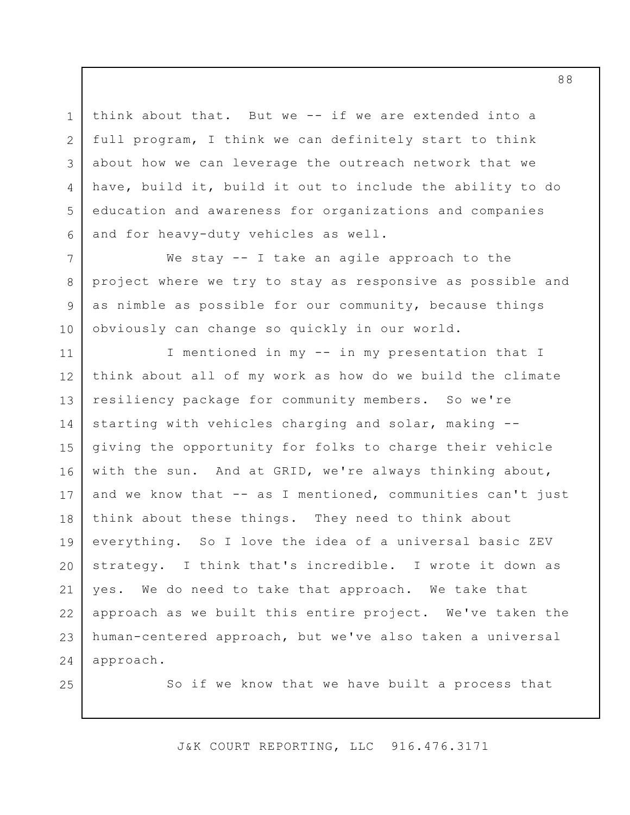think about that. But we -- if we are extended into a full program, I think we can definitely start to think about how we can leverage the outreach network that we have, build it, build it out to include the ability to do education and awareness for organizations and companies and for heavy-duty vehicles as well.

7 10 We stay -- I take an agile approach to the project where we try to stay as responsive as possible and as nimble as possible for our community, because things obviously can change so quickly in our world.

11 12 13 14 15 16 17 18 19 20 21 22 23 24 I mentioned in my -- in my presentation that I think about all of my work as how do we build the climate resiliency package for community members. So we're starting with vehicles charging and solar, making - giving the opportunity for folks to charge their vehicle with the sun. And at GRID, we're always thinking about, and we know that -- as I mentioned, communities can't just think about these things. They need to think about everything. So I love the idea of a universal basic ZEV strategy. I think that's incredible. I wrote it down as yes. We do need to take that approach. We take that approach as we built this entire project. We've taken the human-centered approach, but we've also taken a universal approach.

25

1

2

3

4

5

6

8

9

So if we know that we have built a process that

J&K COURT REPORTING, LLC 916.476.3171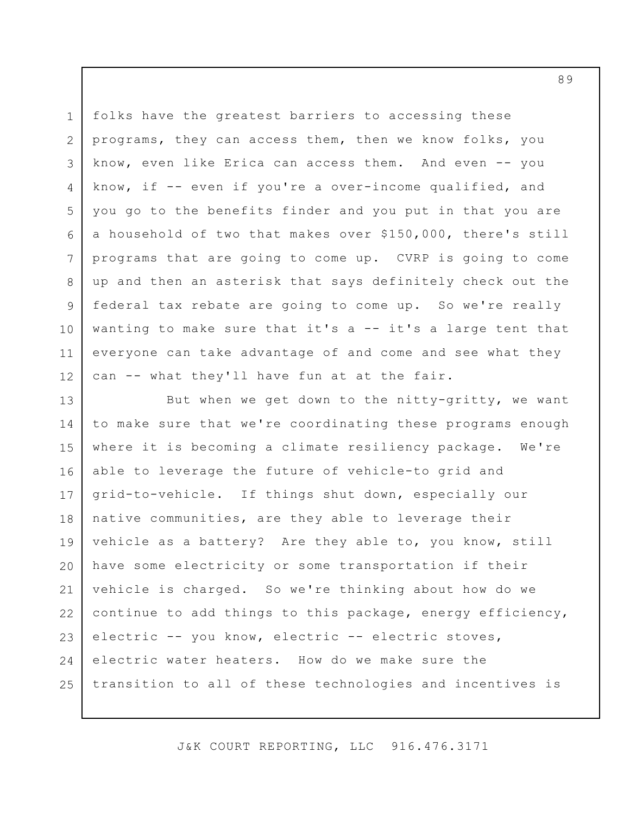1 2 3 4 5 6 7 8 9 10 11 12 folks have the greatest barriers to accessing these programs, they can access them, then we know folks, you know, even like Erica can access them. And even -- you know, if -- even if you're a over-income qualified, and you go to the benefits finder and you put in that you are a household of two that makes over \$150,000, there's still programs that are going to come up. CVRP is going to come up and then an asterisk that says definitely check out the federal tax rebate are going to come up. So we're really wanting to make sure that it's a -- it's a large tent that everyone can take advantage of and come and see what they can -- what they'll have fun at at the fair.

13 14 15 16 17 18 19 20 21 22 23 24 25 But when we get down to the nitty-gritty, we want to make sure that we're coordinating these programs enough where it is becoming a climate resiliency package. We're able to leverage the future of vehicle-to grid and grid-to-vehicle. If things shut down, especially our native communities, are they able to leverage their vehicle as a battery? Are they able to, you know, still have some electricity or some transportation if their vehicle is charged. So we're thinking about how do we continue to add things to this package, energy efficiency, electric -- you know, electric -- electric stoves, electric water heaters. How do we make sure the transition to all of these technologies and incentives is

J&K COURT REPORTING, LLC 916.476.3171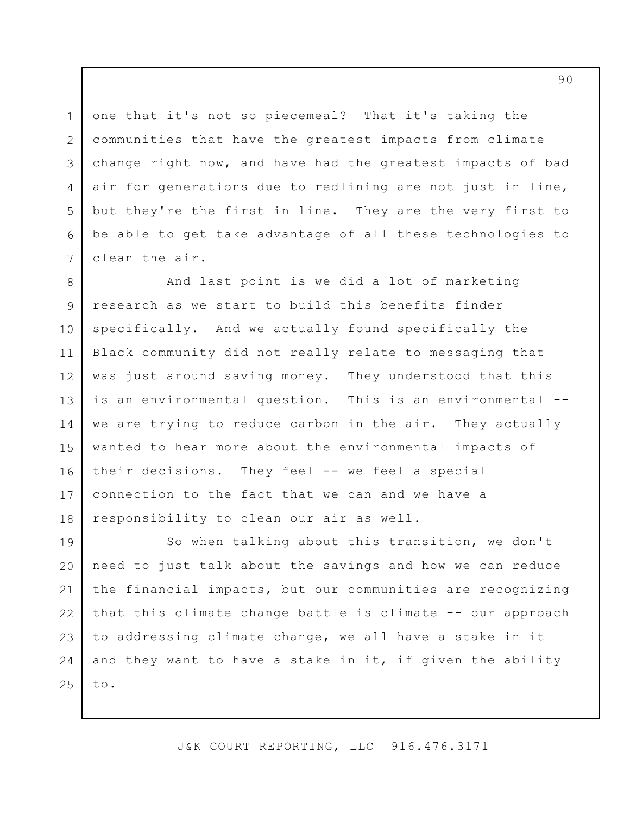one that it's not so piecemeal? That it's taking the communities that have the greatest impacts from climate change right now, and have had the greatest impacts of bad air for generations due to redlining are not just in line, but they're the first in line. They are the very first to be able to get take advantage of all these technologies to clean the air.

1

2

3

4

5

6

7

8 9 10 11 12 13 14 15 16 17 18 And last point is we did a lot of marketing research as we start to build this benefits finder specifically. And we actually found specifically the Black community did not really relate to messaging that was just around saving money. They understood that this is an environmental question. This is an environmental - we are trying to reduce carbon in the air. They actually wanted to hear more about the environmental impacts of their decisions. They feel -- we feel a special connection to the fact that we can and we have a responsibility to clean our air as well.

19 20 21 22 23 24 25 So when talking about this transition, we don't need to just talk about the savings and how we can reduce the financial impacts, but our communities are recognizing that this climate change battle is climate -- our approach to addressing climate change, we all have a stake in it and they want to have a stake in it, if given the ability to.

J&K COURT REPORTING, LLC 916.476.3171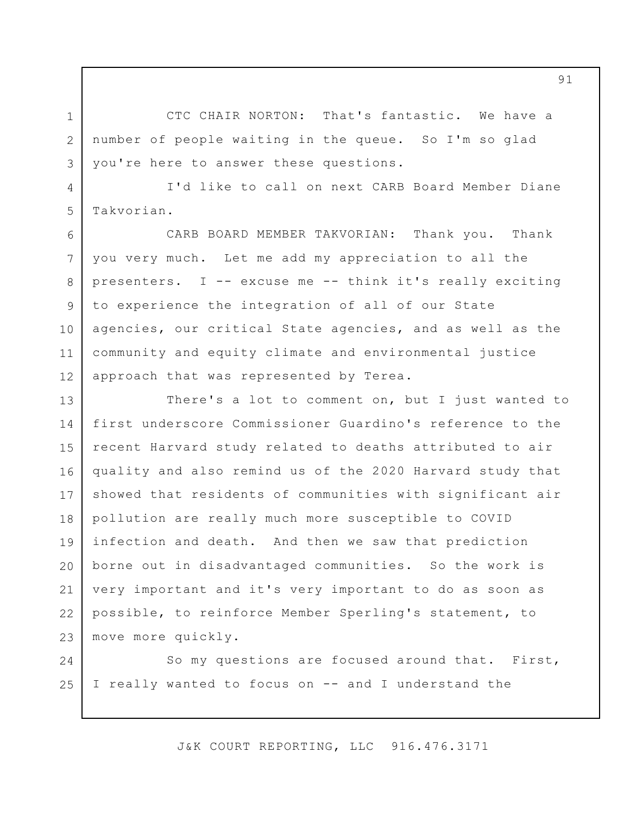CTC CHAIR NORTON: That's fantastic. We have a number of people waiting in the queue. So I'm so glad you're here to answer these questions.

1

2

3

4

5

I'd like to call on next CARB Board Member Diane Takvorian.

6 7 8 9 10 11 12 CARB BOARD MEMBER TAKVORIAN: Thank you. Thank you very much. Let me add my appreciation to all the presenters. I -- excuse me -- think it's really exciting to experience the integration of all of our State agencies, our critical State agencies, and as well as the community and equity climate and environmental justice approach that was represented by Terea.

13 14 15 16 17 18 19 20 21 22 23 There's a lot to comment on, but I just wanted to first underscore Commissioner Guardino's reference to the recent Harvard study related to deaths attributed to air quality and also remind us of the 2020 Harvard study that showed that residents of communities with significant air pollution are really much more susceptible to COVID infection and death. And then we saw that prediction borne out in disadvantaged communities. So the work is very important and it's very important to do as soon as possible, to reinforce Member Sperling's statement, to move more quickly.

24 25 So my questions are focused around that. First, I really wanted to focus on -- and I understand the

J&K COURT REPORTING, LLC 916.476.3171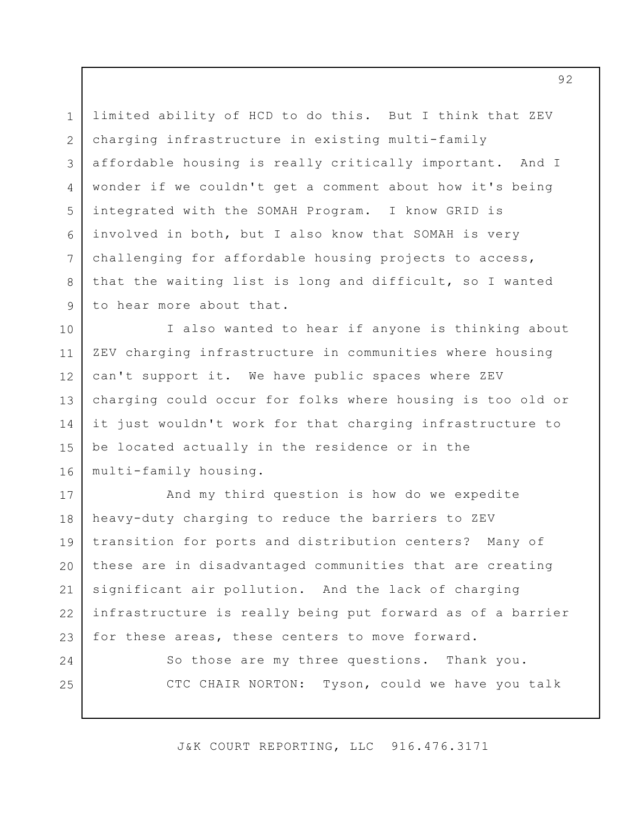2 3 4 5 6 7 8 9 limited ability of HCD to do this. But I think that ZEV charging infrastructure in existing multi-family affordable housing is really critically important. And I wonder if we couldn't get a comment about how it's being integrated with the SOMAH Program. I know GRID is involved in both, but I also know that SOMAH is very challenging for affordable housing projects to access, that the waiting list is long and difficult, so I wanted to hear more about that.

1

24

25

10 11 12 13 14 15 16 I also wanted to hear if anyone is thinking about ZEV charging infrastructure in communities where housing can't support it. We have public spaces where ZEV charging could occur for folks where housing is too old or it just wouldn't work for that charging infrastructure to be located actually in the residence or in the multi-family housing.

17 18 19 20 21 22 23 And my third question is how do we expedite heavy-duty charging to reduce the barriers to ZEV transition for ports and distribution centers? Many of these are in disadvantaged communities that are creating significant air pollution. And the lack of charging infrastructure is really being put forward as of a barrier for these areas, these centers to move forward.

> So those are my three questions. Thank you. CTC CHAIR NORTON: Tyson, could we have you talk

J&K COURT REPORTING, LLC 916.476.3171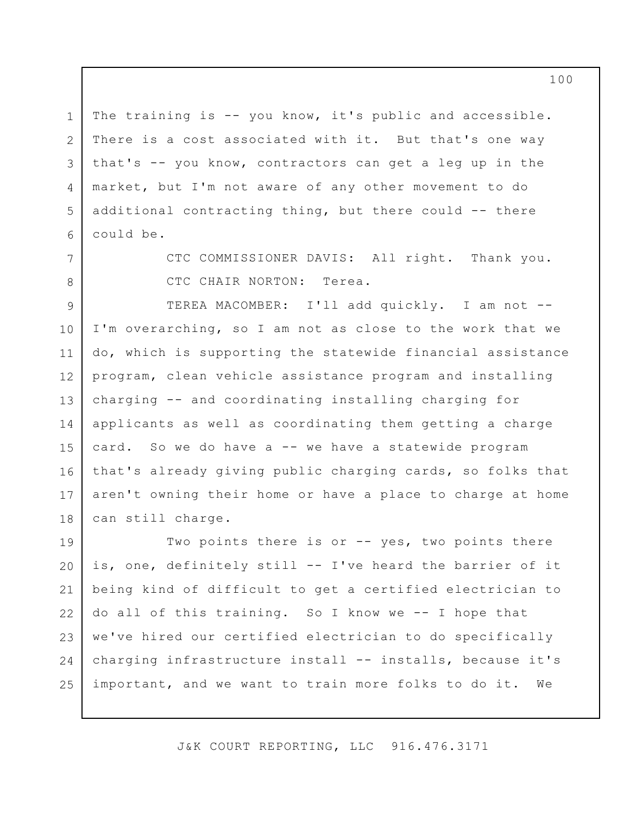transition to this cleaner future that we can -- we can attain, if we coordinate and work together on the program level as well.

 $\mathbf{1}$ 

2

3

4

5

6

7

So that's all I have for you today. Everyone has access to this presentation. Please visit us at accesscleancalifornia.org. And I look forward to any questions or thoughts. Thank you.

CTC CHAIR NORTON: Thank you so much for your 8 9 very in-depth and thorough presentation. I know people have lots of questions, and input, and are really 10 interested to hear a little bit more about the  $11$ participants and how this program has gone. I'm excited  $12$ to ask that the public be sure to raise your hands and get  $13$ into the queue to speak before -- we are going to start 14 with our Commissioners and Board members, but we welcome 15 16 public comment. And there's a lot to go through. Four very significant presentations.  $17$ 

And so the first video turned on that I see is my 18 Vice Chair Bob Alvarado. 19

CTC VICE CHAIR ALVARADO: Thank you, Madam Chair. 20 Terea, you're a breath of fresh air. I mean I've been  $21$ talking for the last three or four meetings that poor and 22 middle class people commute. They're being priced out of 23 the urban core. They have to drive to where they either  $24$ 25 can afford the rent or if they're lucky enough to qualify

J&K COURT REPORTING, LLC 916.476.3171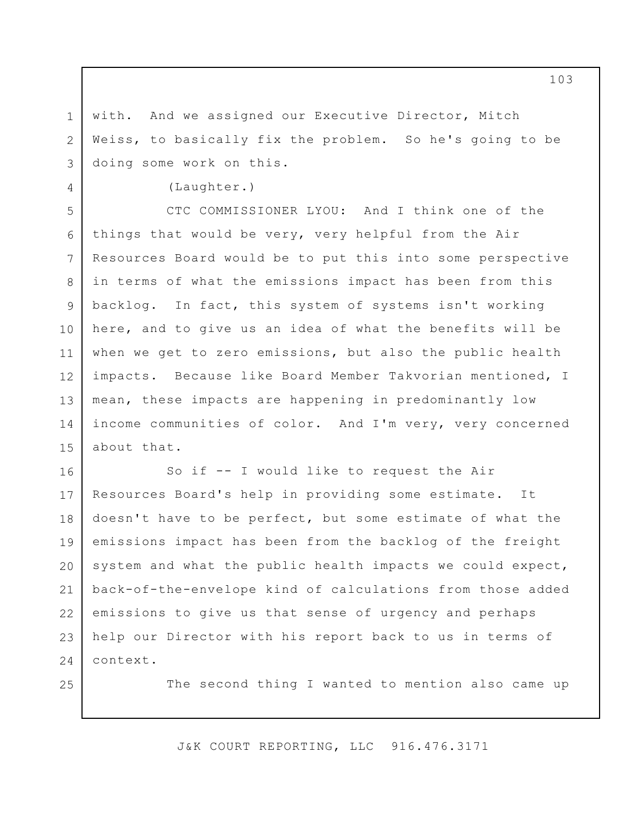with. And we assigned our Executive Director, Mitch Weiss, to basically fix the problem. So he's going to be doing some work on this.

(Laughter.)

1

2

3

4

25

5 6 7 8 9 10 11 12 13 14 15 CTC COMMISSIONER LYOU: And I think one of the things that would be very, very helpful from the Air Resources Board would be to put this into some perspective in terms of what the emissions impact has been from this backlog. In fact, this system of systems isn't working here, and to give us an idea of what the benefits will be when we get to zero emissions, but also the public health impacts. Because like Board Member Takvorian mentioned, I mean, these impacts are happening in predominantly low income communities of color. And I'm very, very concerned about that.

16 17 18 19 20 21 22 23 24 So if -- I would like to request the Air Resources Board's help in providing some estimate. It doesn't have to be perfect, but some estimate of what the emissions impact has been from the backlog of the freight system and what the public health impacts we could expect, back-of-the-envelope kind of calculations from those added emissions to give us that sense of urgency and perhaps help our Director with his report back to us in terms of context.

The second thing I wanted to mention also came up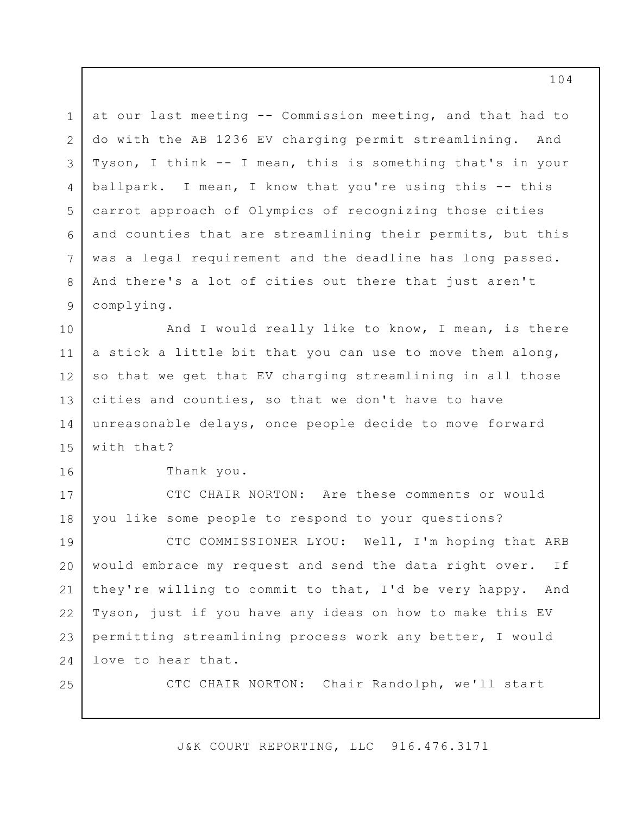1 2 3 4 5 6 7 8 9 at our last meeting -- Commission meeting, and that had to do with the AB 1236 EV charging permit streamlining. And Tyson, I think -- I mean, this is something that's in your ballpark. I mean, I know that you're using this -- this carrot approach of Olympics of recognizing those cities and counties that are streamlining their permits, but this was a legal requirement and the deadline has long passed. And there's a lot of cities out there that just aren't complying.

10 11 12 13 14 15 And I would really like to know, I mean, is there a stick a little bit that you can use to move them along, so that we get that EV charging streamlining in all those cities and counties, so that we don't have to have unreasonable delays, once people decide to move forward with that?

Thank you.

16

17

18

25

CTC CHAIR NORTON: Are these comments or would you like some people to respond to your questions?

19 20 21 22 23 24 CTC COMMISSIONER LYOU: Well, I'm hoping that ARB would embrace my request and send the data right over. If they're willing to commit to that, I'd be very happy. And Tyson, just if you have any ideas on how to make this EV permitting streamlining process work any better, I would love to hear that.

CTC CHAIR NORTON: Chair Randolph, we'll start

J&K COURT REPORTING, LLC 916.476.3171

104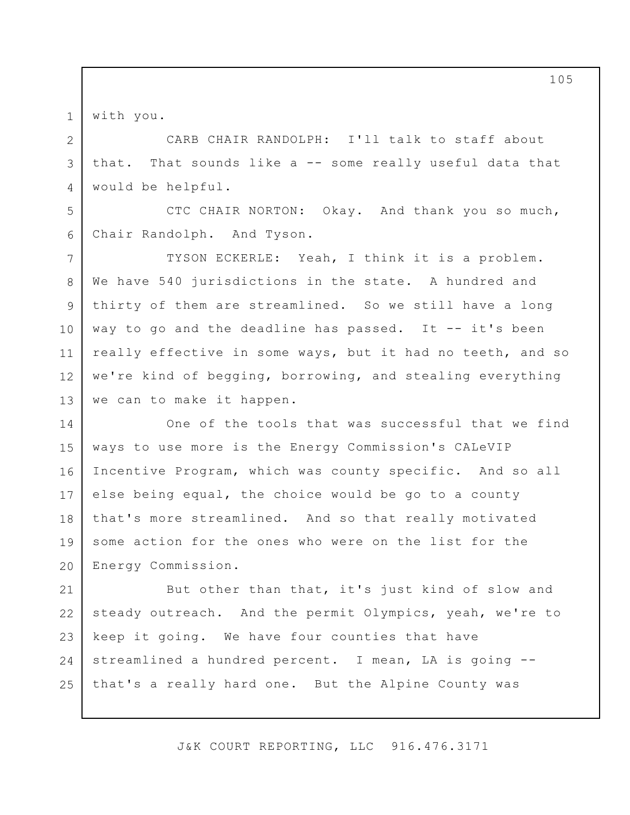with you.

1

2

3

4

5

6

CARB CHAIR RANDOLPH: I'll talk to staff about that. That sounds like a -- some really useful data that would be helpful.

CTC CHAIR NORTON: Okay. And thank you so much, Chair Randolph. And Tyson.

7 8 9 10 11 12 13 TYSON ECKERLE: Yeah, I think it is a problem. We have 540 jurisdictions in the state. A hundred and thirty of them are streamlined. So we still have a long way to go and the deadline has passed. It  $-$  it's been really effective in some ways, but it had no teeth, and so we're kind of begging, borrowing, and stealing everything we can to make it happen.

14 15 16 17 18 19 20 One of the tools that was successful that we find ways to use more is the Energy Commission's CALeVIP Incentive Program, which was county specific. And so all else being equal, the choice would be go to a county that's more streamlined. And so that really motivated some action for the ones who were on the list for the Energy Commission.

21 22 23 24 25 But other than that, it's just kind of slow and steady outreach. And the permit Olympics, yeah, we're to keep it going. We have four counties that have streamlined a hundred percent. I mean, LA is going - that's a really hard one. But the Alpine County was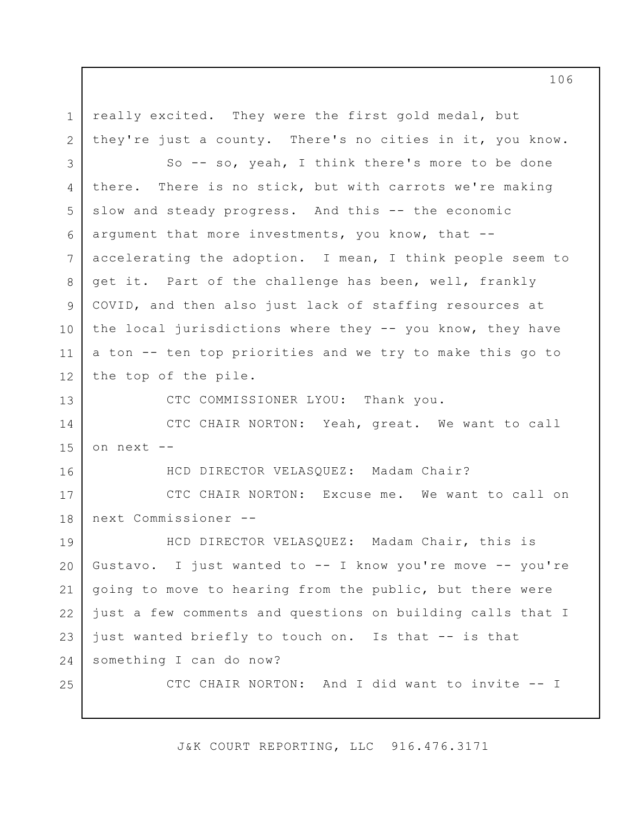1 2 3 4 5 6 7 8 9 10 11 12 13 14 15 16 17 18 19 20 21 22 23 24 25 really excited. They were the first gold medal, but they're just a county. There's no cities in it, you know. So -- so, yeah, I think there's more to be done there. There is no stick, but with carrots we're making slow and steady progress. And this -- the economic argument that more investments, you know, that - accelerating the adoption. I mean, I think people seem to get it. Part of the challenge has been, well, frankly COVID, and then also just lack of staffing resources at the local jurisdictions where they -- you know, they have a ton -- ten top priorities and we try to make this go to the top of the pile. CTC COMMISSIONER LYOU: Thank you. CTC CHAIR NORTON: Yeah, great. We want to call on next -- HCD DIRECTOR VELASQUEZ: Madam Chair? CTC CHAIR NORTON: Excuse me. We want to call on next Commissioner -- HCD DIRECTOR VELASQUEZ: Madam Chair, this is Gustavo. I just wanted to -- I know you're move -- you're going to move to hearing from the public, but there were just a few comments and questions on building calls that I just wanted briefly to touch on. Is that -- is that something I can do now? CTC CHAIR NORTON: And I did want to invite -- I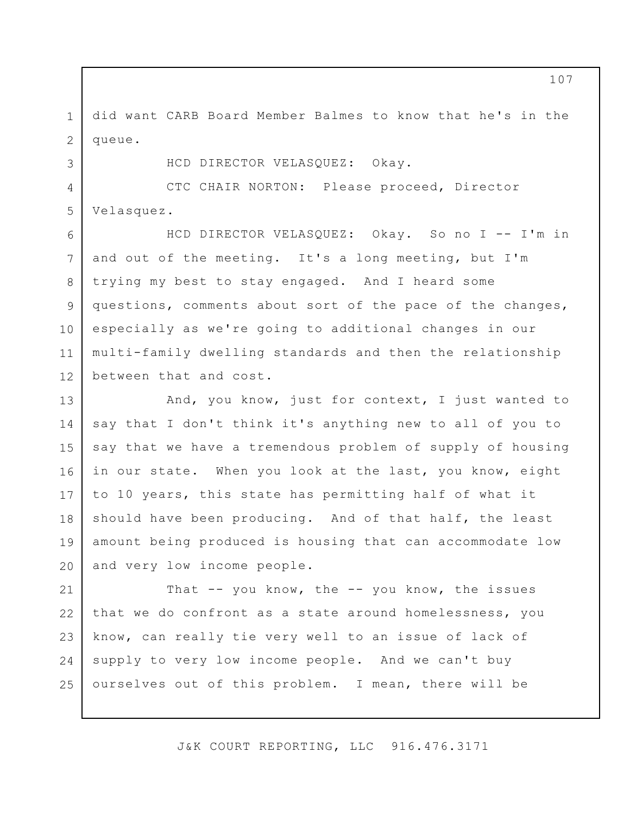1 2 did want CARB Board Member Balmes to know that he's in the queue.

HCD DIRECTOR VELASQUEZ: Okay.

3

4 5 CTC CHAIR NORTON: Please proceed, Director Velasquez.

6 7 8 9 10 11 12 HCD DIRECTOR VELASQUEZ: Okay. So no I -- I'm in and out of the meeting. It's a long meeting, but I'm trying my best to stay engaged. And I heard some questions, comments about sort of the pace of the changes, especially as we're going to additional changes in our multi-family dwelling standards and then the relationship between that and cost.

13 14 15 16 17 18 19 20 And, you know, just for context, I just wanted to say that I don't think it's anything new to all of you to say that we have a tremendous problem of supply of housing in our state. When you look at the last, you know, eight to 10 years, this state has permitting half of what it should have been producing. And of that half, the least amount being produced is housing that can accommodate low and very low income people.

21 22 23 24 25 That -- you know, the -- you know, the issues that we do confront as a state around homelessness, you know, can really tie very well to an issue of lack of supply to very low income people. And we can't buy ourselves out of this problem. I mean, there will be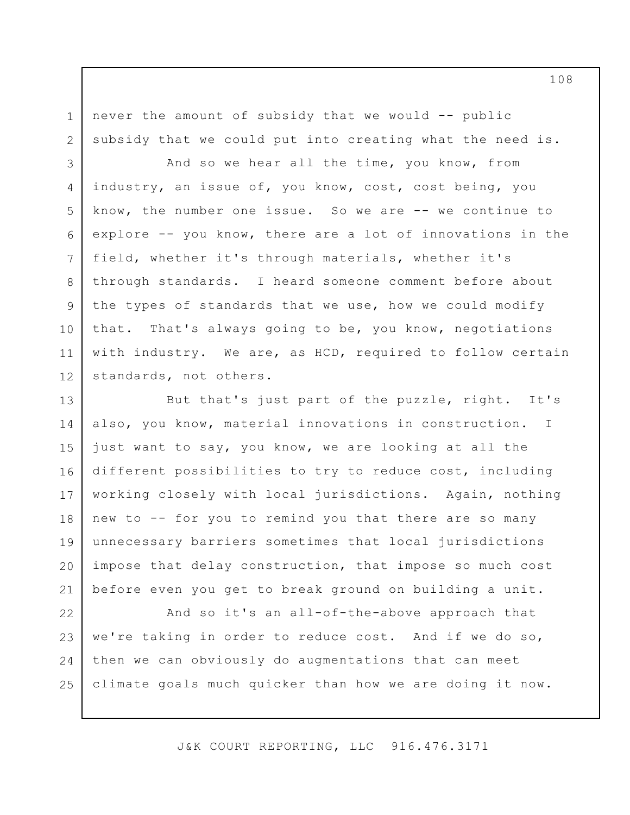never the amount of subsidy that we would -- public subsidy that we could put into creating what the need is.

1

2

3 4 5 6 7 8 9 10 11 12 And so we hear all the time, you know, from industry, an issue of, you know, cost, cost being, you know, the number one issue. So we are -- we continue to explore -- you know, there are a lot of innovations in the field, whether it's through materials, whether it's through standards. I heard someone comment before about the types of standards that we use, how we could modify that. That's always going to be, you know, negotiations with industry. We are, as HCD, required to follow certain standards, not others.

13 14 15 16 17 18 19 20 21 But that's just part of the puzzle, right. It's also, you know, material innovations in construction. just want to say, you know, we are looking at all the different possibilities to try to reduce cost, including working closely with local jurisdictions. Again, nothing new to -- for you to remind you that there are so many unnecessary barriers sometimes that local jurisdictions impose that delay construction, that impose so much cost before even you get to break ground on building a unit. I

22 23 24 25 And so it's an all-of-the-above approach that we're taking in order to reduce cost. And if we do so, then we can obviously do augmentations that can meet climate goals much quicker than how we are doing it now.

J&K COURT REPORTING, LLC 916.476.3171

108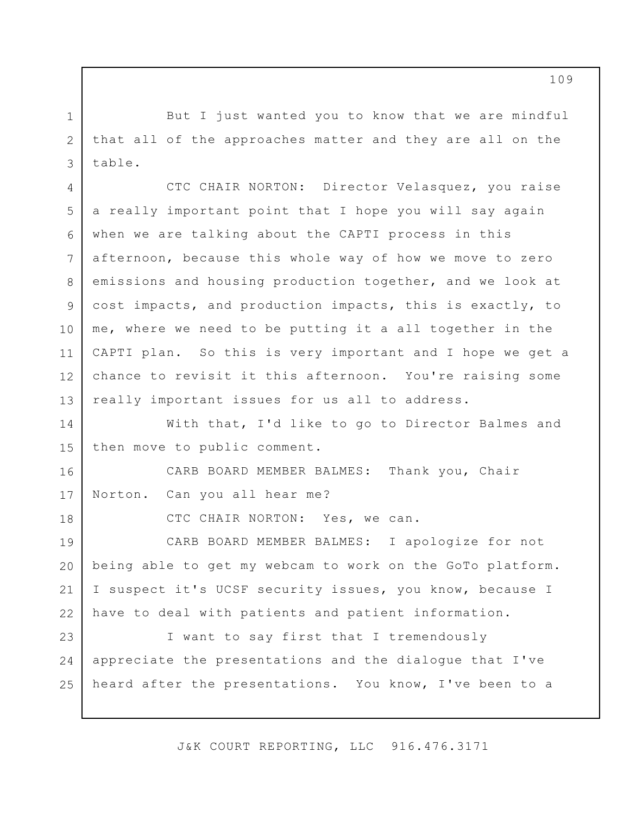But I just wanted you to know that we are mindful that all of the approaches matter and they are all on the table.

1

2

3

18

4 5 6 7 8 9 10 11 12 13 CTC CHAIR NORTON: Director Velasquez, you raise a really important point that I hope you will say again when we are talking about the CAPTI process in this afternoon, because this whole way of how we move to zero emissions and housing production together, and we look at cost impacts, and production impacts, this is exactly, to me, where we need to be putting it a all together in the CAPTI plan. So this is very important and I hope we get a chance to revisit it this afternoon. You're raising some really important issues for us all to address.

14 15 With that, I'd like to go to Director Balmes and then move to public comment.

16 17 CARB BOARD MEMBER BALMES: Thank you, Chair Norton. Can you all hear me?

CTC CHAIR NORTON: Yes, we can.

19 20 21 22 CARB BOARD MEMBER BALMES: I apologize for not being able to get my webcam to work on the GoTo platform. I suspect it's UCSF security issues, you know, because I have to deal with patients and patient information.

23 24 25 I want to say first that I tremendously appreciate the presentations and the dialogue that I've heard after the presentations. You know, I've been to a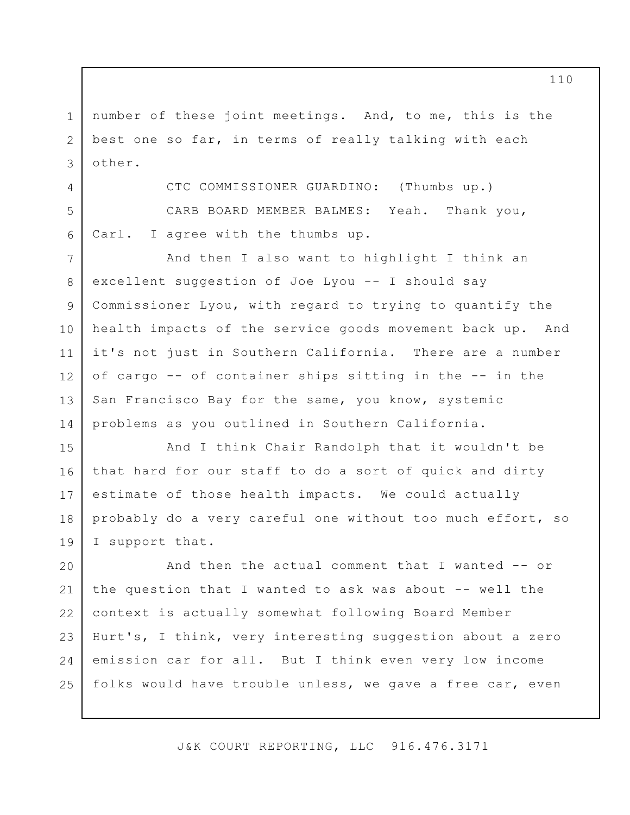1 2 3 number of these joint meetings. And, to me, this is the best one so far, in terms of really talking with each other.

CTC COMMISSIONER GUARDINO: (Thumbs up.)

CARB BOARD MEMBER BALMES: Yeah. Thank you, Carl. I agree with the thumbs up.

4

5

6

7 8 9 10 11 12 13 14 And then I also want to highlight I think an excellent suggestion of Joe Lyou -- I should say Commissioner Lyou, with regard to trying to quantify the health impacts of the service goods movement back up. And it's not just in Southern California. There are a number of cargo -- of container ships sitting in the -- in the San Francisco Bay for the same, you know, systemic problems as you outlined in Southern California.

15 16 17 18 19 And I think Chair Randolph that it wouldn't be that hard for our staff to do a sort of quick and dirty estimate of those health impacts. We could actually probably do a very careful one without too much effort, so I support that.

20 21 22 23 24 25 And then the actual comment that I wanted -- or the question that I wanted to ask was about -- well the context is actually somewhat following Board Member Hurt's, I think, very interesting suggestion about a zero emission car for all. But I think even very low income folks would have trouble unless, we gave a free car, even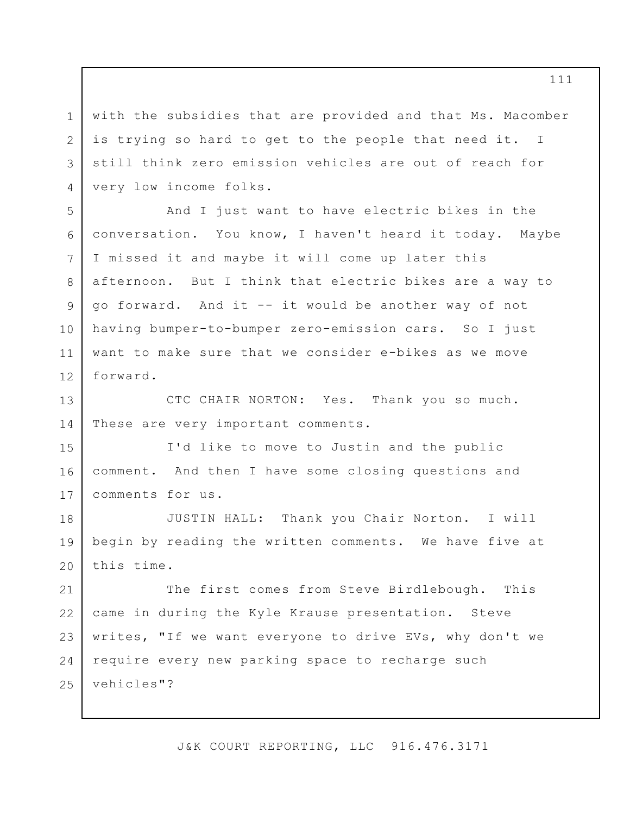with the subsidies that are provided and that Ms. Macomber is trying so hard to get to the people that need it. I still think zero emission vehicles are out of reach for very low income folks.

1

2

3

4

5

6

7

8

9

10

11

12

And I just want to have electric bikes in the conversation. You know, I haven't heard it today. Maybe I missed it and maybe it will come up later this afternoon. But I think that electric bikes are a way to go forward. And it -- it would be another way of not having bumper-to-bumper zero-emission cars. So I just want to make sure that we consider e-bikes as we move forward.

13 14 CTC CHAIR NORTON: Yes. Thank you so much. These are very important comments.

15 16 17 I'd like to move to Justin and the public comment. And then I have some closing questions and comments for us.

18 19 20 JUSTIN HALL: Thank you Chair Norton. I will begin by reading the written comments. We have five at this time.

21 22 23 24 25 The first comes from Steve Birdlebough. This came in during the Kyle Krause presentation. Steve writes, "If we want everyone to drive EVs, why don't we require every new parking space to recharge such vehicles"?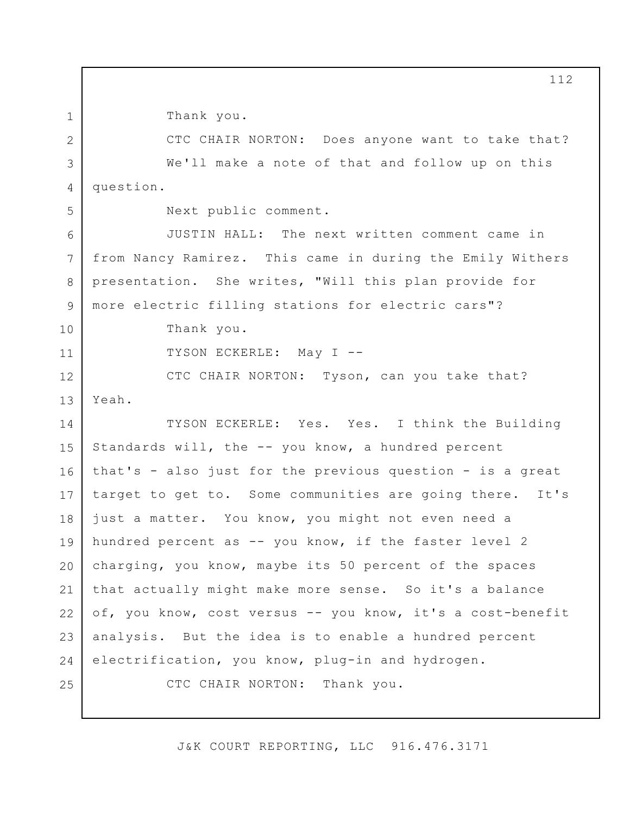Thank you.

CTC CHAIR NORTON: Does anyone want to take that? We'll make a note of that and follow up on this question.

1

2

3

4

6

7

8

9

10

11

Next public comment.

JUSTIN HALL: The next written comment came in from Nancy Ramirez. This came in during the Emily Withers presentation. She writes, "Will this plan provide for more electric filling stations for electric cars"?

Thank you.

TYSON ECKERLE: May I --

12 13 CTC CHAIR NORTON: Tyson, can you take that? Yeah.

14 15 16 17 18 19 20 21 22 23 24 25 TYSON ECKERLE: Yes. Yes. I think the Building Standards will, the -- you know, a hundred percent that's - also just for the previous question - is a great target to get to. Some communities are going there. It's just a matter. You know, you might not even need a hundred percent as -- you know, if the faster level 2 charging, you know, maybe its 50 percent of the spaces that actually might make more sense. So it's a balance of, you know, cost versus -- you know, it's a cost-benefit analysis. But the idea is to enable a hundred percent electrification, you know, plug-in and hydrogen. CTC CHAIR NORTON: Thank you.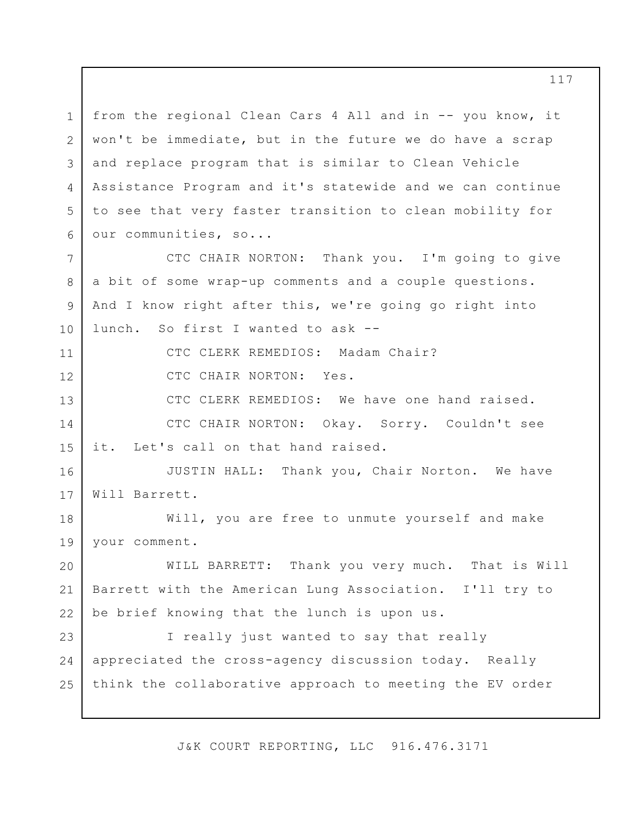1 2 3 4 5 6 7 8 9 10 11 12 13 14 15 16 17 18 19 20 21 22 23 24 25 from the regional Clean Cars 4 All and in -- you know, it won't be immediate, but in the future we do have a scrap and replace program that is similar to Clean Vehicle Assistance Program and it's statewide and we can continue to see that very faster transition to clean mobility for our communities, so... CTC CHAIR NORTON: Thank you. I'm going to give a bit of some wrap-up comments and a couple questions. And I know right after this, we're going go right into lunch. So first I wanted to ask -- CTC CLERK REMEDIOS: Madam Chair? CTC CHAIR NORTON: Yes. CTC CLERK REMEDIOS: We have one hand raised. CTC CHAIR NORTON: Okay. Sorry. Couldn't see it. Let's call on that hand raised. JUSTIN HALL: Thank you, Chair Norton. We have Will Barrett. Will, you are free to unmute yourself and make your comment. WILL BARRETT: Thank you very much. That is Will Barrett with the American Lung Association. I'll try to be brief knowing that the lunch is upon us. I really just wanted to say that really appreciated the cross-agency discussion today. Really think the collaborative approach to meeting the EV order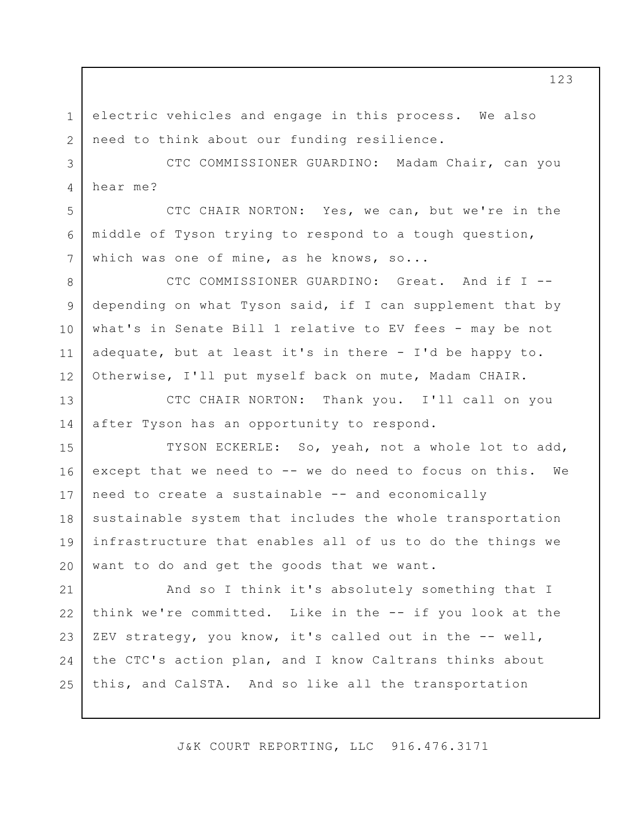1 2 electric vehicles and engage in this process. We also need to think about our funding resilience.

5

6

7

3 4 CTC COMMISSIONER GUARDINO: Madam Chair, can you hear me?

CTC CHAIR NORTON: Yes, we can, but we're in the middle of Tyson trying to respond to a tough question, which was one of mine, as he knows, so...

8 9 10 11 12 CTC COMMISSIONER GUARDINO: Great. And if I - depending on what Tyson said, if I can supplement that by what's in Senate Bill 1 relative to EV fees - may be not adequate, but at least it's in there - I'd be happy to. Otherwise, I'll put myself back on mute, Madam CHAIR.

13 14 CTC CHAIR NORTON: Thank you. I'll call on you after Tyson has an opportunity to respond.

15 16 17 18 19 20 TYSON ECKERLE: So, yeah, not a whole lot to add, except that we need to -- we do need to focus on this. We need to create a sustainable -- and economically sustainable system that includes the whole transportation infrastructure that enables all of us to do the things we want to do and get the goods that we want.

21 22 23 24 25 And so I think it's absolutely something that I think we're committed. Like in the -- if you look at the ZEV strategy, you know, it's called out in the -- well, the CTC's action plan, and I know Caltrans thinks about this, and CalSTA. And so like all the transportation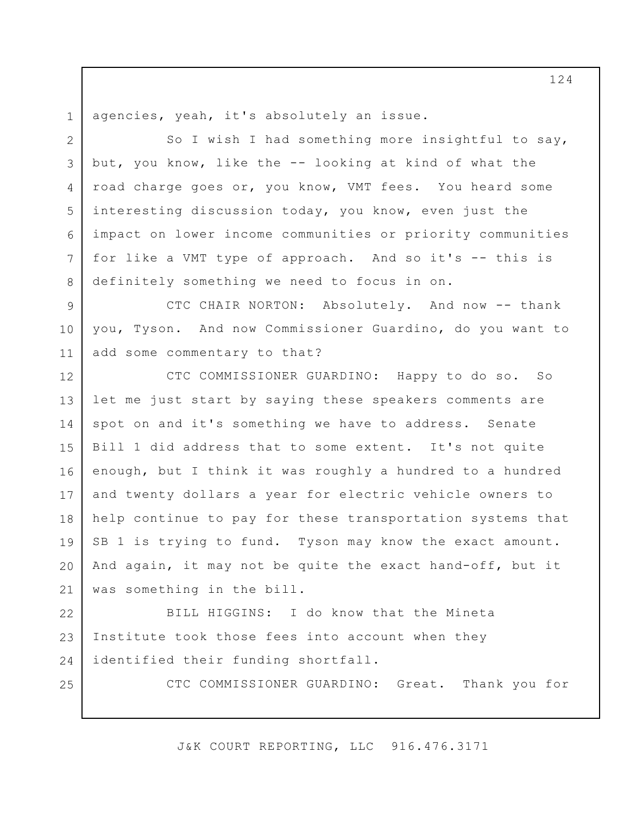1 agencies, yeah, it's absolutely an issue.

2 3 4 5 6 7 8 So I wish I had something more insightful to say, but, you know, like the -- looking at kind of what the road charge goes or, you know, VMT fees. You heard some interesting discussion today, you know, even just the impact on lower income communities or priority communities for like a VMT type of approach. And so it's -- this is definitely something we need to focus in on.

9 10 11 CTC CHAIR NORTON: Absolutely. And now -- thank you, Tyson. And now Commissioner Guardino, do you want to add some commentary to that?

12 13 14 15 16 17 18 19 20 21 CTC COMMISSIONER GUARDINO: Happy to do so. So let me just start by saying these speakers comments are spot on and it's something we have to address. Senate Bill 1 did address that to some extent. It's not quite enough, but I think it was roughly a hundred to a hundred and twenty dollars a year for electric vehicle owners to help continue to pay for these transportation systems that SB 1 is trying to fund. Tyson may know the exact amount. And again, it may not be quite the exact hand-off, but it was something in the bill.

22 23 24 BILL HIGGINS: I do know that the Mineta Institute took those fees into account when they identified their funding shortfall.

25

CTC COMMISSIONER GUARDINO: Great. Thank you for

J&K COURT REPORTING, LLC 916.476.3171

124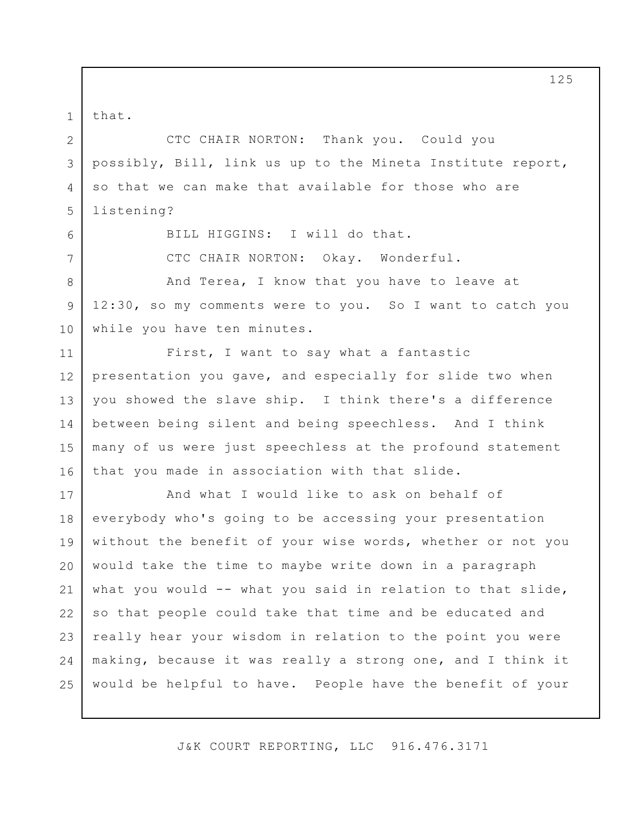that.

1

2

3

4

5

6

7

8

9

10

CTC CHAIR NORTON: Thank you. Could you possibly, Bill, link us up to the Mineta Institute report, so that we can make that available for those who are listening?

BILL HIGGINS: I will do that.

CTC CHAIR NORTON: Okay. Wonderful.

And Terea, I know that you have to leave at 12:30, so my comments were to you. So I want to catch you while you have ten minutes.

11 12 13 14 15 16 First, I want to say what a fantastic presentation you gave, and especially for slide two when you showed the slave ship. I think there's a difference between being silent and being speechless. And I think many of us were just speechless at the profound statement that you made in association with that slide.

17 18 19 20 21 22 23 24 25 And what I would like to ask on behalf of everybody who's going to be accessing your presentation without the benefit of your wise words, whether or not you would take the time to maybe write down in a paragraph what you would -- what you said in relation to that slide, so that people could take that time and be educated and really hear your wisdom in relation to the point you were making, because it was really a strong one, and I think it would be helpful to have. People have the benefit of your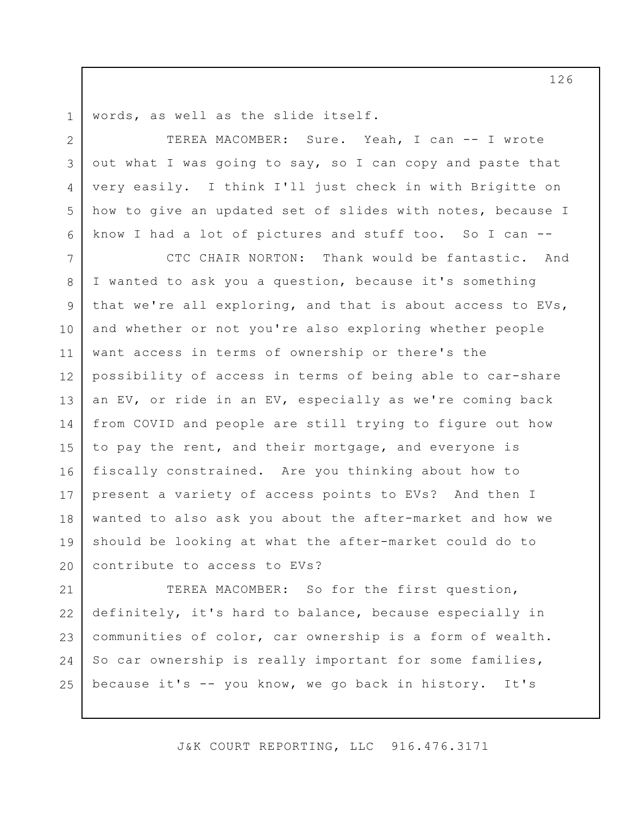1 words, as well as the slide itself.

2

3

4

5

6

TEREA MACOMBER: Sure. Yeah, I can -- I wrote out what I was going to say, so I can copy and paste that very easily. I think I'll just check in with Brigitte on how to give an updated set of slides with notes, because I know I had a lot of pictures and stuff too. So I can --

7 8 9 10 11 12 13 14 15 16 17 18 19 20 CTC CHAIR NORTON: Thank would be fantastic. And I wanted to ask you a question, because it's something that we're all exploring, and that is about access to EVs, and whether or not you're also exploring whether people want access in terms of ownership or there's the possibility of access in terms of being able to car-share an EV, or ride in an EV, especially as we're coming back from COVID and people are still trying to figure out how to pay the rent, and their mortgage, and everyone is fiscally constrained. Are you thinking about how to present a variety of access points to EVs? And then I wanted to also ask you about the after-market and how we should be looking at what the after-market could do to contribute to access to EVs?

21 22 23 24 25 TEREA MACOMBER: So for the first question, definitely, it's hard to balance, because especially in communities of color, car ownership is a form of wealth. So car ownership is really important for some families, because it's -- you know, we go back in history. It's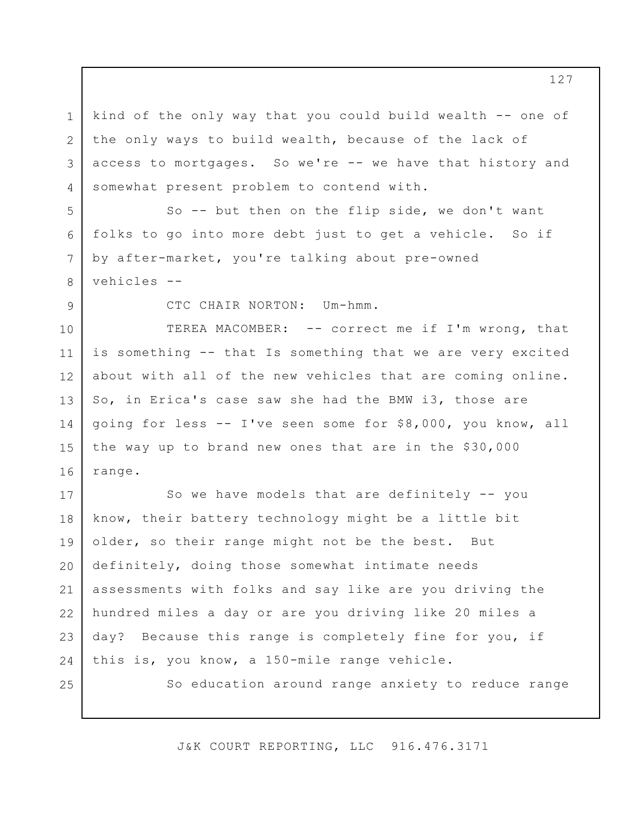1 2 3 4 kind of the only way that you could build wealth -- one of the only ways to build wealth, because of the lack of access to mortgages. So we're -- we have that history and somewhat present problem to contend with.

So -- but then on the flip side, we don't want folks to go into more debt just to get a vehicle. So if by after-market, you're talking about pre-owned vehicles --

9

5

6

7

8

CTC CHAIR NORTON: Um-hmm.

10 11 12 13 14 15 16 TEREA MACOMBER: -- correct me if I'm wrong, that is something -- that Is something that we are very excited about with all of the new vehicles that are coming online. So, in Erica's case saw she had the BMW i3, those are going for less -- I've seen some for \$8,000, you know, all the way up to brand new ones that are in the \$30,000 range.

17 18 19 20 21 22 23 24 So we have models that are definitely -- you know, their battery technology might be a little bit older, so their range might not be the best. But definitely, doing those somewhat intimate needs assessments with folks and say like are you driving the hundred miles a day or are you driving like 20 miles a day? Because this range is completely fine for you, if this is, you know, a 150-mile range vehicle.

25

So education around range anxiety to reduce range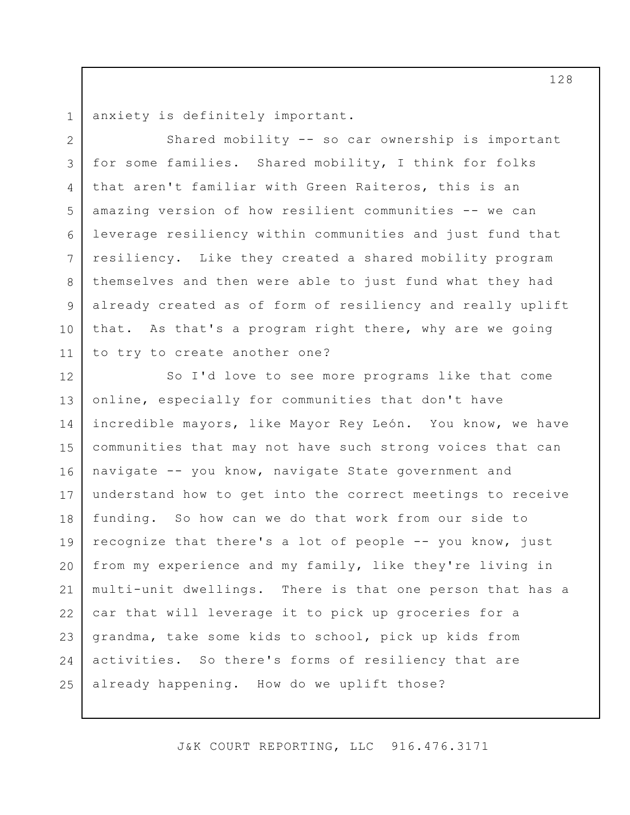1 2

3

4

5

6

7

8

9

10

11

anxiety is definitely important.

Shared mobility -- so car ownership is important for some families. Shared mobility, I think for folks that aren't familiar with Green Raiteros, this is an amazing version of how resilient communities -- we can leverage resiliency within communities and just fund that resiliency. Like they created a shared mobility program themselves and then were able to just fund what they had already created as of form of resiliency and really uplift that. As that's a program right there, why are we going to try to create another one?

12 13 14 15 16 17 18 19 20 21 22 23 24 25 So I'd love to see more programs like that come online, especially for communities that don't have incredible mayors, like Mayor Rey León. You know, we have communities that may not have such strong voices that can navigate -- you know, navigate State government and understand how to get into the correct meetings to receive funding. So how can we do that work from our side to recognize that there's a lot of people -- you know, just from my experience and my family, like they're living in multi-unit dwellings. There is that one person that has a car that will leverage it to pick up groceries for a grandma, take some kids to school, pick up kids from activities. So there's forms of resiliency that are already happening. How do we uplift those?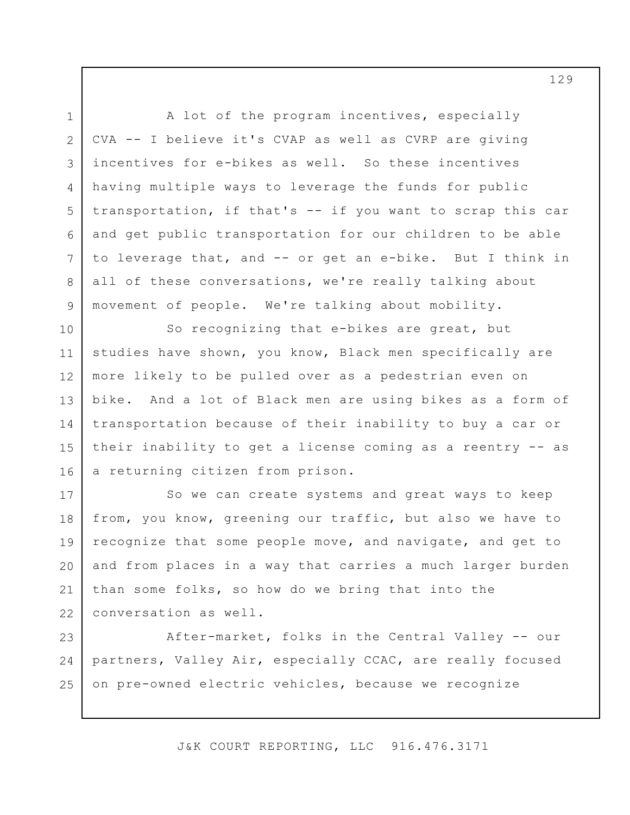1 2

3

4

5

6

7

8

9

A lot of the program incentives, especially CVA -- I believe it's CVAP as well as CVRP are giving incentives for e-bikes as well. So these incentives having multiple ways to leverage the funds for public transportation, if that's -- if you want to scrap this car and get public transportation for our children to be able to leverage that, and -- or get an e-bike. But I think in all of these conversations, we're really talking about movement of people. We're talking about mobility.

10 11 12 13 14 15 16 So recognizing that e-bikes are great, but studies have shown, you know, Black men specifically are more likely to be pulled over as a pedestrian even on bike. And a lot of Black men are using bikes as a form of transportation because of their inability to buy a car or their inability to get a license coming as a reentry -- as a returning citizen from prison.

17 18 19 20 21 22 So we can create systems and great ways to keep from, you know, greening our traffic, but also we have to recognize that some people move, and navigate, and get to and from places in a way that carries a much larger burden than some folks, so how do we bring that into the conversation as well.

23 24 25 After-market, folks in the Central Valley -- our partners, Valley Air, especially CCAC, are really focused on pre-owned electric vehicles, because we recognize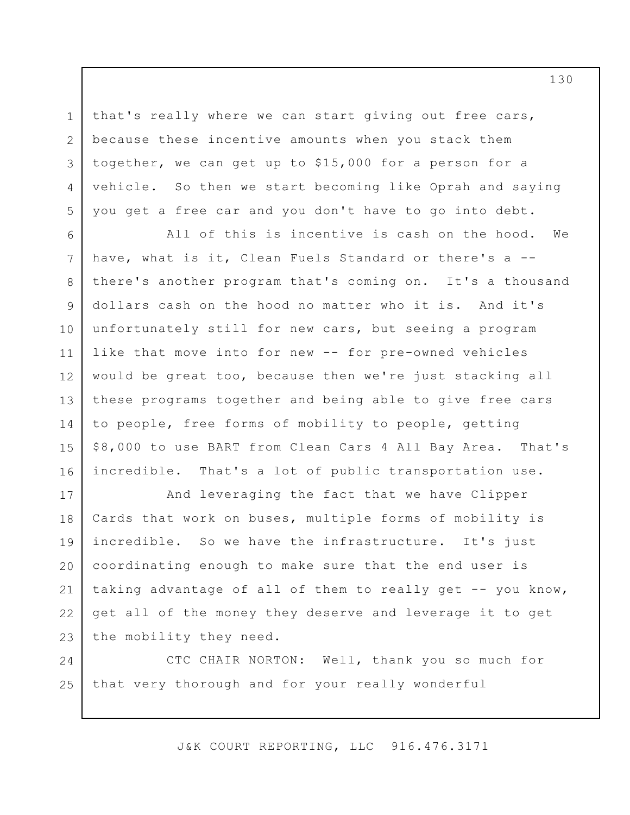3 that's really where we can start giving out free cars, because these incentive amounts when you stack them together, we can get up to \$15,000 for a person for a vehicle. So then we start becoming like Oprah and saying you get a free car and you don't have to go into debt.

1

2

4

5

6 7 8 9 10 11 12 13 14 15 16 All of this is incentive is cash on the hood. We have, what is it, Clean Fuels Standard or there's a - there's another program that's coming on. It's a thousand dollars cash on the hood no matter who it is. And it's unfortunately still for new cars, but seeing a program like that move into for new -- for pre-owned vehicles would be great too, because then we're just stacking all these programs together and being able to give free cars to people, free forms of mobility to people, getting \$8,000 to use BART from Clean Cars 4 All Bay Area. That's incredible. That's a lot of public transportation use.

17 18 19 20 21 22 23 And leveraging the fact that we have Clipper Cards that work on buses, multiple forms of mobility is incredible. So we have the infrastructure. It's just coordinating enough to make sure that the end user is taking advantage of all of them to really get -- you know, get all of the money they deserve and leverage it to get the mobility they need.

24 25 CTC CHAIR NORTON: Well, thank you so much for that very thorough and for your really wonderful

J&K COURT REPORTING, LLC 916.476.3171

130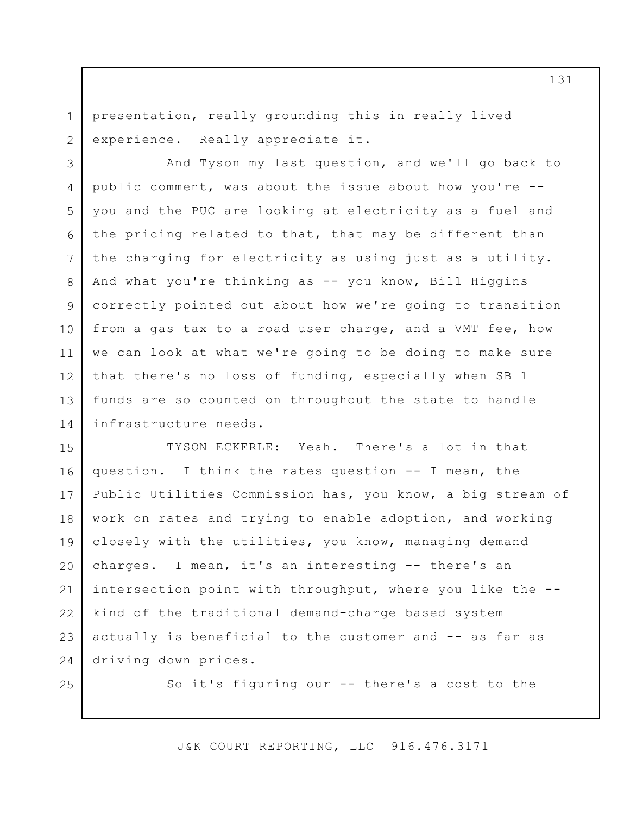1 2 presentation, really grounding this in really lived experience. Really appreciate it.

3 4 5 6 7 8 9 10 11 12 13 14 And Tyson my last question, and we'll go back to public comment, was about the issue about how you're - you and the PUC are looking at electricity as a fuel and the pricing related to that, that may be different than the charging for electricity as using just as a utility. And what you're thinking as -- you know, Bill Higgins correctly pointed out about how we're going to transition from a gas tax to a road user charge, and a VMT fee, how we can look at what we're going to be doing to make sure that there's no loss of funding, especially when SB 1 funds are so counted on throughout the state to handle infrastructure needs.

15 16 17 18 19 20 21 22 23 24 TYSON ECKERLE: Yeah. There's a lot in that question. I think the rates question -- I mean, the Public Utilities Commission has, you know, a big stream of work on rates and trying to enable adoption, and working closely with the utilities, you know, managing demand charges. I mean, it's an interesting -- there's an intersection point with throughput, where you like the - kind of the traditional demand-charge based system actually is beneficial to the customer and -- as far as driving down prices.

25

So it's figuring our -- there's a cost to the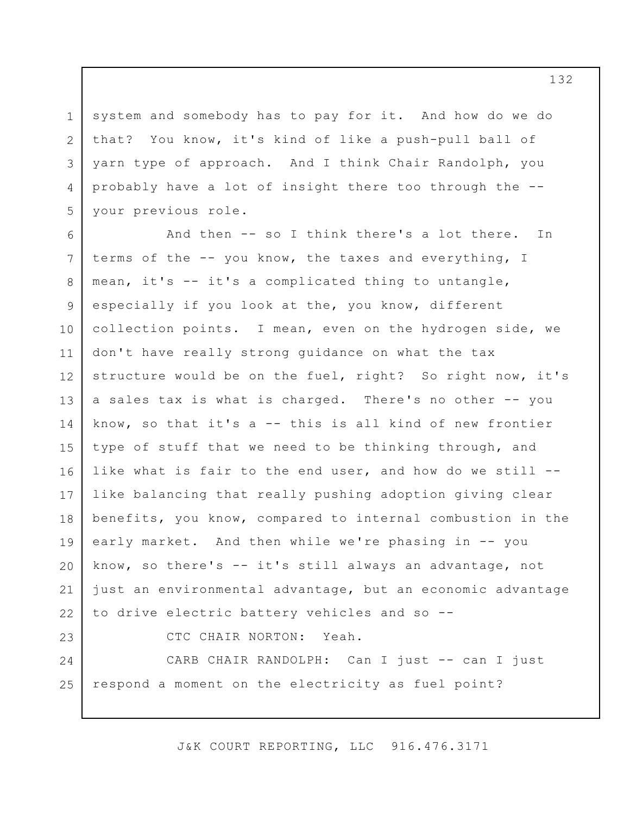system and somebody has to pay for it. And how do we do that? You know, it's kind of like a push-pull ball of yarn type of approach. And I think Chair Randolph, you probably have a lot of insight there too through the - your previous role.

1

2

3

4

5

6 7 8 9 10 11 12 13 14 15 16 17 18 19 20 21 22 23 And then -- so I think there's a lot there. In terms of the -- you know, the taxes and everything, I mean, it's -- it's a complicated thing to untangle, especially if you look at the, you know, different collection points. I mean, even on the hydrogen side, we don't have really strong guidance on what the tax structure would be on the fuel, right? So right now, it's a sales tax is what is charged. There's no other -- you know, so that it's a -- this is all kind of new frontier type of stuff that we need to be thinking through, and like what is fair to the end user, and how do we still - like balancing that really pushing adoption giving clear benefits, you know, compared to internal combustion in the early market. And then while we're phasing in -- you know, so there's -- it's still always an advantage, not just an environmental advantage, but an economic advantage to drive electric battery vehicles and so -- CTC CHAIR NORTON: Yeah.

24 25 CARB CHAIR RANDOLPH: Can I just -- can I just respond a moment on the electricity as fuel point?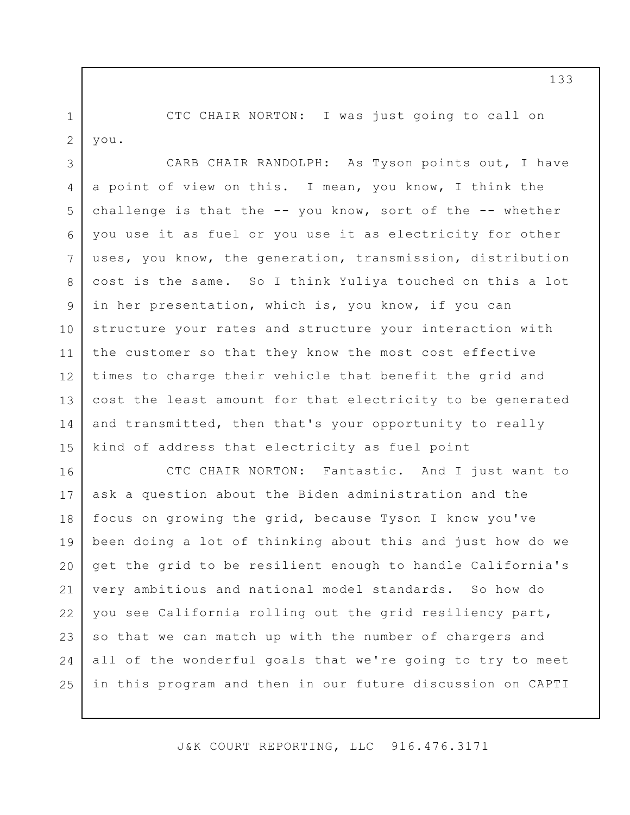1 2 CTC CHAIR NORTON: I was just going to call on you.

3 4 5 6 7 8 9 10 11 12 13 14 15 CARB CHAIR RANDOLPH: As Tyson points out, I have a point of view on this. I mean, you know, I think the challenge is that the  $-$ - you know, sort of the  $-$ - whether you use it as fuel or you use it as electricity for other uses, you know, the generation, transmission, distribution cost is the same. So I think Yuliya touched on this a lot in her presentation, which is, you know, if you can structure your rates and structure your interaction with the customer so that they know the most cost effective times to charge their vehicle that benefit the grid and cost the least amount for that electricity to be generated and transmitted, then that's your opportunity to really kind of address that electricity as fuel point

16 17 18 19 20 21 22 23 24 25 CTC CHAIR NORTON: Fantastic. And I just want to ask a question about the Biden administration and the focus on growing the grid, because Tyson I know you've been doing a lot of thinking about this and just how do we get the grid to be resilient enough to handle California's very ambitious and national model standards. So how do you see California rolling out the grid resiliency part, so that we can match up with the number of chargers and all of the wonderful goals that we're going to try to meet in this program and then in our future discussion on CAPTI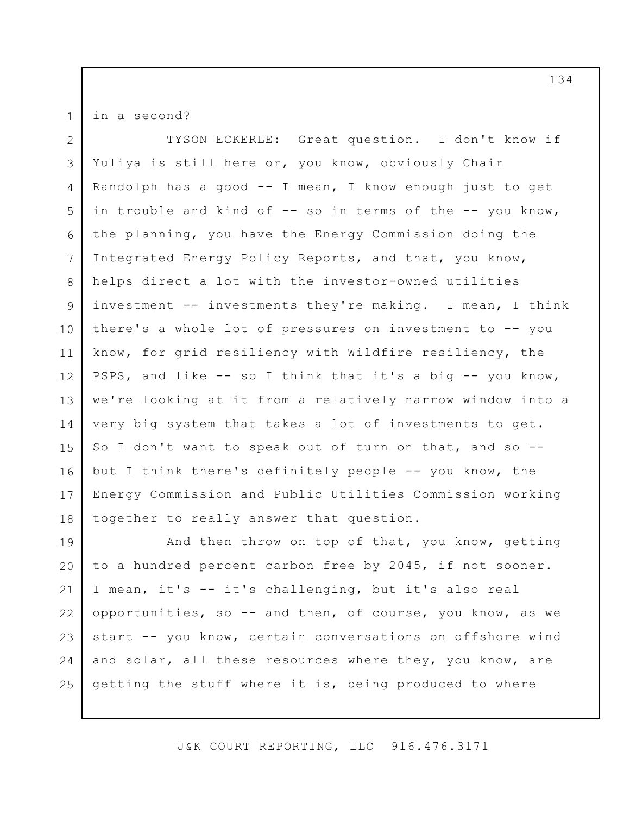in a second?

1

2 3 4 5 6 7 8 9 10 11 12 13 14 15 16 17 18 TYSON ECKERLE: Great question. I don't know if Yuliya is still here or, you know, obviously Chair Randolph has a good -- I mean, I know enough just to get in trouble and kind of -- so in terms of the -- you know, the planning, you have the Energy Commission doing the Integrated Energy Policy Reports, and that, you know, helps direct a lot with the investor-owned utilities investment -- investments they're making. I mean, I think there's a whole lot of pressures on investment to -- you know, for grid resiliency with Wildfire resiliency, the PSPS, and like -- so I think that it's a big -- you know, we're looking at it from a relatively narrow window into a very big system that takes a lot of investments to get. So I don't want to speak out of turn on that, and so -but I think there's definitely people -- you know, the Energy Commission and Public Utilities Commission working together to really answer that question.

19 20 21 22 23 24 25 And then throw on top of that, you know, getting to a hundred percent carbon free by 2045, if not sooner. I mean, it's -- it's challenging, but it's also real opportunities, so -- and then, of course, you know, as we start -- you know, certain conversations on offshore wind and solar, all these resources where they, you know, are getting the stuff where it is, being produced to where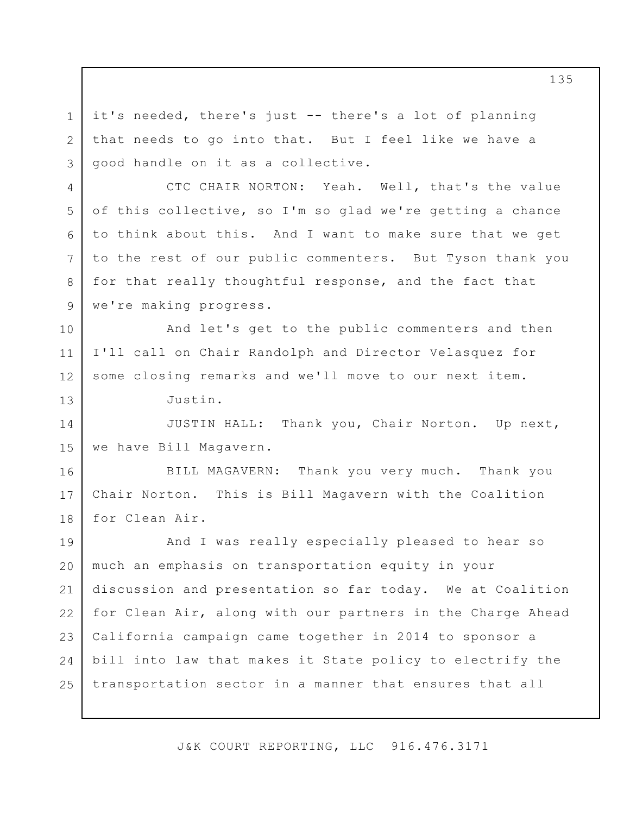it's needed, there's just -- there's a lot of planning that needs to go into that. But I feel like we have a good handle on it as a collective.

CTC CHAIR NORTON: Yeah. Well, that's the value of this collective, so I'm so glad we're getting a chance to think about this. And I want to make sure that we get to the rest of our public commenters. But Tyson thank you for that really thoughtful response, and the fact that we're making progress.

12 And let's get to the public commenters and then I'll call on Chair Randolph and Director Velasquez for some closing remarks and we'll move to our next item.

Justin.

1

2

3

4

5

6

7

8

9

10

11

13

14 15 JUSTIN HALL: Thank you, Chair Norton. Up next, we have Bill Magavern.

16 17 18 BILL MAGAVERN: Thank you very much. Thank you Chair Norton. This is Bill Magavern with the Coalition for Clean Air.

19 20 21 22 23 24 25 And I was really especially pleased to hear so much an emphasis on transportation equity in your discussion and presentation so far today. We at Coalition for Clean Air, along with our partners in the Charge Ahead California campaign came together in 2014 to sponsor a bill into law that makes it State policy to electrify the transportation sector in a manner that ensures that all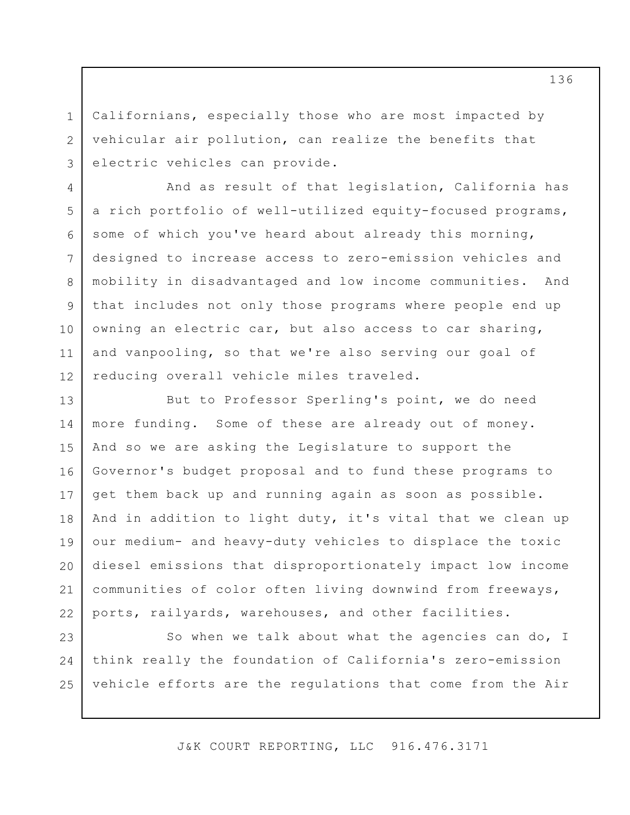Californians, especially those who are most impacted by vehicular air pollution, can realize the benefits that electric vehicles can provide.

1

2

3

4

5

6

7

8

9

10

11

12

And as result of that legislation, California has a rich portfolio of well-utilized equity-focused programs, some of which you've heard about already this morning, designed to increase access to zero-emission vehicles and mobility in disadvantaged and low income communities. And that includes not only those programs where people end up owning an electric car, but also access to car sharing, and vanpooling, so that we're also serving our goal of reducing overall vehicle miles traveled.

13 14 15 16 17 18 19 20 21 22 But to Professor Sperling's point, we do need more funding. Some of these are already out of money. And so we are asking the Legislature to support the Governor's budget proposal and to fund these programs to get them back up and running again as soon as possible. And in addition to light duty, it's vital that we clean up our medium- and heavy-duty vehicles to displace the toxic diesel emissions that disproportionately impact low income communities of color often living downwind from freeways, ports, railyards, warehouses, and other facilities.

23 24 25 So when we talk about what the agencies can do, I think really the foundation of California's zero-emission vehicle efforts are the regulations that come from the Air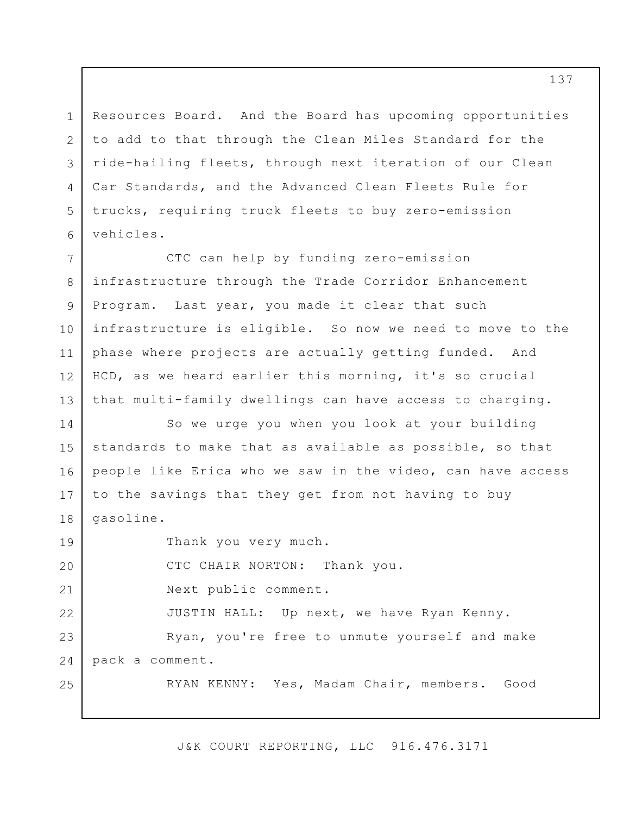Resources Board. And the Board has upcoming opportunities to add to that through the Clean Miles Standard for the ride-hailing fleets, through next iteration of our Clean Car Standards, and the Advanced Clean Fleets Rule for trucks, requiring truck fleets to buy zero-emission vehicles.

1

2

3

4

5

6

7 8 9 10 11 12 13 CTC can help by funding zero-emission infrastructure through the Trade Corridor Enhancement Program. Last year, you made it clear that such infrastructure is eligible. So now we need to move to the phase where projects are actually getting funded. And HCD, as we heard earlier this morning, it's so crucial that multi-family dwellings can have access to charging.

14 15 16 17 18 So we urge you when you look at your building standards to make that as available as possible, so that people like Erica who we saw in the video, can have access to the savings that they get from not having to buy gasoline.

19 20 21 22 23 24 25 Thank you very much. CTC CHAIR NORTON: Thank you. Next public comment. JUSTIN HALL: Up next, we have Ryan Kenny. Ryan, you're free to unmute yourself and make pack a comment. RYAN KENNY: Yes, Madam Chair, members. Good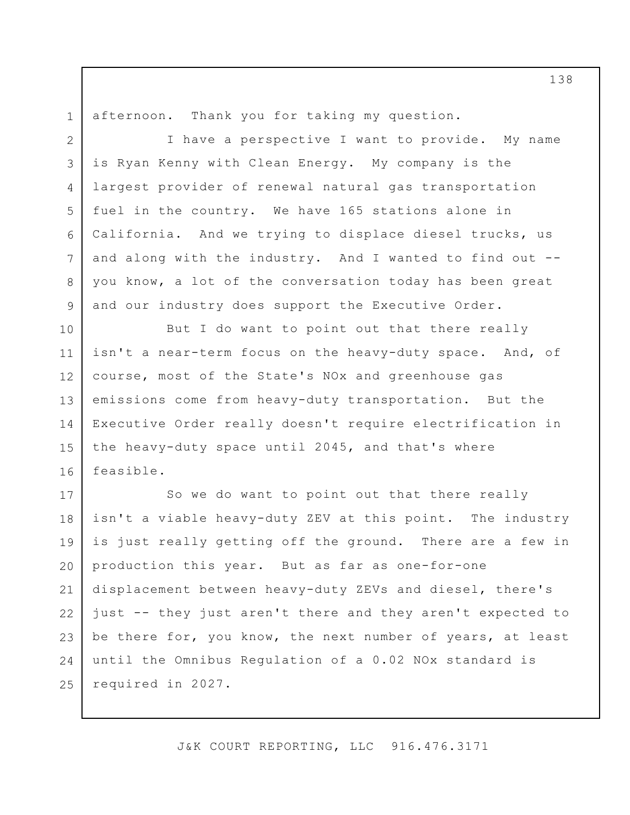1 2

4

5

6

7

8

9

afternoon. Thank you for taking my question.

3 I have a perspective I want to provide. My name is Ryan Kenny with Clean Energy. My company is the largest provider of renewal natural gas transportation fuel in the country. We have 165 stations alone in California. And we trying to displace diesel trucks, us and along with the industry. And I wanted to find out - you know, a lot of the conversation today has been great and our industry does support the Executive Order.

10 11 12 13 14 15 16 But I do want to point out that there really isn't a near-term focus on the heavy-duty space. And, of course, most of the State's NOx and greenhouse gas emissions come from heavy-duty transportation. But the Executive Order really doesn't require electrification in the heavy-duty space until 2045, and that's where feasible.

17 18 19 20 21 22 23 24 25 So we do want to point out that there really isn't a viable heavy-duty ZEV at this point. The industry is just really getting off the ground. There are a few in production this year. But as far as one-for-one displacement between heavy-duty ZEVs and diesel, there's just -- they just aren't there and they aren't expected to be there for, you know, the next number of years, at least until the Omnibus Regulation of a 0.02 NOx standard is required in 2027.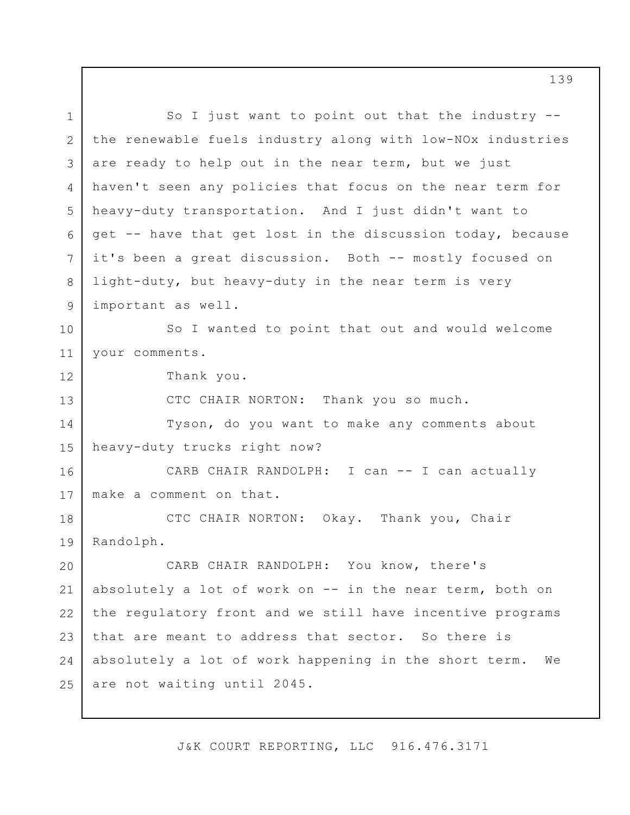1 2 3 4 5 6 7 8 9 10 11 12 13 14 15 16 17 18 19 20 21 22 23 24 25 So I just want to point out that the industry - the renewable fuels industry along with low-NOx industries are ready to help out in the near term, but we just haven't seen any policies that focus on the near term for heavy-duty transportation. And I just didn't want to get -- have that get lost in the discussion today, because it's been a great discussion. Both -- mostly focused on light-duty, but heavy-duty in the near term is very important as well. So I wanted to point that out and would welcome your comments. Thank you. CTC CHAIR NORTON: Thank you so much. Tyson, do you want to make any comments about heavy-duty trucks right now? CARB CHAIR RANDOLPH: I can -- I can actually make a comment on that. CTC CHAIR NORTON: Okay. Thank you, Chair Randolph. CARB CHAIR RANDOLPH: You know, there's absolutely a lot of work on -- in the near term, both on the regulatory front and we still have incentive programs that are meant to address that sector. So there is absolutely a lot of work happening in the short term. We are not waiting until 2045.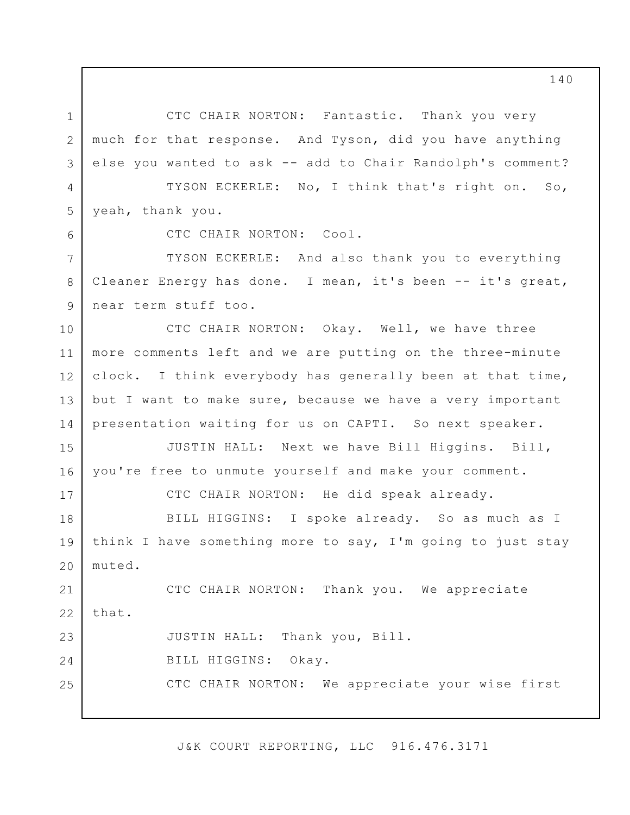1 2 3 4 5 6 7 8 9 10 11 12 13 14 15 16 17 18 19 20 21 22 23 24 25 CTC CHAIR NORTON: Fantastic. Thank you very much for that response. And Tyson, did you have anything else you wanted to ask -- add to Chair Randolph's comment? TYSON ECKERLE: No, I think that's right on. So, yeah, thank you. CTC CHAIR NORTON: Cool. TYSON ECKERLE: And also thank you to everything Cleaner Energy has done. I mean, it's been -- it's great, near term stuff too. CTC CHAIR NORTON: Okay. Well, we have three more comments left and we are putting on the three-minute clock. I think everybody has generally been at that time, but I want to make sure, because we have a very important presentation waiting for us on CAPTI. So next speaker. JUSTIN HALL: Next we have Bill Higgins. Bill, you're free to unmute yourself and make your comment. CTC CHAIR NORTON: He did speak already. BILL HIGGINS: I spoke already. So as much as I think I have something more to say, I'm going to just stay muted. CTC CHAIR NORTON: Thank you. We appreciate that. JUSTIN HALL: Thank you, Bill. BILL HIGGINS: Okay. CTC CHAIR NORTON: We appreciate your wise first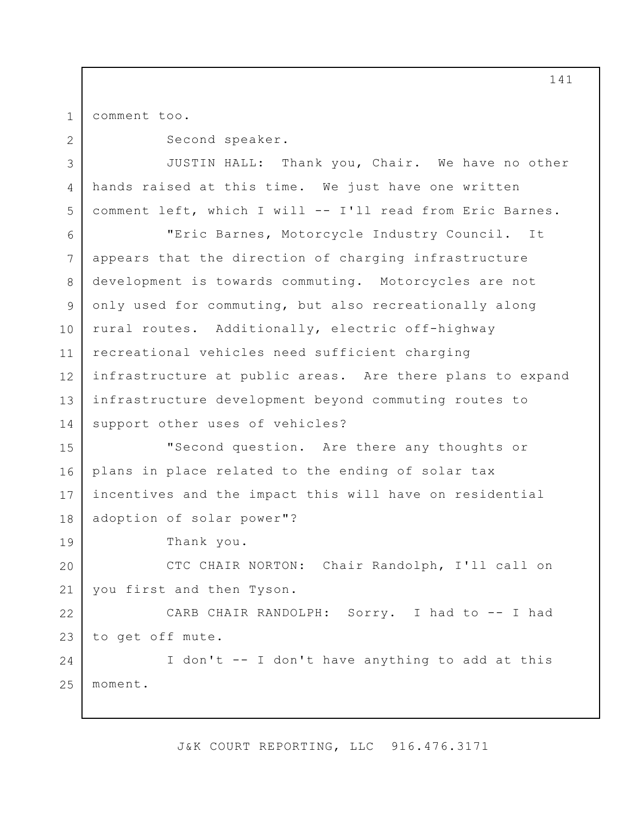1 comment too.

2

19

Second speaker.

3 4 5 JUSTIN HALL: Thank you, Chair. We have no other hands raised at this time. We just have one written comment left, which I will -- I'll read from Eric Barnes.

6 7 8 9 10 11 12 13 14 "Eric Barnes, Motorcycle Industry Council. It appears that the direction of charging infrastructure development is towards commuting. Motorcycles are not only used for commuting, but also recreationally along rural routes. Additionally, electric off-highway recreational vehicles need sufficient charging infrastructure at public areas. Are there plans to expand infrastructure development beyond commuting routes to support other uses of vehicles?

15 16 17 18 "Second question. Are there any thoughts or plans in place related to the ending of solar tax incentives and the impact this will have on residential adoption of solar power"?

Thank you.

20 21 CTC CHAIR NORTON: Chair Randolph, I'll call on you first and then Tyson.

22 23 CARB CHAIR RANDOLPH: Sorry. I had to -- I had to get off mute.

24 25 I don't -- I don't have anything to add at this moment.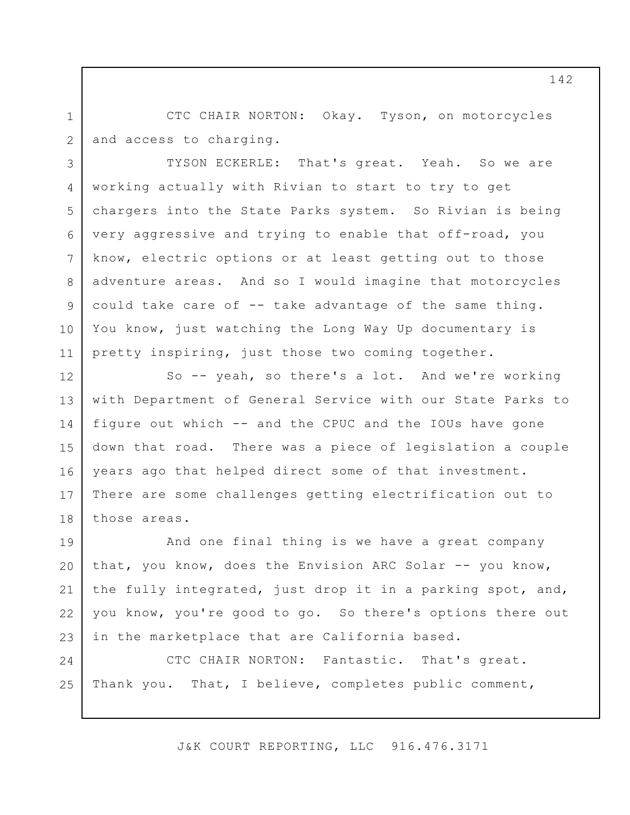2 CTC CHAIR NORTON: Okay. Tyson, on motorcycles and access to charging.

1

3

4

5

6

7

8

9

10

11

TYSON ECKERLE: That's great. Yeah. So we are working actually with Rivian to start to try to get chargers into the State Parks system. So Rivian is being very aggressive and trying to enable that off-road, you know, electric options or at least getting out to those adventure areas. And so I would imagine that motorcycles could take care of -- take advantage of the same thing. You know, just watching the Long Way Up documentary is pretty inspiring, just those two coming together.

12 13 14 15 16 17 18 So -- yeah, so there's a lot. And we're working with Department of General Service with our State Parks to figure out which -- and the CPUC and the IOUs have gone down that road. There was a piece of legislation a couple years ago that helped direct some of that investment. There are some challenges getting electrification out to those areas.

19 20 21 22 23 And one final thing is we have a great company that, you know, does the Envision ARC Solar -- you know, the fully integrated, just drop it in a parking spot, and, you know, you're good to go. So there's options there out in the marketplace that are California based.

24 25 CTC CHAIR NORTON: Fantastic. That's great. Thank you. That, I believe, completes public comment,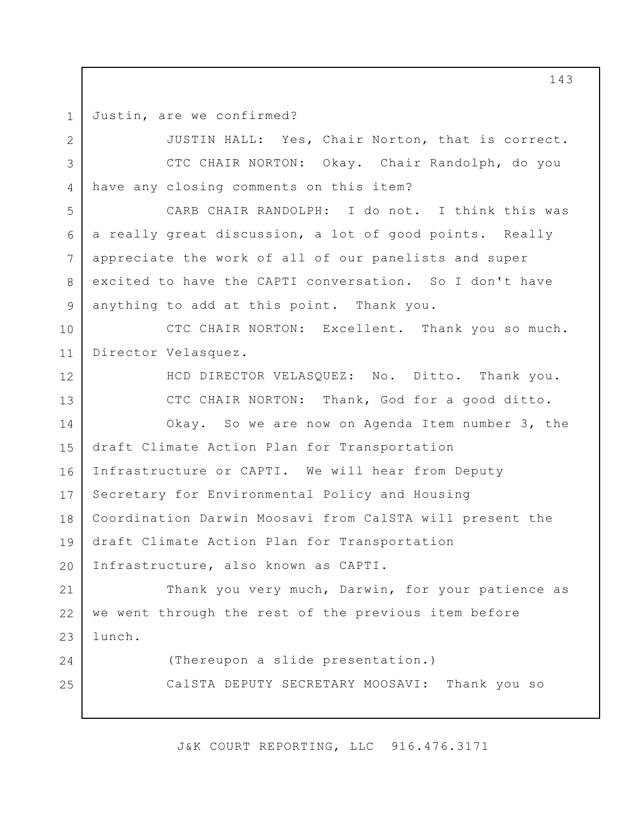1 Justin, are we confirmed?

12

13

14

24

25

2 3 4 JUSTIN HALL: Yes, Chair Norton, that is correct. CTC CHAIR NORTON: Okay. Chair Randolph, do you have any closing comments on this item?

5 6 7 8 9 CARB CHAIR RANDOLPH: I do not. I think this was a really great discussion, a lot of good points. Really appreciate the work of all of our panelists and super excited to have the CAPTI conversation. So I don't have anything to add at this point. Thank you.

10 11 CTC CHAIR NORTON: Excellent. Thank you so much. Director Velasquez.

> HCD DIRECTOR VELASQUEZ: No. Ditto. Thank you. CTC CHAIR NORTON: Thank, God for a good ditto. Okay. So we are now on Agenda Item number 3, the

15 16 17 18 19 20 draft Climate Action Plan for Transportation Infrastructure or CAPTI. We will hear from Deputy Secretary for Environmental Policy and Housing Coordination Darwin Moosavi from CalSTA will present the draft Climate Action Plan for Transportation Infrastructure, also known as CAPTI.

21 22 23 Thank you very much, Darwin, for your patience as we went through the rest of the previous item before lunch.

> (Thereupon a slide presentation.) CalSTA DEPUTY SECRETARY MOOSAVI: Thank you so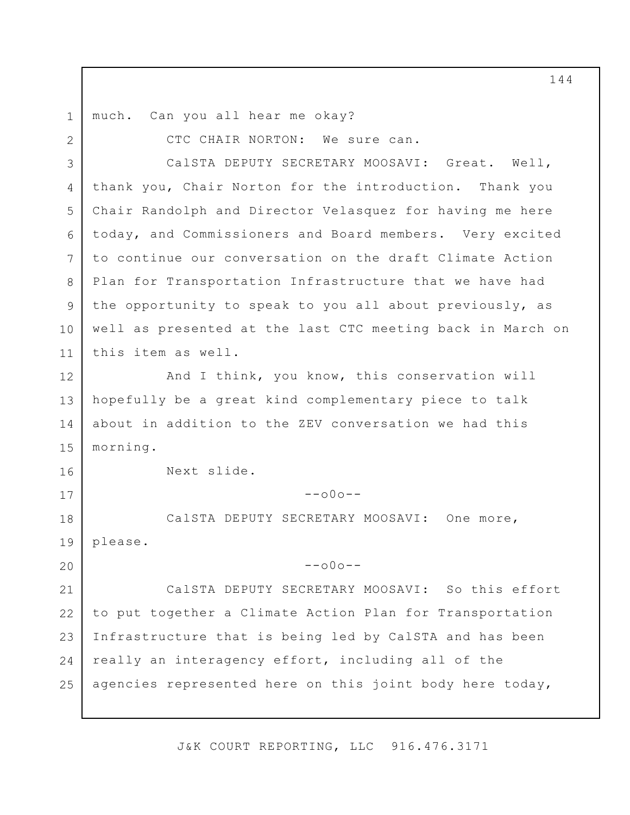1 much. Can you all hear me okay?

2 3 4 5 6 7 8 9 10 11 12 13 14 15 16 17 18 19 20 21 22 23 24 25 CTC CHAIR NORTON: We sure can. CalSTA DEPUTY SECRETARY MOOSAVI: Great. Well, thank you, Chair Norton for the introduction. Thank you Chair Randolph and Director Velasquez for having me here today, and Commissioners and Board members. Very excited to continue our conversation on the draft Climate Action Plan for Transportation Infrastructure that we have had the opportunity to speak to you all about previously, as well as presented at the last CTC meeting back in March on this item as well. And I think, you know, this conservation will hopefully be a great kind complementary piece to talk about in addition to the ZEV conversation we had this morning. Next slide.  $--000--$ CalSTA DEPUTY SECRETARY MOOSAVI: One more, please.  $--000--$ CalSTA DEPUTY SECRETARY MOOSAVI: So this effort to put together a Climate Action Plan for Transportation Infrastructure that is being led by CalSTA and has been really an interagency effort, including all of the agencies represented here on this joint body here today,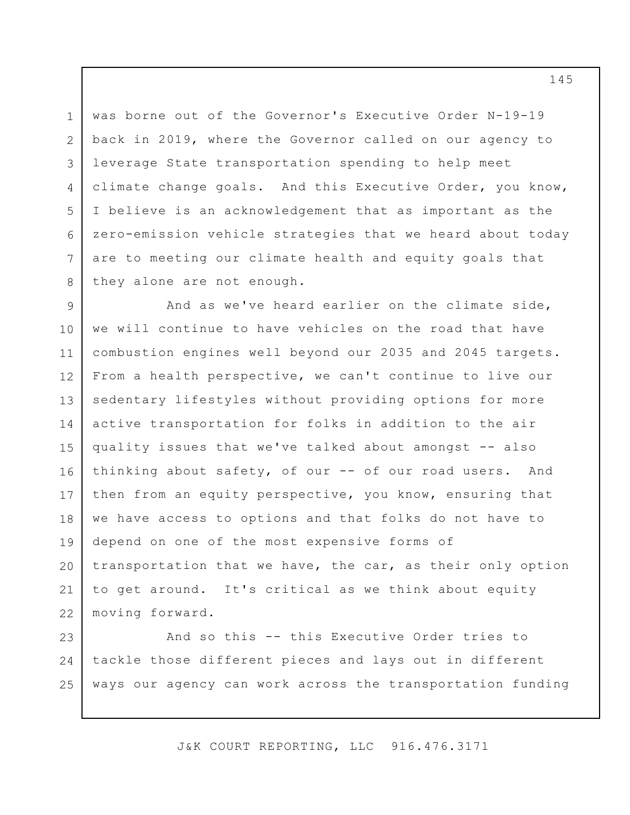3 was borne out of the Governor's Executive Order N-19-19 back in 2019, where the Governor called on our agency to leverage State transportation spending to help meet climate change goals. And this Executive Order, you know, I believe is an acknowledgement that as important as the zero-emission vehicle strategies that we heard about today are to meeting our climate health and equity goals that they alone are not enough.

1

2

4

5

6

7

8

9 10 11 12 13 14 15 16 17 18 19 20 21 22 And as we've heard earlier on the climate side, we will continue to have vehicles on the road that have combustion engines well beyond our 2035 and 2045 targets. From a health perspective, we can't continue to live our sedentary lifestyles without providing options for more active transportation for folks in addition to the air quality issues that we've talked about amongst -- also thinking about safety, of our -- of our road users. And then from an equity perspective, you know, ensuring that we have access to options and that folks do not have to depend on one of the most expensive forms of transportation that we have, the car, as their only option to get around. It's critical as we think about equity moving forward.

23 24 25 And so this -- this Executive Order tries to tackle those different pieces and lays out in different ways our agency can work across the transportation funding

J&K COURT REPORTING, LLC 916.476.3171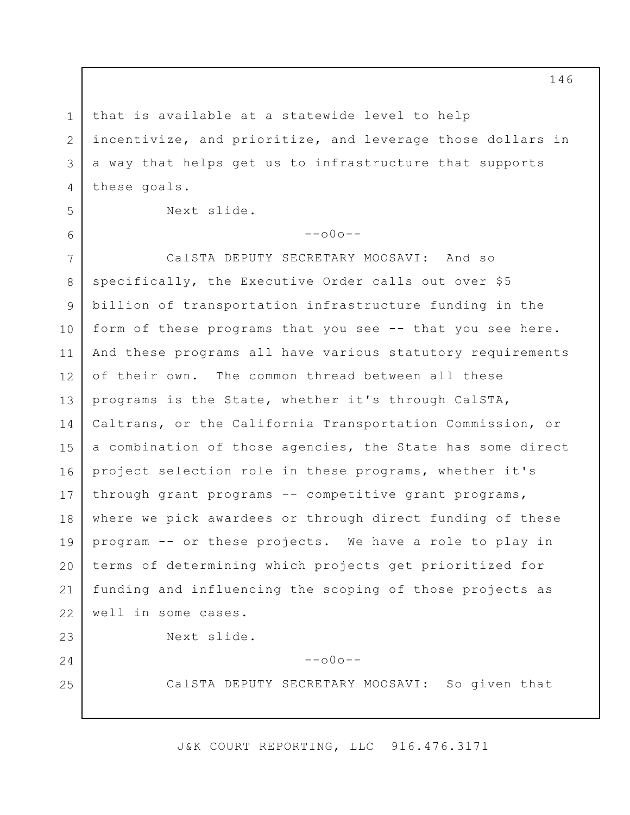1 2

3

4

5

6

24

25

that is available at a statewide level to help incentivize, and prioritize, and leverage those dollars in a way that helps get us to infrastructure that supports these goals.

Next slide.

 $-000-$ 

7 8 9 10 11 12 13 14 15 16 17 18 19 20 21 22 23 CalSTA DEPUTY SECRETARY MOOSAVI: And so specifically, the Executive Order calls out over \$5 billion of transportation infrastructure funding in the form of these programs that you see -- that you see here. And these programs all have various statutory requirements of their own. The common thread between all these programs is the State, whether it's through CalSTA, Caltrans, or the California Transportation Commission, or a combination of those agencies, the State has some direct project selection role in these programs, whether it's through grant programs -- competitive grant programs, where we pick awardees or through direct funding of these program -- or these projects. We have a role to play in terms of determining which projects get prioritized for funding and influencing the scoping of those projects as well in some cases. Next slide.

 $--000--$ 

CalSTA DEPUTY SECRETARY MOOSAVI: So given that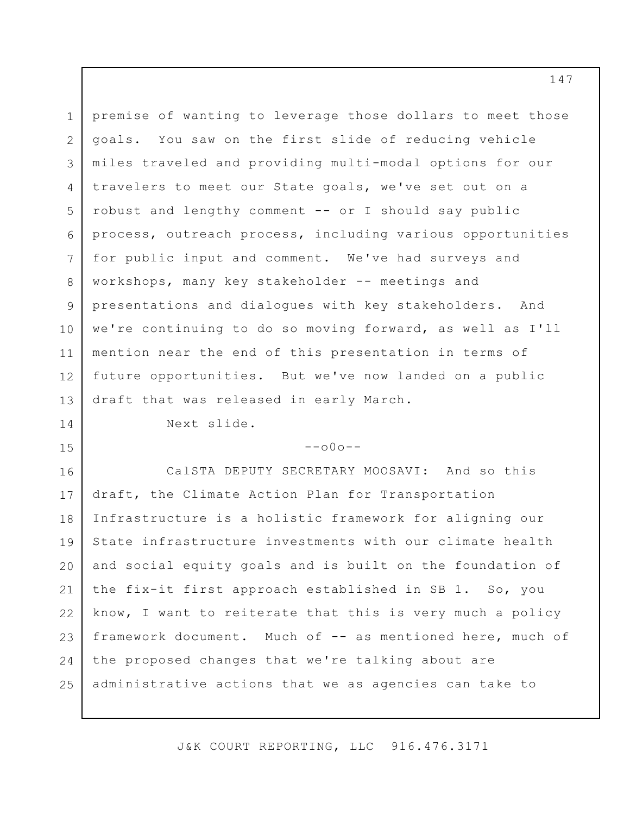1 2 3 4 5 6 7 8 9 10 11 12 13 14 premise of wanting to leverage those dollars to meet those goals. You saw on the first slide of reducing vehicle miles traveled and providing multi-modal options for our travelers to meet our State goals, we've set out on a robust and lengthy comment -- or I should say public process, outreach process, including various opportunities for public input and comment. We've had surveys and workshops, many key stakeholder -- meetings and presentations and dialogues with key stakeholders. And we're continuing to do so moving forward, as well as I'll mention near the end of this presentation in terms of future opportunities. But we've now landed on a public draft that was released in early March. Next slide.

## $--000--$

15

16 17 18 19 20 21 22 23 24 25 CalSTA DEPUTY SECRETARY MOOSAVI: And so this draft, the Climate Action Plan for Transportation Infrastructure is a holistic framework for aligning our State infrastructure investments with our climate health and social equity goals and is built on the foundation of the fix-it first approach established in SB 1. So, you know, I want to reiterate that this is very much a policy framework document. Much of -- as mentioned here, much of the proposed changes that we're talking about are administrative actions that we as agencies can take to

J&K COURT REPORTING, LLC 916.476.3171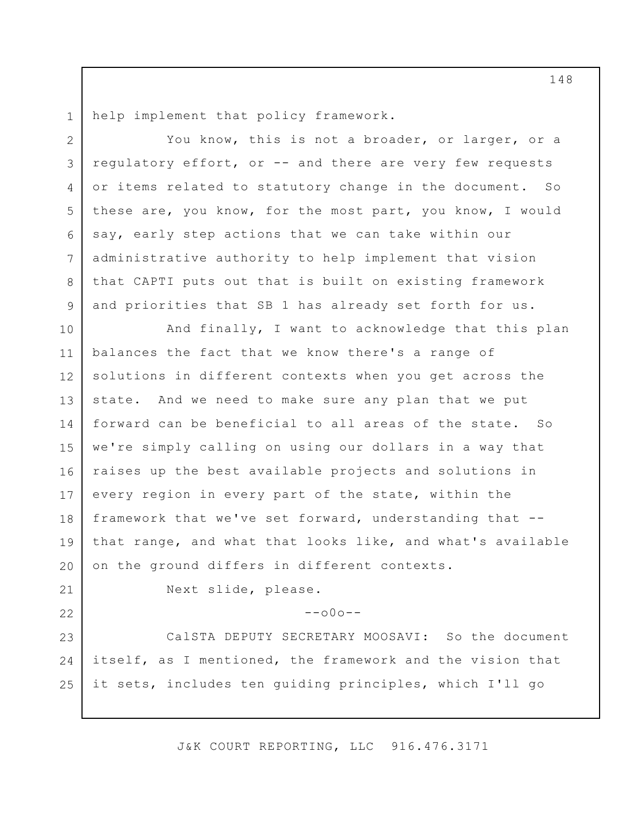1 help implement that policy framework.

3 4 5 6 7 You know, this is not a broader, or larger, or a regulatory effort, or -- and there are very few requests or items related to statutory change in the document. So these are, you know, for the most part, you know, I would say, early step actions that we can take within our administrative authority to help implement that vision that CAPTI puts out that is built on existing framework and priorities that SB 1 has already set forth for us.

10 11 12 13 14 15 16 17 18 19 20 And finally, I want to acknowledge that this plan balances the fact that we know there's a range of solutions in different contexts when you get across the state. And we need to make sure any plan that we put forward can be beneficial to all areas of the state. So we're simply calling on using our dollars in a way that raises up the best available projects and solutions in every region in every part of the state, within the framework that we've set forward, understanding that - that range, and what that looks like, and what's available on the ground differs in different contexts.

21 22

2

8

9

Next slide, please.

## $--000--$

23 24 25 CalSTA DEPUTY SECRETARY MOOSAVI: So the document itself, as I mentioned, the framework and the vision that it sets, includes ten guiding principles, which I'll go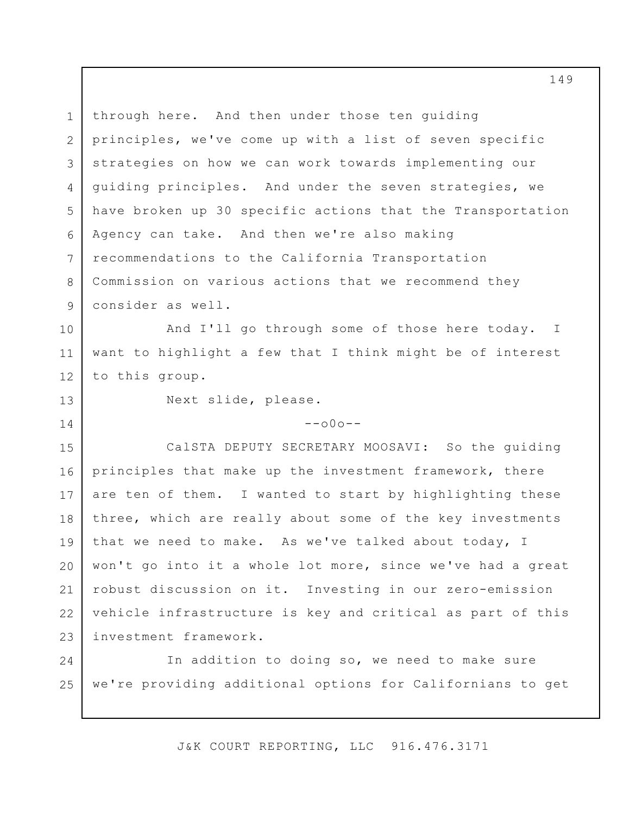1 2 3 4 5 6 7 8 9 through here. And then under those ten guiding principles, we've come up with a list of seven specific strategies on how we can work towards implementing our guiding principles. And under the seven strategies, we have broken up 30 specific actions that the Transportation Agency can take. And then we're also making recommendations to the California Transportation Commission on various actions that we recommend they consider as well.

10 11 12 And I'll go through some of those here today. want to highlight a few that I think might be of interest to this group. I

13

14

Next slide, please.

 $--000--$ 

15 16 17 18 19 20 21 22 23 CalSTA DEPUTY SECRETARY MOOSAVI: So the guiding principles that make up the investment framework, there are ten of them. I wanted to start by highlighting these three, which are really about some of the key investments that we need to make. As we've talked about today, I won't go into it a whole lot more, since we've had a great robust discussion on it. Investing in our zero-emission vehicle infrastructure is key and critical as part of this investment framework.

24 25 In addition to doing so, we need to make sure we're providing additional options for Californians to get

J&K COURT REPORTING, LLC 916.476.3171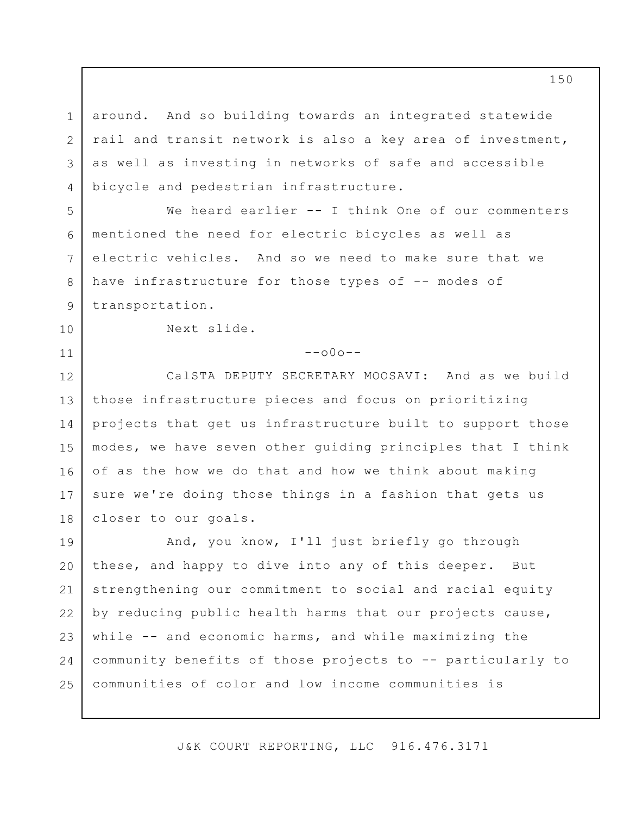around. And so building towards an integrated statewide rail and transit network is also a key area of investment, as well as investing in networks of safe and accessible bicycle and pedestrian infrastructure.

We heard earlier -- I think One of our commenters mentioned the need for electric bicycles as well as electric vehicles. And so we need to make sure that we have infrastructure for those types of -- modes of transportation.

Next slide.

1

2

3

4

5

6

7

8

9

10

11

 $--000--$ 

12 13 14 15 16 17 18 CalSTA DEPUTY SECRETARY MOOSAVI: And as we build those infrastructure pieces and focus on prioritizing projects that get us infrastructure built to support those modes, we have seven other guiding principles that I think of as the how we do that and how we think about making sure we're doing those things in a fashion that gets us closer to our goals.

19 20 21 22 23 24 25 And, you know, I'll just briefly go through these, and happy to dive into any of this deeper. But strengthening our commitment to social and racial equity by reducing public health harms that our projects cause, while -- and economic harms, and while maximizing the community benefits of those projects to -- particularly to communities of color and low income communities is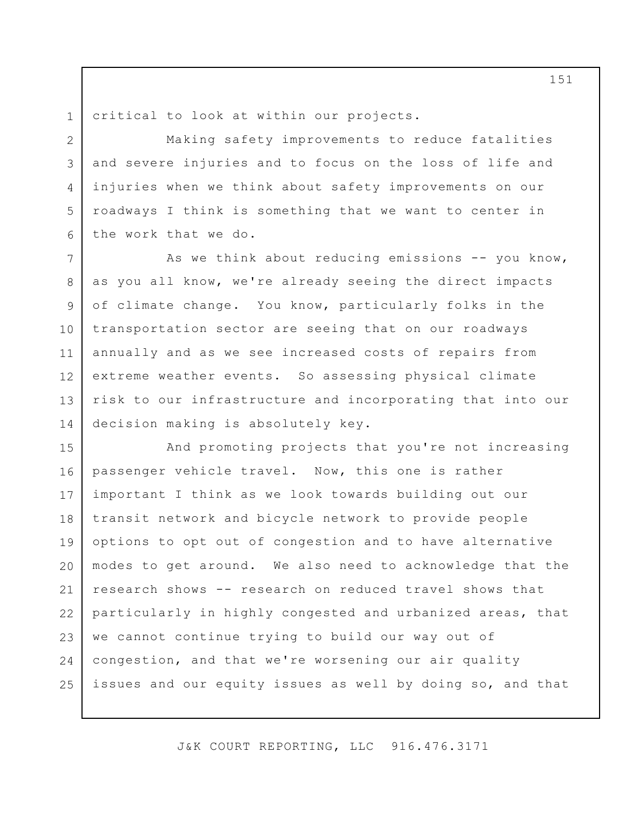1 2

4

5

critical to look at within our projects.

3 6 Making safety improvements to reduce fatalities and severe injuries and to focus on the loss of life and injuries when we think about safety improvements on our roadways I think is something that we want to center in the work that we do.

7 8 9 10 11 12 13 14 As we think about reducing emissions  $--$  you know, as you all know, we're already seeing the direct impacts of climate change. You know, particularly folks in the transportation sector are seeing that on our roadways annually and as we see increased costs of repairs from extreme weather events. So assessing physical climate risk to our infrastructure and incorporating that into our decision making is absolutely key.

15 16 17 18 19 20 21 22 23 24 25 And promoting projects that you're not increasing passenger vehicle travel. Now, this one is rather important I think as we look towards building out our transit network and bicycle network to provide people options to opt out of congestion and to have alternative modes to get around. We also need to acknowledge that the research shows -- research on reduced travel shows that particularly in highly congested and urbanized areas, that we cannot continue trying to build our way out of congestion, and that we're worsening our air quality issues and our equity issues as well by doing so, and that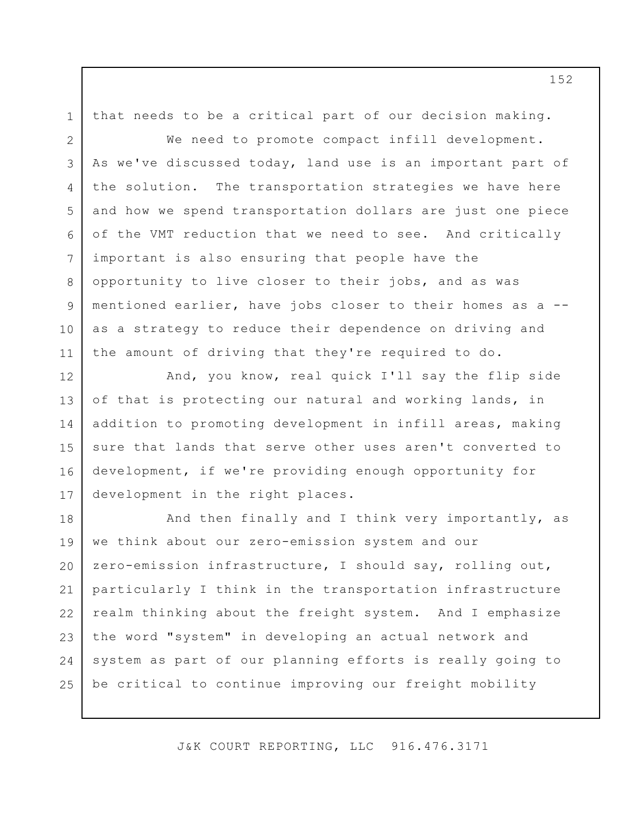1 that needs to be a critical part of our decision making.

2

3

4

5

6

7

8

9

10

11

12

14

15

We need to promote compact infill development. As we've discussed today, land use is an important part of the solution. The transportation strategies we have here and how we spend transportation dollars are just one piece of the VMT reduction that we need to see. And critically important is also ensuring that people have the opportunity to live closer to their jobs, and as was mentioned earlier, have jobs closer to their homes as a - as a strategy to reduce their dependence on driving and the amount of driving that they're required to do.

13 16 17 And, you know, real quick I'll say the flip side of that is protecting our natural and working lands, in addition to promoting development in infill areas, making sure that lands that serve other uses aren't converted to development, if we're providing enough opportunity for development in the right places.

18 19 20 21 22 23 24 25 And then finally and I think very importantly, as we think about our zero-emission system and our zero-emission infrastructure, I should say, rolling out, particularly I think in the transportation infrastructure realm thinking about the freight system. And I emphasize the word "system" in developing an actual network and system as part of our planning efforts is really going to be critical to continue improving our freight mobility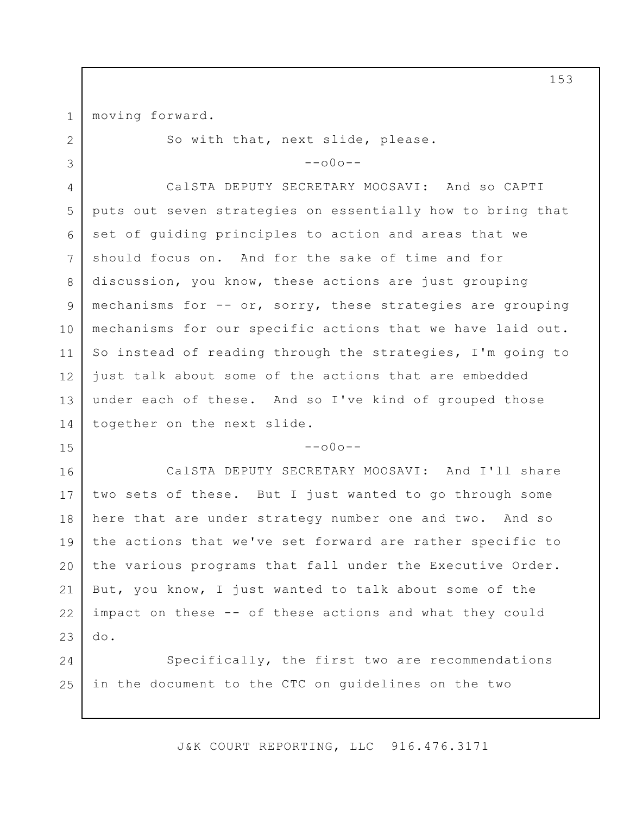1 2

3

15

moving forward.

So with that, next slide, please.

 $--000--$ 

4 5 6 7 8 9 10 11 12 13 14 CalSTA DEPUTY SECRETARY MOOSAVI: And so CAPTI puts out seven strategies on essentially how to bring that set of guiding principles to action and areas that we should focus on. And for the sake of time and for discussion, you know, these actions are just grouping mechanisms for -- or, sorry, these strategies are grouping mechanisms for our specific actions that we have laid out. So instead of reading through the strategies, I'm going to just talk about some of the actions that are embedded under each of these. And so I've kind of grouped those together on the next slide.

## $--000--$

16 17 18 19 20 21 22 23 CalSTA DEPUTY SECRETARY MOOSAVI: And I'll share two sets of these. But I just wanted to go through some here that are under strategy number one and two. And so the actions that we've set forward are rather specific to the various programs that fall under the Executive Order. But, you know, I just wanted to talk about some of the impact on these -- of these actions and what they could do.

24 25 Specifically, the first two are recommendations in the document to the CTC on guidelines on the two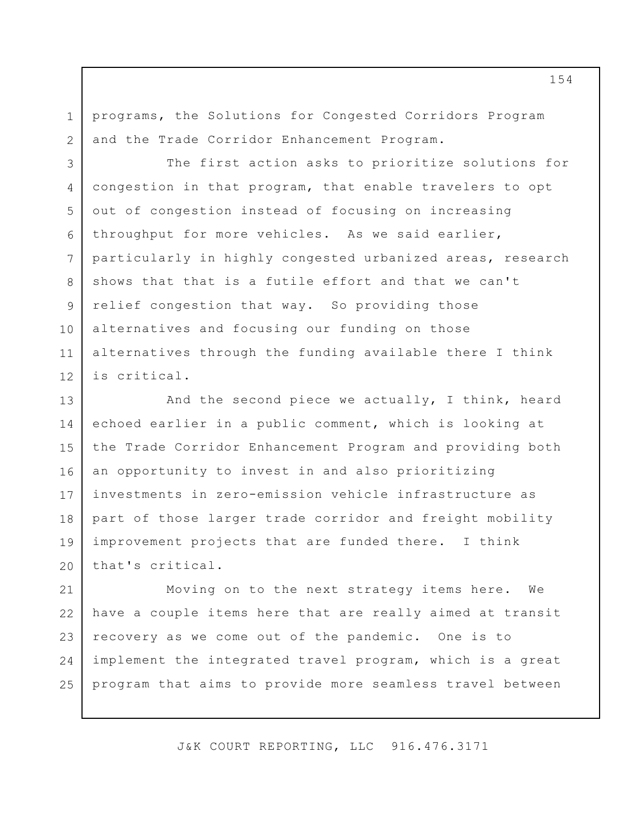programs, the Solutions for Congested Corridors Program and the Trade Corridor Enhancement Program.

1

2

3 4 5 6 7 8 9 10 11 12 The first action asks to prioritize solutions for congestion in that program, that enable travelers to opt out of congestion instead of focusing on increasing throughput for more vehicles. As we said earlier, particularly in highly congested urbanized areas, research shows that that is a futile effort and that we can't relief congestion that way. So providing those alternatives and focusing our funding on those alternatives through the funding available there I think is critical.

13 14 15 16 17 18 19 20 And the second piece we actually, I think, heard echoed earlier in a public comment, which is looking at the Trade Corridor Enhancement Program and providing both an opportunity to invest in and also prioritizing investments in zero-emission vehicle infrastructure as part of those larger trade corridor and freight mobility improvement projects that are funded there. I think that's critical.

21 22 23 24 25 Moving on to the next strategy items here. We have a couple items here that are really aimed at transit recovery as we come out of the pandemic. One is to implement the integrated travel program, which is a great program that aims to provide more seamless travel between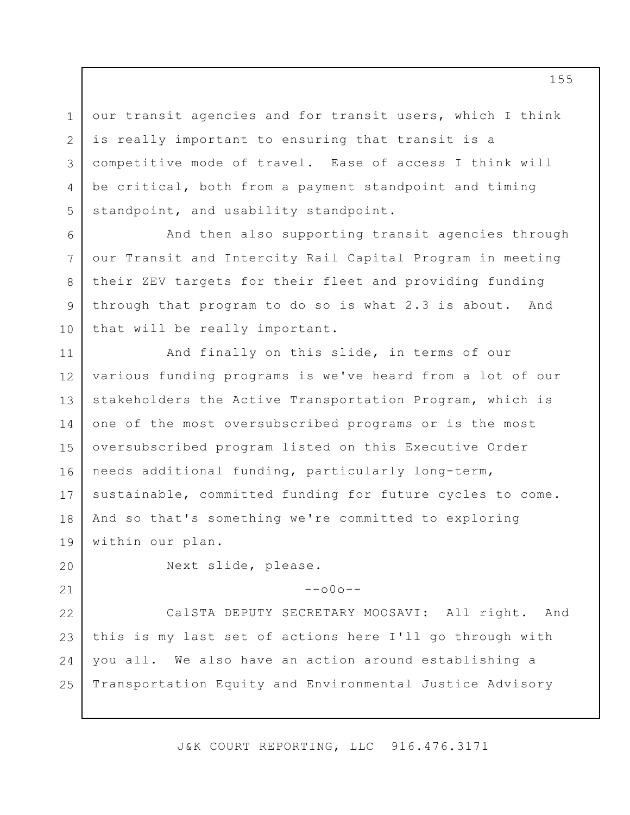3 our transit agencies and for transit users, which I think is really important to ensuring that transit is a competitive mode of travel. Ease of access I think will be critical, both from a payment standpoint and timing standpoint, and usability standpoint.

And then also supporting transit agencies through our Transit and Intercity Rail Capital Program in meeting their ZEV targets for their fleet and providing funding through that program to do so is what 2.3 is about. And that will be really important.

11 12 13 14 15 16 17 18 19 And finally on this slide, in terms of our various funding programs is we've heard from a lot of our stakeholders the Active Transportation Program, which is one of the most oversubscribed programs or is the most oversubscribed program listed on this Executive Order needs additional funding, particularly long-term, sustainable, committed funding for future cycles to come. And so that's something we're committed to exploring within our plan.

20

21

1

2

4

5

6

7

8

9

10

Next slide, please.

 $--000--$ 

22 23 24 25 CalSTA DEPUTY SECRETARY MOOSAVI: All right. And this is my last set of actions here I'll go through with you all. We also have an action around establishing a Transportation Equity and Environmental Justice Advisory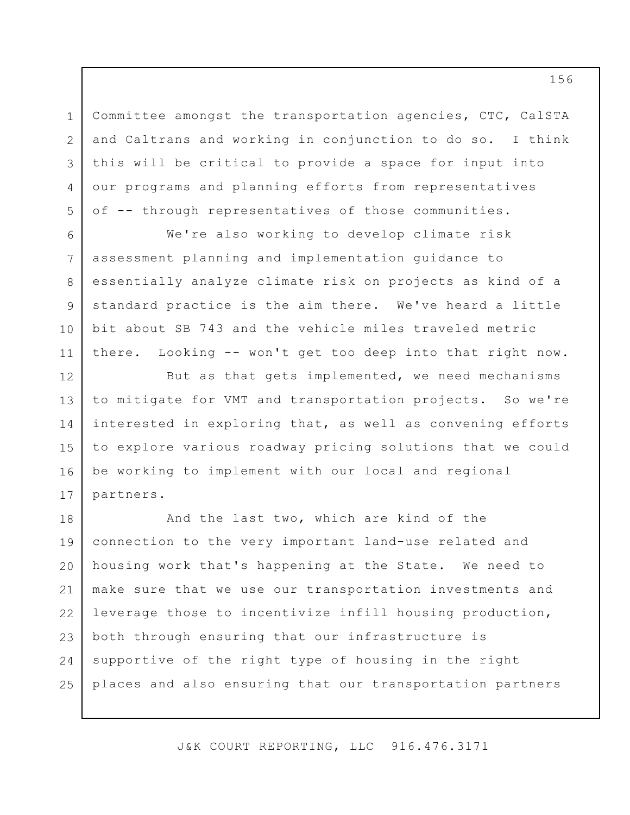Committee amongst the transportation agencies, CTC, CalSTA and Caltrans and working in conjunction to do so. I think this will be critical to provide a space for input into our programs and planning efforts from representatives of -- through representatives of those communities.

1

2

3

4

5

6

7

8

9

10

11

12

14

15

We're also working to develop climate risk assessment planning and implementation guidance to essentially analyze climate risk on projects as kind of a standard practice is the aim there. We've heard a little bit about SB 743 and the vehicle miles traveled metric there. Looking -- won't get too deep into that right now.

13 16 17 But as that gets implemented, we need mechanisms to mitigate for VMT and transportation projects. So we're interested in exploring that, as well as convening efforts to explore various roadway pricing solutions that we could be working to implement with our local and regional partners.

18 19 20 21 22 23 24 25 And the last two, which are kind of the connection to the very important land-use related and housing work that's happening at the State. We need to make sure that we use our transportation investments and leverage those to incentivize infill housing production, both through ensuring that our infrastructure is supportive of the right type of housing in the right places and also ensuring that our transportation partners

J&K COURT REPORTING, LLC 916.476.3171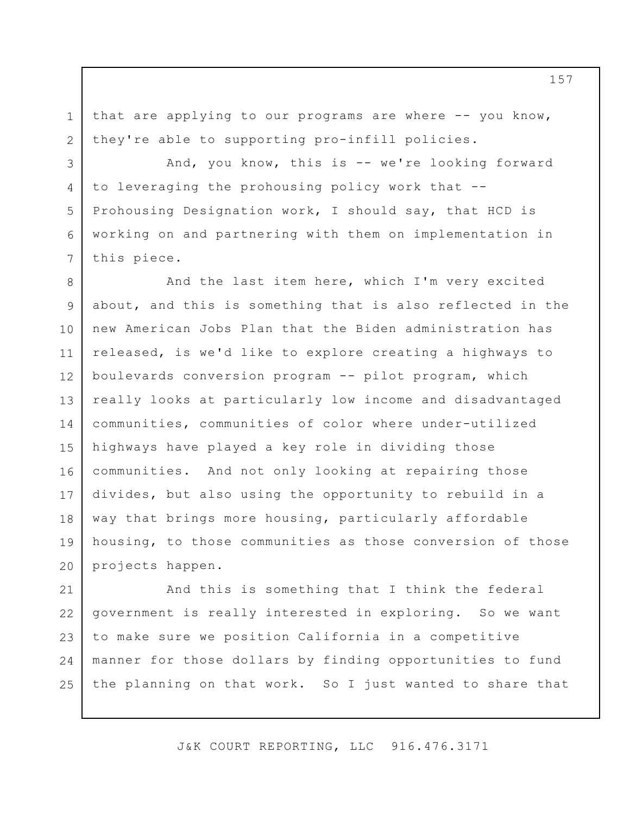that are applying to our programs are where -- you know, they're able to supporting pro-infill policies.

1

2

3

4

5

6

7

And, you know, this is -- we're looking forward to leveraging the prohousing policy work that -- Prohousing Designation work, I should say, that HCD is working on and partnering with them on implementation in this piece.

8 9 10 11 12 13 14 15 16 17 18 19 20 And the last item here, which I'm very excited about, and this is something that is also reflected in the new American Jobs Plan that the Biden administration has released, is we'd like to explore creating a highways to boulevards conversion program -- pilot program, which really looks at particularly low income and disadvantaged communities, communities of color where under-utilized highways have played a key role in dividing those communities. And not only looking at repairing those divides, but also using the opportunity to rebuild in a way that brings more housing, particularly affordable housing, to those communities as those conversion of those projects happen.

21 22 23 24 25 And this is something that I think the federal government is really interested in exploring. So we want to make sure we position California in a competitive manner for those dollars by finding opportunities to fund the planning on that work. So I just wanted to share that

J&K COURT REPORTING, LLC 916.476.3171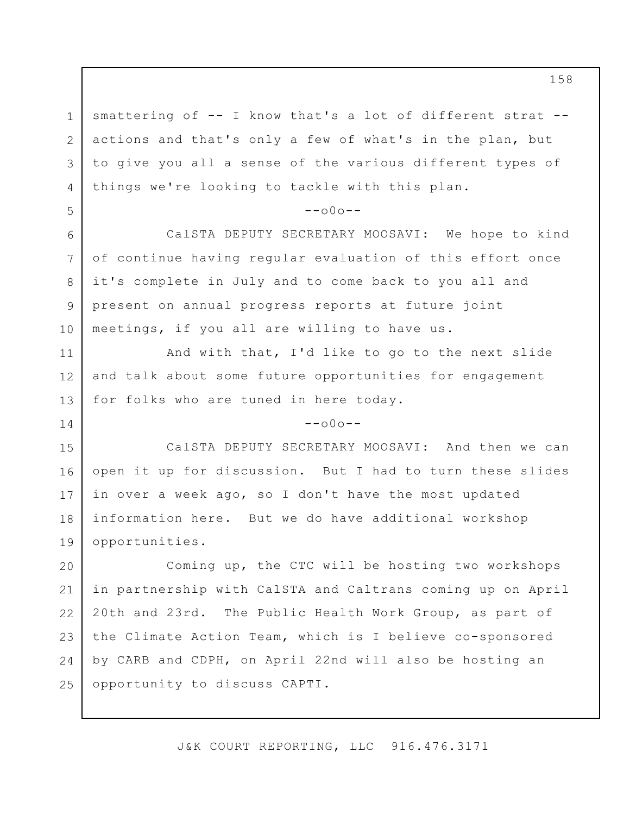1 2 3 4 smattering of -- I know that's a lot of different strat - actions and that's only a few of what's in the plan, but to give you all a sense of the various different types of things we're looking to tackle with this plan.

5

11

12

13

14

## $--000--$

6 7 8 9 10 CalSTA DEPUTY SECRETARY MOOSAVI: We hope to kind of continue having regular evaluation of this effort once it's complete in July and to come back to you all and present on annual progress reports at future joint meetings, if you all are willing to have us.

And with that, I'd like to go to the next slide and talk about some future opportunities for engagement for folks who are tuned in here today.

 $--000--$ 

15 16 17 18 19 CalSTA DEPUTY SECRETARY MOOSAVI: And then we can open it up for discussion. But I had to turn these slides in over a week ago, so I don't have the most updated information here. But we do have additional workshop opportunities.

20 21 22 23 24 25 Coming up, the CTC will be hosting two workshops in partnership with CalSTA and Caltrans coming up on April 20th and 23rd. The Public Health Work Group, as part of the Climate Action Team, which is I believe co-sponsored by CARB and CDPH, on April 22nd will also be hosting an opportunity to discuss CAPTI.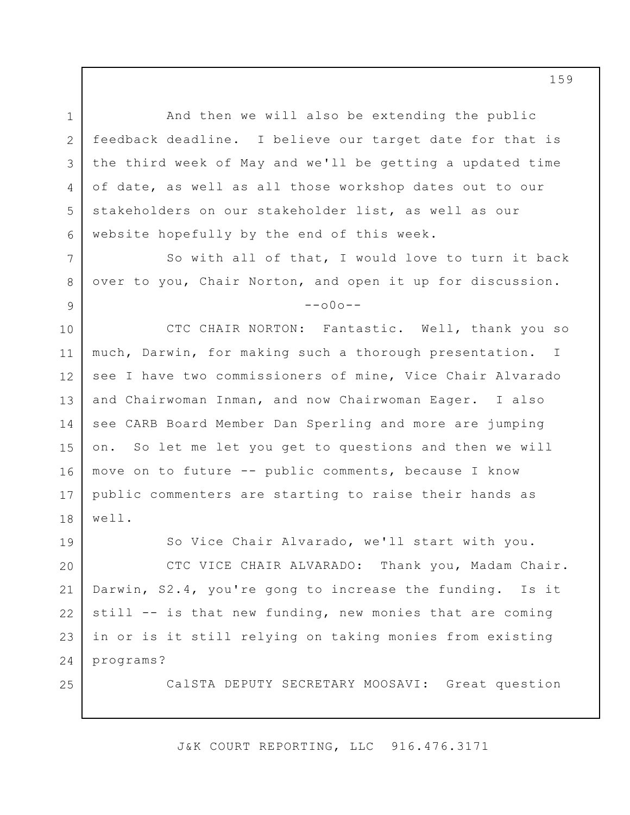1 2 3 4 5 6 7 8 9 10 11 12 13 14 15 16 17 18 19 20 21 22 And then we will also be extending the public feedback deadline. I believe our target date for that is the third week of May and we'll be getting a updated time of date, as well as all those workshop dates out to our stakeholders on our stakeholder list, as well as our website hopefully by the end of this week. So with all of that, I would love to turn it back over to you, Chair Norton, and open it up for discussion.  $--000--$ CTC CHAIR NORTON: Fantastic. Well, thank you so much, Darwin, for making such a thorough presentation. I see I have two commissioners of mine, Vice Chair Alvarado and Chairwoman Inman, and now Chairwoman Eager. I also see CARB Board Member Dan Sperling and more are jumping on. So let me let you get to questions and then we will move on to future -- public comments, because I know public commenters are starting to raise their hands as well. So Vice Chair Alvarado, we'll start with you. CTC VICE CHAIR ALVARADO: Thank you, Madam Chair. Darwin, S2.4, you're gong to increase the funding. Is it still -- is that new funding, new monies that are coming

24 programs?

23

25

CalSTA DEPUTY SECRETARY MOOSAVI: Great question

J&K COURT REPORTING, LLC 916.476.3171

in or is it still relying on taking monies from existing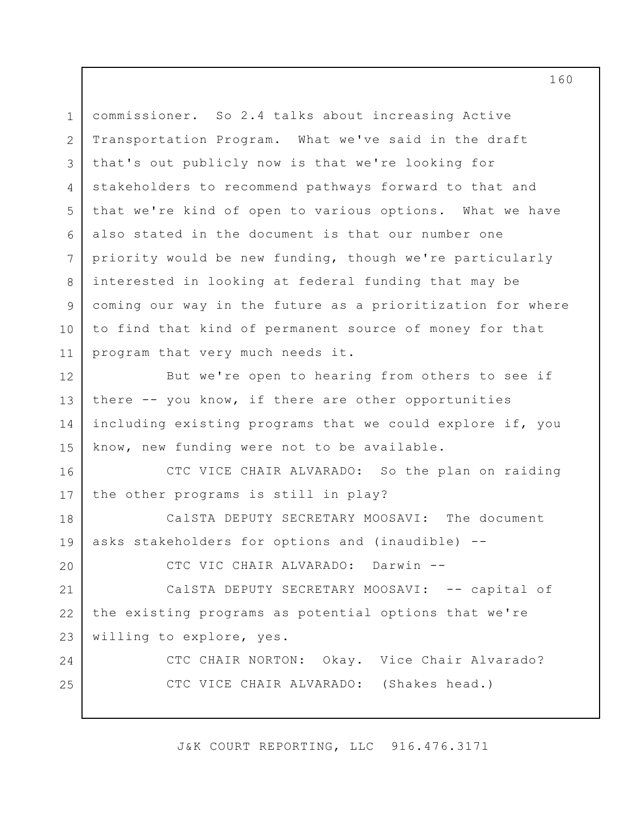1 2 3 4 5 6 7 8 9 10 11 12 13 14 15 16 17 18 19 20 21 22 23 24 25 commissioner. So 2.4 talks about increasing Active Transportation Program. What we've said in the draft that's out publicly now is that we're looking for stakeholders to recommend pathways forward to that and that we're kind of open to various options. What we have also stated in the document is that our number one priority would be new funding, though we're particularly interested in looking at federal funding that may be coming our way in the future as a prioritization for where to find that kind of permanent source of money for that program that very much needs it. But we're open to hearing from others to see if there -- you know, if there are other opportunities including existing programs that we could explore if, you know, new funding were not to be available. CTC VICE CHAIR ALVARADO: So the plan on raiding the other programs is still in play? CalSTA DEPUTY SECRETARY MOOSAVI: The document asks stakeholders for options and (inaudible) -- CTC VIC CHAIR ALVARADO: Darwin -- CalSTA DEPUTY SECRETARY MOOSAVI: -- capital of the existing programs as potential options that we're willing to explore, yes. CTC CHAIR NORTON: Okay. Vice Chair Alvarado? CTC VICE CHAIR ALVARADO: (Shakes head.)

J&K COURT REPORTING, LLC 916.476.3171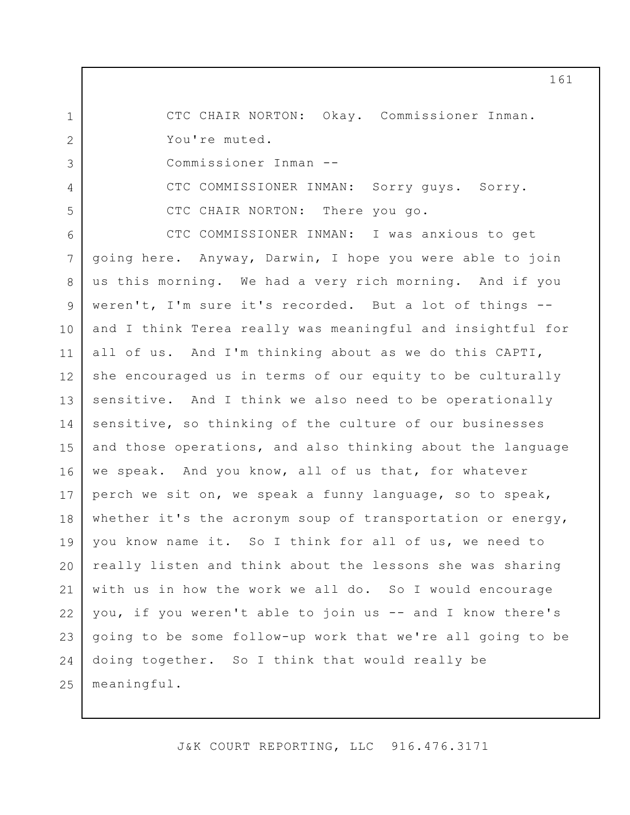1 2 3 4 5 6 7 8 9 10 11 12 13 14 15 16 17 18 19 20 21 22 23 24 25 CTC CHAIR NORTON: Okay. Commissioner Inman. You're muted. Commissioner Inman -- CTC COMMISSIONER INMAN: Sorry guys. Sorry. CTC CHAIR NORTON: There you go. CTC COMMISSIONER INMAN: I was anxious to get going here. Anyway, Darwin, I hope you were able to join us this morning. We had a very rich morning. And if you weren't, I'm sure it's recorded. But a lot of things - and I think Terea really was meaningful and insightful for all of us. And I'm thinking about as we do this CAPTI, she encouraged us in terms of our equity to be culturally sensitive. And I think we also need to be operationally sensitive, so thinking of the culture of our businesses and those operations, and also thinking about the language we speak. And you know, all of us that, for whatever perch we sit on, we speak a funny language, so to speak, whether it's the acronym soup of transportation or energy, you know name it. So I think for all of us, we need to really listen and think about the lessons she was sharing with us in how the work we all do. So I would encourage you, if you weren't able to join us -- and I know there's going to be some follow-up work that we're all going to be doing together. So I think that would really be meaningful.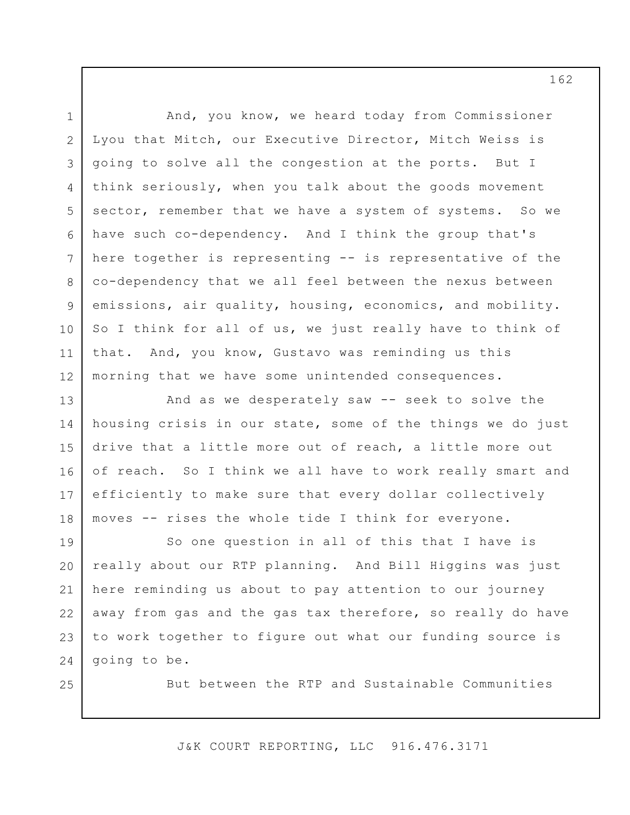1 2 3 4 5 6 7 8 9 10 11 12 13 14 15 16 17 18 19 20 21 22 23 24 And, you know, we heard today from Commissioner Lyou that Mitch, our Executive Director, Mitch Weiss is going to solve all the congestion at the ports. But I think seriously, when you talk about the goods movement sector, remember that we have a system of systems. So we have such co-dependency. And I think the group that's here together is representing -- is representative of the co-dependency that we all feel between the nexus between emissions, air quality, housing, economics, and mobility. So I think for all of us, we just really have to think of that. And, you know, Gustavo was reminding us this morning that we have some unintended consequences. And as we desperately saw -- seek to solve the housing crisis in our state, some of the things we do just drive that a little more out of reach, a little more out of reach. So I think we all have to work really smart and efficiently to make sure that every dollar collectively moves -- rises the whole tide I think for everyone. So one question in all of this that I have is really about our RTP planning. And Bill Higgins was just here reminding us about to pay attention to our journey away from gas and the gas tax therefore, so really do have to work together to figure out what our funding source is going to be.

25

But between the RTP and Sustainable Communities

J&K COURT REPORTING, LLC 916.476.3171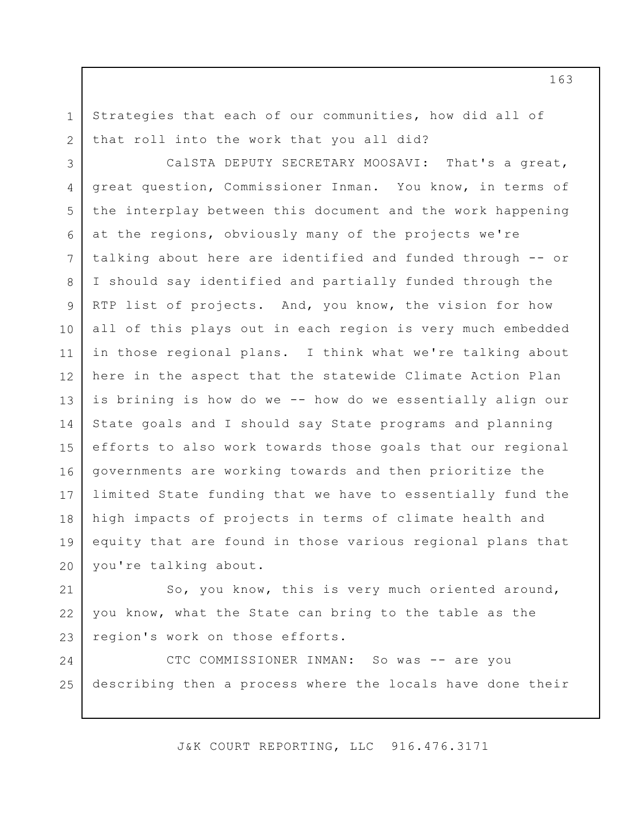Strategies that each of our communities, how did all of that roll into the work that you all did?

1

2

3 4 5 6 7 8 9 10 11 12 13 14 15 16 17 18 19 20 CalSTA DEPUTY SECRETARY MOOSAVI: That's a great, great question, Commissioner Inman. You know, in terms of the interplay between this document and the work happening at the regions, obviously many of the projects we're talking about here are identified and funded through -- or I should say identified and partially funded through the RTP list of projects. And, you know, the vision for how all of this plays out in each region is very much embedded in those regional plans. I think what we're talking about here in the aspect that the statewide Climate Action Plan is brining is how do we -- how do we essentially align our State goals and I should say State programs and planning efforts to also work towards those goals that our regional governments are working towards and then prioritize the limited State funding that we have to essentially fund the high impacts of projects in terms of climate health and equity that are found in those various regional plans that you're talking about.

21 22 23 So, you know, this is very much oriented around, you know, what the State can bring to the table as the region's work on those efforts.

24 25 CTC COMMISSIONER INMAN: So was -- are you describing then a process where the locals have done their

J&K COURT REPORTING, LLC 916.476.3171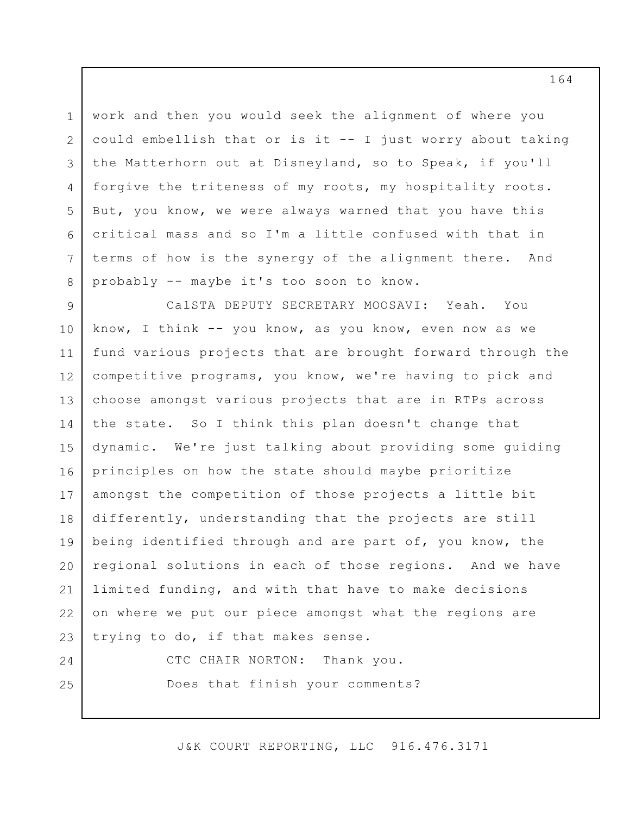1 2 3 4 5 6 7 8 work and then you would seek the alignment of where you could embellish that or is it -- I just worry about taking the Matterhorn out at Disneyland, so to Speak, if you'll forgive the triteness of my roots, my hospitality roots. But, you know, we were always warned that you have this critical mass and so I'm a little confused with that in terms of how is the synergy of the alignment there. And probably -- maybe it's too soon to know.

9 10 11 12 13 14 15 16 17 18 19 20 21 22 23 CalSTA DEPUTY SECRETARY MOOSAVI: Yeah. You know, I think -- you know, as you know, even now as we fund various projects that are brought forward through the competitive programs, you know, we're having to pick and choose amongst various projects that are in RTPs across the state. So I think this plan doesn't change that dynamic. We're just talking about providing some guiding principles on how the state should maybe prioritize amongst the competition of those projects a little bit differently, understanding that the projects are still being identified through and are part of, you know, the regional solutions in each of those regions. And we have limited funding, and with that have to make decisions on where we put our piece amongst what the regions are trying to do, if that makes sense.

CTC CHAIR NORTON: Thank you. Does that finish your comments?

24

25

J&K COURT REPORTING, LLC 916.476.3171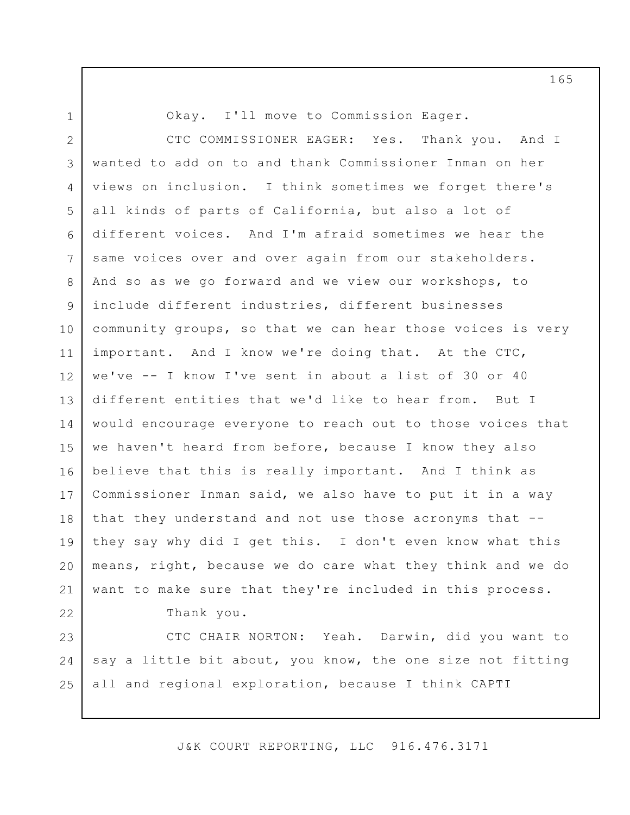1 2 3 4 5 6 7 8 9 10 11 12 13 14 15 16 17 18 19 20 21 22 23 24 25 Okay. I'll move to Commission Eager. CTC COMMISSIONER EAGER: Yes. Thank you. And I wanted to add on to and thank Commissioner Inman on her views on inclusion. I think sometimes we forget there's all kinds of parts of California, but also a lot of different voices. And I'm afraid sometimes we hear the same voices over and over again from our stakeholders. And so as we go forward and we view our workshops, to include different industries, different businesses community groups, so that we can hear those voices is very important. And I know we're doing that. At the CTC, we've -- I know I've sent in about a list of 30 or 40 different entities that we'd like to hear from. But I would encourage everyone to reach out to those voices that we haven't heard from before, because I know they also believe that this is really important. And I think as Commissioner Inman said, we also have to put it in a way that they understand and not use those acronyms that - they say why did I get this. I don't even know what this means, right, because we do care what they think and we do want to make sure that they're included in this process. Thank you. CTC CHAIR NORTON: Yeah. Darwin, did you want to say a little bit about, you know, the one size not fitting all and regional exploration, because I think CAPTI

J&K COURT REPORTING, LLC 916.476.3171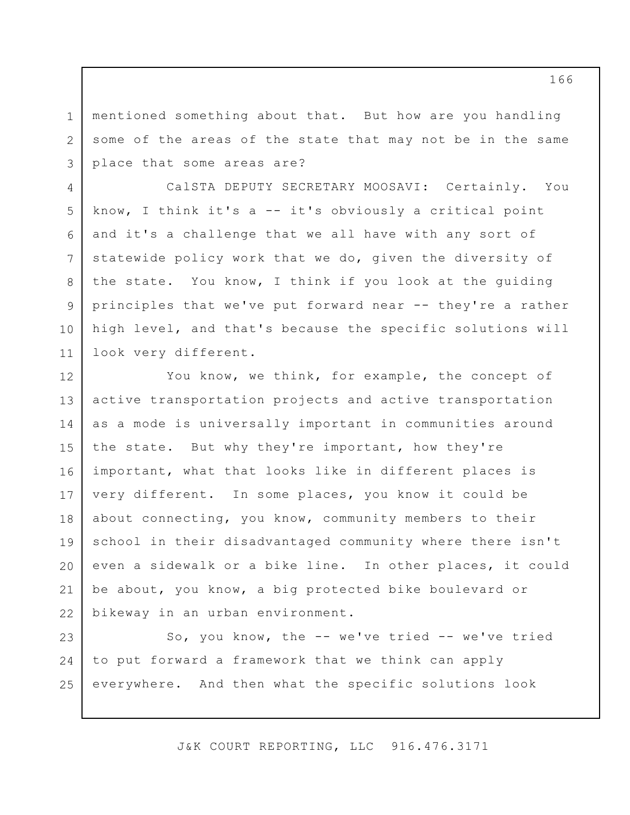mentioned something about that. But how are you handling some of the areas of the state that may not be in the same place that some areas are?

1

2

3

4

8

9

10

11

5 6 7 CalSTA DEPUTY SECRETARY MOOSAVI: Certainly. You know, I think it's a -- it's obviously a critical point and it's a challenge that we all have with any sort of statewide policy work that we do, given the diversity of the state. You know, I think if you look at the guiding principles that we've put forward near -- they're a rather high level, and that's because the specific solutions will look very different.

12 13 14 15 16 17 18 19 20 21 22 You know, we think, for example, the concept of active transportation projects and active transportation as a mode is universally important in communities around the state. But why they're important, how they're important, what that looks like in different places is very different. In some places, you know it could be about connecting, you know, community members to their school in their disadvantaged community where there isn't even a sidewalk or a bike line. In other places, it could be about, you know, a big protected bike boulevard or bikeway in an urban environment.

23 24 25 So, you know, the -- we've tried -- we've tried to put forward a framework that we think can apply everywhere. And then what the specific solutions look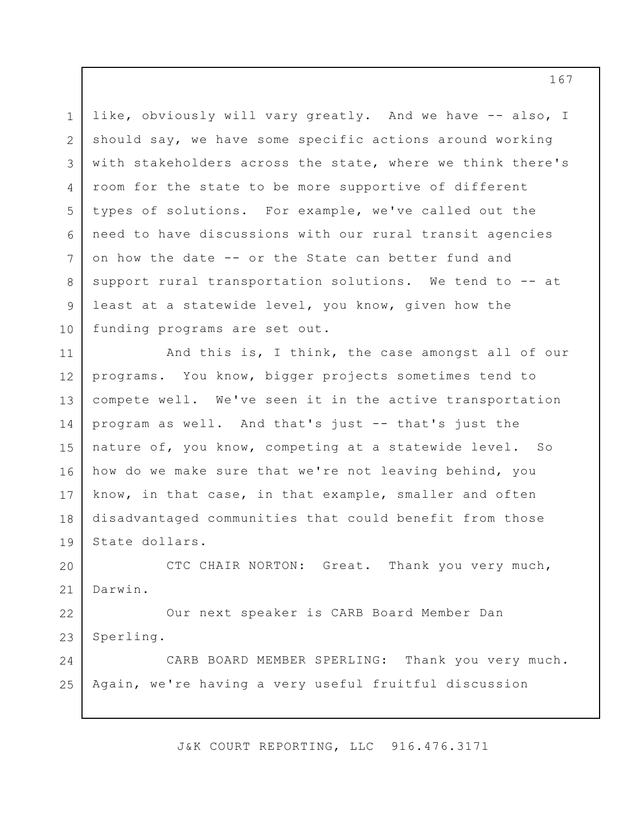1 2 3 4 5 6 7 8 9 10 like, obviously will vary greatly. And we have -- also, I should say, we have some specific actions around working with stakeholders across the state, where we think there's room for the state to be more supportive of different types of solutions. For example, we've called out the need to have discussions with our rural transit agencies on how the date -- or the State can better fund and support rural transportation solutions. We tend to -- at least at a statewide level, you know, given how the funding programs are set out.

11 12 13 14 15 16 17 18 19 And this is, I think, the case amongst all of our programs. You know, bigger projects sometimes tend to compete well. We've seen it in the active transportation program as well. And that's just -- that's just the nature of, you know, competing at a statewide level. So how do we make sure that we're not leaving behind, you know, in that case, in that example, smaller and often disadvantaged communities that could benefit from those State dollars.

20 21 CTC CHAIR NORTON: Great. Thank you very much, Darwin.

22 23 Our next speaker is CARB Board Member Dan Sperling.

24 25 CARB BOARD MEMBER SPERLING: Thank you very much. Again, we're having a very useful fruitful discussion

J&K COURT REPORTING, LLC 916.476.3171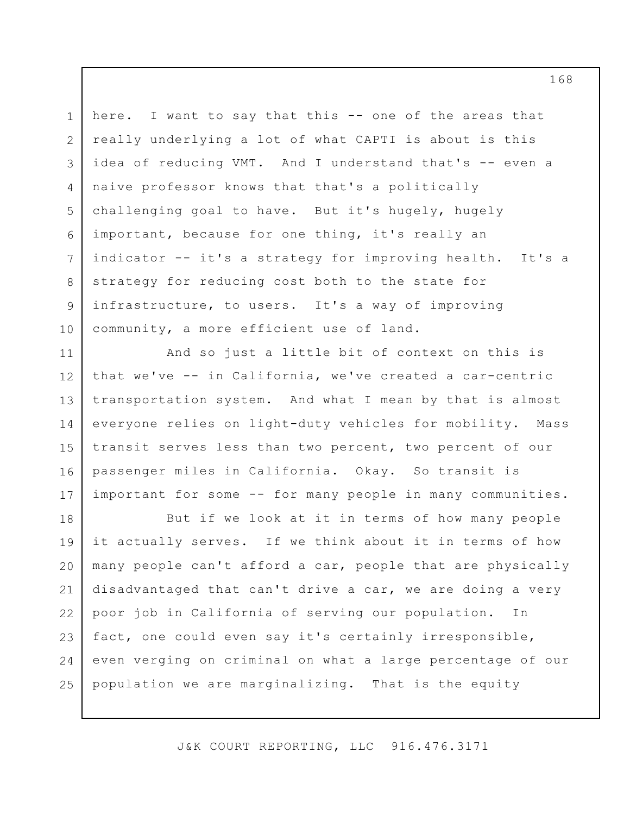1 2 3 4 5 6 7 8 9 10 here. I want to say that this -- one of the areas that really underlying a lot of what CAPTI is about is this idea of reducing VMT. And I understand that's -- even a naive professor knows that that's a politically challenging goal to have. But it's hugely, hugely important, because for one thing, it's really an indicator -- it's a strategy for improving health. It's a strategy for reducing cost both to the state for infrastructure, to users. It's a way of improving community, a more efficient use of land.

11 12 13 14 15 16 17 And so just a little bit of context on this is that we've -- in California, we've created a car-centric transportation system. And what I mean by that is almost everyone relies on light-duty vehicles for mobility. Mass transit serves less than two percent, two percent of our passenger miles in California. Okay. So transit is important for some -- for many people in many communities.

18 19 20 21 22 23 24 25 But if we look at it in terms of how many people it actually serves. If we think about it in terms of how many people can't afford a car, people that are physically disadvantaged that can't drive a car, we are doing a very poor job in California of serving our population. In fact, one could even say it's certainly irresponsible, even verging on criminal on what a large percentage of our population we are marginalizing. That is the equity

J&K COURT REPORTING, LLC 916.476.3171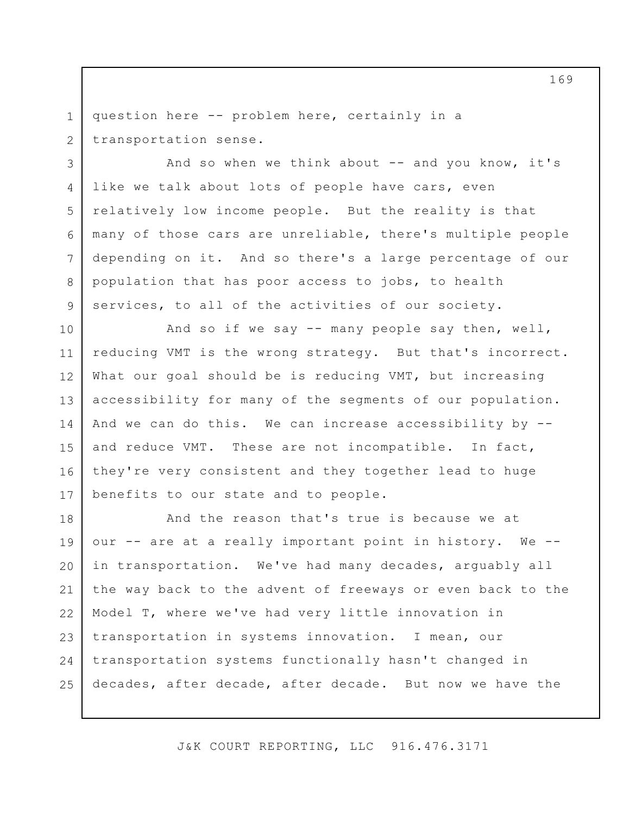1 2 question here -- problem here, certainly in a transportation sense.

3

4

5

6

7

8

9

And so when we think about  $-$  and you know, it's like we talk about lots of people have cars, even relatively low income people. But the reality is that many of those cars are unreliable, there's multiple people depending on it. And so there's a large percentage of our population that has poor access to jobs, to health services, to all of the activities of our society.

10 11 12 13 14 15 16 17 And so if we say -- many people say then, well, reducing VMT is the wrong strategy. But that's incorrect. What our goal should be is reducing VMT, but increasing accessibility for many of the segments of our population. And we can do this. We can increase accessibility by - and reduce VMT. These are not incompatible. In fact, they're very consistent and they together lead to huge benefits to our state and to people.

18 19 20 21 22 23 24 25 And the reason that's true is because we at our -- are at a really important point in history. We - in transportation. We've had many decades, arguably all the way back to the advent of freeways or even back to the Model T, where we've had very little innovation in transportation in systems innovation. I mean, our transportation systems functionally hasn't changed in decades, after decade, after decade. But now we have the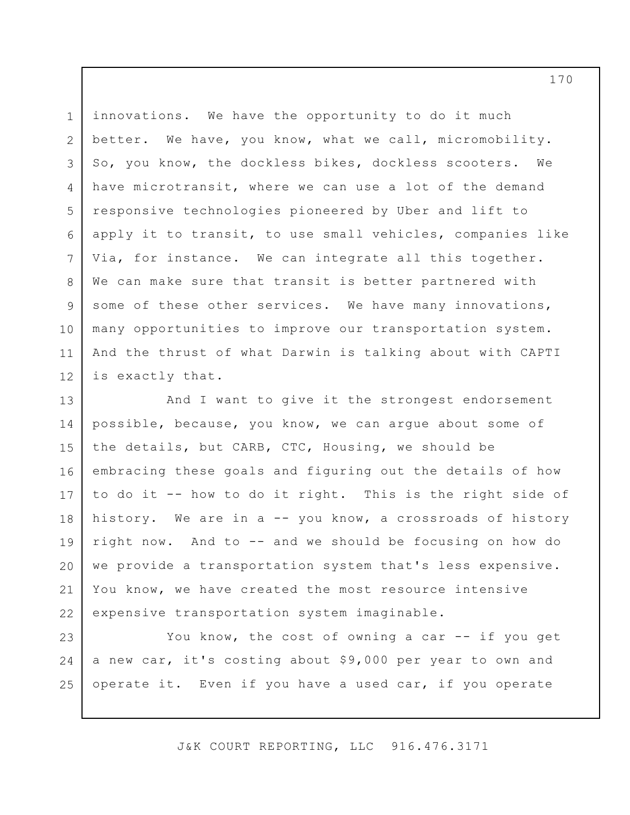1 2 3 4 5 6 7 8 9 10 11 12 innovations. We have the opportunity to do it much better. We have, you know, what we call, micromobility. So, you know, the dockless bikes, dockless scooters. We have microtransit, where we can use a lot of the demand responsive technologies pioneered by Uber and lift to apply it to transit, to use small vehicles, companies like Via, for instance. We can integrate all this together. We can make sure that transit is better partnered with some of these other services. We have many innovations, many opportunities to improve our transportation system. And the thrust of what Darwin is talking about with CAPTI is exactly that.

13 14 15 16 17 18 19 20 21 22 And I want to give it the strongest endorsement possible, because, you know, we can argue about some of the details, but CARB, CTC, Housing, we should be embracing these goals and figuring out the details of how to do it -- how to do it right. This is the right side of history. We are in a -- you know, a crossroads of history right now. And to -- and we should be focusing on how do we provide a transportation system that's less expensive. You know, we have created the most resource intensive expensive transportation system imaginable.

23 24 25 You know, the cost of owning a car -- if you get a new car, it's costing about \$9,000 per year to own and operate it. Even if you have a used car, if you operate

J&K COURT REPORTING, LLC 916.476.3171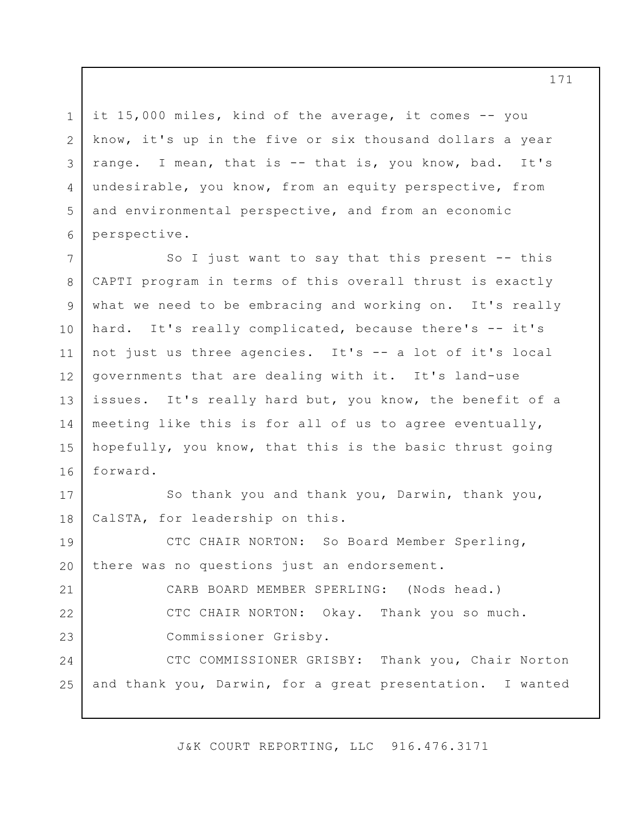3 it 15,000 miles, kind of the average, it comes -- you know, it's up in the five or six thousand dollars a year range. I mean, that is -- that is, you know, bad. It's undesirable, you know, from an equity perspective, from and environmental perspective, and from an economic perspective.

1

2

4

5

6

7 8 9 10 11 12 13 14 15 16 So I just want to say that this present -- this CAPTI program in terms of this overall thrust is exactly what we need to be embracing and working on. It's really hard. It's really complicated, because there's -- it's not just us three agencies. It's -- a lot of it's local governments that are dealing with it. It's land-use issues. It's really hard but, you know, the benefit of a meeting like this is for all of us to agree eventually, hopefully, you know, that this is the basic thrust going forward.

17 18 So thank you and thank you, Darwin, thank you, CalSTA, for leadership on this.

19 20 21 22 23 24 25 CTC CHAIR NORTON: So Board Member Sperling, there was no questions just an endorsement. CARB BOARD MEMBER SPERLING: (Nods head.) CTC CHAIR NORTON: Okay. Thank you so much. Commissioner Grisby. CTC COMMISSIONER GRISBY: Thank you, Chair Norton and thank you, Darwin, for a great presentation. I wanted

J&K COURT REPORTING, LLC 916.476.3171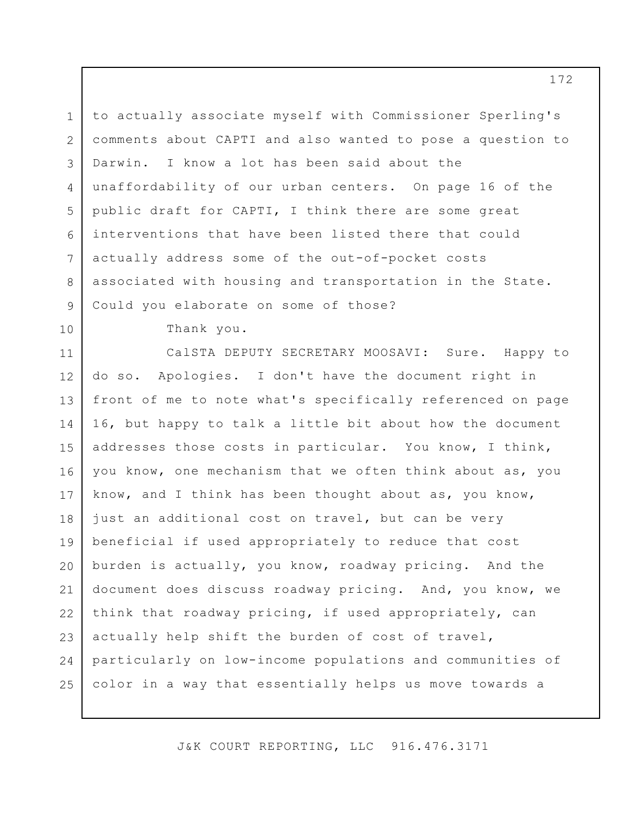1 2 3 4 5 6 7 8 9 to actually associate myself with Commissioner Sperling's comments about CAPTI and also wanted to pose a question to Darwin. I know a lot has been said about the unaffordability of our urban centers. On page 16 of the public draft for CAPTI, I think there are some great interventions that have been listed there that could actually address some of the out-of-pocket costs associated with housing and transportation in the State. Could you elaborate on some of those?

Thank you.

10

11 12 13 14 15 16 17 18 19 20 21 22 23 24 25 CalSTA DEPUTY SECRETARY MOOSAVI: Sure. Happy to do so. Apologies. I don't have the document right in front of me to note what's specifically referenced on page 16, but happy to talk a little bit about how the document addresses those costs in particular. You know, I think, you know, one mechanism that we often think about as, you know, and I think has been thought about as, you know, just an additional cost on travel, but can be very beneficial if used appropriately to reduce that cost burden is actually, you know, roadway pricing. And the document does discuss roadway pricing. And, you know, we think that roadway pricing, if used appropriately, can actually help shift the burden of cost of travel, particularly on low-income populations and communities of color in a way that essentially helps us move towards a

J&K COURT REPORTING, LLC 916.476.3171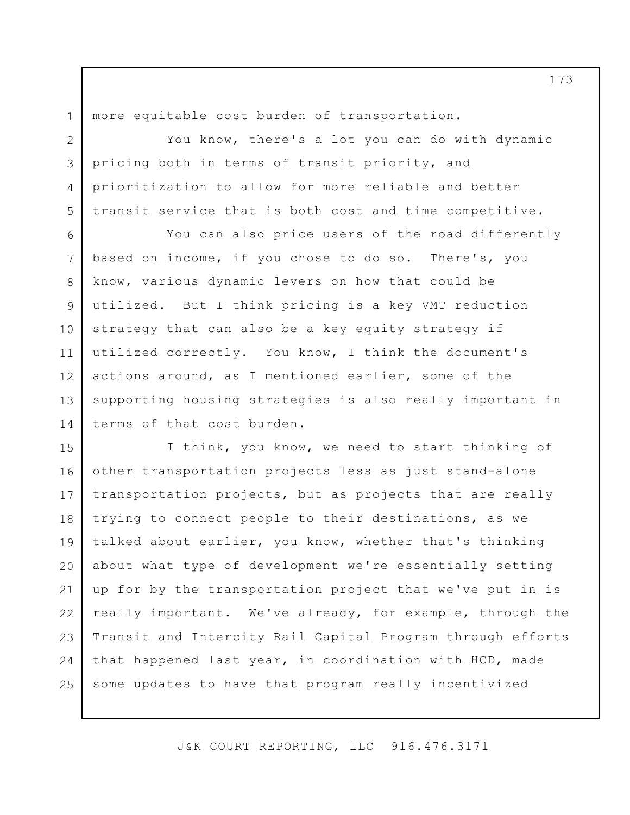1 more equitable cost burden of transportation.

2 3 4 5 You know, there's a lot you can do with dynamic pricing both in terms of transit priority, and prioritization to allow for more reliable and better transit service that is both cost and time competitive.

6 7 8 9 10 11 12 13 14 You can also price users of the road differently based on income, if you chose to do so. There's, you know, various dynamic levers on how that could be utilized. But I think pricing is a key VMT reduction strategy that can also be a key equity strategy if utilized correctly. You know, I think the document's actions around, as I mentioned earlier, some of the supporting housing strategies is also really important in terms of that cost burden.

15 16 17 18 19 20 21 22 23 24 25 I think, you know, we need to start thinking of other transportation projects less as just stand-alone transportation projects, but as projects that are really trying to connect people to their destinations, as we talked about earlier, you know, whether that's thinking about what type of development we're essentially setting up for by the transportation project that we've put in is really important. We've already, for example, through the Transit and Intercity Rail Capital Program through efforts that happened last year, in coordination with HCD, made some updates to have that program really incentivized

J&K COURT REPORTING, LLC 916.476.3171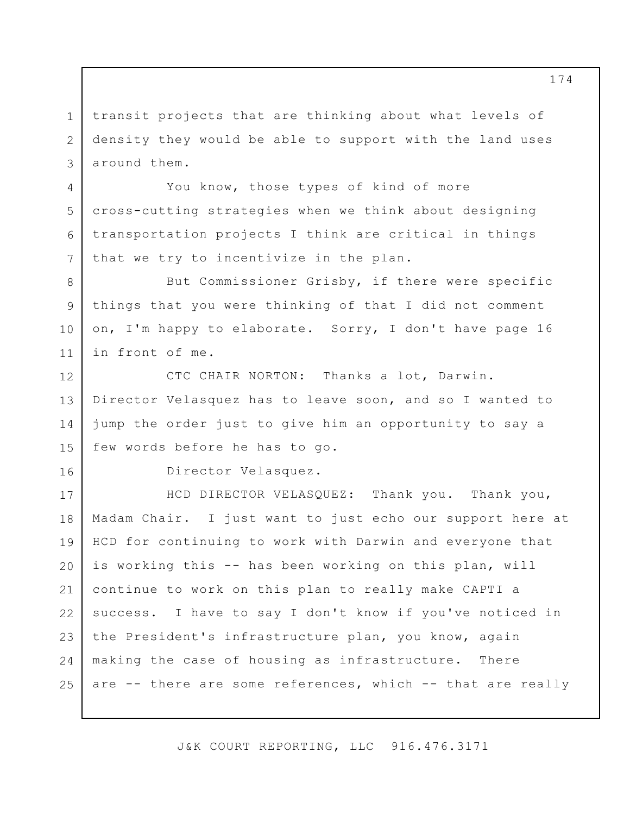1 2 3 transit projects that are thinking about what levels of density they would be able to support with the land uses around them.

You know, those types of kind of more cross-cutting strategies when we think about designing transportation projects I think are critical in things that we try to incentivize in the plan.

But Commissioner Grisby, if there were specific things that you were thinking of that I did not comment on, I'm happy to elaborate. Sorry, I don't have page 16 in front of me.

12 13 14 15 CTC CHAIR NORTON: Thanks a lot, Darwin. Director Velasquez has to leave soon, and so I wanted to jump the order just to give him an opportunity to say a few words before he has to go.

Director Velasquez.

4

5

6

7

8

9

10

11

16

17 18 19 20 21 22 23 24 25 HCD DIRECTOR VELASQUEZ: Thank you. Thank you, Madam Chair. I just want to just echo our support here at HCD for continuing to work with Darwin and everyone that is working this -- has been working on this plan, will continue to work on this plan to really make CAPTI a success. I have to say I don't know if you've noticed in the President's infrastructure plan, you know, again making the case of housing as infrastructure. There are -- there are some references, which -- that are really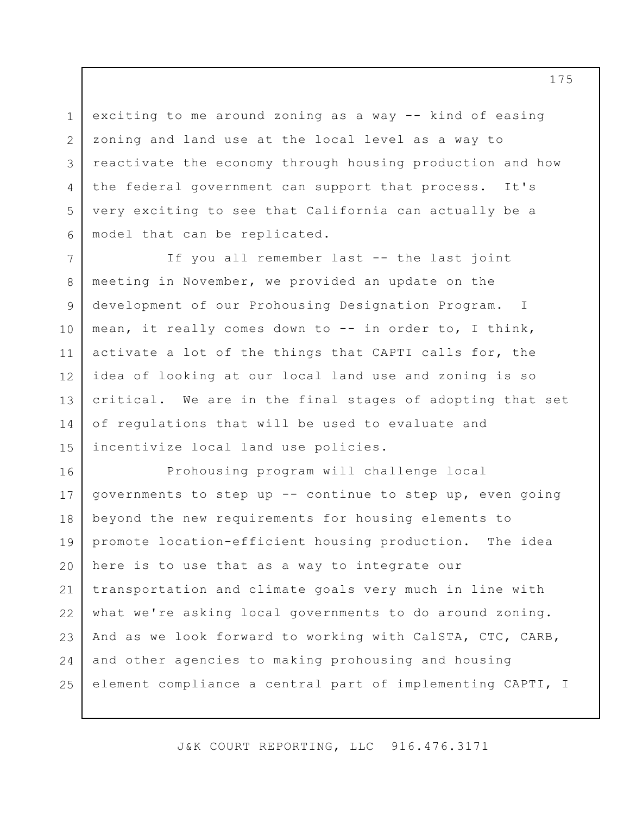exciting to me around zoning as a way -- kind of easing zoning and land use at the local level as a way to reactivate the economy through housing production and how the federal government can support that process. It's very exciting to see that California can actually be a model that can be replicated.

1

2

3

4

5

6

7 8 9 10 11 12 13 14 15 If you all remember last -- the last joint meeting in November, we provided an update on the development of our Prohousing Designation Program. I mean, it really comes down to -- in order to, I think, activate a lot of the things that CAPTI calls for, the idea of looking at our local land use and zoning is so critical. We are in the final stages of adopting that set of regulations that will be used to evaluate and incentivize local land use policies.

16 17 18 19 20 21 22 23 24 25 Prohousing program will challenge local governments to step up -- continue to step up, even going beyond the new requirements for housing elements to promote location-efficient housing production. The idea here is to use that as a way to integrate our transportation and climate goals very much in line with what we're asking local governments to do around zoning. And as we look forward to working with CalSTA, CTC, CARB, and other agencies to making prohousing and housing element compliance a central part of implementing CAPTI, I

J&K COURT REPORTING, LLC 916.476.3171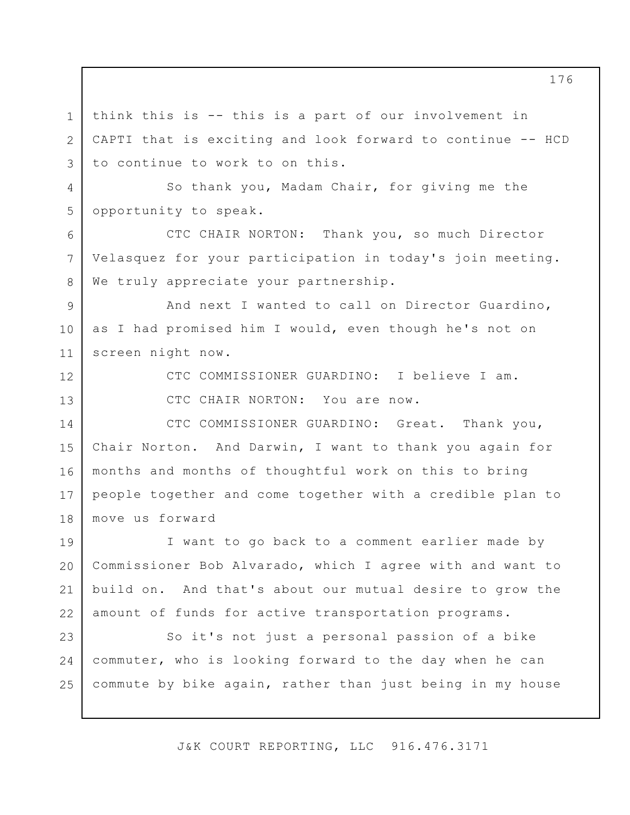think this is -- this is a part of our involvement in CAPTI that is exciting and look forward to continue -- HCD to continue to work to on this.

4 5 So thank you, Madam Chair, for giving me the opportunity to speak.

CTC CHAIR NORTON: Thank you, so much Director Velasquez for your participation in today's join meeting. We truly appreciate your partnership.

9 10 11 And next I wanted to call on Director Guardino, as I had promised him I would, even though he's not on screen night now.

12

13

1

2

3

6

7

8

CTC COMMISSIONER GUARDINO: I believe I am.

CTC CHAIR NORTON: You are now.

14 15 16 17 18 CTC COMMISSIONER GUARDINO: Great. Thank you, Chair Norton. And Darwin, I want to thank you again for months and months of thoughtful work on this to bring people together and come together with a credible plan to move us forward

19 20 21 22 I want to go back to a comment earlier made by Commissioner Bob Alvarado, which I agree with and want to build on. And that's about our mutual desire to grow the amount of funds for active transportation programs.

23 24 25 So it's not just a personal passion of a bike commuter, who is looking forward to the day when he can commute by bike again, rather than just being in my house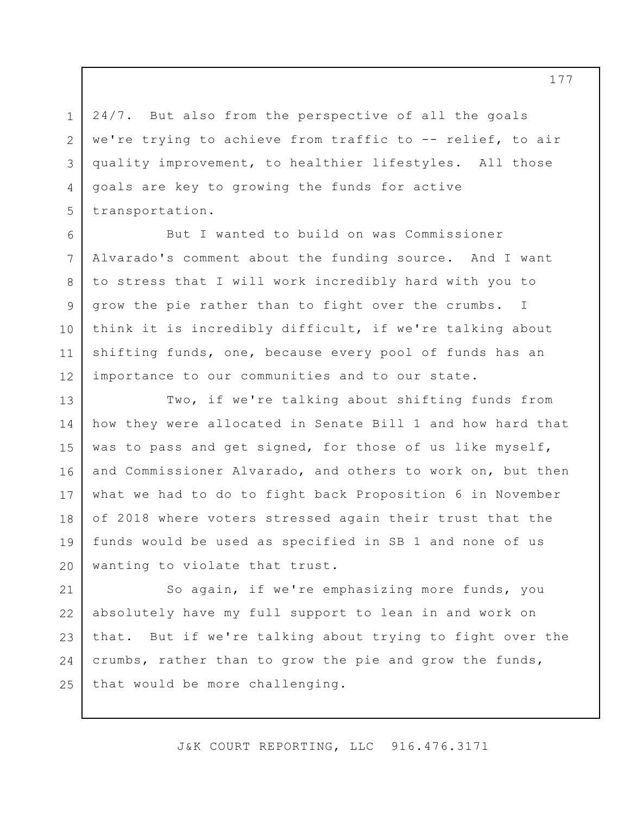24/7. But also from the perspective of all the goals we're trying to achieve from traffic to -- relief, to air quality improvement, to healthier lifestyles. All those goals are key to growing the funds for active transportation.

1

2

3

4

5

6

7

8

9

10

11

12

But I wanted to build on was Commissioner Alvarado's comment about the funding source. And I want to stress that I will work incredibly hard with you to grow the pie rather than to fight over the crumbs. I think it is incredibly difficult, if we're talking about shifting funds, one, because every pool of funds has an importance to our communities and to our state.

13 14 15 16 17 18 19 20 Two, if we're talking about shifting funds from how they were allocated in Senate Bill 1 and how hard that was to pass and get signed, for those of us like myself, and Commissioner Alvarado, and others to work on, but then what we had to do to fight back Proposition 6 in November of 2018 where voters stressed again their trust that the funds would be used as specified in SB 1 and none of us wanting to violate that trust.

21 22 23 24 25 So again, if we're emphasizing more funds, you absolutely have my full support to lean in and work on that. But if we're talking about trying to fight over the crumbs, rather than to grow the pie and grow the funds, that would be more challenging.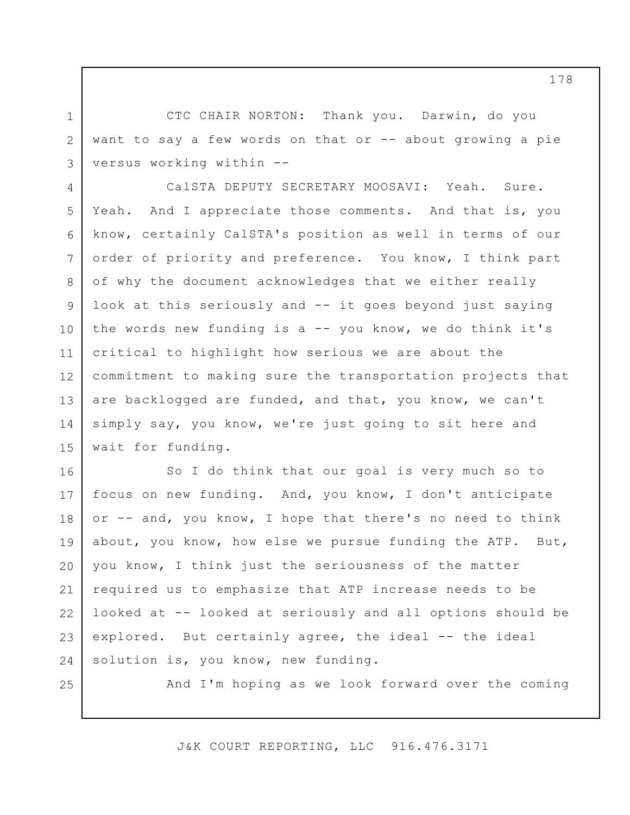CTC CHAIR NORTON: Thank you. Darwin, do you want to say a few words on that or -- about growing a pie versus working within --

4 5 6 7 8 9 10 11 12 13 14 15 CalSTA DEPUTY SECRETARY MOOSAVI: Yeah. Sure. Yeah. And I appreciate those comments. And that is, you know, certainly CalSTA's position as well in terms of our order of priority and preference. You know, I think part of why the document acknowledges that we either really look at this seriously and -- it goes beyond just saying the words new funding is  $a$  -- you know, we do think it's critical to highlight how serious we are about the commitment to making sure the transportation projects that are backlogged are funded, and that, you know, we can't simply say, you know, we're just going to sit here and wait for funding.

16 17 18 19 20 21 22 23 24 So I do think that our goal is very much so to focus on new funding. And, you know, I don't anticipate or -- and, you know, I hope that there's no need to think about, you know, how else we pursue funding the ATP. But, you know, I think just the seriousness of the matter required us to emphasize that ATP increase needs to be looked at -- looked at seriously and all options should be explored. But certainly agree, the ideal -- the ideal solution is, you know, new funding.

25

1

2

3

And I'm hoping as we look forward over the coming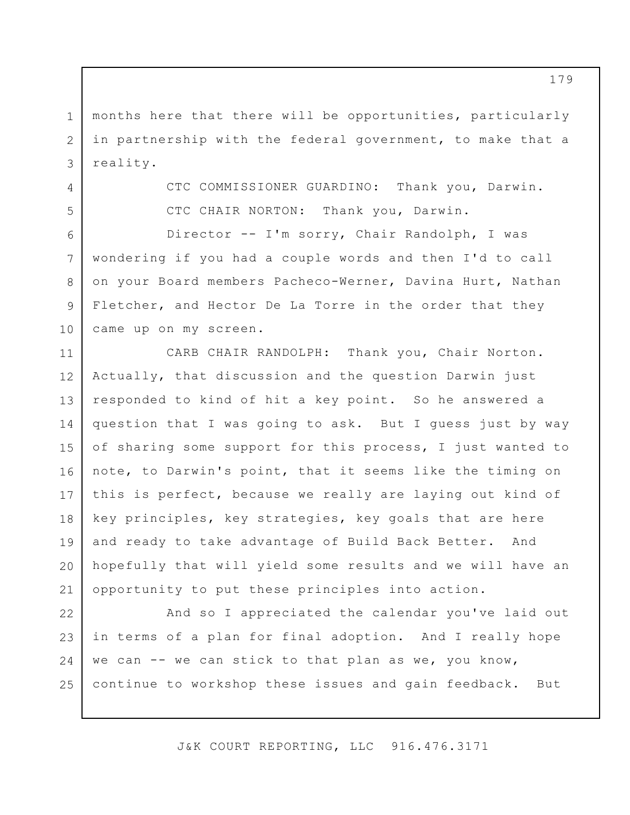1 2 3 months here that there will be opportunities, particularly in partnership with the federal government, to make that a reality.

4

5

CTC COMMISSIONER GUARDINO: Thank you, Darwin. CTC CHAIR NORTON: Thank you, Darwin.

6 7 8 9 10 Director -- I'm sorry, Chair Randolph, I was wondering if you had a couple words and then I'd to call on your Board members Pacheco-Werner, Davina Hurt, Nathan Fletcher, and Hector De La Torre in the order that they came up on my screen.

11 12 13 14 15 16 17 18 19 20 21 CARB CHAIR RANDOLPH: Thank you, Chair Norton. Actually, that discussion and the question Darwin just responded to kind of hit a key point. So he answered a question that I was going to ask. But I guess just by way of sharing some support for this process, I just wanted to note, to Darwin's point, that it seems like the timing on this is perfect, because we really are laying out kind of key principles, key strategies, key goals that are here and ready to take advantage of Build Back Better. And hopefully that will yield some results and we will have an opportunity to put these principles into action.

22 23 24 25 And so I appreciated the calendar you've laid out in terms of a plan for final adoption. And I really hope we can  $--$  we can stick to that plan as we, you know, continue to workshop these issues and gain feedback. But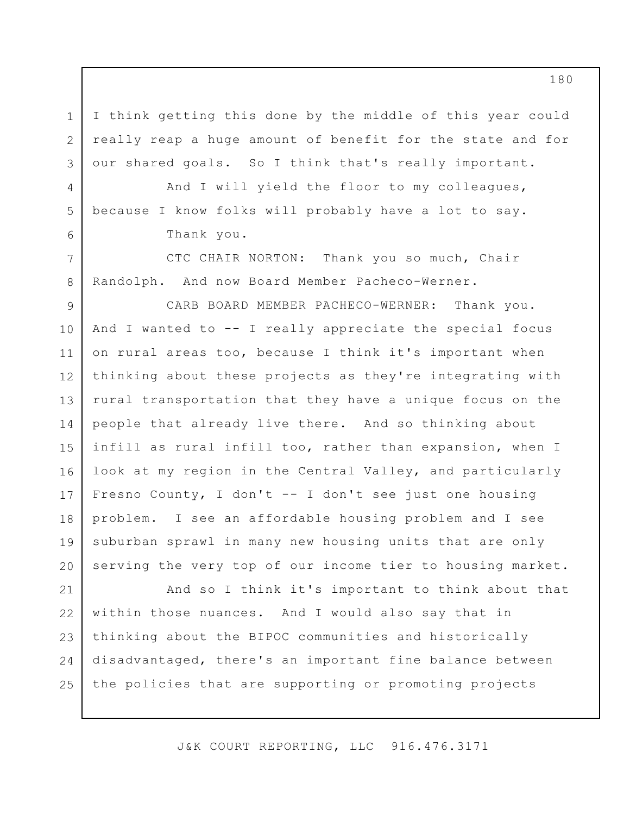I think getting this done by the middle of this year could really reap a huge amount of benefit for the state and for our shared goals. So I think that's really important.

And I will yield the floor to my colleagues, because I know folks will probably have a lot to say. Thank you.

1

2

3

4

5

6

7

8

CTC CHAIR NORTON: Thank you so much, Chair Randolph. And now Board Member Pacheco-Werner.

9 10 11 12 13 14 15 16 17 18 19 20 CARB BOARD MEMBER PACHECO-WERNER: Thank you. And I wanted to  $-$ - I really appreciate the special focus on rural areas too, because I think it's important when thinking about these projects as they're integrating with rural transportation that they have a unique focus on the people that already live there. And so thinking about infill as rural infill too, rather than expansion, when I look at my region in the Central Valley, and particularly Fresno County, I don't -- I don't see just one housing problem. I see an affordable housing problem and I see suburban sprawl in many new housing units that are only serving the very top of our income tier to housing market.

21 22 23 24 25 And so I think it's important to think about that within those nuances. And I would also say that in thinking about the BIPOC communities and historically disadvantaged, there's an important fine balance between the policies that are supporting or promoting projects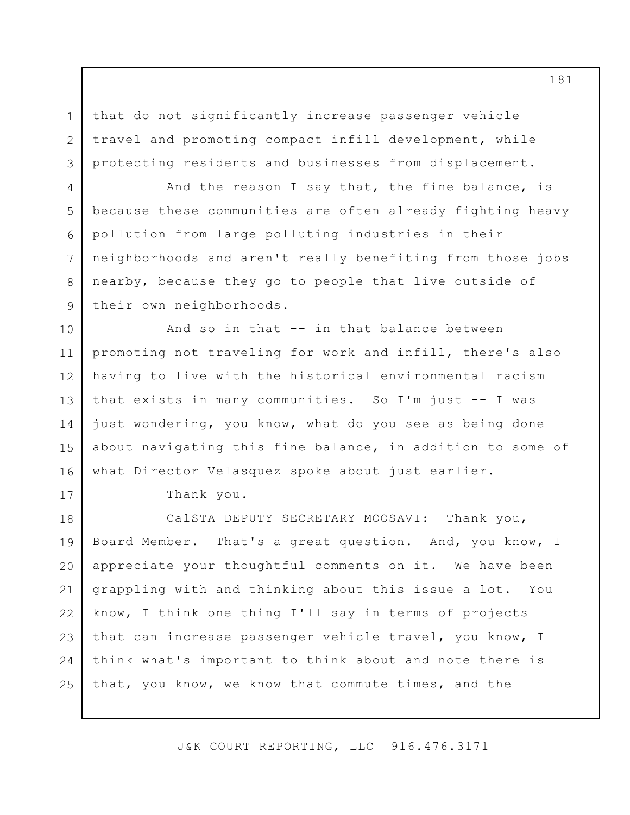that do not significantly increase passenger vehicle travel and promoting compact infill development, while protecting residents and businesses from displacement.

And the reason I say that, the fine balance, is because these communities are often already fighting heavy pollution from large polluting industries in their neighborhoods and aren't really benefiting from those jobs nearby, because they go to people that live outside of their own neighborhoods.

10 11 12 13 14 15 16 And so in that -- in that balance between promoting not traveling for work and infill, there's also having to live with the historical environmental racism that exists in many communities. So I'm just -- I was just wondering, you know, what do you see as being done about navigating this fine balance, in addition to some of what Director Velasquez spoke about just earlier.

17

1

2

3

4

5

6

7

8

9

Thank you.

18 19 20 21 22 23 24 25 CalSTA DEPUTY SECRETARY MOOSAVI: Thank you, Board Member. That's a great question. And, you know, I appreciate your thoughtful comments on it. We have been grappling with and thinking about this issue a lot. You know, I think one thing I'll say in terms of projects that can increase passenger vehicle travel, you know, I think what's important to think about and note there is that, you know, we know that commute times, and the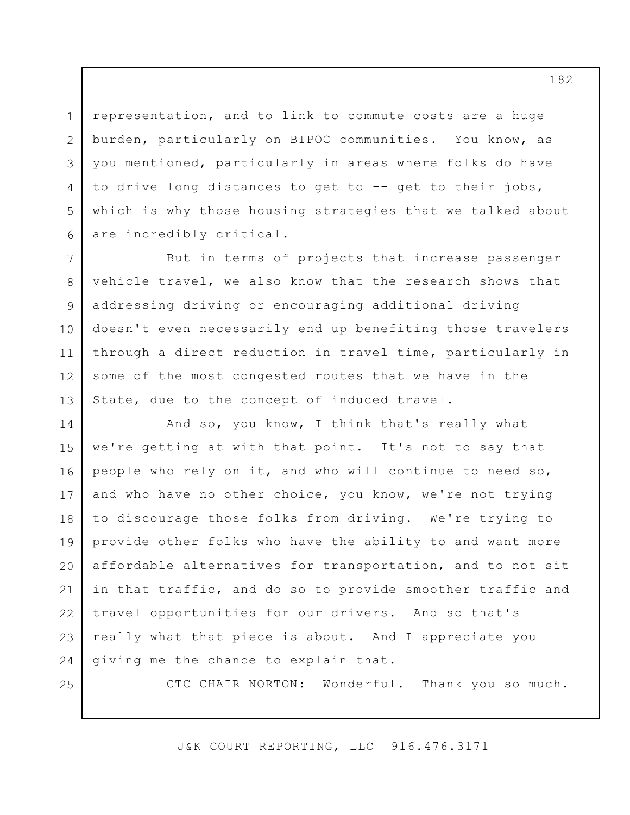representation, and to link to commute costs are a huge burden, particularly on BIPOC communities. You know, as you mentioned, particularly in areas where folks do have to drive long distances to get to -- get to their jobs, which is why those housing strategies that we talked about are incredibly critical.

7 8 9 10 11 12 13 But in terms of projects that increase passenger vehicle travel, we also know that the research shows that addressing driving or encouraging additional driving doesn't even necessarily end up benefiting those travelers through a direct reduction in travel time, particularly in some of the most congested routes that we have in the State, due to the concept of induced travel.

14 15 16 17 18 19 20 21 22 23 24 And so, you know, I think that's really what we're getting at with that point. It's not to say that people who rely on it, and who will continue to need so, and who have no other choice, you know, we're not trying to discourage those folks from driving. We're trying to provide other folks who have the ability to and want more affordable alternatives for transportation, and to not sit in that traffic, and do so to provide smoother traffic and travel opportunities for our drivers. And so that's really what that piece is about. And I appreciate you giving me the chance to explain that.

25

1

2

3

4

5

6

CTC CHAIR NORTON: Wonderful. Thank you so much.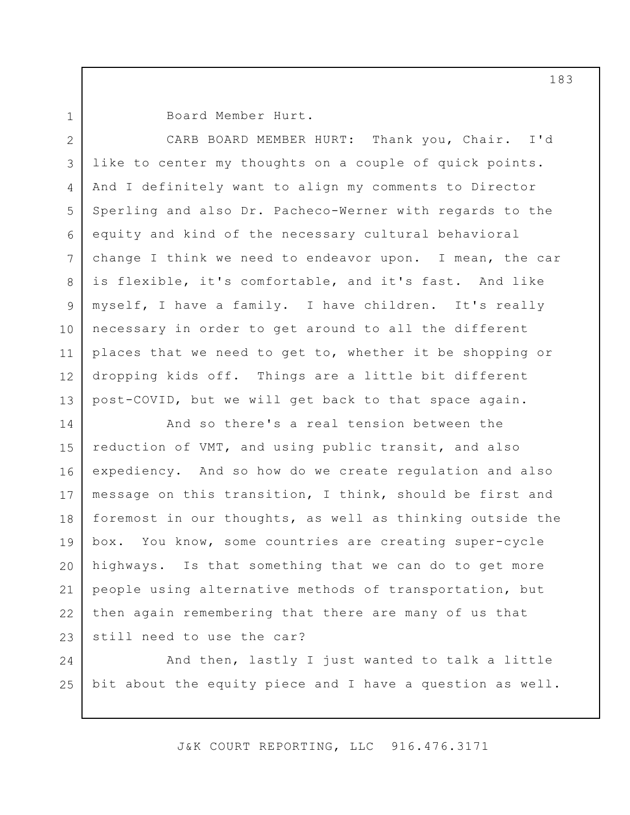1

Board Member Hurt.

2 3 4 5 6 7 8 9 10 11 12 13 CARB BOARD MEMBER HURT: Thank you, Chair. I'd like to center my thoughts on a couple of quick points. And I definitely want to align my comments to Director Sperling and also Dr. Pacheco-Werner with regards to the equity and kind of the necessary cultural behavioral change I think we need to endeavor upon. I mean, the car is flexible, it's comfortable, and it's fast. And like myself, I have a family. I have children. It's really necessary in order to get around to all the different places that we need to get to, whether it be shopping or dropping kids off. Things are a little bit different post-COVID, but we will get back to that space again.

14 15 16 17 18 19 20 21 22 23 And so there's a real tension between the reduction of VMT, and using public transit, and also expediency. And so how do we create regulation and also message on this transition, I think, should be first and foremost in our thoughts, as well as thinking outside the box. You know, some countries are creating super-cycle highways. Is that something that we can do to get more people using alternative methods of transportation, but then again remembering that there are many of us that still need to use the car?

24 25 And then, lastly I just wanted to talk a little bit about the equity piece and I have a question as well.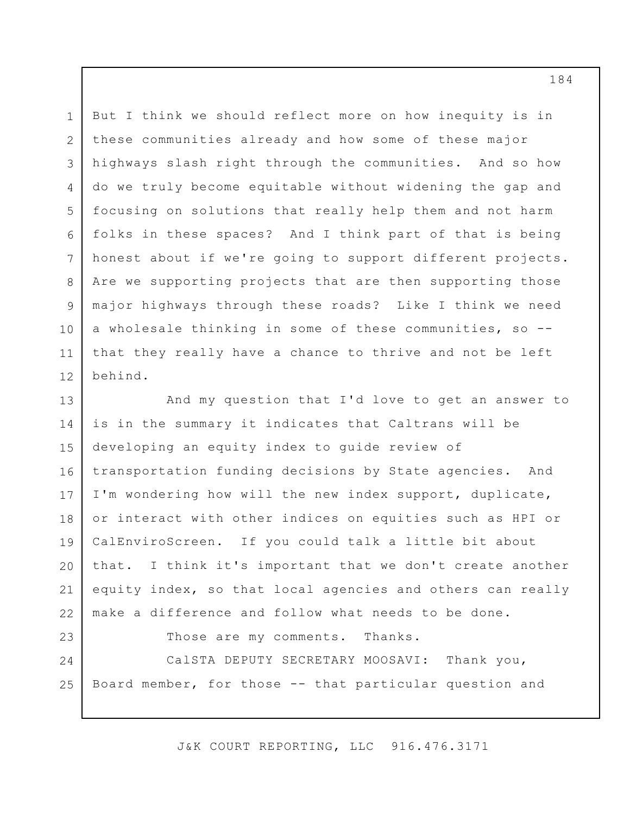1 2 3 4 5 6 7 8 9 10 11 12 But I think we should reflect more on how inequity is in these communities already and how some of these major highways slash right through the communities. And so how do we truly become equitable without widening the gap and focusing on solutions that really help them and not harm folks in these spaces? And I think part of that is being honest about if we're going to support different projects. Are we supporting projects that are then supporting those major highways through these roads? Like I think we need a wholesale thinking in some of these communities, so - that they really have a chance to thrive and not be left behind.

13 14 15 16 17 18 19 20 21 22 And my question that I'd love to get an answer to is in the summary it indicates that Caltrans will be developing an equity index to guide review of transportation funding decisions by State agencies. And I'm wondering how will the new index support, duplicate, or interact with other indices on equities such as HPI or CalEnviroScreen. If you could talk a little bit about that. I think it's important that we don't create another equity index, so that local agencies and others can really make a difference and follow what needs to be done.

23 24

Those are my comments. Thanks.

25 CalSTA DEPUTY SECRETARY MOOSAVI: Thank you, Board member, for those -- that particular question and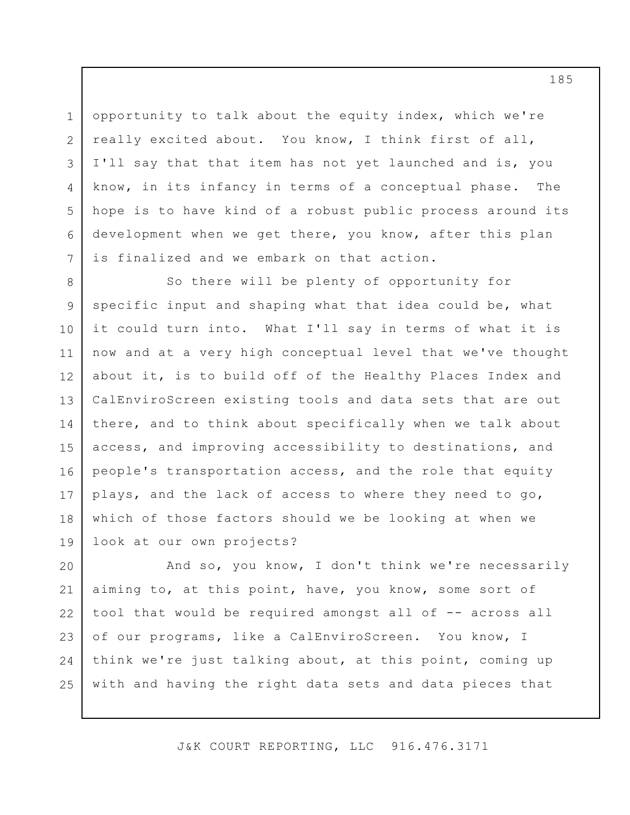opportunity to talk about the equity index, which we're really excited about. You know, I think first of all, I'll say that that item has not yet launched and is, you know, in its infancy in terms of a conceptual phase. The hope is to have kind of a robust public process around its development when we get there, you know, after this plan is finalized and we embark on that action.

1

2

3

4

5

6

7

8 9 10 11 12 13 14 15 16 17 18 19 So there will be plenty of opportunity for specific input and shaping what that idea could be, what it could turn into. What I'll say in terms of what it is now and at a very high conceptual level that we've thought about it, is to build off of the Healthy Places Index and CalEnviroScreen existing tools and data sets that are out there, and to think about specifically when we talk about access, and improving accessibility to destinations, and people's transportation access, and the role that equity plays, and the lack of access to where they need to go, which of those factors should we be looking at when we look at our own projects?

20 21 22 23 24 25 And so, you know, I don't think we're necessarily aiming to, at this point, have, you know, some sort of tool that would be required amongst all of -- across all of our programs, like a CalEnviroScreen. You know, I think we're just talking about, at this point, coming up with and having the right data sets and data pieces that

J&K COURT REPORTING, LLC 916.476.3171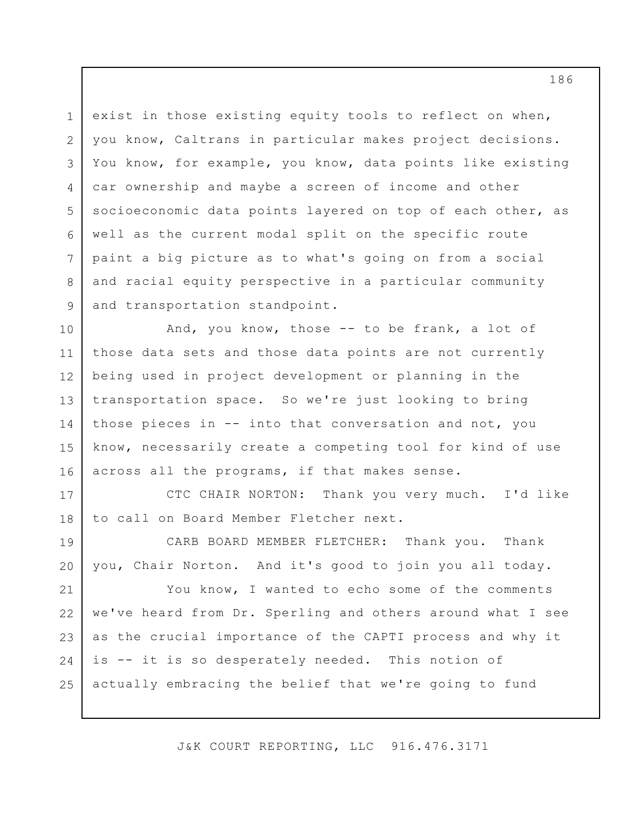1 2 3 4 5 6 7 8 9 exist in those existing equity tools to reflect on when, you know, Caltrans in particular makes project decisions. You know, for example, you know, data points like existing car ownership and maybe a screen of income and other socioeconomic data points layered on top of each other, as well as the current modal split on the specific route paint a big picture as to what's going on from a social and racial equity perspective in a particular community and transportation standpoint.

10 11 12 13 14 15 16 And, you know, those -- to be frank, a lot of those data sets and those data points are not currently being used in project development or planning in the transportation space. So we're just looking to bring those pieces in -- into that conversation and not, you know, necessarily create a competing tool for kind of use across all the programs, if that makes sense.

17 18 CTC CHAIR NORTON: Thank you very much. I'd like to call on Board Member Fletcher next.

19 20 CARB BOARD MEMBER FLETCHER: Thank you. Thank you, Chair Norton. And it's good to join you all today.

21 22 23 24 25 You know, I wanted to echo some of the comments we've heard from Dr. Sperling and others around what I see as the crucial importance of the CAPTI process and why it is -- it is so desperately needed. This notion of actually embracing the belief that we're going to fund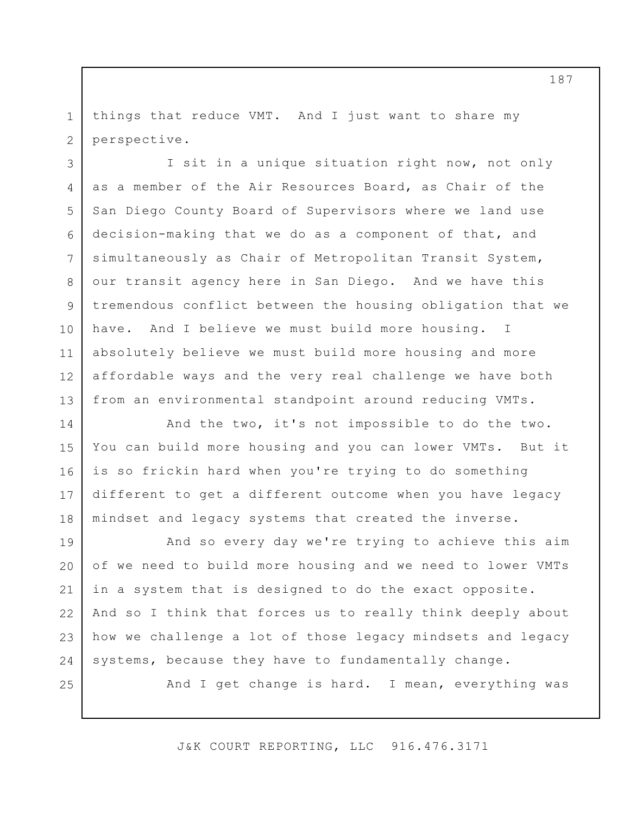1 2 things that reduce VMT. And I just want to share my perspective.

3 4 5 6 7 8 9 10 11 12 13 I sit in a unique situation right now, not only as a member of the Air Resources Board, as Chair of the San Diego County Board of Supervisors where we land use decision-making that we do as a component of that, and simultaneously as Chair of Metropolitan Transit System, our transit agency here in San Diego. And we have this tremendous conflict between the housing obligation that we have. And I believe we must build more housing. I absolutely believe we must build more housing and more affordable ways and the very real challenge we have both from an environmental standpoint around reducing VMTs.

14 15 16 17 18 And the two, it's not impossible to do the two. You can build more housing and you can lower VMTs. But it is so frickin hard when you're trying to do something different to get a different outcome when you have legacy mindset and legacy systems that created the inverse.

19 20 21 22 23 24 And so every day we're trying to achieve this aim of we need to build more housing and we need to lower VMTs in a system that is designed to do the exact opposite. And so I think that forces us to really think deeply about how we challenge a lot of those legacy mindsets and legacy systems, because they have to fundamentally change.

25

And I get change is hard. I mean, everything was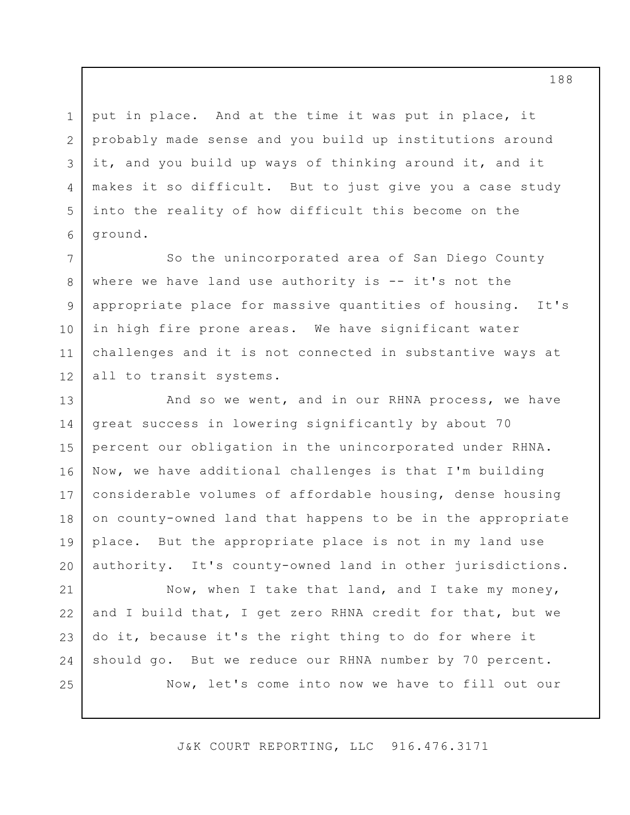put in place. And at the time it was put in place, it probably made sense and you build up institutions around it, and you build up ways of thinking around it, and it makes it so difficult. But to just give you a case study into the reality of how difficult this become on the ground.

1

2

3

4

5

6

7

8

9

10

11

12

So the unincorporated area of San Diego County where we have land use authority is -- it's not the appropriate place for massive quantities of housing. It's in high fire prone areas. We have significant water challenges and it is not connected in substantive ways at all to transit systems.

13 14 15 16 17 18 19 20 And so we went, and in our RHNA process, we have great success in lowering significantly by about 70 percent our obligation in the unincorporated under RHNA. Now, we have additional challenges is that I'm building considerable volumes of affordable housing, dense housing on county-owned land that happens to be in the appropriate place. But the appropriate place is not in my land use authority. It's county-owned land in other jurisdictions.

21 22 23 24 25 Now, when I take that land, and I take my money, and I build that, I get zero RHNA credit for that, but we do it, because it's the right thing to do for where it should go. But we reduce our RHNA number by 70 percent. Now, let's come into now we have to fill out our

J&K COURT REPORTING, LLC 916.476.3171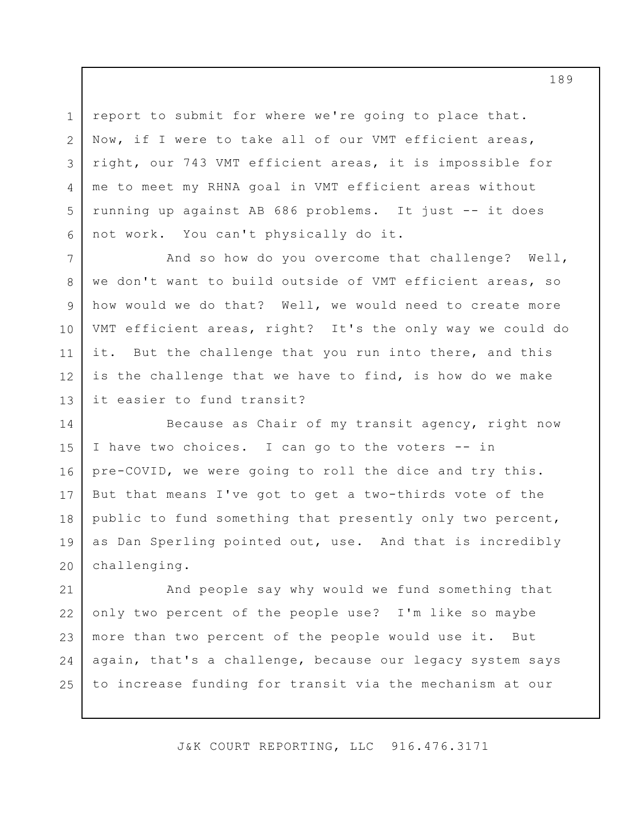3 report to submit for where we're going to place that. Now, if I were to take all of our VMT efficient areas, right, our 743 VMT efficient areas, it is impossible for me to meet my RHNA goal in VMT efficient areas without running up against AB 686 problems. It just -- it does not work. You can't physically do it.

1

2

4

5

6

7

8

9

10

11

12

13 And so how do you overcome that challenge? Well, we don't want to build outside of VMT efficient areas, so how would we do that? Well, we would need to create more VMT efficient areas, right? It's the only way we could do it. But the challenge that you run into there, and this is the challenge that we have to find, is how do we make it easier to fund transit?

14 15 16 17 18 19 20 Because as Chair of my transit agency, right now I have two choices. I can go to the voters -- in pre-COVID, we were going to roll the dice and try this. But that means I've got to get a two-thirds vote of the public to fund something that presently only two percent, as Dan Sperling pointed out, use. And that is incredibly challenging.

21 22 23 24 25 And people say why would we fund something that only two percent of the people use? I'm like so maybe more than two percent of the people would use it. But again, that's a challenge, because our legacy system says to increase funding for transit via the mechanism at our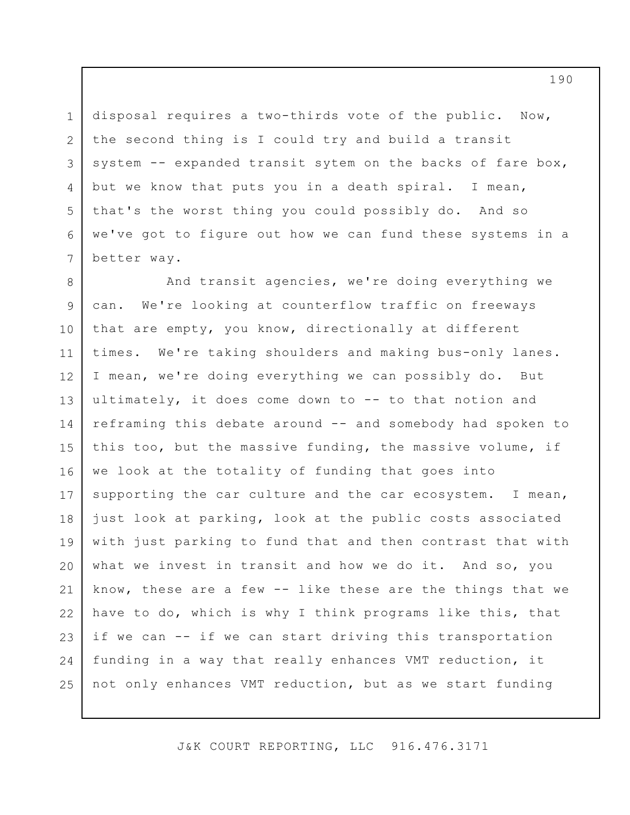3 5 disposal requires a two-thirds vote of the public. Now, the second thing is I could try and build a transit system -- expanded transit sytem on the backs of fare box, but we know that puts you in a death spiral. I mean, that's the worst thing you could possibly do. And so we've got to figure out how we can fund these systems in a better way.

1

2

4

6

7

8 9 10 11 12 13 14 15 16 17 18 19 20 21 22 23 24 25 And transit agencies, we're doing everything we can. We're looking at counterflow traffic on freeways that are empty, you know, directionally at different times. We're taking shoulders and making bus-only lanes. I mean, we're doing everything we can possibly do. But ultimately, it does come down to -- to that notion and reframing this debate around -- and somebody had spoken to this too, but the massive funding, the massive volume, if we look at the totality of funding that goes into supporting the car culture and the car ecosystem. I mean, just look at parking, look at the public costs associated with just parking to fund that and then contrast that with what we invest in transit and how we do it. And so, you know, these are a few -- like these are the things that we have to do, which is why I think programs like this, that if we can -- if we can start driving this transportation funding in a way that really enhances VMT reduction, it not only enhances VMT reduction, but as we start funding

J&K COURT REPORTING, LLC 916.476.3171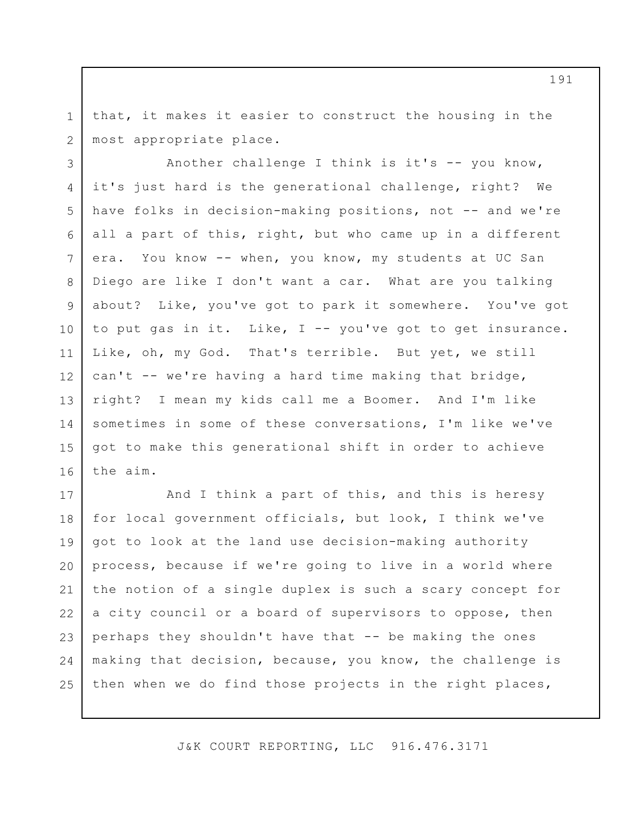1 2 that, it makes it easier to construct the housing in the most appropriate place.

3 4 5 6 7 8 9 10 11 12 13 14 15 16 Another challenge I think is it's -- you know, it's just hard is the generational challenge, right? We have folks in decision-making positions, not -- and we're all a part of this, right, but who came up in a different era. You know -- when, you know, my students at UC San Diego are like I don't want a car. What are you talking about? Like, you've got to park it somewhere. You've got to put gas in it. Like, I -- you've got to get insurance. Like, oh, my God. That's terrible. But yet, we still can't -- we're having a hard time making that bridge, right? I mean my kids call me a Boomer. And I'm like sometimes in some of these conversations, I'm like we've got to make this generational shift in order to achieve the aim.

17 18 19 20 21 22 23 24 25 And I think a part of this, and this is heresy for local government officials, but look, I think we've got to look at the land use decision-making authority process, because if we're going to live in a world where the notion of a single duplex is such a scary concept for a city council or a board of supervisors to oppose, then perhaps they shouldn't have that -- be making the ones making that decision, because, you know, the challenge is then when we do find those projects in the right places,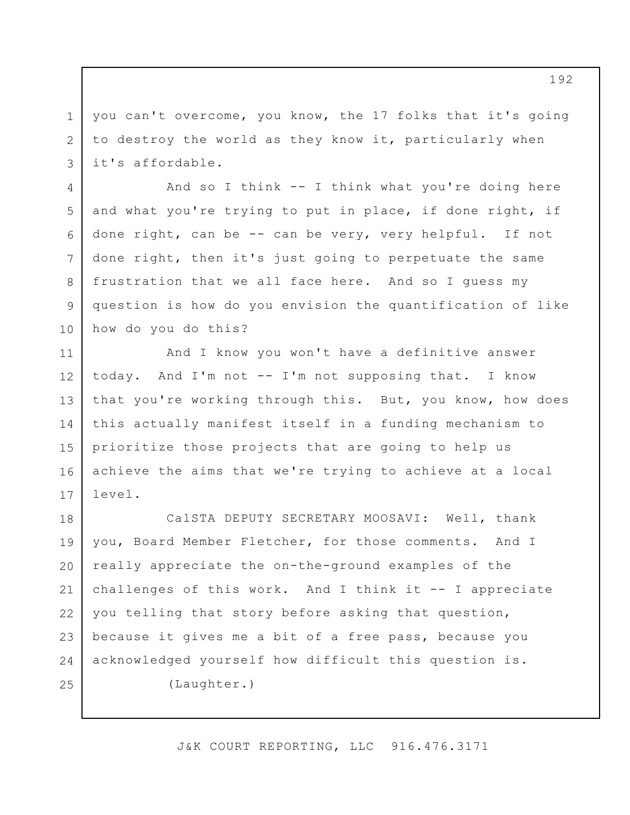3 you can't overcome, you know, the 17 folks that it's going to destroy the world as they know it, particularly when it's affordable.

1

2

4

7

8

9

5 6 10 And so I think -- I think what you're doing here and what you're trying to put in place, if done right, if done right, can be -- can be very, very helpful. If not done right, then it's just going to perpetuate the same frustration that we all face here. And so I guess my question is how do you envision the quantification of like how do you do this?

11 12 13 14 15 16 17 And I know you won't have a definitive answer today. And I'm not -- I'm not supposing that. I know that you're working through this. But, you know, how does this actually manifest itself in a funding mechanism to prioritize those projects that are going to help us achieve the aims that we're trying to achieve at a local level.

18 19 20 21 22 23 24 25 CalSTA DEPUTY SECRETARY MOOSAVI: Well, thank you, Board Member Fletcher, for those comments. And I really appreciate the on-the-ground examples of the challenges of this work. And I think it -- I appreciate you telling that story before asking that question, because it gives me a bit of a free pass, because you acknowledged yourself how difficult this question is. (Laughter.)